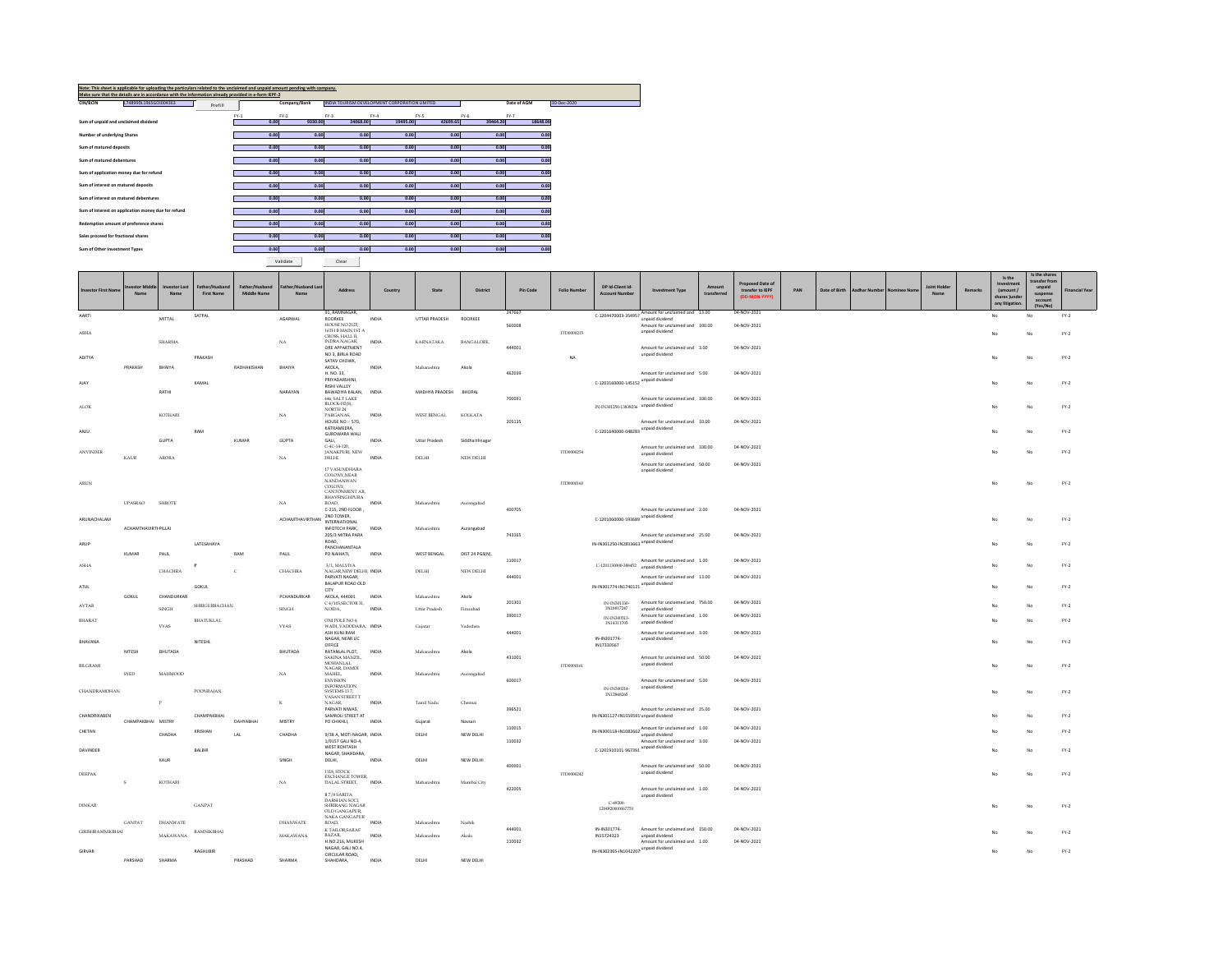| Note: This sheet is applicable for uploading the particulars related to the unclaimed and unpaid amount pending with company.<br>Make sure that the details are in accordance with the information already provided in e-form IEPF-2 |        |              |                                               |          |          |          |             |             |
|--------------------------------------------------------------------------------------------------------------------------------------------------------------------------------------------------------------------------------------|--------|--------------|-----------------------------------------------|----------|----------|----------|-------------|-------------|
| L74899DL1965GOI004363<br>CIN/BCIN<br>Prefill                                                                                                                                                                                         |        | Company/Bank | INDIA TOURISM DEVELOPMENT CORPORATION LIMITED |          |          |          | Date of AGM | 30-Dec-2020 |
|                                                                                                                                                                                                                                      | $FY-1$ | $FY-2$       | $FY-3$                                        | $FY-4$   | FY-5     | $FY-6$   | $FY-7$      |             |
| Sum of unpaid and unclaimed dividend                                                                                                                                                                                                 | 0.00   | 9330.00      | 24068.00                                      | 19495.00 | 42699.65 | 39464.20 | 18648.00    |             |
| Number of underlying Shares                                                                                                                                                                                                          | 0.00   | 0.00         | 0.00                                          | 0.00     | 0.00     | 0.00     | 0.00        |             |
| Sum of matured deposits                                                                                                                                                                                                              | 0.00   | 0.00         | 0.00                                          | 0.00     | 0.00     | 0.00     | 0.00        |             |
| Sum of matured debentures                                                                                                                                                                                                            | 0.00   | 0.00         | 0.00                                          | 0.00     | 0.00     | 0.00     | 0.00        |             |
| Sum of application money due for refund                                                                                                                                                                                              | 0.00   | 0.00         | 0.00                                          | 0.00     | 0.00     | 0.00     | 0.00        |             |
| Sum of interest on matured deposits                                                                                                                                                                                                  | 0.00   | 0.00         | 0.00                                          | 0.00     | 0.00     | 0.00     | 0.00        |             |
| Sum of interest on matured debentures                                                                                                                                                                                                | 0.00   | 0.00         | 0.00                                          | 0.00     | 0.00     | 0.00     | 0.00        |             |
| Sum of interest on application money due for refund                                                                                                                                                                                  | 0.00   | 0.00         | 0.00                                          | 0.00     | 0.00     | 0.00     | 0.00        |             |
| Redemption amount of preference shares                                                                                                                                                                                               | 0.00   | 0.00         | 0.00                                          | 0.00     | 0.00     | 0.00     | 0.00        |             |
| Sales proceed for fractional shares                                                                                                                                                                                                  | 0.00   | 0.00         | 0.00                                          | 0.00     | 0.00     | 0.00     | 0.00        |             |
| Sum of Other Investment Types                                                                                                                                                                                                        | 0.00   | 0.00         | 0.00                                          | 0.00     | 0.00     | 0.00     | 0.00        |             |
|                                                                                                                                                                                                                                      |        | Validate     | Clear                                         |          |          |          |             |             |

PARSHAD SHARMA

PRASHAD SHARMA

CIRCULAR ROAD, SHAHDARA, INDIA DELHI NEW DELHI

Investor First Name Investor Middle NameInvestor Last NameFather/Husband First NameFather/Husband Middle NameFather/Husband Last Namevand Last | Address | Country | State | District | Pin Code | Folio Number | DP Id-Client Id- | Investment Type | Amount<br>e | Address | Country | State | District | Pin Code | Folio Number | Account Number | transferred Amount<br> **Example 1** Proposed Date of<br> **EXAMPLE CONTACT (DD-MON-YYYY)** PAN Date of Birth Aadhar Number Nominee Name Name Remarks<br>J Is the Investment (amount / shares )under any litigation.Is the shares transfer from unpaid suspense account (Yes/No)Financial YearAARTIMITTALSATPALAGARWAL91, RAMNAGAR,<br>ROORKEE<br>HOUSE NO.2125. ROORKEE INDIA UTTAR PRADESH ROORKEE 247667C-1204470003-354957Amount for unclaimed and 13.00 04-NOV-2021<br>
unpaid dividend<br>Amount for unclaimed and 100.00 04-NOV-2021 No No FY-2ABHASHARMAA NA 16TH B MAIN 1ST A<br>CROSS, HALL II,<br>INDRA NAGAR, INDIA KARNATAKA BANGALORE, 560008ITD0000215unpaid dividend100.00 04-NOV-2021No No FY-2ADITYAPRAKASH BHAIYAPRAKASHRADHAKISHAN BHAIYAORE APPARTMENT<br>NO 3. BIRLA ROAD SATAV CHOWK, AKOLA, INDIA Maharashtra Akola 444001NAAmount for unclaimed and unpaid dividend3.00 04-NOV-2021No No FY-2AJAYRATHIKAMALNARAYANH. NO. 33,<br>PRIYADARSHINI,<br>RISHI VALLEY BAWADIYA KALAN, INDIA MADHYA PRADESH BHOPAL 446, SALT LAKE 462039Amount for unclaimed and<br>C-1203160000-145152 <sup>unpaid</sup> dividend 5.00 04-NOV-2021No No FY-2ALOKKOTHARII NA BLOCK-FE(S), INDIA<br>PARGANAS, INDIA<br>HOUSENO :- 570, INDIA<br>KATRAMEERA,<br>GALI, INDIA Uttar Pradesh Siddharthnagar<br>C-4C-14-120, INDIA Uttar Pradesh Siddharthnagar<br>C-4C-14-120, WEST BENGAL KOLKATA700091IN-IN301250-13838236 unpaid dividend Amount for unclaimed and 100.00 100.00 04-NOV-2021No No FY-2ANJUGUPTARAMKUMAR GUPTA205135Amount for unclaimed and<br>C-1201640000-048283 <sup>unpaid</sup> dividend 10.00 04-NOV-2021No No FY-2ANVINDERKAUR ARORA NA JANAKPURI, NEW DELHI. INDIA DELHI NEW DELHI ITD0000254Amount for unclaimed and unpaid dividend Amount for unclaimed and 04-NOV-2021 No No FY-2ARUNUPASRAO SHROTE NA17 VASUNDHARA<br>COLONY,NEAR<br>NANDANWAN<br>COLONY,<br>EANTONMENT AR,<br>BHAVSINGHPURA<br>ROAD, INDIA<br>C-215, 2ND FLOOR , Maharashtra Aurangabad ITD0000160unpaid dividend50.00 04-NOV-2021No No FY-2ARUNACHALAMACHAMTHAVIRTHANPILLAIACHAMTHAVIRTHAN2ND TOWER,<br>INTERNATIONAL INFOTECH PARK, INDIA<br>205/3 MITRA PARA<br>ROAD, Maharashtra Aurangabad 400705C-1201060000-593689 unpaid dividend Amount for unclaimed and 2.00 2.00 04-NOV-2021No No FY-2ARUPKUMAR PAUL LATESAHAYARAM PAUL PANCHANANTALA PO NAIHATI, INDIA WEST BENGAL DIST 24 PGS(N), 743165Amount for unclaimed and<br>IN-IN301250-IN2833663 <sup>unpaid</sup> dividend 25.00 04-NOV-2021No No FY-2ASHACHACHRAP<sup>C</sup> CHACHRA3/1, MALVIYA<br>NAGAR,NEW DELHI, INDIA<br>PARVATI NAGAR,<br>BALAPUR ROAD OLD<br>CITY<br>AKOLA, 444001 INDIA DELHI NEW DELHI 110017Amount for unclaimed and<br>C-1201130000-388452 unpaid dividend Amount for unclaimed and 04-NOV-2021 No No FY-2ATULGOKUL CHANDURKARGOKULPCHANDL Maharashtra Akola 444001IN-IN301774-IN1740121 unpaid dividend 13.00 04-NOV-2021No No FY-2AVTARSINGHSHRIGURBACHANSINGHC 4/103,SECTOR 31, NOIDA, INDIA Uttar Pradesh Firozabad 201301 IN-IN301330- IN18817247 IN-IN300513-Amount for unclaimed and 750.00 unpaid dividend Amount for unclaimed and unpaid dividend04-NOV-2021 No No FY-2BHARATVYASBHATUKLALVYASONI POLE NO 4, WADI, VADODARA, INDIA Gujarat Vadodara 390017IN1431170504-NOV-2021 No No FY-2BHAVANANITESH BHUTADANITESHLBHUTADAASH KUNJ RAM<br>NAGAR, NEAR LIC<br>OFFICE<br>RATANLAL PLOT, INDIA<br>SAKINA MANZIL,<br>MOHANLAL<br>NAGAR, DAMDI Maharashtra Akola 444001IN-IN301774- IN17330567Amount for unclaimed and unpaid dividend3.00 04-NOV-2021No No FY-2BILGRAMISYED MAHMOODD<sub>NA</sub> MAHEL, INDIA<br>ENVISION<br>INFORMATION<br>SYSTEMS 13 7,<br>VASAN STREET T<br>NAGAR, INDIA<br>PARVATI NIWAS, Maharashtra Aurangabad 431001ITD0000161Amount for unclaimed and unpaid dividend50.00 04-NOV-2021No No FY-2CHANDRAMOHANPPOONRAJANK Tamil Nadu Chennai 600017IN-IN300214- IN12848265Amount for unclaimed and unpaid dividend5.00 04-NOV-2021No No FY-2CHANDRIKABENCHAMPAKBHAI MISTRY CHAMPAKBHAIDAHYABHAI MISTRY SAMROLI STREET AT PO CHIKHLI, INDIA Gujarat Navsari 396521IN-IN301127-IN1559591 unpaid dividend Amount for unclaimed and 25.00 25.00 04-NOV-2021No No FY-2CHETANCHADHAKRISHANLAL CHADHA 9/38 A, MOTI NAGAR, NEW DELHI, INDIA DELHI NEW DELHI 1/9157 GALI NO-4, 110015IN-IN300118-IN1082662 Amount for unclaimed and<br>unpaid dividend<br>Amount for unclaimed and 1.00 04-NOV-2021No No FY-2DAVINDERKAURBALBIRSINGH WEST ROHTASH NAGAR, SHAHDARA, DELHI, INDIA DELHI NEW DELHI 110032C-1201910101-967391 unpaid dividend 3.00 04-NOV-2021No No FY-2DEEPAKS KOTHARI NA 1118, STOCK<br>EXCHANGE TOWER,<br>DALAL STREET, INDIA Maharashtra Mumbai City 400001ITD0000242Amount for unclaimed and unpaid dividend50.00 04-NOV-2021No No FY-2DINKARGANPAT DHANWATE GANPATDHANWATEB 7/8 SARITA<br>DARSHAN SOCI,<br>SHRIRANG NAGAR<br>OLD GANGAPUR<br>NAKA GANGAPUR<br>ROAD. Maharashtra Nashik 422005C-49200- 1204920000067753Amount for unclaimed and unpaid dividend1.00 04-NOV-2021No No FY-2GIRISHRAMNIKBHAI MAKAWANARAMNIKBHAIMAKAWAN K TAILOR,SARAF **INDIA**<br>BAZAR. **INDIA**  Maharashtra Akola N-IN301774- Amount Mail Mondalmed and MIS724323<br>IN15724323 Amount for unclaimed and<br>Amount for unclaimed and M-IN302365-IN1042207<br>IM-IN302365-IN1042207 04-NOV-2021 No No FY-2GIRVARRAGHUBIRH.NO.216, MUKESH NAGAR, GALI NO.4, 110032Amount for unclaimed and unpaid dividend 1.00 04-NOV-2021No No FY-2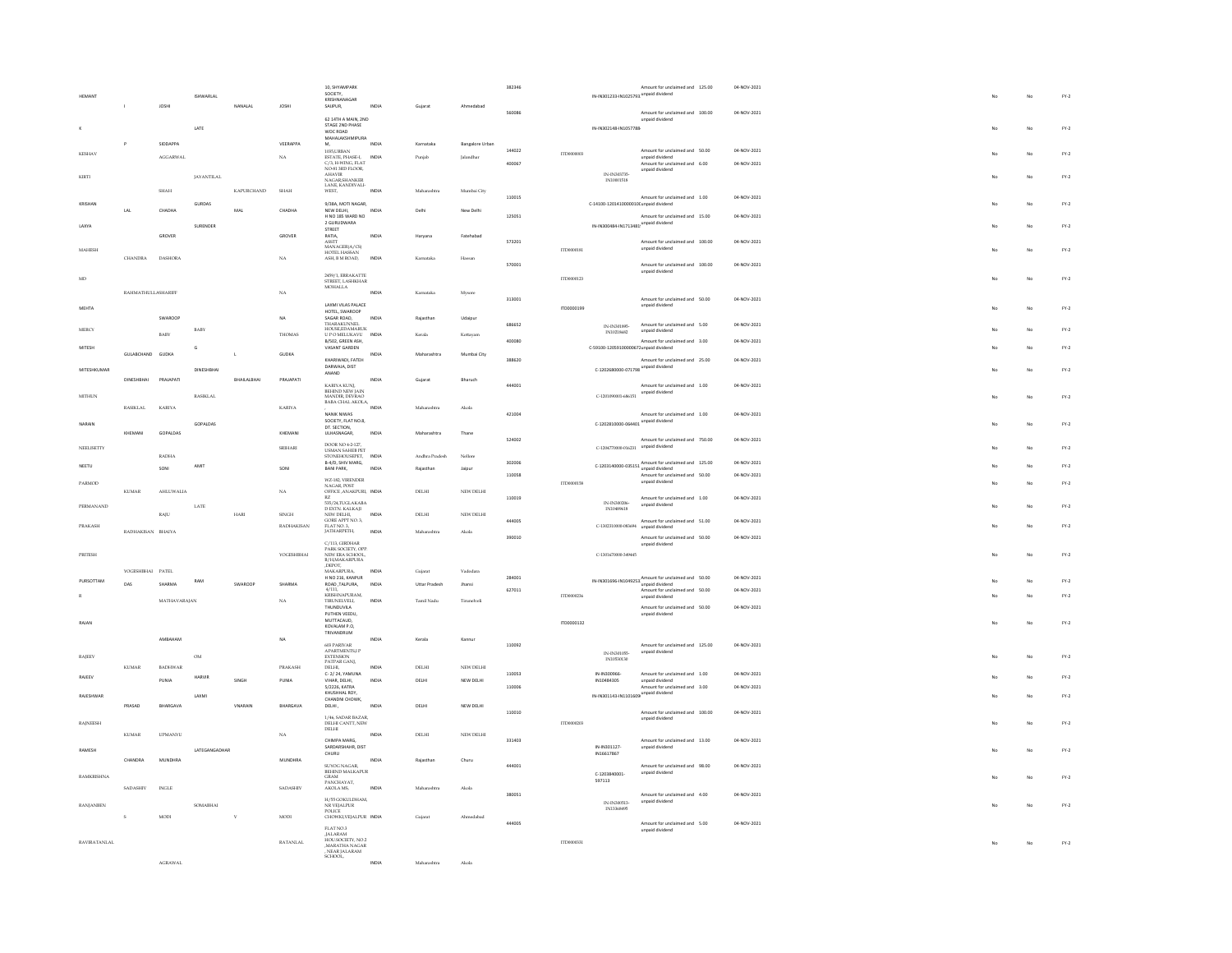| <b>HEMANT</b>     |                    | <b>JOSHI</b>     | <b>ISHWARLAL</b>  | NANALAI      | JOSH              | 10 SHYAMPARK<br>SOCIETY,<br>KRISHNANAGAR<br>SAUPUR,          | INDIA | Gujarat        | Ahm             | 382346 |            | IN-IN301233-IN1025793 unpaid dividend            | Amount for unclaimed and 125.00                                          | 04-NOV-2021 |    | No             | FY.2   |
|-------------------|--------------------|------------------|-------------------|--------------|-------------------|--------------------------------------------------------------|-------|----------------|-----------------|--------|------------|--------------------------------------------------|--------------------------------------------------------------------------|-------------|----|----------------|--------|
|                   |                    |                  | LATE              |              |                   | 62 14TH A MAIN 2ND<br>STAGE 2ND PHASE<br>WOC ROAD            |       |                |                 | 560086 |            | IN-IN302148-IN1057788                            | Amount for unclaimed and 100.00<br>unpaid dividend                       | 04-NOV-2021 |    | No             | FY.2   |
|                   | P                  | SIDDAPPA         |                   |              | VEERAPPA          | MAHALAKSHMIPURA<br>M.                                        | INDIA | Karnataka      | Bangalore Urban |        |            |                                                  |                                                                          |             |    |                |        |
| KESHAV            |                    | AGGARWAL         |                   |              | $_{\rm NA}$       | 1035, URBAN<br>ESTATE, PHASE-L                               | INDIA | Punjab         | Jalandhar       | 144022 | ITD0000003 |                                                  | Amount for unclaimed and 50.00<br>unpaid dividend                        | 04-NOV-2021 |    | No             | $FY-2$ |
|                   |                    |                  |                   |              |                   | C/3, H-WING, FLAT<br>NO-81 3RD FLOOR,                        |       |                |                 | 400067 |            |                                                  | Amount for unclaimed and 6.00<br>unpaid dividend                         | 04-NOV-2021 |    |                |        |
| KIRTI             |                    |                  | <b>JAYANTILAL</b> |              |                   | AHAVIR<br>NAGAR,SHANKER<br>LANE, KANDIVALI-                  |       |                |                 |        |            | IN-IN303735<br>IN10001518                        |                                                                          |             |    | No             | $FY-2$ |
|                   |                    | SHAH             |                   | KAPURCHAND   | SHAH              | WEST,                                                        | INDIA | Maharashtra    | Mumbai City     |        |            |                                                  |                                                                          |             |    |                |        |
| <b>KRISHA!</b>    |                    |                  | <b>GURDAS</b>     |              |                   | 9/38A, MOTI NAGAR,                                           |       |                |                 | 110015 |            | C-14100-1201410000010(unpaid dividend            | Amount for unclaimed and 1.00                                            | 04-NOV-2021 |    | No             | $FY-2$ |
|                   | LAL                | CHADHA           |                   | MAL          | CHADHA            | NEW DELHI.<br>H NO 185 WARD NO                               | INDIA | Delhi          | New Delhi       | 125051 |            |                                                  | Amount for unclaimed and 15.00                                           | 04-NOV-2021 |    |                |        |
| LAXYA             |                    | GROVER           | SURENDER          |              | GROVER            | 2 GURUDWARA<br>STREET<br>RATIA,                              | INDIA | Haryana        | Fatehabad       |        |            | IN-IN300484-IN1713481 <sup>unpaid</sup> dividend |                                                                          |             |    | No             | $FY-2$ |
| MARISH            |                    |                  |                   |              |                   | <b>ASSTT</b><br>MANAGER(A/CS)                                |       |                |                 | 573201 | TTM000181  |                                                  | Amount for unclaimed and 100.00<br>unpaid dividend                       | 04-NOV-2021 |    | No             | $FY-2$ |
|                   | <b>CHANDRA</b>     | <b>DASHORA</b>   |                   |              | NA                | HOTEL HASSAN<br>ASH, B M ROAD,                               | INDIA | Kamataka       | Hassa           |        |            |                                                  |                                                                          |             |    |                |        |
|                   |                    |                  |                   |              |                   |                                                              |       |                |                 | 570001 |            |                                                  | Amount for unclaimed and 100.00<br>unpaid dividend                       | 04-NOV-2021 |    |                |        |
| MD                |                    |                  |                   |              |                   | 2459/1, ERRAKATTE<br>STREET, LASHKHAR                        |       |                |                 |        | ITD0000123 |                                                  |                                                                          |             | No | No             | $FY-2$ |
|                   | RAHMATHULLASHARIFF |                  |                   |              | $_{\rm NA}$       | <b>MOHALLA</b>                                               |       | Kamataka       | Mysore          |        |            |                                                  |                                                                          |             |    |                |        |
| MEHTA             |                    |                  |                   |              |                   | LAXMI VILAS PALACE                                           |       |                |                 | 313001 | ITD0000199 |                                                  | Amount for unclaimed and 50.00<br>unpaid dividend                        | 04-NOV-2021 |    | No             | $FY-2$ |
|                   |                    | SWAROOP          |                   |              | NA                | HOTEL, SWAROOP<br>SAGAR ROAD.                                | INDIA | Raiasthan      | Udajpur         |        |            |                                                  |                                                                          |             |    |                |        |
| MERCY             |                    |                  | BABY              |              |                   | <b>THARAKUNNEL</b><br>HOUSE EDAMARUK                         |       |                |                 | 686652 |            | IN-IN301895<br>IN10218682                        | Amount for unclaimed and 5.00<br>unpaid dividend                         | 04-NOV-2021 |    | No             | $FY-2$ |
|                   |                    | <b>BABY</b>      |                   |              | THOMAS            | U PO MELUKAVU<br>B/S02, GREEN ASH,                           | INDM  | Kerala         | Kottayam        | 400080 |            |                                                  | Amount for unclaimed and 3.00                                            | 04-NOV-2021 |    |                |        |
| MITESH            | GULABCHAND GUDKA   |                  |                   | $\mathbf{L}$ | <b>GUDKA</b>      | VASANT GARDEN                                                | INDIA | Maharashtra    | Mumbai City     |        |            | C-59100-12059100000671unpaid dividend            |                                                                          |             |    | No             | $FY-2$ |
|                   |                    |                  |                   |              |                   | KHARIWADI FATEH<br>DARWAJA, DIST                             |       |                |                 | 388620 |            |                                                  | Amount for unclaimed and 25.00                                           | 04-NOV-2021 |    |                |        |
| MITESHKUMAR       | <b>DINESHRHAI</b>  | PRAIAPATI        | DINESHBHA         | BHAILALBHAI  | PRAJAPATI         | ANAND                                                        | INDIA |                |                 |        |            | C-1202680000-071798 unpaid dividend              |                                                                          |             |    | No             | $FY-2$ |
|                   |                    |                  |                   |              |                   | KARIYA KUNJ,                                                 |       | Gujarat        | Bharuch         | 444001 |            |                                                  | Amount for unclaimed and 1.00                                            | 04-NOV-2021 |    |                |        |
| MITHUN            |                    |                  | <b>RASIKLAL</b>   |              |                   | <b>BEHIND NEW JAIN</b><br>MANDIR, DEVRAO<br>BABA CHAL AKOLA. |       |                |                 |        |            | C-1201090001-686151                              | unpaid dividend                                                          |             | No | No             | $FY-2$ |
|                   | RASIKLAL           | KARIYA           |                   |              | <b>KARIYA</b>     | NANIK NIWAS                                                  | INDIA | Maharashtra    | Akola           | 421004 |            |                                                  | Amount for unclaimed and 1.00                                            |             |    |                |        |
| NARAIN            |                    |                  | GOPALDAS          |              |                   | SOCIETY, FLAT NO.8,                                          |       |                |                 |        |            | C-1202810000-064401 unpaid dividend              |                                                                          | 04-NOV-2021 |    | No             | $FY-2$ |
|                   | KHEMANI            | GOPALDAS         |                   |              | KHEMANI           | DT. SECTION,<br>ULHASNAGAR.                                  | INDIA | Maharashtra    | Thane           |        |            |                                                  |                                                                          |             |    |                |        |
| NEELISETTY        |                    |                  |                   |              | SRIHARI           | DOOR NO 4-2-127                                              |       |                |                 | 524002 |            | C-1204770000-016231 unpaid dividend              | Amount for unclaimed and 750.00                                          | 04-NOV-2021 |    | No             | $FY-2$ |
|                   |                    | $\textsc{radia}$ |                   |              |                   | <b>USMAN SAHEB PET</b><br>STONEHOUSEPET,                     | INDIA | Andhra Pradesh | Nellon          |        |            |                                                  |                                                                          |             |    |                |        |
| NEETU             |                    | SONI             | AMIT              |              | SONI              | B-4/D, SHIV MARG,<br><b>BANI PARK,</b>                       | INDM  | Rajasthan      | Jaipur          | 302006 |            |                                                  | $C-1203140000-035151$ Amount for unclaimed and 125.00<br>unpaid dividend | 04-NOV-2021 |    | No             | $FY-2$ |
| PARMOD            |                    |                  |                   |              |                   | WZ-182, VIRENDER                                             |       |                |                 | 110058 | ITD0000158 |                                                  | Amount for unclaimed and 50.00<br>unpaid dividend                        | 04-NOV-2021 |    | No             | $FY-2$ |
|                   | KUMAR              | AHLUWALIA        |                   |              | NA                | NAGAR, POST<br>OFFICE ANAKPURI. INDIA                        |       | DELHI          | NEW DELHI       |        |            |                                                  |                                                                          |             |    |                |        |
| PERMANAND         |                    |                  | LATE              |              |                   | RZ<br>535/24,TUGLAKABA                                       |       |                |                 | 110019 |            | IN-IN300206                                      | Amount for unclaimed and 1.00<br>unpaid dividend                         | 04-NOV-2021 |    | No             | $FY-2$ |
|                   |                    | RAJU             |                   | HARI         | <b>SINGH</b>      | D EXTN. KALKAJI<br>NEW DELHI,<br>GORE APPT NO. 3,            | INDIA | DELHI          | NEW DELHI       | 444005 |            | IN10489618                                       |                                                                          | 04-NOV-2021 |    |                |        |
| PRAKASH           | RADHAKISAN BHAIYA  |                  |                   |              | <b>RADHAKISAN</b> | FLAT NO.3.<br>JATHARPETH,                                    | INDIA | Maharashtra    | Akola           |        |            | C-1302310000-083694                              | Amount for unclaimed and 51.00<br>unpaid dividend                        |             |    | No             | $FY-2$ |
|                   |                    |                  |                   |              |                   | $C/113$ , GIRDHAR                                            |       |                |                 | 390010 |            |                                                  | Amount for unclaimed and 50.00<br>unpaid dividend                        | 04-NOV-2021 |    |                |        |
| PRITESH           |                    |                  |                   |              | YOGESHBHAI        | PARK SOCIETY, OPP.<br>NEW ERA SCHOOL                         |       |                |                 |        |            | C-1301670000-349445                              |                                                                          |             |    | N <sub>0</sub> | $FY-2$ |
|                   |                    |                  |                   |              |                   | B/H,MAKARPURA<br>DEPOT,<br>MAKARPURA,                        |       |                |                 |        |            |                                                  |                                                                          |             |    |                |        |
| PURSOTTAM         | YOGESHBHAI PATEL   |                  | RAM               |              |                   | H NO 216, KANPUR                                             | INDIA | Gujarat        | Vadodara        | 284001 |            |                                                  | IN-IN301696-IN1049253 Amount for unclaimed and 50.00                     | 04-NOV-2021 |    | No             | $FY-2$ |
|                   | DAS                | SHARMA           |                   | SWAROOR      | SHARMA            | ROAD ,TALPURA,                                               | INDIA | Uttar Pradesh  | Jhans           | 627011 |            |                                                  | Amount for unclaimed and 50.00                                           | 04-NOV-2021 |    |                |        |
| R                 |                    | MATHAVARAJAN     |                   |              | $_{\rm NA}$       | $4/111,$ KRISHNAPURAM,<br>TIRUNELVELL                        | INDIA | Tamil Nadu     | Tirunelveli     |        | ITD0000236 |                                                  | unpaid dividend                                                          |             |    | No             | FY.2   |
|                   |                    |                  |                   |              |                   | THUNDLIVE A<br>PUTHEN VEEDU,                                 |       |                |                 |        |            |                                                  | Amount for unclaimed and 50.00<br>unpaid dividend                        | 04-NOV-2021 |    |                |        |
| RAIAN             |                    |                  |                   |              |                   | MUTTACAUD.<br>KOVALAM P.O.                                   |       |                |                 |        | 170000132  |                                                  |                                                                          |             |    | No             | $FY-2$ |
|                   |                    | <b>AMRAHAM</b>   |                   |              | NA.               | TRIVANDRUM                                                   | INDIA | Kerala         | Kannu           |        |            |                                                  |                                                                          |             |    |                |        |
|                   |                    |                  |                   |              |                   | 603 PARIVAR<br>APARTMENTS, IP                                |       |                |                 | 110092 |            |                                                  | Amount for unclaimed and 125.00<br>unpaid dividend                       | 04-NOV-2021 |    |                |        |
| <b>RAJEEV</b>     |                    |                  | OM                |              |                   | <b>EXTENSION</b><br>PATPAR GANJ,                             |       |                |                 |        |            | IN-IN301055<br>IN10530130                        |                                                                          |             |    | No             | $FY-2$ |
|                   | <b>KUMAR</b>       | <b>BADHWAR</b>   |                   |              | PRAKASH           | DELHI.<br>C-2/24, YAMUNA                                     | INDIA | DELHI          | NEW DELHI       | 110053 |            | IN-IN30096                                       | Amount for unclaimed and 1.00                                            | 04-NOV-2021 |    |                |        |
| RAJEEV            |                    | PUNIA            | <b>HARVIR</b>     | SINGH        | PUNIA             | VIHAR, DELHI,<br>5/2226, KATRA                               | INDIA | DELHI          | NEW DELHI       | 110006 |            | IN10484305                                       | unpaid dividend<br>Amount for unclaimed and 3.00                         | 04-NOV-2021 |    | No             | $FY-2$ |
| RAJESHWAR         |                    |                  | LAXMI             |              |                   | KHUSHHAL ROY,<br>CHANDNI CHOWK,                              |       |                |                 |        |            | IN-IN301143-IN1101609 unpaid dividend            |                                                                          |             |    | No             | $FY-2$ |
|                   | PRASAD             | BHARGAVA         |                   | VNARAIN      | BHARGAVA          | DELHI,                                                       | INDIA | DELHI          | NEW DELHI       | 110010 |            |                                                  | Amount for unclaimed and 100.00                                          | 04-NOV-2021 |    |                |        |
| <b>RAINEESH</b>   |                    |                  |                   |              |                   | 1/46, SADAR BAZAR,<br>DELHI CANTT, NEW                       |       |                |                 |        | rroomaa    |                                                  | unpaid dividend                                                          |             |    | No             | $FY-2$ |
|                   | <b>KUMAR</b>       | <b>UPMANYU</b>   |                   |              | $_{\rm NA}$       | DELHI                                                        | INDIA | DELHI          | NEW DELHI       |        |            |                                                  |                                                                          |             |    |                |        |
|                   |                    |                  |                   |              |                   | CHIMPA MARG.<br>SARDARSHAHR, DIST                            |       |                |                 | 331403 |            | IN-IN301127-                                     | Amount for unclaimed and 13.00<br>unpaid dividend                        | 04-NOV-2021 |    |                |        |
| <b>RAMESH</b>     | CHANDRA            | <b>MUNDHRA</b>   | LATEGANGADHAP     |              | MUNDHRA           | CHURU                                                        | INDIA | Rajasthar      | Churu           |        |            | IN16617867                                       |                                                                          |             |    | No             | $FY-2$ |
|                   |                    |                  |                   |              |                   | SUYOG NAGAR,<br>BEHIND MALKAPUR                              |       |                |                 | 444001 |            |                                                  | Amount for unclaimed and 98.00                                           | 04-NOV-2021 |    |                |        |
| <b>RAMKRISHNA</b> |                    |                  |                   |              |                   | <b>GRAM</b><br>PANCHAYAT,                                    |       |                |                 |        |            | C-1203840001<br>597113                           | unpaid dividend                                                          |             |    | No             | $FY-2$ |
|                   | <b>SADASHIV</b>    | <b>INGLE</b>     |                   |              | <b>SADASHIV</b>   | AKOLA MS,                                                    | INDIA | Maharashtra    | Akola           | 380051 |            |                                                  |                                                                          | 04-NOV-2021 |    |                |        |
| <b>RANJANBEN</b>  |                    |                  | SOMABHAI          |              |                   | H/55 GOKULDHAM,<br>NR VEJALPUR                               |       |                |                 |        |            | IN-IN300513-<br>IN13368495                       | Amount for unclaimed and 4.00<br>unpaid dividend                         |             |    | No             | $FY-2$ |
|                   | $\leq$             | MODI             |                   | $\mathbf{v}$ | MODI              | <b>POLICE</b><br>CHOWKLVEIALPUR INDIA                        |       | Guiarat        | Ahmedabad       |        |            |                                                  |                                                                          |             |    |                |        |
|                   |                    |                  |                   |              |                   |                                                              |       |                |                 | 444005 |            |                                                  | Amount for unclaimed and 5.00<br>unpaid dividend                         | 04-NOV-2021 |    |                |        |
| RAVIRATANLAL      |                    |                  |                   |              | RATANLAL          | FLAT NO.3<br>JALARAM<br>HOUSOCIETY, NO.2                     |       |                |                 |        | ITD0000331 |                                                  |                                                                          |             | No | No             | $FY-2$ |
|                   |                    |                  |                   |              |                   |                                                              |       |                |                 |        |            |                                                  |                                                                          |             |    |                |        |
|                   |                    |                  |                   |              |                   | ,MARATHA NAGAR<br>, NEAR JALARAM<br>SCHOOL,                  |       |                |                 |        |            |                                                  |                                                                          |             |    |                |        |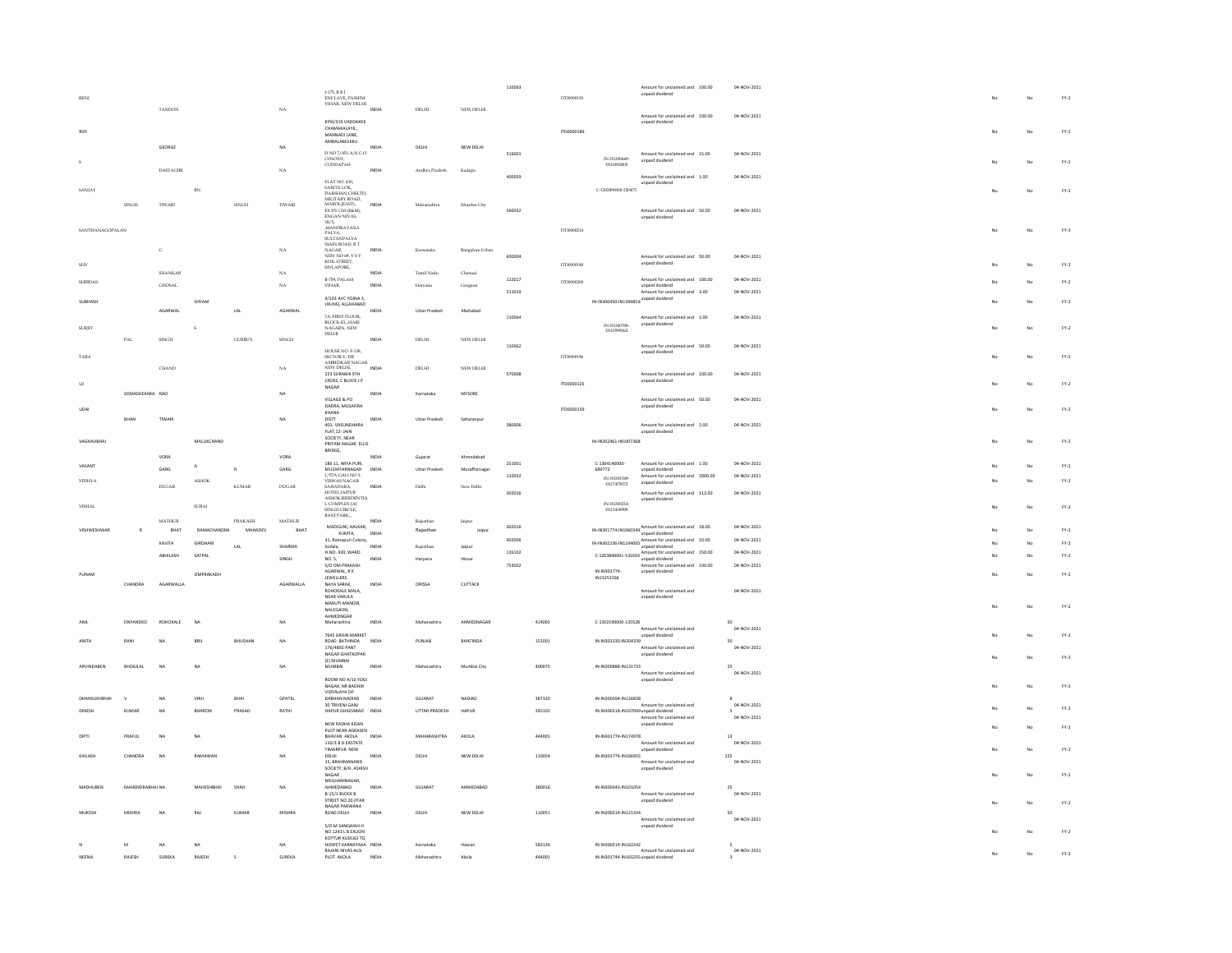|                        |                 |                     |                       |               |              |                                                           |       |                          |                 | 110063 |                  |                                                              | Amount for unclaimed and 100.00                             | 04-NOV-2021       |    |    |                                 |
|------------------------|-----------------|---------------------|-----------------------|---------------|--------------|-----------------------------------------------------------|-------|--------------------------|-----------------|--------|------------------|--------------------------------------------------------------|-------------------------------------------------------------|-------------------|----|----|---------------------------------|
| RENI                   |                 |                     |                       |               |              | J-175, R B I<br>ENCLAVE, PASHIM<br>VIHAR, NEW DELHI       |       |                          |                 |        | TTM000193        |                                                              | unpaid dividend                                             |                   |    |    | $\mathsf{FY}\text{-}\mathsf{2}$ |
|                        |                 | <b>TANDON</b>       |                       |               | $_{\rm NA}$  |                                                           | INDIA | DELHI                    | NEW DELHI       |        |                  |                                                              |                                                             |                   |    |    |                                 |
|                        |                 |                     |                       |               |              | KPXI/319 VADDAKKE                                         |       |                          |                 |        |                  |                                                              | Amount for unclaimed and 100.00<br>unpaid dividend          | 04-NOV-2021       |    |    |                                 |
| RO <sub>1</sub>        |                 |                     |                       |               |              | CHAMAKALAYIL,<br>MANNADI LANE                             |       |                          |                 |        | 170000189        |                                                              |                                                             |                   |    | No | $FY-2$                          |
|                        |                 | GEORGE              |                       |               | NA           | AMBALAMUKKU                                               | INDM  | DELHI                    | NEW DELHI       |        |                  |                                                              |                                                             |                   |    |    |                                 |
|                        |                 |                     |                       |               |              | D NO 7/451-A,N G O                                        |       |                          |                 | 516001 |                  | IN-IN300669                                                  | Amount for unclaimed and 15.00<br>unpaid dividend           | 04-NOV-2021       |    |    |                                 |
|                        |                 | <b>DASTAGIRI</b>    |                       |               | NA           | COLONY,<br>CUDDAPAH                                       | INDIA | Andhra Pradesh           | Kadapa          |        |                  | IN10092803                                                   |                                                             |                   |    | No | $FY-2$                          |
|                        |                 |                     |                       |               |              |                                                           |       |                          |                 | 400059 |                  |                                                              | Amount for unclaimed and 1.00                               | 04-NOV-2021       |    |    |                                 |
| SANJAY                 |                 |                     | $_{\rm RN}$           |               |              | FLAT NO. 410,<br>SARITA LOK,<br>DARSHAN CHSLTD,           |       |                          |                 |        |                  | C-1202890000-320475                                          | unpaid dividend                                             |                   | No | No | $FY-2$                          |
|                        | SINGH           | TIWARI              |                       | <b>SINGH</b>  | TIWARI       | MILITARY ROAD,<br>MAROL(EAST).                            | INDIA | Maharashtra              | Mumbai City     |        |                  |                                                              |                                                             |                   |    |    |                                 |
|                        |                 |                     |                       |               |              | EX DY GM (E&M),<br>ENGAN NIVAS,                           |       |                          |                 | 560032 |                  |                                                              | Amount for unclaimed and 50.00                              | 04-NOV-2021       |    |    |                                 |
|                        |                 |                     |                       |               |              | 38/5,<br>MANORAYANA                                       |       |                          |                 |        |                  |                                                              | unpaid dividend                                             |                   |    |    |                                 |
| <b>SANTHANAGOPALAN</b> |                 |                     |                       |               |              | PALYA,<br>SULTANPALYA                                     |       |                          |                 |        | ITD0000214       |                                                              |                                                             |                   | No | No | $FY-2$                          |
|                        |                 | $_{\rm G}$          |                       |               | $_{\rm NA}$  | MAIN ROAD, R.T<br>MAIN ROAD, R.T                          | INDIA | Kamataka                 | Bangalore Urbar |        |                  |                                                              |                                                             |                   |    |    |                                 |
|                        |                 |                     |                       |               |              | NEW NO 69, VS V<br>KOIL STREET,                           |       |                          |                 | 600004 |                  |                                                              | Amount for unclaimed and 50.00<br>unpaid dividend           | 04-NOV-2021       |    |    |                                 |
| <b>SHV</b>             |                 | <b>SHANKAR</b>      |                       |               | NA           | MYLAPORE,                                                 | INDIA | Tamil Nadu               | Che             |        | ITD0000188       |                                                              |                                                             |                   |    | No | $FY-2$                          |
| <b>SHIBDAS</b>         |                 | <b>GHOSAL</b>       |                       |               | NA           | B-759, PALAM<br>VIHAR,                                    | INDIA | Haryana                  | Gurgaon         | 122017 | ITD0000200       |                                                              | Amount for unclaimed and 100.00<br>unpaid dividend          | 04-NOV-2021       |    | No | $FY-2$                          |
|                        |                 |                     |                       |               |              | 9/103 AVC YOJNA 3                                         |       |                          |                 | 211019 |                  |                                                              | Amount for unclaimed and 3.00                               | 04-NOV-2021       |    |    |                                 |
| SURHASH                |                 |                     | SHYAM                 |               |              | <b>JHUNSI, ALLAHABAD</b>                                  |       |                          |                 |        |                  | IN-IN300450-IN1399853 unpaid dividend                        |                                                             |                   |    | No | $FY-2$                          |
|                        |                 | AGARWAL             |                       | LAL           | AGARWAL      | <b>7A FIRST FLOOR</b>                                     | INDIA | Uttar Pradesh            | Allahabad       | 110064 |                  |                                                              | Amount for unclaimed and 1.00                               | 04-NOV-2021       |    |    |                                 |
| <b>SURJIT</b>          |                 |                     |                       |               |              | FR. FIRST FLOOR<br>BLOCK-EL, HARI<br>NAGARN, NEW<br>DELHI |       |                          |                 |        |                  | IN-IN300708<br>IN10599362                                    | unpaid dividend                                             |                   |    | No | $\text{FY-2}$                   |
|                        | PAL             | SINGH               |                       | <b>GURBUX</b> | <b>SINGH</b> |                                                           | INDIA | DELHI                    | NEW DELHI       |        |                  |                                                              |                                                             |                   |    |    |                                 |
|                        |                 |                     |                       |               |              |                                                           |       |                          |                 | 110062 |                  |                                                              | Amount for unclaimed and 50.00<br>unpaid dividend           | 04-NOV-2021       |    |    |                                 |
| <b>TARA</b>            |                 |                     |                       |               |              | HOUSE NO. F-138,<br>SECTOR V, DR<br>AMBEDKAR NAGAR        |       |                          |                 |        | ITD0000196       |                                                              |                                                             |                   | No | No | $\text{FY-2}$                   |
|                        |                 | CHAND               |                       |               | $_{\rm NA}$  | NEW DELHI,<br>223 SURABHI 9TH                             | INDIA | DELHI                    | NEW DELHI       | 570008 |                  |                                                              | Amount for unclaimed and 100.00                             | 04-NOV-2021       |    |    |                                 |
| UJ.                    |                 |                     |                       |               |              | CROSS, C BLOCK J P<br>NAGAR                               |       |                          |                 |        | ITD0000125       |                                                              | unpaid dividend                                             |                   |    | No | $FY-2$                          |
|                        | SOMASHEKARA RAO |                     |                       |               | NA           | VILLAGE & PO                                              | INDM  | Karnataka                | MYSORE          |        |                  |                                                              | Amount for unclaimed and 50.00                              | 04-NOV-2021       |    |    |                                 |
| UDAI                   |                 |                     |                       |               |              | DADRA, MUSAFIRA                                           |       |                          |                 |        | ITD0000159       |                                                              | unpaid dividend                                             |                   | No | No | $FY-2$                          |
|                        | RHAN            | TIWARI              |                       |               | <b>NA</b>    | KHANA<br><b>DISTT</b>                                     | INDIA | Uttar Pradesh            | Saharanpu       |        |                  |                                                              |                                                             |                   |    |    |                                 |
|                        |                 |                     |                       |               |              | 401-VASUNDHARA<br>FLAT.12-JAIN                            |       |                          |                 | 380006 |                  |                                                              | Amount for unclaimed and 2.00<br>unpaid dividend            | 04-NOV-2021       |    |    |                                 |
| VAGHAJIBHAI            |                 |                     | MALUKCHAND            |               |              | SOCIETY, NEAR<br>PRITAM NAGAR, ELLIS                      |       |                          |                 |        |                  | IN-IN302461-IN1007368                                        |                                                             |                   | No | No | $FY-2$                          |
|                        |                 | VORA                |                       |               | VORA         | BRIDGE,                                                   | INDIA | Gujarat                  | Ahmedabad       |        |                  |                                                              |                                                             |                   |    |    |                                 |
| VASANT                 |                 | GARG                | А                     |               | GARG         | 186 11, ARYA PURI.<br>MUZAFFARNAGAR                       | INDIA | Uttar Pradesh            | Muzaffarnagar   | 251001 |                  | C-1304140000<br>689772                                       | Amount for unclaimed and 1.00<br>unpaid dividend            | 04-NOV-2021       |    | No | $\mathsf{FY}\text{-}\mathsf{2}$ |
|                        |                 |                     |                       |               |              | 1/57A GALI NO 3.                                          |       |                          |                 | 110032 |                  |                                                              |                                                             | 04-NOV-2021       |    |    |                                 |
|                        |                 |                     |                       |               |              |                                                           |       |                          |                 |        |                  | IN-IN301549                                                  | Amount for unclaimed and 2000.00                            |                   |    |    |                                 |
| <b>VIDHYA</b>          |                 | DUGAR               | <b>ASHOK</b>          | KUMAR         | DUGAR        | VISWAS NAGAR                                              | INDIA | Delhi                    | New Delhi       |        |                  | IN17475072                                                   | unpaid dividend                                             |                   |    | No | $FY-2$                          |
|                        |                 |                     |                       |               |              | SAHADARA,<br>HOTEL JAIPUR<br>ASHOK, RESIDENTIA            |       |                          |                 | 302016 |                  |                                                              | Amount for unclaimed and 113.00<br>unpaid dividend          | 04-NOV-2021       |    |    |                                 |
| VISHAL                 |                 |                     | <b>SURAJ</b>          |               |              | L COMPLEX JAI<br>SINGH CIRCLE.<br>BANI PARK.              |       |                          |                 |        |                  | IN-IN300214-<br>IN12438990                                   |                                                             |                   | No | No | $FY-2$                          |
|                        |                 | $MATHUR$            |                       | PRAKASH       | $MATHUR$     |                                                           | INDM  | Rajasthar                | Jaipus          | 302016 |                  |                                                              |                                                             | 04-NOV-2021       |    |    |                                 |
| VISHWESHWAR            | R               | BHAT                | RAMACHANDRA           | MAHADEV       | BHAT         | MADGUNI, HALKAR,<br>KUMTA,                                | INDIA | Raiasthan                | Jaipur          |        |                  |                                                              | IN-IN301774-IN1060349 Amount for unclaimed and 18.00        |                   |    | No | $FY-2$                          |
|                        |                 | KAVITA              | <b>GIRDHARI</b>       | LAL           | SHARMA       | 31, Ratnapuri Colony,<br>Sodala.                          | INDIA | Rajasthan                | Jalpur          | 302006 |                  |                                                              | IN-IN302236-IN1194005<br>unpaid dividend<br>unpaid dividend | 04-NOV-2021       |    | No | $FY-2$                          |
|                        |                 | ABHILASH            | SATPAL                |               | SINGH        | H.NO. 439, WARD<br>NO. 5.                                 | INDIA | Harvana                  | Hissar          | 126102 |                  |                                                              | C-1203840001-531693<br>unpaid dividend                      | 04-NOV-2021       |    | No | $FY-2$                          |
|                        |                 |                     |                       |               |              | S/O OM PRAKASH<br>AGARWAL RK                              |       |                          |                 | 753002 |                  | IN-IN301774-                                                 | Amount for unclaimed and 100.00<br>unpaid dividend          | 04-NOV-2021       |    |    |                                 |
| PUNAM                  | CHANDRA         | AGARWALLA           | OMPRAKADH             |               | AGARWALLA    | JEWELLERS<br>NAYA SARAK,                                  | INDIA | ORISSA                   | CUTTACK         |        |                  | IN13252266                                                   |                                                             |                   |    | No | $FY-2$                          |
|                        |                 |                     |                       |               |              | ROHOKALE MALA.                                            |       |                          |                 |        |                  |                                                              | Amount for unclaimed and<br>unpaid dividend                 | 04-NOV-2021       |    |    |                                 |
|                        |                 |                     |                       |               |              | NEAR VARULA<br>MARUTI MANDIR.<br>NALEGAON,                |       |                          |                 |        |                  |                                                              |                                                             |                   | No | No | $\text{FY-2}$                   |
|                        | DNYANDEO        | <b>ROHOKALE</b>     | $\overline{M}$        |               | NA           | AHMEDNGAR                                                 | INDIA | Maharashtı               | AHMEDNAGAL      |        |                  |                                                              |                                                             | 50                |    |    |                                 |
|                        |                 |                     |                       |               |              | Maharashtra                                               |       |                          |                 |        | 414001           | C-1302190000-135528                                          | Amount for unclaimed and                                    | 04-NOV-2021       |    |    |                                 |
| <b>MITA</b>            | RANI            | N                   | <b>BRL</b>            | BHUSHAN       | NA           | 7645 GRAIN MARKET<br>ROAD BATHINDA                        | INDIA | PUNJAE                   | BHATINDA        |        | 151001           | IN-IN301330-IN204339                                         | unpaid dividend                                             | 50                |    | No | $FY-2$                          |
|                        |                 |                     |                       |               |              | 176/4892 PANT<br><b>NAGAR GHATKOPAR</b>                   |       |                          |                 |        |                  |                                                              | Amount for unclaimed and<br>unpaid dividend                 | 04-NOV-2021       |    | No |                                 |
| <b>ARVINDAREN</b>      | BHOGILAL        | N                   | NA                    |               | NA           | (E) MUMBAI<br>MUMBAI                                      | INDIA | Maharashtra              | Mumbai City     |        | 400075           | IN-IN300888-IN131733                                         |                                                             | $\infty$          |    |    | $FY-2$                          |
|                        |                 |                     |                       |               |              | ROOM NO A/16 YOG!                                         |       |                          |                 |        |                  |                                                              | Amount for unclaimed and<br>unpaid dividend                 | 04-NOV-2021       |    |    |                                 |
|                        |                 |                     |                       |               |              | NAGAR, NR BADHIR<br>VIDYALAYA OP                          |       |                          |                 |        |                  |                                                              |                                                             |                   | No | No | $FY-2$                          |
|                        |                 | N.                  | VIRJI                 | <b>BHA</b>    | GPATEL       | DABHAN NADIAD                                             | INDIA | GUJARAT                  | NADIAD          |        | 387320           | IN-IN300394-IN126838                                         |                                                             |                   |    |    |                                 |
|                        | KUMAR           | NA                  | BHARO                 | PRASAD        | RATHI        | 30 TRIVENI GANJ<br>HAPUR GHAZIABAD                        | INDIA | UTTAR PRADESH            | HAPUR           |        | 245101           | IN-IN300118-IN107049 unpaid dividend                         | Amount for unclaimed and                                    | 04-NOV-2021       |    | No | $FY-2$                          |
|                        |                 |                     |                       |               |              | NEW RADHA KISAN                                           |       |                          |                 |        |                  |                                                              | Amount for unclaimed and<br>unpaid dividend                 | 04-NOV-2021       |    |    |                                 |
| <b>DIRTI</b>           | PRAFIII         | N <sub>A</sub>      | <b>NA</b>             |               | <b>NA</b>    | PLOT NEAR AGRASEN<br>RHAVAN AKOLA                         | INDIA | MAHARASHTRA              | AKOLA           |        | 444001           | IN-IN301774-IN174978                                         |                                                             | 13                |    | No | $\mathsf{FY}\text{-}\mathsf{2}$ |
|                        |                 |                     |                       |               |              | 110/3 B D EASTATE<br>TIMARPUR NEW                         |       |                          |                 |        |                  |                                                              | Amount for unclaimed and<br>unpaid dividend                 | 04-NOV-2021       | No | No | $FY-2$                          |
| KAILASH                | CHANDRA         | N                   | RAMINVAN              |               | NA           | DELHI                                                     | INDIA | DELHI                    | NEW DELHI       |        | 110054           | IN-IN301774-IN166955                                         |                                                             | $125\,$           |    |    |                                 |
|                        |                 |                     |                       |               |              | 15, BRAHMANAND<br>SOCIETY, B/H. ASHISH                    |       |                          |                 |        |                  |                                                              | Amount for unclaimed and<br>unpaid dividend                 | 04-NOV-2021       |    |    |                                 |
|                        |                 |                     |                       |               |              | NAGAR,<br>MEGHANINAGAR.                                   |       |                          |                 |        |                  |                                                              |                                                             |                   | No | No | $FY-2$                          |
| MADHUBEN               | MAHENDRABHAI NA |                     | MAHESHBHAI            | SHAH          | NA           | AHMEDABAD.<br>B-15/1 BLOCK B                              | INDIA | GUJARAT                  | AHMEDABAD       |        | 380016           | IN-IN300343-IN101054                                         | Amount for unclaimed and                                    | 25<br>04-NOV-2021 |    |    |                                 |
|                        |                 |                     |                       |               |              | STREET NO 20 JITAR<br>NAGAR PARWANA                       |       |                          |                 |        |                  |                                                              | unpaid dividend                                             |                   |    | No | FY.2                            |
| MUKESH                 | <b>MISHRA</b>   | N4                  | RAJ                   | KUMAR         | MISHRA       | ROAD DELHI                                                | INDIA | DELHI                    | NEW DELHI       |        | 110051           | IN-IN300214-IN121334                                         | Amount for unclaimed and                                    | so<br>04-NOV-2021 |    |    |                                 |
|                        |                 |                     |                       |               |              | S/O M SANGAIAH H                                          |       |                          |                 |        |                  |                                                              | unpaid dividend                                             |                   |    |    |                                 |
|                        |                 |                     |                       |               |              | NO 1243 L B EXLION<br>KOTTUR KUDUGLTO                     |       |                          |                 |        |                  |                                                              |                                                             |                   |    | No | $\mathsf{FY}\text{-}\mathsf{2}$ |
| <b>NEENA</b>           | M<br>RAJESH     | <b>NA</b><br>SUREKA | $_{\sf NA}$<br>RAJESH |               | NA<br>SUREKA | HOSPET KARNATAKA INDIA<br>RAJANI NIVAS ALSI<br>PLOT AKOLA | INDIA | Karnataka<br>Maharashtra | Hassan<br>Akola |        | 583134<br>444001 | IN-IN300214-IN162242<br>IN-IN301744-IN165255 unpaid dividend | Amount for unclaimed and                                    | 04-NOV-2021       |    | No | $FY-2$                          |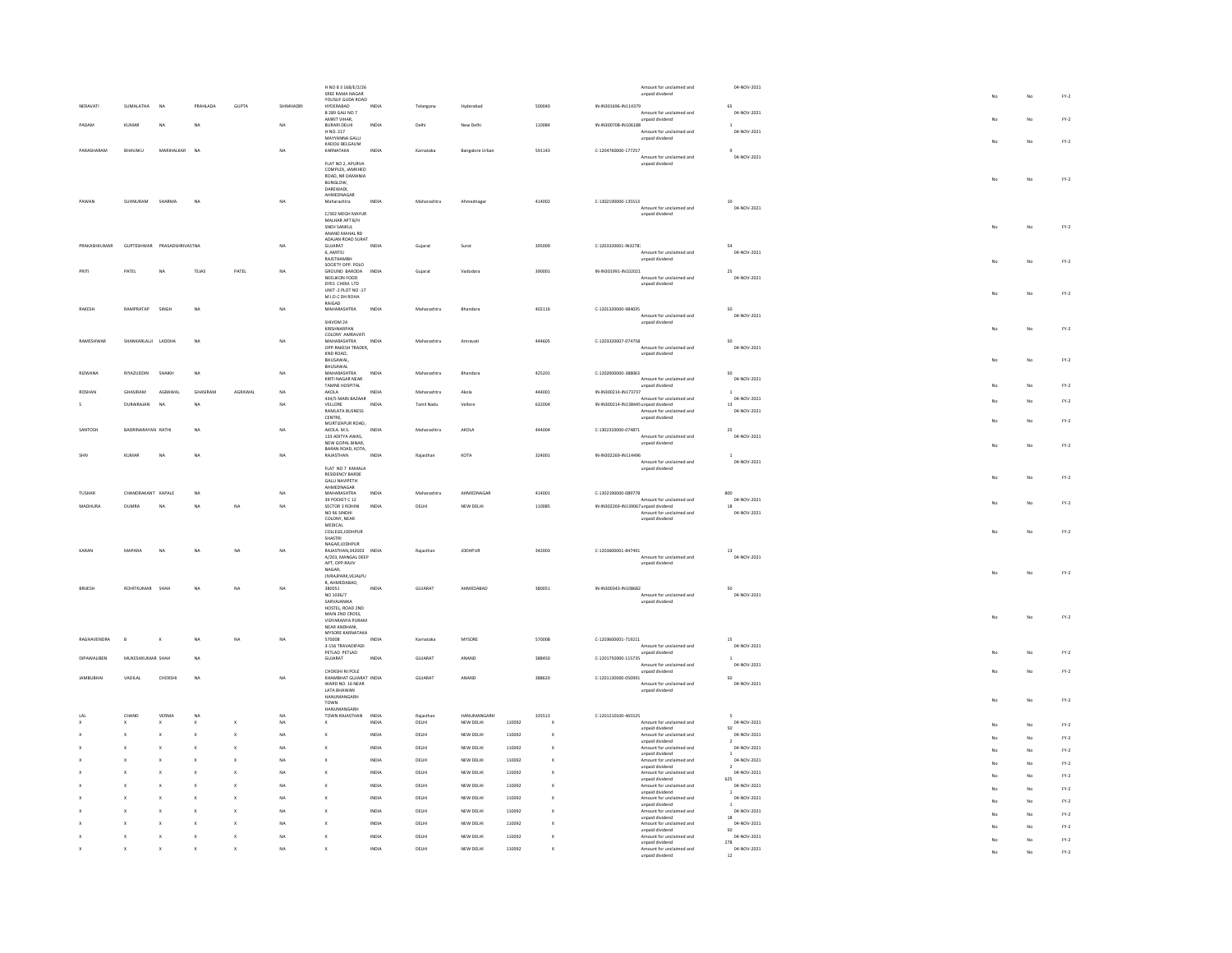|                 |                                |                 |              |                         | H NO 8 3 168/E/2/26<br>SREE RAMA NAGAR                          |                |                |                        |                  |              |                                      | Amount for unclaimed and<br>unpaid dividend                             | 04-NOV-2021                          |    | No       | $FY-2$                          |
|-----------------|--------------------------------|-----------------|--------------|-------------------------|-----------------------------------------------------------------|----------------|----------------|------------------------|------------------|--------------|--------------------------------------|-------------------------------------------------------------------------|--------------------------------------|----|----------|---------------------------------|
| NERAVATI        | SUMALATHA<br>N <sub>A</sub>    | PRAHLADA        | GUPTA        |                         | YOUSUF GUDA ROAD<br>HYDERABAD<br><b>B 289 GALI NO 7</b>         | INDIA          | Telangana      | Hyderabac              |                  | 500040       | IN-IN301696-IN114379                 | Amount for unclaimed and                                                | 65<br>04-NOV-2021                    |    |          |                                 |
| PADAM           | KUMAR<br>NA                    | <b>NA</b>       |              | NA                      | AMRIT VIHAR,<br>BURARI DELHI                                    | INDIA          | Delhi          | New Delhi              |                  | 110084       | IN-IN300708-IN106188                 | unpaid dividend                                                         | $\overline{1}$                       |    | No       | $\mathsf{FY}\text{-}\mathsf{2}$ |
|                 |                                |                 |              |                         | H NO. 217<br>MAYYANNA GALLI                                     |                |                |                        |                  |              |                                      | Amount for unclaimed and<br>unpaid dividend                             | 04-NOV-2021                          | No | No       | $FY-2$                          |
| PARASHARAM      | BHAVAKU<br>MARIHALKAR          | NA              |              | NA                      | KADOLI BELGAUM<br>KARNATAKA                                     | INDIA          | Karnataka      | <b>Bangalore Urban</b> |                  | 591143       | C-1204760000-177257                  | Amount for unclaimed and                                                | 04-NOV-2021                          |    |          |                                 |
|                 |                                |                 |              |                         | FLAT NO 2, APURVA<br>COMPLEX, JAMKHED                           |                |                |                        |                  |              |                                      | unpaid dividend                                                         |                                      |    |          |                                 |
|                 |                                |                 |              |                         | ROAD, NR DAMANIA<br>BUNGLOW.                                    |                |                |                        |                  |              |                                      |                                                                         |                                      | No | No       | $\text{FY-2}$                   |
| PAWAN           | SUHNURAM SHARMA                | NA              |              | <b>NA</b>               | DAREWADI,<br>AHMEDNAGAR<br>Maharashtra                          | INDIA          | Maharashtra    | Ahmednagar             |                  | 414002       | 0-1302190000-135513                  |                                                                         | 10 <sub>10</sub>                     |    |          |                                 |
|                 |                                |                 |              |                         | C/302 MEGH MAYUR                                                |                |                |                        |                  |              |                                      | Amount for unclaimed and<br>unpaid dividend                             | 04-NOV-2021                          |    |          |                                 |
|                 |                                |                 |              |                         | MALHAR APT B/H<br>SNEH SANKUL                                   |                |                |                        |                  |              |                                      |                                                                         |                                      | No | No       | $FY-2$                          |
| PRAKASHKUMAF    | GUPTESHWAR PRASADSHRIVASTNA    |                 |              | NA                      | ANAND MAHAL RD<br>ADAIAN ROAD SURAT<br>GUJARAT                  | INDIA          | Gujara         | Surat                  |                  | 395009       | C-1203320001-IN32787                 |                                                                         | 54                                   |    |          |                                 |
|                 |                                |                 |              |                         | 6, AMITEJ<br>RAJSTHAMBH                                         |                |                |                        |                  |              |                                      | Amount for unclaimed and<br>unpaid dividend                             | 04-NOV-2021                          |    | No       | $\mathsf{FY}\text{-}\mathsf{2}$ |
| PRITI           | PATEL<br>NA                    | TEJAS           | PATEL        | NA                      | SOCIETY OPP. POLO<br>GROUND BARODA INDIA<br>NEELIKON FOOD       |                | Guiarat        | Vadodara               |                  | 390001       | IN-IN301991-IN102021                 | Amount for unclaimed and                                                | 25<br>04-NOV-2021                    |    |          |                                 |
|                 |                                |                 |              |                         | DYES CHEM. LTD<br>UNIT -2 PLOT NO -17                           |                |                |                        |                  |              |                                      | unpaid dividend                                                         |                                      | No | No       | $\mathsf{FY}\text{-}\mathsf{2}$ |
|                 | RAMPRATAP<br>SINGH             | NA              |              | NA                      | M.I.D.C DH ROHA<br>RAIGAD<br>MAHARASHTRA                        | INDIA          | Maharashtra    |                        |                  |              | C-1201320000-984035                  |                                                                         | 50                                   |    |          |                                 |
| <b>RAKESH</b>   |                                |                 |              |                         | SHIVOM 24                                                       |                |                | Bhandara               |                  | 402116       |                                      | Amount for unclaimed and<br>unpaid dividend                             | 04-NOV-2021                          |    |          |                                 |
|                 |                                |                 |              |                         | KRISHNARPAN<br>COLONY AMRAVATI                                  |                |                |                        |                  |              |                                      |                                                                         |                                      | No | No       | $FY-2$                          |
| RAMESHWAR       | SHANKARLALJI LADDHA            | <b>NA</b>       |              | <b>NA</b>               | MAHARASHTRA<br>OPP-RAKESH TRADER,                               | INDIA          | Maharashtra    | Amravati               |                  | 444605       | C-1203320007-074758                  | Amount for unclaimed and                                                | 50<br>04-NOV-2021                    |    |          |                                 |
|                 |                                |                 |              |                         | KND ROAD,<br>BHUSAWAL<br>BHUSAWAL                               |                |                |                        |                  |              |                                      | unpaid dividend                                                         |                                      | No | No       | $FY-2$                          |
| <b>RIZWANA</b>  | RIYAZUDDIN<br>SHAIKH           | <b>NA</b>       |              | NA                      | MAHARASHTRA<br>KIRTI NAGAR NEAR                                 | INDIA          | Maharashtra    | Bhandara               |                  | 425201       | C-1202000000-388063                  | Amount for unclaimed and                                                | 50<br>04-NOV-2021                    |    |          |                                 |
|                 | GHASIRAM<br>AGRAWAL            | <b>GHASIRAM</b> | AGRAWA       | NA                      | TAMNE HOSPITAL<br>AKOLA<br>434/5 MAIN BAZAAR                    | INDIA          | Maharashtı     | Akola                  |                  | 444001       | IN-IN300214-IN173737                 | unpaid dividend<br>Amount for unclaimed and                             | $\mathbf{1}$<br>04-NOV-2021          |    | No       | $FN-2$                          |
|                 | <b>DURAIRAIAN</b><br><b>NA</b> | <b>NA</b>       |              | NA                      | VELLORE<br><b>RAMLATA BUSNESS</b>                               | INDIA          | Tamil Nadu     | Vellor                 |                  | 632004       | IN-IN300214-IN138445 unpaid dividend | Amount for unclaimed and                                                | 13<br>04-NOV-2021                    |    | No       | $FY-2$                          |
|                 |                                |                 |              |                         | CENTRE.<br>MURTIZAPUR ROAD,                                     |                |                |                        |                  |              |                                      | unpaid dividend                                                         |                                      |    | No       | $FY-2$                          |
| SANTOSH         | BADRINARAYAN RATHI             | <b>NA</b>       |              | NA                      | AKOLA, M.S.<br>133 ADITYA AWAS,<br>NEW GOPAL BINAR.             | INDIA          | Maharashtra    | AKOLA                  |                  | 444004       | C-1302310000-074871                  | Amount for unclaimed and<br>unpaid dividend                             | 25<br>04-NOV-2021                    |    |          |                                 |
| SHIV            | NA<br>KUMAR                    | NA              |              | NA                      | BARAN ROAD, KOTA,<br>RAJASTHAN                                  | INDIA          | Rajasthan      | KOTA                   |                  | 324001       | IN-IN302269-IN114496                 |                                                                         | $\mathbf{1}$                         | No | No       | $FY-2$                          |
|                 |                                |                 |              |                         | FLAT NO 7 KAMALA<br><b>RESIDENCY BARDE</b>                      |                |                |                        |                  |              |                                      | Amount for unclaimed and<br>unpaid dividend                             | 04-NOV-2021                          |    |          |                                 |
|                 |                                |                 |              |                         | <b>GALLI NAVIPETH</b><br>AHMEDNAGAR                             |                |                |                        |                  |              |                                      |                                                                         |                                      |    | No       | $FY-2$                          |
| TUSHAR          | CHANDRAKANT KAPALE             | NA              |              | NA                      | <b>MAHARASHTRA</b><br>39 POCKET C 12                            | INDIA          | Maharashtı     | AHMEDNAGAR             |                  | 414001       | C-1302190000-089778                  | Amount for unclaimed and                                                | 800<br>04-NOV-2021                   | No | No       | $FY-2$                          |
| <b>MADHLIRA</b> | <b>DUMBA</b><br><b>NA</b>      | NA              | NA           | NA                      | SECTOR 3 ROHIN<br>NO 96 SINDHI<br>COLONY, NEAR                  | INDIA          | DELHI          | NEW DELHI              |                  | 110085       | IN-IN302269-IN139067 unpaid dividend | Amount for unclaimed and<br>unpaid dividend                             | $18\,$<br>04-NOV-2021                |    |          |                                 |
|                 |                                |                 |              |                         | MEDICAL<br>COLLEGE JODHPUR                                      |                |                |                        |                  |              |                                      |                                                                         |                                      | No | No       | $FY-2$                          |
|                 |                                |                 |              |                         | SHASTRI<br>NAGAR, JODHPUR                                       |                |                |                        |                  |              |                                      |                                                                         |                                      |    |          |                                 |
| KARAN           | MAPARA<br><b>NA</b>            | NA              | NA           | NA                      | RAJASTHAN, 342003 INDIA<br>A/203, MANGAL DEEP<br>APT, OPP.RAJIV |                | Rajasthar      | <b>JODHPUR</b>         |                  | 342003       | C-1203600001-847491                  | Amount for unclaimed and<br>unpaid dividend                             | 13<br>04-NOV-2021                    |    |          |                                 |
|                 |                                |                 |              |                         | NAGAR,<br>JIVRAJPARK.VEJALPU                                    |                |                |                        |                  |              |                                      |                                                                         |                                      | No | No       | $FY-2$                          |
| <b>BRUESH</b>   | ROHITKUMAR SHAH                | <b>NA</b>       | NA           | NA                      | R, AHMEDABAD,<br>380051                                         | INDIA          | GUJARAT        | AHMEDABAD              |                  | 380051       | IN-IN300343-IN108682                 |                                                                         | 50<br>04-NOV-2021                    |    |          |                                 |
|                 |                                |                 |              |                         | NO 1036/7<br>SARVAJANIKA<br>HOSTEL, ROAD 2ND                    |                |                |                        |                  |              |                                      | Amount for unclaimed and<br>unpaid dividend                             |                                      |    |          |                                 |
|                 |                                |                 |              |                         | MAIN 2ND CROSS,<br>VIDYARANYA PURAM                             |                |                |                        |                  |              |                                      |                                                                         |                                      | No | No       | $FN-2$                          |
| RAGHAVENDRA     | $\kappa$                       | NA              | NA           | NA                      | NEAR ANDHANI,<br>MYSORE KARNATAKA<br>570008                     | INDIA          | Karnataka      | MYSORE                 |                  | 570008       | C-1203600001-719211                  |                                                                         | 15                                   |    |          |                                 |
|                 |                                |                 |              |                         | 3-156 TRAVADIPADI<br>PETLAD PETLAD                              |                |                |                        |                  |              |                                      | Amount for unclaimed and<br>unpaid dividend                             | 04-NOV-2021                          |    | No       | $\text{FY-2}$                   |
| DIPAWALIBEN     | MUKESHKUMAR SHAH               | NA              |              |                         | GUJARAT                                                         | INDIA          | GUJARAT        | ANAND                  |                  | 388450       | C-1201750000-115735                  | Amount for unclaimed and                                                | $\mathbf{1}$<br>04-NOV-2021          |    |          |                                 |
| JAMBUBHA        | VADILAL<br>CHOKSHI             | <b>NA</b>       |              | NA                      | CHOKSHI NI POLE<br>KHAMBHAT GUJARAT INDIA<br>WARD NO. 16 NEAR   |                | GUJARAT        | ANAND                  |                  | 388620       | C-1201130000-050991                  | unpaid dividend<br>Amount for unclaimed and                             | 50<br>04-NOV-2021                    |    | No       | FY.2                            |
|                 |                                |                 |              |                         | LATA BHAWAN<br>HANUMANGARH                                      |                |                |                        |                  |              |                                      | unpaid dividend                                                         |                                      | No | No       | FY.2                            |
|                 | VERMA<br>CHAND                 | NA              |              | NA                      | TOWN<br>HANUMANGARH<br>TOWN RAJASTHAN                           | INDIA          | Rajasthan      | HANUMANGARH            |                  | 335513       | C-1201210100-465525                  |                                                                         | $\mathsf{s}$                         |    |          |                                 |
|                 |                                |                 |              | NA                      |                                                                 | INDIA          | DELHI          | NEW DELHI              | 110092           |              |                                      | Amount for unclaimed and<br>unpaid dividend                             | 04-NOV-2021<br>50                    |    | No       | $FY-2$                          |
|                 | $\mathbf{x}$                   |                 | $\mathbf{x}$ | NA                      | $\boldsymbol{\chi}$                                             | INDIA          | DELHI          | NEW DELHI              | 110092           | $\mathbf{x}$ |                                      | Amount for unclaimed and<br>unpaid dividend                             | 04-NOV-2021<br>04-NOV-2021           |    | No       | $FY-2$                          |
|                 |                                |                 |              | NA<br>NA                | $\boldsymbol{\mathsf{x}}$<br>$\boldsymbol{\mathsf{x}}$          | INDIA<br>INDIA | DELHI<br>DELHI | NEW DELHI<br>NEW DELHI | 110092<br>110092 | $\mathbf{x}$ |                                      | Amount for unclaimed and<br>unpaid dividend<br>Amount for unclaimed and | 04-NOV-2021                          |    | No       | $FY-2$<br>$FY-2$                |
|                 |                                |                 |              | NA                      | $\boldsymbol{\mathsf{x}}$                                       | INDIA          | DELHI          | NEW DELHI              | 110092           | $\mathbf{x}$ |                                      | unpaid dividend<br>Amount for unclaimed and                             | $\overline{z}$<br>04-NOV-2021        |    | No<br>No | $FY-2$                          |
|                 |                                |                 |              | $\overline{\mathbf{M}}$ | $\boldsymbol{\mathbf{x}}$                                       | INDIA          | DELHI          | NEW DELHI              | 110092           |              |                                      | unpaid dividend<br>Amount for unclaimed and<br>unpaid dividend          | 625<br>04-NOV-2021<br>$\overline{1}$ |    | No       | $FY-2$                          |
|                 |                                |                 |              | NA                      | $\boldsymbol{\mathsf{x}}$                                       | INDIA          | DELHI          | NEW DELHI              | 110092           |              |                                      | Amount for unclaimed and<br>unpaid dividend                             | 04-NOV-2021<br>$\overline{1}$        |    | No       | $FY-2$                          |
|                 |                                |                 |              | NA<br>NA.               | $\boldsymbol{\mathsf{x}}$<br>$\mathbf{x}$                       | INDIA<br>INDIA | DELHI<br>DELHI | NEW DELHI<br>NEW DELHI | 110092<br>110092 |              |                                      | Amount for unclaimed and<br>unpaid dividend<br>Amount for unclaimed and | 04-NOV-2021<br>18<br>04-NOV-2021     |    | No       | $FN-2$                          |
|                 | $\mathbf x$                    |                 | $\mathbf{x}$ | NA                      | $\mathbf{x}$                                                    | INDIA          | DELHI          | NEW DELHI              | 110092           | $\mathbf{x}$ |                                      | unpaid dividend<br>Amount for unclaimed and                             | so<br>04-NOV-2021                    |    | No       | $FY-2$                          |
|                 | $\mathbf x$<br>$\mathbf x$     |                 |              | NA                      | $\boldsymbol{\mathsf{x}}$                                       | INDIA          | DELHI          | NEW DELHI              | 110092           |              |                                      | unpaid dividend<br>Amount for unclaimed and                             | 278<br>04-NOV-2021                   |    | No<br>No | $FY-2$<br>$FY-2$                |
|                 |                                |                 |              |                         |                                                                 |                |                |                        |                  |              |                                      | unpaid dividend                                                         | 12                                   |    |          |                                 |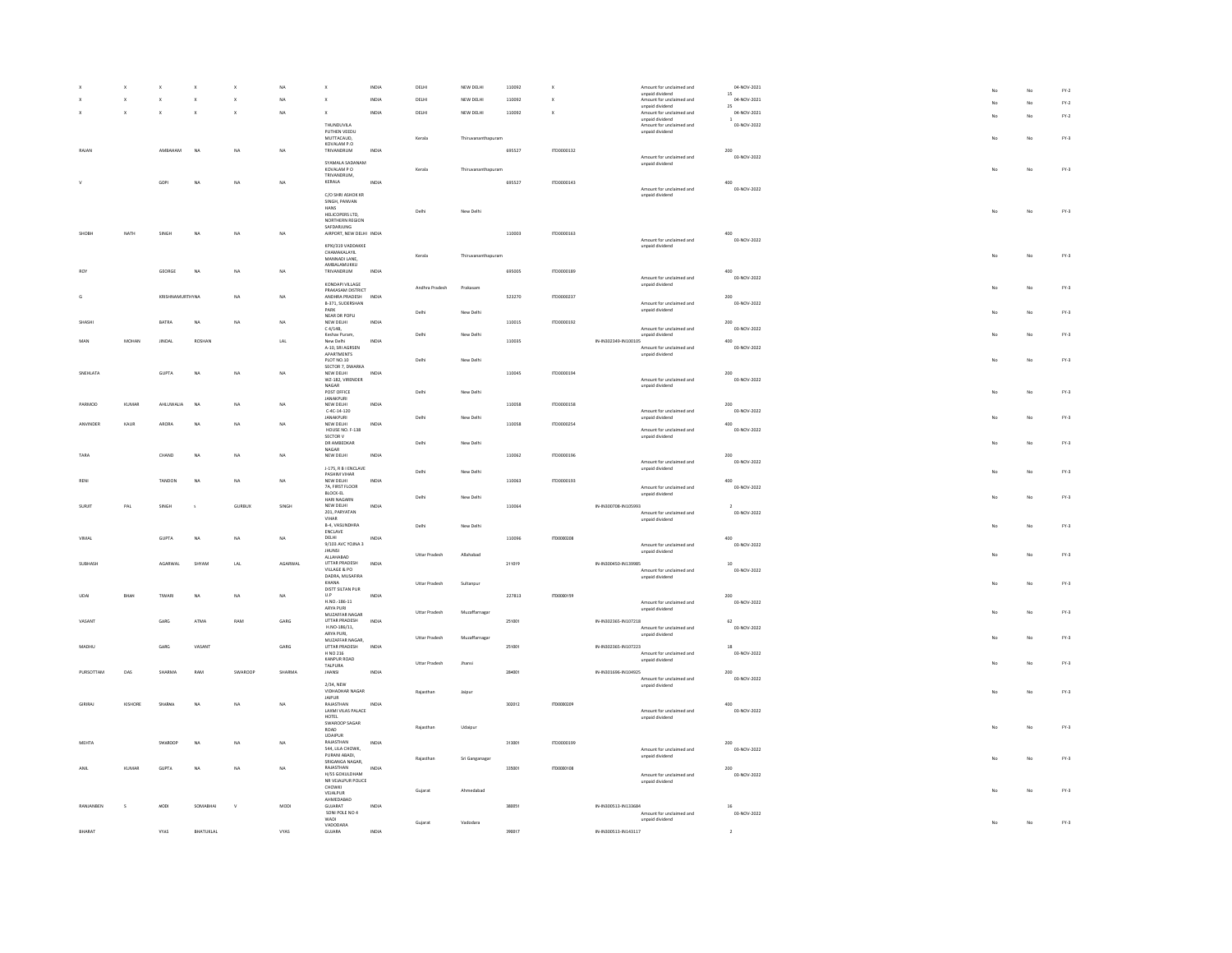|                |         |                        | $\mathbf{x}$  | $\mathbf{x}$                | $_{\text{NA}}$ | $\mathbf{x}$                              | INDIA                                | DELHI                | NEW DELHI          | 110092 |             | Amount for unclaimed and                         | 04-NOV-2021        |     | No | $\text{FY-2}$ |
|----------------|---------|------------------------|---------------|-----------------------------|----------------|-------------------------------------------|--------------------------------------|----------------------|--------------------|--------|-------------|--------------------------------------------------|--------------------|-----|----|---------------|
|                |         | $\mathbf x$            | $\mathbf{x}$  | $\mathsf x$                 | NA             | $\mathbf{x}$                              | <b>INDIA</b>                         | DELHI                | NEW DELHI          | 110092 | $\mathbf x$ | unpaid dividend<br>Amount for unclaimed and      | 15<br>04-NOV-2021  |     |    |               |
|                |         |                        |               |                             |                |                                           |                                      |                      |                    |        |             | unpaid dividend                                  | 25                 |     | No | $FY-2$        |
|                |         | ×                      | $\mathbf{x}$  | $\mathbf{x}$                | NA             | $\mathbf{x}$                              | INDIA                                | DELHI                | NEW DELHI          | 110092 | $\mathbf x$ | Amount for unclaimed and                         | 04-NOV-2021        |     | No | $FY-2$        |
|                |         |                        |               |                             |                |                                           |                                      |                      |                    |        |             | unpaid dividend                                  | 1                  |     |    |               |
|                |         |                        |               |                             |                | THUNDUVILA                                |                                      |                      |                    |        |             | Amount for unclaimed and                         | 03-NOV-2022        |     |    |               |
|                |         |                        |               |                             |                | PUTHEN VEEDU<br>MUTTACAUD.                |                                      | Kerala               | Thiruvananthapuran |        |             | unpaid dividend                                  |                    | No  | No | $FY-3$        |
|                |         |                        |               |                             |                | KOVALAM P.O                               |                                      |                      |                    |        |             |                                                  |                    |     |    |               |
| RAIAN          |         | <b>AMRAHAM</b>         | NA            | NA                          | <b>NA</b>      | <b>TRIVANDRUM</b>                         | INDIA                                |                      |                    | 695527 | 1700000132  |                                                  | 200                |     |    |               |
|                |         |                        |               |                             |                |                                           |                                      |                      |                    |        |             | Amount for unclaimed and                         | 03-NOV-2022        |     |    |               |
|                |         |                        |               |                             |                | SYAMALA SADANAM                           |                                      |                      |                    |        |             | unpaid dividend                                  |                    |     |    |               |
|                |         |                        |               |                             |                | KOVALAM P O<br>TRIVANDRUM.                |                                      | Kerala               | Thiruvananthapuram |        |             |                                                  |                    | No  | No | $FY-3$        |
|                |         | GOPI                   | NA            | NA                          | NA             | KERALA                                    | INDIA                                |                      |                    | 695527 | ITD0000143  |                                                  | 400                |     |    |               |
|                |         |                        |               |                             |                |                                           |                                      |                      |                    |        |             | Amount for unclaimed and                         | 03-NOV-2022        |     |    |               |
|                |         |                        |               |                             |                | C/O SHRI ASHOK KR                         |                                      |                      |                    |        |             | unpaid dividend                                  |                    |     |    |               |
|                |         |                        |               |                             |                | SINGH, PANVAN                             |                                      |                      |                    |        |             |                                                  |                    |     |    |               |
|                |         |                        |               |                             |                | HANS                                      |                                      | Delhi                | New Delhi          |        |             |                                                  |                    | No  | No | $FY-3$        |
|                |         |                        |               |                             |                | HELICOPERS LTD,<br>NORTHERN REGION        |                                      |                      |                    |        |             |                                                  |                    |     |    |               |
|                |         |                        |               |                             |                | SAFDARJUNG                                |                                      |                      |                    |        |             |                                                  |                    |     |    |               |
| <b>SHOBI-</b>  | NATH    | SINGH                  | NA            | NA                          | NA             | AIRPORT, NEW DELHI INDIA                  |                                      |                      |                    | 110003 | ITD0000163  |                                                  | 400                |     |    |               |
|                |         |                        |               |                             |                |                                           |                                      |                      |                    |        |             | Amount for unclaimed and                         | 03-NOV-2022        |     |    |               |
|                |         |                        |               |                             |                | KPXI/319 VADDAKKE<br>CHAMAKALAYIL         |                                      |                      |                    |        |             | unpaid dividend                                  |                    |     |    |               |
|                |         |                        |               |                             |                | MANNADI LANE.                             |                                      | Kerala               | Thiruvananthapuram |        |             |                                                  |                    | No  | No | $FY-3$        |
|                |         |                        |               |                             |                | AMBALAMUKKU                               |                                      |                      |                    |        |             |                                                  |                    |     |    |               |
| <b>ROY</b>     |         | GEORGE                 | <b>NA</b>     | NA                          | NA             | TRIVANDRUM                                | INDIA                                |                      |                    | 695005 | ITD0000189  |                                                  | 400                |     |    |               |
|                |         |                        |               |                             |                |                                           |                                      |                      |                    |        |             | Amount for unclaimed and                         | 03-NOV-2022        |     |    |               |
|                |         |                        |               |                             |                | KONDAPI VILLAGE                           |                                      | Andhra Pradesh       | Prakasan           |        |             | unpaid dividend                                  |                    |     | No | $FN-3$        |
|                |         | <b>KRISHNAMURTHYNA</b> |               | NA                          | NA             | PRAKASAM DISTRICT<br>ANDHRA PRADESH INDIA |                                      |                      |                    | 523270 | ITD0000237  |                                                  | 200                |     |    |               |
|                |         |                        |               |                             |                | B-371, SUDERSHAN                          |                                      |                      |                    |        |             | Amount for unclaimed and                         | 03-NOV-2022        |     |    |               |
|                |         |                        |               |                             |                | PARK                                      |                                      | Delh                 | New Delhi          |        |             | unpaid dividend                                  |                    |     | No | $FY-3$        |
|                |         |                        |               |                             |                | NEAR DR POPLI                             |                                      |                      |                    |        |             |                                                  |                    |     |    |               |
| SHASH          |         | <b>BATRA</b>           | <b>NA</b>     | <b>NA</b>                   | NA             | NEW DELHI<br>C 4/14B,                     | INDIA                                |                      |                    | 110015 | ITD0000192  |                                                  | 200                |     |    |               |
|                |         |                        |               |                             |                | Keshav Puram,                             |                                      | Delhi                | New Delhi          |        |             | Amount for unclaimed and<br>unpaid dividend      | 03-NOV-2022        |     | No | $FY-3$        |
|                | MOHAN   | <b>JINDAL</b>          | <b>ROSHAM</b> |                             | $_{\rm LAL}$   | New Delhi                                 | $\ensuremath{\mathsf{INDIA}}\xspace$ |                      |                    | 110035 |             | IN-IN302349-IN100105                             | 400                |     |    |               |
|                |         |                        |               |                             |                | A-10, SRI AGRSEN                          |                                      |                      |                    |        |             | Amount for unclaimed and                         | 03-NOV-2022        |     |    |               |
|                |         |                        |               |                             |                | APARTMENTS                                |                                      |                      |                    |        |             | unpaid dividend                                  |                    |     |    |               |
|                |         |                        |               |                             |                | PLOT NO.10                                |                                      | Delhi                | New Delhi          |        |             |                                                  |                    |     | No | $FY-3$        |
|                |         |                        |               |                             |                | SECTOR 7, DWARKA                          |                                      |                      |                    |        |             |                                                  |                    |     |    |               |
| SNEHLATA       |         | <b>GUPTA</b>           | NA            | NA.                         | NA             | NEW DELHI<br>WZ-182, VIRENDER             | INDIA                                |                      |                    | 110045 | ITD0000194  | Amount for unclaimed and                         | 200<br>03-NOV-2022 |     |    |               |
|                |         |                        |               |                             |                | NAGAR                                     |                                      |                      |                    |        |             | unpaid dividend                                  |                    |     |    |               |
|                |         |                        |               |                             |                | POST OFFICE                               |                                      | Delhi                | New Delhi          |        |             |                                                  |                    | No  | No | $FY-3$        |
|                |         |                        |               |                             |                | <b>JANAKPURI</b>                          |                                      |                      |                    |        |             |                                                  |                    |     |    |               |
| PARMOD         | KUMAR   | AHLUWALIA              | NA            | NA                          | NA             | NEW DELHI                                 | INDIA                                |                      |                    | 110058 | ITD0000158  |                                                  | 200                |     |    |               |
|                |         |                        |               |                             |                | $\text{C-4C-14-120}$                      |                                      |                      |                    |        |             | Amount for unclaimed and                         | 03-NOV-2022        |     |    |               |
| ANVINDER       | KAUR    | ARORA                  | NA            | NA                          | NA             | <b>JANAKPURI</b>                          | <b>INDIA</b>                         | Delhi                | New Delhi          | 110058 | ITD0000254  | unpaid dividend                                  | 400                |     | No | $FY-3$        |
|                |         |                        |               |                             |                | NEW DELHI<br>HOUSE NO. F-138              |                                      |                      |                    |        |             | Amount for unclaimed and                         | 03-NOV-2022        |     |    |               |
|                |         |                        |               |                             |                | SECTOR V                                  |                                      |                      |                    |        |             | unpaid dividend                                  |                    |     |    |               |
|                |         |                        |               |                             |                | DR AMBEDKAR                               |                                      | Delhi                | New Delhi          |        |             |                                                  |                    |     | No | $FY-3$        |
|                |         |                        |               |                             |                | NAGAR                                     |                                      |                      |                    |        |             |                                                  |                    |     |    |               |
| TARA           |         | CHAND                  | NA            | NA                          | NA             | NEW DELHI                                 | INDIA                                |                      |                    | 110062 | ITD0000196  | Amount for unclaimed and                         | 200<br>03-NOV-2022 |     |    |               |
|                |         |                        |               |                             |                | J-175, R B I ENCLAVE                      |                                      |                      |                    |        |             | unpaid dividend                                  |                    |     |    |               |
|                |         |                        |               |                             |                | <b>PASHIM VIHAR</b>                       |                                      | Delhi                | New Delhi          |        |             |                                                  |                    | No  | No | $FY-3$        |
| RENI           |         | TANDON                 | NA            | NA                          | NA             | NEW DELHI                                 | INDIA                                |                      |                    | 110063 | ITD0000193  |                                                  | 400                |     |    |               |
|                |         |                        |               |                             |                | 7A, FIRST FLOOR                           |                                      |                      |                    |        |             | Amount for unclaimed and                         | 03-NOV-2022        |     |    |               |
|                |         |                        |               |                             |                | BLOCK-EL<br>HARI NAGARN                   |                                      | Delhi                | New Delhi          |        |             | unpaid dividend                                  |                    |     | No | $FY-3$        |
| SURJIT         | PAL     | SINGH                  | $\leq$        | <b>GURBUX</b>               | SINGH          | NEW DELHI                                 | INDIA                                |                      |                    | 110064 |             | IN-IN300708-IN105993                             |                    |     |    |               |
|                |         |                        |               |                             |                | 201, PARYATAN                             |                                      |                      |                    |        |             |                                                  |                    |     |    |               |
|                |         |                        |               |                             |                | <b>VIHAR</b>                              |                                      |                      |                    |        |             |                                                  |                    |     |    |               |
|                |         |                        |               |                             |                |                                           |                                      |                      |                    |        |             | Amount for unclaimed and<br>unpaid dividend      | 03-NOV-2022        |     |    |               |
|                |         |                        |               |                             |                | B-4, VASUNDHRA                            |                                      | Delh                 |                    |        |             |                                                  |                    |     | No |               |
| VIMAL          |         |                        |               |                             |                | ENCLAVE                                   |                                      |                      | New Delhi          |        |             |                                                  |                    |     |    | $FY-3$        |
|                |         | GUPTA                  | <b>NA</b>     | NA                          | NA             | DELHI                                     | INDM                                 |                      |                    | 110096 | ITD0000208  |                                                  | 400                |     |    |               |
|                |         |                        |               |                             |                | 9/103 AVC YOJNA 3                         |                                      |                      |                    |        |             | Amount for unclaimed and                         | 03-NOV-2022        |     |    |               |
| <b>SUBHASH</b> |         |                        |               |                             |                | <b>JHUNSI</b><br>ALLAHABAD                |                                      | <b>Uttar Pradesh</b> | Allahabad          |        |             | unpaid dividend                                  |                    |     | No | $FY-3$        |
|                |         | AGARWAL                | SHYAN         |                             | AGARWAL        |                                           | INDIA                                |                      |                    |        |             |                                                  | $10$               |     |    |               |
|                |         |                        |               | $\ensuremath{\mathsf{LAL}}$ |                | <b>UTTAR PRADESH</b><br>VILLAGE & PO      |                                      |                      |                    | 211019 |             | IN-IN300450-IN139985<br>Amount for unclaimed and | 03-NOV-2022        |     |    |               |
|                |         |                        |               |                             |                | DADRA, MUSAFIRA                           |                                      |                      |                    |        |             | unpaid dividend                                  |                    |     |    |               |
|                |         |                        |               |                             |                | KHANA                                     |                                      | Uttar Pradesh        | Sultanpur          |        |             |                                                  |                    |     | No | $FN-3$        |
| LIDAL          | RHAN    | TIWARI                 | NA            |                             |                | DISTT SILTAN PUR<br>U.P                   | INDIA                                |                      |                    |        |             |                                                  | 200                |     |    |               |
|                |         |                        |               | <b>NA</b>                   | NA             | H.NO.-186-11                              |                                      |                      |                    | 227813 | TD0000159   | Amount for unclaimed and                         | 03-NOV-2022        |     |    |               |
|                |         |                        |               |                             |                | ARYA PURI                                 |                                      |                      |                    |        |             | unpaid dividend                                  |                    |     |    |               |
|                |         |                        |               |                             |                | MUZAFFAR NAGAR                            |                                      | <b>Uttar Pradesh</b> | Muzaffarnagar      |        |             |                                                  |                    |     | No | $FY-3$        |
| VASANT         |         | GARG                   | ATMA          | RAM                         | GARG           | <b>LITTAR PRADESH</b>                     | INDIA                                |                      |                    | 251001 |             | IN-IN302365-IN107218                             | 62                 |     |    |               |
|                |         |                        |               |                             |                | H.NO-186/11,<br>ARYA PURL                 |                                      |                      |                    |        |             | Amount for unclaimed and                         | 03-NOV-2022        |     |    |               |
|                |         |                        |               |                             |                | MUZAFFAR NAGAR,                           |                                      | <b>Uttar Pradesh</b> | Muzaffarnagar      |        |             | unpaid dividend                                  |                    |     | No | $FY-3$        |
| MADHU          |         | GARG                   | VASAN         |                             | GARG           | UTTAR PRADESH                             | INDV                                 |                      |                    | 251001 |             | IN-IN302365-IN107223                             |                    |     |    |               |
|                |         |                        |               |                             |                | H NO 216                                  |                                      |                      |                    |        |             | Amount for unclaimed and                         | 03-NOV-2022        |     |    |               |
|                |         |                        |               |                             |                | KANPUR ROAD                               |                                      |                      |                    |        |             | unpaid dividend                                  |                    |     |    |               |
|                |         |                        |               |                             |                | TALPURA                                   |                                      | <b>Uttar Pradesh</b> | Jhansi             |        |             |                                                  |                    |     | No | $FY-3$        |
| PURSOTTAM      | DAS     | SHARMA                 | RAM           | SWAROOP                     | SHARMA         | JHANSI                                    | INDIA                                |                      |                    | 284001 |             | IN-IN301696-IN104925<br>Amount for unclaimed and | 200<br>03-NOV-2022 |     |    |               |
|                |         |                        |               |                             |                | 2/34, NEW                                 |                                      |                      |                    |        |             | unpaid dividend                                  |                    |     |    |               |
|                |         |                        |               |                             |                | <b>VIDHADHAR NAGAR</b>                    |                                      | Rajasthan            | Jaipu              |        |             |                                                  |                    |     | No | $FN-3$        |
|                |         |                        |               |                             |                | JAIPUR                                    |                                      |                      |                    |        |             |                                                  |                    |     |    |               |
| <b>GIRIRAL</b> | KISHORE | <b>SHARMA</b>          | NA            | NA                          | NA             | RAIASTHAN                                 | INDIA                                |                      |                    | 302012 | (TD0000209  |                                                  | 400                |     |    |               |
|                |         |                        |               |                             |                | LAXMI VILAS PALACE                        |                                      |                      |                    |        |             | Amount for unclaimed and                         | 03-NOV-2022        |     |    |               |
|                |         |                        |               |                             |                | HOTEL                                     |                                      |                      |                    |        |             | unpaid dividend                                  |                    |     |    |               |
|                |         |                        |               |                             |                | SWAROOP SAGAR<br>ROAD                     |                                      | Raiasthan            | Udajpu             |        |             |                                                  |                    | Mo. | No | $FY-3$        |
|                |         |                        |               |                             |                | UDAIPUR                                   |                                      |                      |                    |        |             |                                                  |                    |     |    |               |
| MEHTA          |         | SWAROOP                | NA            | NA                          | NA             | RAIASTHAN                                 | INDIA                                |                      |                    | 313001 | ITD0000199  |                                                  | 200                |     |    |               |
|                |         |                        |               |                             |                | 544, LILA CHOWK,                          |                                      |                      |                    |        |             | Amount for unclaimed and                         | 03-NOV-2022        |     |    |               |
|                |         |                        |               |                             |                | PURANI ABADI.<br>SRIGANGA NAGAR,          |                                      | Rajasthan            | Sri Ganganagar     |        |             | unpaid dividend                                  |                    |     | No | $FY-3$        |
|                |         | GUPTA                  | NA            | NA                          | NA             | RAJASTHAN                                 | INDIA                                |                      |                    |        |             |                                                  | 200                |     |    |               |
|                | KUMAR   |                        |               |                             |                | H/55 GOKULDHAM                            |                                      |                      |                    | 335001 | ITD0000108  | Amount for unclaimed and                         | 03-NOV-2022        |     |    |               |
|                |         |                        |               |                             |                | NR VEJALPUR POLICE                        |                                      |                      |                    |        |             | unpaid dividend                                  |                    |     |    |               |
|                |         |                        |               |                             |                | CHOWKI                                    |                                      | Gujarat              | Ahmedabad          |        |             |                                                  |                    |     | No | $FN-3$        |
|                |         |                        |               |                             |                | VEJALPUR<br>AHMEDABAD                     |                                      |                      |                    |        |             |                                                  |                    |     |    |               |
|                |         | MODI                   | SOMABHA       |                             | MOD!           | GUJARAT                                   | INDU                                 |                      |                    | 380051 |             | IN-IN300513-IN133684                             |                    |     |    |               |
|                |         |                        |               |                             |                | SONI POLE NO 4                            |                                      |                      |                    |        |             | Amount for unclaimed and                         | 03-NOV-2022        |     |    |               |
|                |         |                        |               |                             |                | WADI                                      |                                      | Gujarat              | Vadodara           |        |             | unpaid dividend                                  |                    | No  | No | $FY-3$        |
| BHARAT         |         | VYAS                   | BHATUKLAL     |                             | VYAS           | VADODARA<br>GUJARA                        | INDIA                                |                      |                    | 390017 |             | IN-IN300513-IN143117                             | $\,$ 2 $\,$        |     |    |               |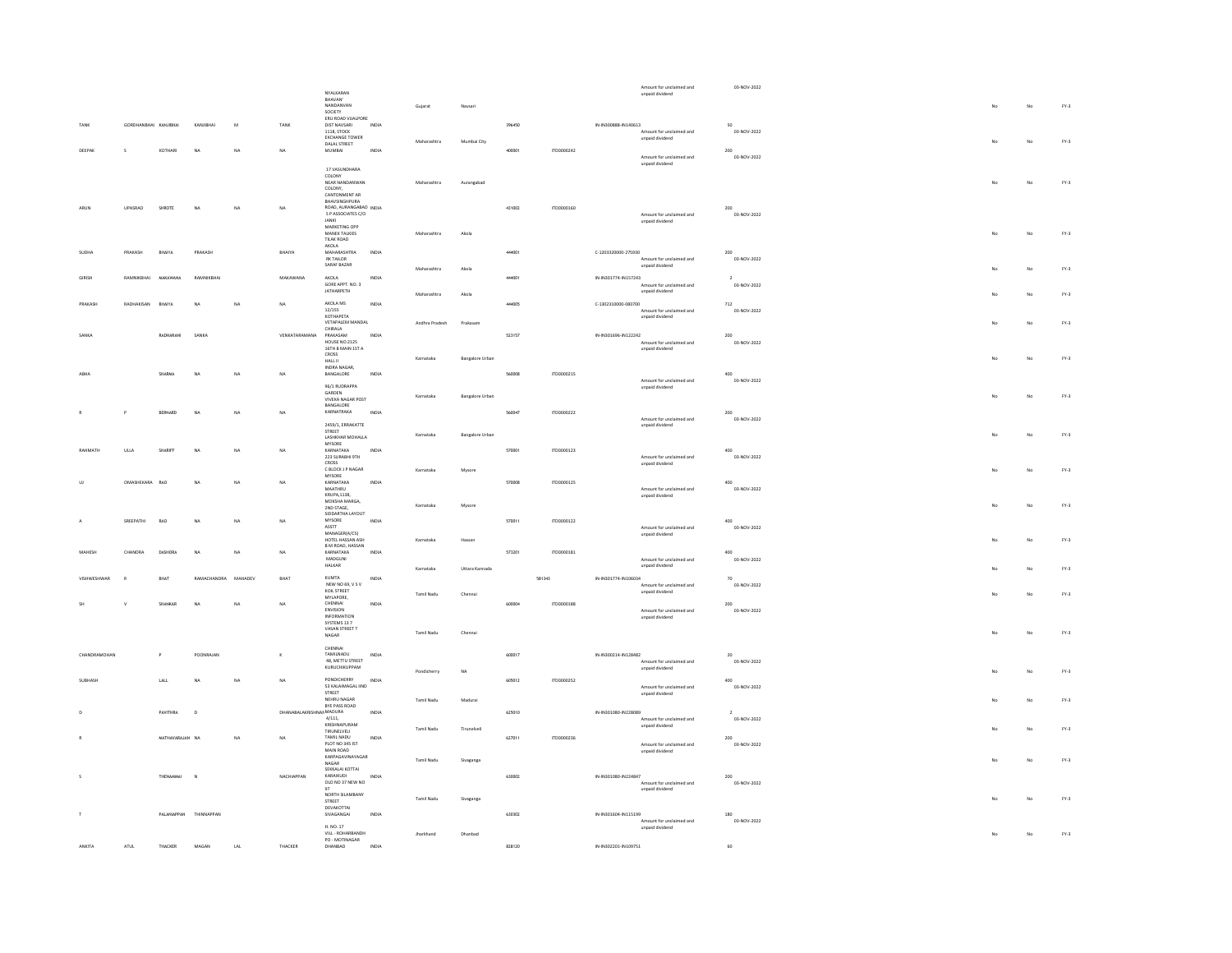|               |                       |                 |              |                         |                        | NYALKARAN                                    |              |                |                        |        |            | Amount for unclaimed and<br>unpaid dividend      | 03-NOV-2022                   |    |    |        |
|---------------|-----------------------|-----------------|--------------|-------------------------|------------------------|----------------------------------------------|--------------|----------------|------------------------|--------|------------|--------------------------------------------------|-------------------------------|----|----|--------|
|               |                       |                 |              |                         |                        | RHAVAN'<br>NANDANVAN                         |              | Gujarat        | Navsari                |        |            |                                                  |                               |    |    | $FY-3$ |
|               |                       |                 |              |                         |                        | SOCIETY                                      |              |                |                        |        |            |                                                  |                               |    |    |        |
|               | GORDHANBHAI KANJIBHAI |                 | KANJIBHAI    | $\overline{\mathbf{a}}$ | TANK                   | ERU ROAD VUALPORE<br>DIST NAVSARI            | INDIA        |                |                        | 396450 |            | IN-IN300888-IN140613                             | co.                           |    |    |        |
|               |                       |                 |              |                         |                        | 1118, STOCK<br><b>EXCHANGE TOWER</b>         |              |                |                        |        |            | Amount for unclaimed and<br>unpaid dividend      | 03-NOV-2022                   |    |    |        |
|               |                       |                 |              |                         |                        | DALAL STREET                                 |              | Maharashtra    | Mumbai City            |        |            |                                                  |                               |    | No | $FY-3$ |
| DEEPAK        | $\epsilon$            | KOTHARI         | NA           | NA                      | <b>NA</b>              | MUMBAI                                       | INDIA        |                |                        | 400001 | ITD0000242 | Amount for unclaimed and                         | $200 -$<br>03-NOV-2022        |    |    |        |
|               |                       |                 |              |                         |                        | 17 VASUNDHARA                                |              |                |                        |        |            | unpaid dividend                                  |                               |    |    |        |
|               |                       |                 |              |                         |                        | COLONY                                       |              |                |                        |        |            |                                                  |                               |    |    |        |
|               |                       |                 |              |                         |                        | NEAR NANDANWAN<br>COLONY.                    |              | Maharashtra    | Aurangabad             |        |            |                                                  |                               |    | No | $FY-3$ |
|               |                       |                 |              |                         |                        | CANTONMENT AR<br>BHAVSINGHPURA               |              |                |                        |        |            |                                                  |                               |    |    |        |
|               | UPASRAO               | SHROTE          | <b>NA</b>    |                         |                        | ROAD, AURANGABAD INDIA                       |              |                |                        | 431002 | ITD0000160 |                                                  | 200                           |    |    |        |
|               |                       |                 |              |                         |                        | S P ASSOCIATES C/O<br>JANKI<br>MARKETING OPP |              |                |                        |        |            | Amount for unclaimed and<br>unpaid dividend      | 03-NOV-2022                   |    |    |        |
|               |                       |                 |              |                         |                        | MANEK TALKIES                                |              |                |                        |        |            |                                                  |                               |    | No |        |
|               |                       |                 |              |                         |                        | TILAK ROAD                                   |              | Maharashtra    | Akola                  |        |            |                                                  |                               |    |    | $FY-3$ |
| SUDHA         | PRAKASH               | BHAIYA          | PRAKASH      |                         | BHAIYA                 | <b>AKOLA</b><br><b>MAHARASHTRA</b>           | INDIA        |                |                        | 444001 |            | C-1203320000-275930                              | 200                           |    |    |        |
|               |                       |                 |              |                         |                        | <b>RK TAILOR</b><br>SARAF BAZAR              |              |                |                        |        |            | Amount for unclaimed and<br>unpaid dividend      | 03-NOV-2022                   |    |    |        |
|               |                       |                 |              |                         |                        |                                              |              | Maharashtra    | Akola                  |        |            |                                                  |                               |    | No | $FY-3$ |
| <b>GIRISH</b> | RAMNIKBHAI            | MAKAWANA        | RAMNIKBHAI   |                         | MAKAWANA               | AKOLA<br>GORE APPT. NO. 3<br>JATHARPETH      | INDIA        |                |                        | 444001 |            | IN-IN301774-IN157243<br>Amount for unclaimed and | $\overline{2}$<br>03-NOV-2022 |    |    |        |
|               |                       |                 |              |                         |                        |                                              |              | Maharashtra    | Akola                  |        |            | unpaid dividend                                  |                               |    | No | $FY-3$ |
| PRAKASH       | RADHAKISAN            | BHAIYA          | <b>NA</b>    | NA                      | NA                     | AKOLA MS<br>12/155                           | INDIA        |                |                        | 444005 |            | C-1302310000-083700                              | 712                           |    |    |        |
|               |                       |                 |              |                         |                        | KOTHAPETA                                    |              |                |                        |        |            | Amount for unclaimed and<br>unpaid dividend      | 03-NOV-2022                   |    |    |        |
|               |                       |                 |              |                         |                        | VETAPALEM MANDAL<br>CHIRALA                  |              | Andhra Pradesh | Prakasar               |        |            |                                                  |                               |    | No | $FY-3$ |
| SANKA         |                       | RADHARANI       | SANKA        |                         | VENKATARAMANA          | PRAKASAM<br><b>HOUSE NO.2125</b>             | INDIA        |                |                        | 523157 |            | IN-IN301696-IN122242                             | 200                           |    |    |        |
|               |                       |                 |              |                         |                        | 16TH B MAIN 1ST A                            |              |                |                        |        |            | Amount for unclaimed and<br>unpaid dividend      | 03-NOV-2022                   |    |    |        |
|               |                       |                 |              |                         |                        | CROSS<br>HALL II                             |              | Karnataka      | <b>Bangalore Urban</b> |        |            |                                                  |                               | No | No | $FY-3$ |
| ABM/          |                       | <b>SHARMA</b>   | NA           | NA                      | <b>NA</b>              | INDRA NAGAR,                                 | INDIA        |                |                        | 560008 | 1700000215 |                                                  | 400                           |    |    |        |
|               |                       |                 |              |                         |                        | BANGALORE                                    |              |                |                        |        |            | Amount for unclaimed and                         | 03-NOV-2022                   |    |    |        |
|               |                       |                 |              |                         |                        | 96/1 RUDRAPPA<br>GARDEN                      |              |                |                        |        |            | unpaid dividend                                  |                               |    |    |        |
|               |                       |                 |              |                         |                        | VIVEKA NAGAR POST<br>BANGALORE               |              | Karnataka      | <b>Bangalore Urban</b> |        |            |                                                  |                               | No | No | $FY-3$ |
|               | P                     | RERNARD         | NA           | <b>NA</b>               | <b>NA</b>              | KARNATRAKA                                   | INDIA        |                |                        | 560047 | 1700000222 |                                                  | 200                           |    |    |        |
|               |                       |                 |              |                         |                        | 2459/1, ERRAKATTE                            |              |                |                        |        |            | Amount for unclaimed and<br>unpaid dividend      | 03-NOV-2022                   |    |    |        |
|               |                       |                 |              |                         |                        | STREET<br>LASHKHAR MOHALLA                   |              | Karnataka      | <b>Bangalore Urban</b> |        |            |                                                  |                               |    | No | $FY-3$ |
|               |                       |                 |              |                         |                        | $MYSORE$                                     |              |                |                        |        |            |                                                  |                               |    |    |        |
| RAHMATH       | ULLA                  | SHARIFF         | <b>NA</b>    | NA                      | NA                     | KARNATAKA<br>223 SURABHI 9TH                 | INDIA        |                |                        | 570001 | ITD0000123 | Amount for unclaimed and                         | 400<br>03-NOV-2022            |    |    |        |
|               |                       |                 |              |                         |                        | CROSS<br>C BLOCK J P NAGAR                   |              |                |                        |        |            | unpaid dividend                                  |                               |    | No | $FY-3$ |
|               |                       |                 |              |                         |                        | MYSORE                                       |              | Karnataka      | Mysore                 |        |            |                                                  |                               |    |    |        |
|               | OMASHEKARA            | RAO             | NA           | NA                      | NA                     | KARNATAKA<br>MAATHRU                         | INDIA        |                |                        | 570008 | ITD0000125 | Amount for unclaimed and                         | 400<br>03-NOV-2022            |    |    |        |
|               |                       |                 |              |                         |                        |                                              |              |                |                        |        |            |                                                  |                               |    |    |        |
|               |                       |                 |              |                         |                        |                                              |              |                |                        |        |            | unpaid dividend                                  |                               |    |    |        |
|               |                       |                 |              |                         |                        | KRUPA,1138,<br>MOKSHA MARGA,<br>2ND STAGE.   |              | Karnataka      | Mysore                 |        |            |                                                  |                               |    | No | $FY-3$ |
|               |                       |                 |              |                         | NA                     | SIDDARTHA LAYOUT<br>MYSORE                   | INDIA        |                |                        |        |            |                                                  |                               |    |    |        |
|               | SREEPATHI             | RAO             | NA           | NA                      |                        | ASSTT<br>MANAGERIA/CS)                       |              |                |                        | 570011 | ITD0000122 | Amount for unclaimed and                         | 400<br>03-NOV-2022            |    |    |        |
|               |                       |                 |              |                         |                        | HOTEL HASSAN ASH                             |              | Karnataka      | Hassan                 |        |            | unpaid dividend                                  |                               |    | No | $FY-3$ |
|               | CHANDRA               | DASHORA         | <b>NA</b>    | NA                      | NA                     | B M ROAD, HASSAN<br>KARNATAKA                | INDIA        |                |                        | 573201 | ITD0000181 |                                                  | 400                           |    |    |        |
|               |                       |                 |              |                         |                        | MADGUNI                                      |              |                |                        |        |            | Amount for unclaimed and                         | 03-NOV-2022                   |    |    |        |
|               |                       |                 |              |                         |                        | HALKAR                                       |              | Karnataka      | Uttara Kannada         |        |            | unpaid dividend                                  |                               |    | No | $FY-3$ |
| VISHWESHWA    |                       | <b>BHAT</b>     | RAMACHANDRA  | MAHADEV                 | BHAT                   | KUMTA<br>NEW NO 69, V S V                    | INDIA        |                |                        |        | 581343     | IN-IN301774-IN106034<br>Amount for unclaimed and | 70<br>03-NOV-2022             |    |    |        |
|               |                       |                 |              |                         |                        | KOIL STREET                                  |              | Tamil Nadu     | Chennai                |        |            | unpaid dividend                                  |                               |    | No | $FY-3$ |
|               | $\mathbf{v}$          | SHANKAR         | <b>NA</b>    | NA                      | NA                     | MYLAPORE,                                    | INDIA        |                |                        | 600004 | ITD0000188 |                                                  | 200                           |    |    |        |
|               |                       |                 |              |                         |                        | ENVISION<br><b>INFORMATION</b>               |              |                |                        |        |            | Amount for unclaimed and<br>unpaid dividend      | 03-NOV-2022                   |    |    |        |
|               |                       |                 |              |                         |                        | SYSTEMS 13 7                                 |              |                |                        |        |            |                                                  |                               |    |    |        |
|               |                       |                 |              |                         |                        | VASAN STREET T<br>NAGAR                      |              | Tamil Nadu     | Chennai                |        |            |                                                  |                               |    | No | $FY-3$ |
|               |                       |                 |              |                         |                        | CHENNAL                                      |              |                |                        |        |            |                                                  |                               |    |    |        |
|               |                       |                 | POONRAJAN    |                         | ×                      | TAMILNADU<br>48. METTU STREET                | INDIA        |                |                        | 600017 |            | IN-IN300214-IN128482<br>Amount for unclaimed and | $_{20}$<br>03-NOV-2022        |    |    |        |
|               |                       |                 |              |                         |                        | KURUCHIKUPPAM                                |              | Pondicherry    | NA                     |        |            | unpaid dividend                                  |                               |    | No | $FY-3$ |
|               |                       | LALL            | NA           | NA                      | NA.                    | PONDICHERRY                                  | INDIA        |                |                        | 605012 | ITD0000252 |                                                  | 400                           |    |    |        |
|               |                       |                 |              |                         |                        | 53 KALAIMAGAL IIND<br>STREET                 |              |                |                        |        |            | Amount for unclaimed and<br>unpaid dividend      | 03-NOV-2022                   |    |    |        |
|               |                       |                 |              |                         |                        | NEHRU NAGAR<br>BYE PASS ROAD                 |              | Tamil Nadu     | Madurai                |        |            |                                                  |                               |    | No | $FY-3$ |
|               |                       | PAVITHRA        | $\mathbf{D}$ |                         | DHANABALAKRISHNAMADURA |                                              | INDIA        |                |                        | 625010 |            | IN-IN301080-IN228089                             | $\overline{2}$                |    |    |        |
|               |                       |                 |              |                         |                        | 4/111,<br>KRISHNAPURAM                       |              |                |                        |        |            | Amount for unclaimed and<br>unpaid dividend      | 03-NOV-2022                   |    |    |        |
|               |                       |                 |              |                         |                        | TIRUNELVELI                                  |              | Tamil Nadu     | Tirunelveli            |        |            |                                                  |                               |    | No | $FY-3$ |
|               |                       | MATHAVARAJAN NA |              | <b>NA</b>               | NA                     | TAMIL NADU<br>PLOT NO 345 IST                | <b>INDIA</b> |                |                        | 627011 | ITD0000236 | Amount for unclaimed and                         | 200<br>03-NOV-2022            |    |    |        |
|               |                       |                 |              |                         |                        | MAIN ROAD<br>KARPAGAVINAYAGAR                |              |                |                        |        |            | unpaid dividend                                  |                               |    |    |        |
|               |                       |                 |              |                         |                        | NAGAR                                        |              | Tamil Nadu     | Sivaganga              |        |            |                                                  |                               |    | No | $FY-3$ |
|               |                       | THENAWMAI       | $\mathbb{N}$ |                         | NACHIAPPAN             | SEKKALAI KOTTAI<br>KARAIKUDI                 | INDIA        |                |                        | 630002 |            | IN-IN301080-IN224847                             | 200                           |    |    |        |
|               |                       |                 |              |                         |                        | OLD NO 37 NEW NO<br>97                       |              |                |                        |        |            | Amount for unclaimed and<br>unpaid dividend      | 03-NOV-2022                   |    |    |        |
|               |                       |                 |              |                         |                        | NORTH SILAMBANY                              |              | Tamil Nadu     | Sivaganga              |        |            |                                                  |                               |    | No | $FY-3$ |
|               |                       |                 |              |                         |                        | STREET                                       |              |                |                        |        |            |                                                  |                               |    |    |        |
|               |                       | PALANIAPPAN     | THINNAPPAN   |                         |                        | DEVAKOTTAI<br>SIVAGANGAI                     | INDIA        |                |                        | 630302 |            | IN-IN301604-IN115199                             | 180<br>03-NOV-2022            |    |    |        |
|               |                       |                 |              |                         |                        | H. NO. 17<br>VILL - ROHARBANDH               |              |                |                        |        |            | Amount for unclaimed and<br>unpaid dividend      |                               |    | No |        |
| <b>ANKITA</b> | ATUL                  | THACKER         | MAGAN        | LAL                     | THACKER                | PO - MOTINAGAR<br>DHANBAD                    | INDIA        | Jharkhand      | Dhanbad                | 828120 |            | IN-IN302201-IN109751                             | 60                            |    |    | $FY-3$ |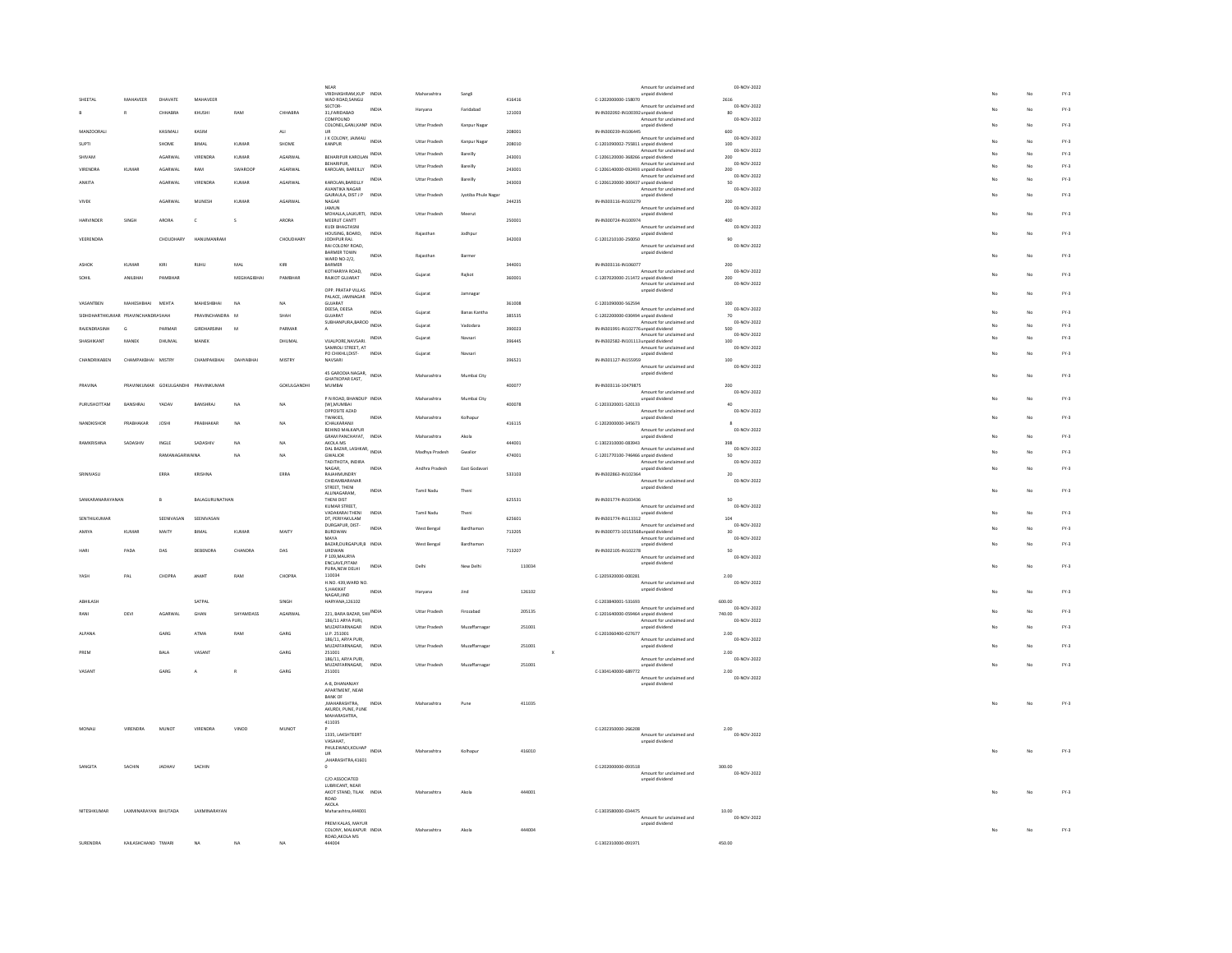|               |                                    |                      |                                     |                     |                |                | NEAR<br>VRIDHASHRAM,KUP INDIA<br>WAD ROAD,SANGLI       |              | Maharashtra           | Sangli              |        |                                      | Amount for unclaimed and<br>unpaid dividend                     | 03-NOV-2022           |    |                | $FY-3$ |
|---------------|------------------------------------|----------------------|-------------------------------------|---------------------|----------------|----------------|--------------------------------------------------------|--------------|-----------------------|---------------------|--------|--------------------------------------|-----------------------------------------------------------------|-----------------------|----|----------------|--------|
| SHEETAL       |                                    | MAHAVEER             | DHAVATE                             | MAHAVEER            |                |                | SECTOR-                                                | INDIA        |                       | Faridabad           | 416416 | C-1202000000-158070                  | Amount for unclaimed and                                        | 2616<br>03-NOV-2022   |    |                | $FY-3$ |
| B             | $\mathbb{R}$                       |                      | CHHABRA                             | KHUSHI              | $\text{RAM}$   | CHHABRA        | 31, FARIDABAD<br><b>COMPOUND</b>                       |              | Haryana               |                     | 121003 | IN-IN302092-IN100392 unpaid dividend | Amount for unclaimed and                                        | 80<br>03-NOV-2022     |    |                |        |
|               | MANZOORALI                         |                      | KASIMAL                             | KASIM               |                | ALI            | COLONEL, GANJ, KANP IN DIA<br>11R                      |              | Uttar Pradesh         | Kanpur Nagar        | 208001 | IN-IN300239-IN106445                 | unpaid dividend                                                 | 600                   |    | No             | $FY-3$ |
| SUPTI         |                                    |                      | SHOME                               | <b>RIMAL</b>        | KUMAR          | SHOME          | J K COLONY, JAIMAU INDIA<br>KANPUR                     |              | Uttar Pradesh         | Kanpur Nagar        | 208010 |                                      | Amount for unclaimed and                                        | 03-NOV-2022<br>100    |    | No             | $FY-3$ |
| SHIVAM        |                                    |                      | AGARWAL                             | VIRENDRA            | KUMAR          | AGARWAL        | BEHARIPUR KAROLAN INDIA                                |              | <b>Uttar Pradesh</b>  | Bareilly            | 243001 | C-1206120000-368266 unpaid dividend  | C-1201090002-755811 unpaid dividend<br>Amount for unclaimed and | 03-NOV-2022<br>200    |    | No             | $FN-3$ |
|               | VIRENDRA                           | <b>KUMAR</b>         | AGARWAL                             | RAM                 | SWAROOF        | AGARWAL        | BEHARIPUR,<br>KAROLAN, BAREILLY                        | <b>INDIA</b> | <b>Uttar Pradesh</b>  | Bareilly            | 243001 | C-1206140000-092493 unpaid dividend  | Amount for unclaimed and                                        | 03-NOV-2022<br>200    |    | No             | $FN-3$ |
| ANKITA        |                                    |                      | AGARWAL                             | VIRENDRA            | KUMAR          | AGARWAL        | KAROLAN.BAREILLY                                       | INDIA        | Uttar Pradesh         | Bareilly            | 243003 | C-1206120000-300437 unpaid dividend  | Amount for unclaimed and                                        | 03-NOV-2022<br>50     |    | No             | $FY-3$ |
|               |                                    |                      |                                     |                     |                |                | AVANTIKA NAGAR<br>GAJRAULA, DIST J P INDIA             |              | <b>Littar Pradesh</b> |                     |        |                                      | Amount for unclaimed and<br>unpaid dividend                     | 03-NOV-2022           |    | No             | $FV-2$ |
| VIVEK         |                                    |                      | AGARWAL                             | <b>MUNESE</b>       | KUMAR          | AGARWA         | NAGAR<br><b>JAMUN</b>                                  |              |                       | Jyotiba Phule Nagar | 244235 | IN-IN303116-IN103279                 | Amount for unclaimed and                                        | 200<br>03-NOV-2022    |    |                |        |
|               | <b>HARVINDER</b>                   | SINGH                | ARORA                               | $\mathsf{c}$        | $\mathsf{s}$   | ARORA          | MOHALLA,LALKURTI, INDIA<br>MEERUT CANTT                |              | <b>Uttar Pradesh</b>  | Meerut              | 250001 | IN-IN300724-IN100974                 | unpaid dividend                                                 | 400                   |    | No             | $FY-3$ |
|               |                                    |                      |                                     |                     |                |                | KUDI BHAGTASNI                                         |              |                       |                     |        |                                      | Amount for unclaimed and                                        | 03-NOV-2022           |    |                |        |
|               | VEERENDRA                          |                      | CHOUDHARY                           | HANUMANRAN          |                | CHOUDHARY      | HOUSING, BOARD.<br>JODHPUR RAJ.                        | INDIA        | Raiasthan             | Jodhour             | 342003 | C-1201210100-250050                  | unpaid dividend                                                 | 90                    |    | No             | $FY-3$ |
|               |                                    |                      |                                     |                     |                |                | RAI COLONY ROAD.<br>BARMER TOWN                        | INDIA        | Rajasthan             | Barmer              |        |                                      | Amount for unclaimed and<br>unpaid dividend                     | 03-NOV-2022           |    | No             | $FY-3$ |
| ASHOP         |                                    | KUMAR                | KIRI                                | <b>RUHU</b>         | MAL            | KIRI           | WARD NO-2/2,<br>BARMER                                 |              |                       |                     | 344001 | IN-IN303116-IN106077                 |                                                                 | 200                   |    |                |        |
|               |                                    | ANII RHAI            | <b>DAMBUA</b>                       |                     | MEGHAGIRHAL    | <b>DAMBUAD</b> | KOTHARIYA ROAD,<br>RAJKOT GUJARAT                      | INDIA        | Gujarat               | Rajkot              | 360001 | C-1207020000-211472 unpaid dividend  | Amount for unclaimed and                                        | 03-NOV-2022<br>200    |    | No             | $FY-3$ |
|               |                                    |                      |                                     |                     |                |                | OPP. PRATAP VILLAS                                     | INDIA        | Gujarat               | Jamnagar            |        |                                      | Amount for unclaimed and<br>unpaid dividend                     | 03-NOV-2022           |    | No             | $FY-3$ |
|               | VASANTBEN                          | MAHESHBHAI           | MEHTA                               | MAHESHBHAI          | NA             | NA             | PALACE, JAMNAGAR<br>GUJARAT                            |              |                       |                     | 361008 | C-1201090000-562594                  |                                                                 | 100                   |    |                |        |
|               | SIDHDHARTHKLIMAR PRAVINCHANDRASHAH |                      |                                     | PRAVINCHANDRA M     |                | SHAH           | DEESA, DEESA<br>GUIARAT                                | INDIA        | Guiarat               | <b>Banas Kantha</b> | 385535 | C-1202200000-030494 unpaid dividend  | Amount for unclaimed and                                        | 03-NOV-2022<br>70     |    | No             | $FY-3$ |
|               | RAIFNDRASINH<br>$\epsilon$         |                      | PARMAR                              | <b>GIRDHARSINH</b>  | $\overline{M}$ | PARMAR         | SUBHANPURA, BAROD                                      | INDIA        | Guiarat               | Vadodara            | 390023 | IN-IN301991-IN102776 unpaid dividend | Amount for unclaimed and                                        | 03-NOV-2022<br>500    |    | No             | $FY-3$ |
|               | <b>SHASHIKANT</b>                  | MANEK                | DHUMAL                              | MANEK               |                | DHUMAL         | VIJALPORE.NAVSARI.                                     | INDIA        | Guiarat               | Navsari             | 396445 | IN-IN302582-IN101113 unpaid dividend | Amount for unclaimed and                                        | 03-NOV-2022<br>100    |    | No             | $FN-3$ |
|               |                                    |                      |                                     |                     |                |                | SAMROLI STREET, AT<br>PO CHIKHLI, DIST-                | INDIA        | Gujarat               | Navsari             |        |                                      | Amount for unclaimed and<br>unpaid dividend                     | 03-NOV-2022           |    | No             | $FY-3$ |
|               | CHANDRIKABEN                       | CHAMPAKBHAI MISTRY   |                                     | СНАМРАКВНАІ         | DAHYABHA       | MISTRY         | NAVSARI                                                |              |                       |                     | 396521 | IN-IN301127-IN155959                 | Amount for unclaimed and                                        | 100<br>03-NOV-2022    |    |                |        |
|               |                                    |                      |                                     |                     |                |                | 45 GARODIA NAGAR, INDIA<br>GHATKOPAR FAST              |              | Maharashtra           | Mumbai City         |        |                                      | unpaid dividend                                                 |                       |    | No             | $FY-3$ |
| PRAVINA       |                                    |                      | PRAVINKUMAR GOKULGANDHI PRAVINKUMAR |                     |                | GOKULGANDHI    | MUMBAI                                                 |              |                       |                     | 400077 | IN-IN303116-10479875                 | Amount for unclaimed and                                        | 200<br>03-NOV-2022    |    |                |        |
|               | PURLISHOTTAM                       | RANSHRAL             | VADAV                               | RANSHRAL            | $na$           |                | P N ROAD, BHANDUP INDIA<br>(W),MUMBAL                  |              | Maharashtra           | Mumbai City         | 400078 |                                      | unpaid dividend                                                 | 40                    |    | No             | $FY-3$ |
|               |                                    |                      |                                     |                     |                | NA             | OPPOSITE AZAD                                          |              |                       |                     |        | C-1203320001-520133                  | Amount for unclaimed and                                        | 03-NOV-2022           |    |                |        |
|               | NANDKISHOP                         | PRABHAKAR            | JOSH                                | PRABHAKAI           | NA             | NA             | <b>TWAKIES.</b><br>ICHALKARANJI                        | INDIA        | Maharashtra           | Kolhapur            | 416115 | C-1202000000-345673                  | unpaid dividend                                                 |                       |    | No             | $FY-3$ |
|               |                                    |                      |                                     |                     |                |                | BEHIND MALKAPUR<br>GRAM PANCHAYAT, INDIA               |              | Maharashtra           | Akola               |        |                                      | Amount for unclaimed and<br>unpaid dividend                     | 03-NOV-2022           |    | No             | $FY-3$ |
|               | RAMKRISHNA                         | SADASHIV             | INGLE                               | SADASHIV            | NA             | NA             | AKOLA MS<br>DAL BAZAR, LASHKAR, INDIA                  |              | Madhya Pradesh        | Gwalion             | 444001 | C-1302310000-083943                  | Amount for unclaimed and                                        | 398<br>03-NOV-2022    |    | No             | $FY-3$ |
|               |                                    |                      | RAMANAGARWAINA                      |                     | NA             | <b>NA</b>      | <b>GWALIOR</b><br>TADITHOTA, INDIRA                    |              |                       |                     | 474001 | C-1201770100-746466 unpaid dividend  | Amount for unclaimed and                                        | sn<br>03-NOV-2022     |    |                |        |
|               | SRINIVASL                          |                      | ERRA                                | <b>KRISHNA</b>      |                | ERRA           | NAGAR.<br>RAJAHMUNDRY                                  | INDIA        | Andhra Pradesh        | East Godavari       | 533103 | IN-IN302863-IN102364                 | unpaid dividend                                                 | 20                    |    | No             | $FY-3$ |
|               |                                    |                      |                                     |                     |                |                | CHIDAMBARANAR<br>STREET, THENI                         |              |                       |                     |        |                                      | Amount for unclaimed and<br>unpaid dividend                     | 03-NOV-2022           |    |                | $FY-3$ |
|               | SANKARANARAYANAN                   |                      |                                     | BALAGURUNATHAN      |                |                | ALLINAGARAM.<br>THENI DIST                             | INDIA        | Tamil Nadu            | Theni               | 625531 | IN-IN301774-IN103436                 |                                                                 | 50                    |    | No             |        |
|               |                                    |                      |                                     |                     |                |                | KUMAR STREET.<br>VADAKARAI THENI                       | INDIA        | Tamil Nadu            | Theni               |        |                                      | Amount for unclaimed and<br>unpaid dividend                     | 03-NOV-2022           |    | No             | $FY-3$ |
|               | SENTHILKUMAR                       |                      | SEENIVASAN                          | SEENIVASAN          |                |                | DT, PERIYAKULAM<br>DURGAPUR, DIST-                     |              |                       |                     | 625601 | IN-IN301774-IN113312                 | Amount for unclaimed and                                        | 104<br>03-NOV-2022    |    |                |        |
| AMIYA         |                                    | KUMAR                | MAITY                               | BIMAL               | KUMAR          | MAITY          | BURDWAN<br><b>MAYA</b>                                 | INDIA        | West Bengal           | Bardhaman           | 713205 | IN-IN300773-10153568 unpaid dividend | Amount for unclaimed and                                        | 30<br>03-NOV-2022     |    | No             | $FY-3$ |
|               |                                    | PADA                 | DAS                                 | <b>DEBENDRA</b>     | CHANDRA        | DAS            | BAZAR, DURGAPUR, B INDIA                               |              | West Bengal           | Bardhamar           | 713207 | IN-IN302105-IN102278                 | unpaid dividend                                                 | 50                    |    | No             | $FY-3$ |
|               |                                    |                      |                                     |                     |                |                | <b>URDWAN</b><br>P 109, MAURYA<br><b>FNCLAVE PITAM</b> |              |                       |                     |        |                                      | Amount for unclaimed and<br>unpaid dividend                     | 03-NOV-2022           |    |                |        |
| <b>YASH</b>   |                                    | PAL                  | CHOPRA                              | ANANT               | RAM            | CHOPRA         | PURA, NEW DELHI<br>110034                              | INDIA        | Delhi                 | New Delh            | 110034 | C-1205920000-000281                  |                                                                 | 2.00                  |    | No             | $FY-3$ |
|               |                                    |                      |                                     |                     |                |                | H.NO. 439.WARD NO.<br><b>SHAKIKAT</b>                  |              |                       |                     |        |                                      | Amount for unclaimed and<br>unpaid dividend                     | 03-NOV-2022           |    |                |        |
|               | <b>ARHILASH</b>                    |                      |                                     | SATPAL              |                | SINGH          | NAGAR, JIND<br>HARYANA,126102                          | INDIA        | Haryana               | <b>Jind</b>         | 126102 | C-1203840001-531693                  |                                                                 | 600.00                |    | No             | $FY-3$ |
| RANI          |                                    | DEVI                 | AGARWAI                             | GHAN                | SHYAMDASS      | AGARWAI        | 221, BARA BAZAR, SHII INDIA                            |              | <b>Littar Pradesh</b> | Firezabad           | 205135 |                                      | Amount for unclaimed and                                        | 03-NOV-2022<br>740.00 |    | No             | $FY-3$ |
|               |                                    |                      |                                     |                     |                |                | 186/11 ARYA PURI,                                      |              |                       |                     |        | C-1201640000-059464 unpaid dividend  | Amount for unclaimed and                                        | 03-NOV-2022           |    |                |        |
| ALPANA        |                                    |                      | GARG                                | ATMA                | RAM            | GARG           | MUZAFFARNAGAR<br>U.P. 251001                           | INDIA        | <b>Uttar Pradesh</b>  | Muzaffarnaga        | 251001 | C-1201060400-027677                  | unpaid dividend                                                 | 2.00<br>03-NOV-2022   |    | No             | $FY-3$ |
|               |                                    |                      |                                     |                     |                |                | 186/11, ARYA PURI,<br>MUZAFFARNAGAR,                   | INDIA        | Uttar Pradesh         | Muzaffarnagar       | 251001 |                                      | Amount for unclaimed and<br>unpaid dividend                     |                       |    | No             | $FY-3$ |
| PREM          |                                    |                      | BALA                                | VASANT              |                | GARG           | 251001<br>186/11, ARYA PURI,                           |              |                       |                     |        |                                      | Amount for unclaimed and                                        | 2.00<br>03-NOV-2022   |    |                |        |
| VASANT        |                                    |                      | GARG                                | A                   | $\mathbf R$    | GARG           | MUZAFFARNAGAR<br>251001                                | INDIA        | <b>Uttar Pradesh</b>  | Muzaffarnaga        | 251001 | C-1304140000-689772                  | unpaid dividend                                                 | 2.00                  |    | N <sub>0</sub> | $FV-2$ |
|               |                                    |                      |                                     |                     |                |                | A-8, DHANANJAY                                         |              |                       |                     |        |                                      | Amount for unclaimed and<br>unpaid dividend                     | 03-NOV-2022           |    |                |        |
|               |                                    |                      |                                     |                     |                |                | APARTMENT, NEAR<br>BANK OF                             |              |                       |                     |        |                                      |                                                                 |                       |    |                |        |
|               |                                    |                      |                                     |                     |                |                | .MAHARASHTRA.<br>AKURDI, PUNE, PUNE                    | INDIA        | Maharashtra           | Pune                | 411035 |                                      |                                                                 |                       | No | No             | $FY-3$ |
|               |                                    |                      |                                     |                     |                |                | MAHARASHTRA.<br>411035                                 |              |                       |                     |        |                                      |                                                                 |                       |    |                |        |
| <b>MONALI</b> |                                    | VIRENDRA             | MUNOT                               | VIRENDRA            | VINOD          | MUNOT          | 1335, LAKSHTEERT                                       |              |                       |                     |        | C-1202350000-266208                  | Amount for unclaimed and                                        | 2.00<br>03-NOV-2022   |    |                |        |
|               |                                    |                      |                                     |                     |                |                | <b>VASAHAT</b><br>VASAHA1,<br>PHULEWADI,KOLHAP INDIA   |              |                       |                     | 416010 |                                      | unpaid dividend                                                 |                       |    |                | $FY-3$ |
|               |                                    |                      |                                     |                     |                |                | UR<br>AHARASHTRA,41601                                 |              | Maharashtra           | Kolhapur            |        |                                      |                                                                 |                       |    | No             |        |
| SANGITA       |                                    | SACHIN               | JADHAV                              | SACHIN              |                |                |                                                        |              |                       |                     |        | C-1202000000-093518                  | Amount for unclaimed and                                        | 300.00<br>03-NOV-2022 |    |                |        |
|               |                                    |                      |                                     |                     |                |                | C/O ASSOCIATED<br>LUBRICANT, NEAR                      |              |                       |                     |        |                                      | unpaid dividend                                                 |                       |    |                |        |
|               |                                    |                      |                                     |                     |                |                | AKOT STAND, TILAK INDIA                                |              | Maharashtra           | Akola               | 444001 |                                      |                                                                 |                       |    | No             | $FY-3$ |
|               |                                    |                      |                                     |                     |                |                |                                                        |              |                       |                     |        |                                      |                                                                 |                       |    |                |        |
|               | NITESHKUMAR                        | LAXMINARAYAN BHUTADA |                                     | <b>LAXMINARAYAN</b> |                |                | ROAD<br>AKOLA<br>Maharashtra,444001                    |              |                       |                     |        |                                      |                                                                 | 10.00                 |    |                |        |
|               |                                    |                      |                                     |                     |                |                | PREM KALAS MAYUR                                       |              |                       |                     |        | C-1303580000-034475                  | Amount for unclaimed and<br>unpaid dividend                     | 03-NOV-2022           |    |                |        |
|               | SURENDRA                           | KAILASHCHAND TIWARI  |                                     |                     | <b>NA</b>      | NA             | COLONY, MALKAPUR INDIA<br>ROAD, AKOLA MS               |              | Maharashtra           | Akola               | 444004 | C-1302310000-091971                  |                                                                 | 450.00                |    | No             | $FY-3$ |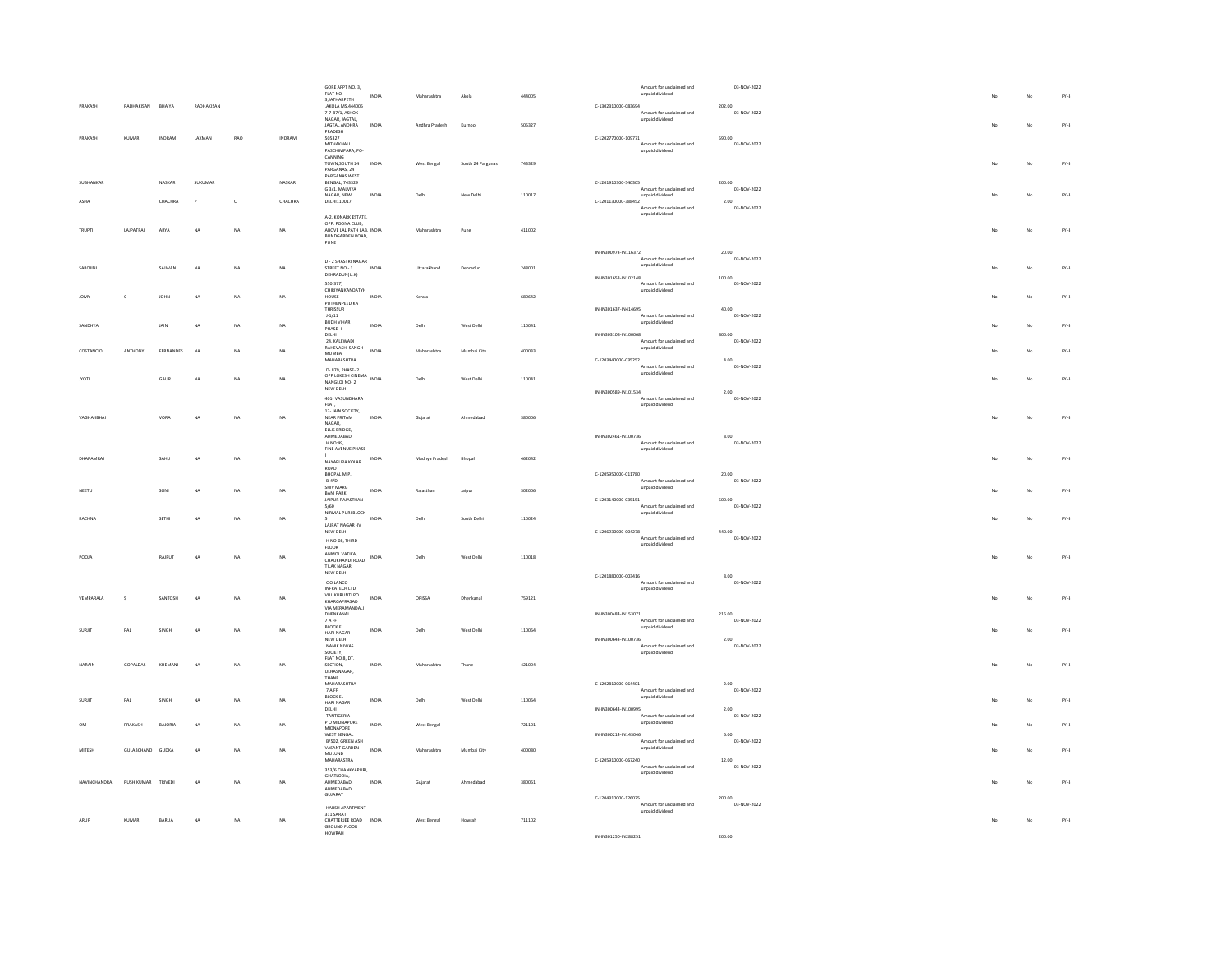| PRAKASH       | RADHAKISAN       | BHAIYA      | RADHAKISAN    |              |               | GORE APPT NO. 3,<br>FLAT NO.<br>3,JATHARPETH<br>AKOLA MS, 444005<br>7-7-87/1, ASHOK                                      | INDIA        | Maharashtra    | Akola             | 444005 | Amount for unclaimed and<br>unpaid dividend<br>C-1302310000-083694<br>Amount for unclaimed and | 03-NOV-2022<br>202.00<br>03-NOV-2022 |    | No          | $FY-3$ |
|---------------|------------------|-------------|---------------|--------------|---------------|--------------------------------------------------------------------------------------------------------------------------|--------------|----------------|-------------------|--------|------------------------------------------------------------------------------------------------|--------------------------------------|----|-------------|--------|
|               |                  |             |               |              |               | NAGAR, JAGTAL,<br><b>IAGTAI ANDHRA</b><br>PRADESH                                                                        | INDIA        | Andhra Pradesh | Kumoo             | 505327 | unpaid dividend                                                                                |                                      |    | No          | $FY-3$ |
| PRAKASH       | KUMAR            | INDRAM      | <b>LAXMAN</b> | <b>BAO</b>   | <b>INDRAM</b> | 505327<br>MITHAKHALI<br>PASCHIMPARA, PO-<br>CANNING                                                                      |              |                |                   |        | C-1202770000-109771<br>Amount for unclaimed and<br>unpaid dividend                             | 590.00<br>03-NOV-2022                |    |             |        |
|               |                  |             |               |              |               | TOWN SOLITH 24<br>PARGANAS, 24<br>PARGANAS WEST                                                                          | INDIA        | West Bengal    | South 24 Parganas | 743329 |                                                                                                |                                      |    | No          | $FY-3$ |
| SUBHANKAR     |                  | NASKAR      | SUKUMAR       |              | NASKAR        | BENGAL, 743329<br>G 3/1, MALVIYA<br>NAGAR, NEW                                                                           | INDIA        | Delhi          | New Delhi         | 110017 | C-1201910300-540305<br>Amount for unclaimed and<br>unpaid dividend                             | 200.00<br>03-NOV-2022                |    | No          | $FY-3$ |
| ASHA          |                  | CHACHRA     | $\mathbf{p}$  | $\mathbf{C}$ | CHACHRA       | DELHI110017                                                                                                              |              |                |                   |        | C-1201130000-388452<br>Amount for unclaimed and<br>unpaid dividend                             | 2.00<br>03-NOV-2022                  |    |             |        |
| <b>TRUPT</b>  | LAJPATRAI        | ARYA        | NA            | NA           | NA            | A-2, KONARK ESTATE,<br>OPP. POONA CLUB,<br>ABOVE LAL PATH LAB, INDIA<br>BUNDGARDEN ROAD.<br>$\ensuremath{\mathsf{PUNE}}$ |              | Maharashtra    | Pune              | 411002 |                                                                                                |                                      | No | No          | $FY-3$ |
| SAROJINI      |                  | SAJWAN      | NA            | NA           | NA            | D - 2 SHASTRI NAGAR<br>STREET NO - 1<br>DEHRADUN(U.K)                                                                    | INDIA        | Uttarakhand    | Dehradun          | 248001 | IN-IN300974-IN116372<br>Amount for unclaimed and<br>unpaid dividend<br>IN-IN301653-IN102148    | 20.00<br>03-NOV-2022<br>100.00       | No | No          | $FY-3$ |
| <b>IOMY</b>   | $\mathbf{c}$     | <b>JOHN</b> | <b>NA</b>     | NA           | NA            | 550(377)<br><b>CHIRIYANKANDATYH</b><br>HOUSE                                                                             | INDIA        | Kerala         |                   | 680642 | Amount for unclaimed and<br>unpaid dividend                                                    | 03-NOV-2022                          |    | No          | $FY-3$ |
|               |                  |             |               |              |               | PUTHENPEEDIKA<br>THRISSUR                                                                                                |              |                |                   |        | IN-IN301637-IN414695<br>Amount for unclaimed and                                               | 40.00<br>03-NOV-2022                 |    |             |        |
| SANDHYA       |                  | JAIN        | <b>NA</b>     | NA.          | $na$          | $1\cdot1/11$<br>BUDH VIHAR<br>PHASE-1                                                                                    | INDIA        | Delh           | West Delhi        | 110041 | unpaid dividend                                                                                |                                      |    | No          | $FY-3$ |
| COSTANCIO     | ANTHONY          | FERNANDES   | NA            | <b>NA</b>    | NA            | DELHI<br>24, KALEWADI<br>RAHEVASHI SANGH INDIA                                                                           |              | Maharashtra    | Mumbai City       | 400033 | IN-IN303108-IN100068<br>Amount for unclaimed and<br>unpaid dividend                            | 800.00<br>03-NOV-2022                |    | No          | $FY-3$ |
|               |                  |             |               |              |               | MUMBAL<br>MAHARASHTRA                                                                                                    |              |                |                   |        | C-1203440000-035252<br>Amount for unclaimed and                                                | 4.00<br>03-NOV-2022                  |    |             |        |
| <b>JYOTI</b>  |                  | GAUR        | $_{\sf NA}$   | NA           | NA            | D- 879, PHASE- 2<br>OPP LOKESH CINEMA<br>OPP LOKESH CINEMA<br>NDIA<br>NANGLOI NO- 2<br>NEW DELHI                         |              | Delhi          | West Delhi        | 110041 | unpaid dividend<br>IN-IN300589-IN101534                                                        | 2.00                                 |    | $_{\rm No}$ | $FY-3$ |
|               |                  |             |               |              |               | 401-VASUNDHARA<br>FLAT,                                                                                                  |              |                |                   |        | Amount for unclaimed and<br>unpaid dividend                                                    | 03-NOV-2022                          |    |             |        |
| VAGHAJIBHAI   |                  | VORA        | <b>NA</b>     | NA           | NA            | 12- JAIN SOCIETY,<br>NEAR PRITAM<br><b>NAGAR</b><br>ELLIS BRIDGE,                                                        | INDIA        | Gujarat        | Ahmedabad         | 380006 |                                                                                                |                                      |    | No          | $FY-3$ |
|               |                  |             |               |              |               | AHMEDABAD<br>H NO:49,<br>FINE AVENUE PHASE -                                                                             |              |                |                   |        | IN-IN302461-IN100736<br>Amount for unclaimed and<br>unpaid dividend                            | 8.00<br>03-NOV-2022                  |    |             |        |
| DHARAMRAI     |                  | SAHU        | <b>NA</b>     | NA           | NA            | NAYAPURA KOLAR<br>ROAD                                                                                                   | INDIA        | Madhya Pradesh | Bhopal            | 462042 |                                                                                                |                                      |    | No          | $FY-3$ |
|               |                  |             |               |              |               | BHOPAL M.P.<br>$B-4/D$<br>SHIV MARG                                                                                      |              |                |                   |        | C-1205950000-011780<br>Amount for unclaimed and<br>unpaid dividend                             | 20.00<br>03-NOV-2022                 |    |             |        |
| NEETU         |                  | SONI        | NA            | NA           | NA            | <b>BANI PARK</b><br>JAIPUR RAJASTHAN<br>5/60                                                                             | INDIA        | Rajasthan      | Jaipur            | 302006 | C-1203140000-035151<br>Amount for unclaimed and                                                | 500.00<br>03-NOV-2022                |    | No          | $FY-3$ |
| RACHNA        |                  | SETHI       | <b>NA</b>     | NA           | NA            | NIRMAL PURI BLOCK<br>LAJPAT NAGAR -IV                                                                                    | INDIA        | Delhi          | South Delhi       | 110024 | unpaid dividend                                                                                |                                      |    | No          | $FY-3$ |
|               |                  |             |               |              |               | NEW DELHI<br>H NO-08, THIRD<br><b>FLOOR</b>                                                                              |              |                |                   |        | C-1206930000-004278<br>Amount for unclaimed and<br>unpaid dividend                             | 440.00<br>03-NOV-2022                |    |             |        |
| POOIA         |                  | RAIPLIT     | NA            | NA           | <b>NA</b>     | ANMOL VATIKA,<br>CHAUKHANDI ROAD<br>TILAK NAGAR                                                                          | INDIA        | Delhi          | West Delhi        | 110018 |                                                                                                |                                      | No | No          | $FY-3$ |
|               |                  |             |               |              |               | NEW DELHI<br>CO LANCO                                                                                                    |              |                |                   |        | $C-1201880000-003416$<br>Amount for unclaimed and                                              | $8.00\,$<br>03-NOV-2022              |    |             |        |
| VEMPARALA     | s                | SANTOSH     | <b>NA</b>     | NA           | <b>NA</b>     | INFRATECH LTD<br>VILL KURUNTLPO<br>KHARGAPRASAD                                                                          | INDIA        | ORISSA         | Dhenkana          | 759121 | unpaid dividend                                                                                |                                      |    | No          | $FY-3$ |
|               |                  |             |               |              |               | VIA MERAMANDALI<br>DHENKANAL                                                                                             |              |                |                   |        | IN-IN300484-IN153071<br>Amount for unclaimed and                                               | 216.00<br>03-NOV-2022                |    |             |        |
| <b>SURJIT</b> | PAL              | SINGH       | <b>NA</b>     | NA           | NA            | <b>TAFF</b><br>BLOCK EL<br>HARI NAGAR<br>NEW DELHI                                                                       | INDIA        | Delhi          | West Delhi        | 110064 | unpaid dividend<br>IN-IN300644-IN100736                                                        | 2.00                                 |    | No          | $FY-3$ |
|               |                  |             |               |              |               | NANIK NIWAS<br>SOCIETY,                                                                                                  |              |                |                   |        | Amount for unclaimed and<br>unpaid dividend                                                    | 03-NOV-2022                          |    |             |        |
| NARAIN        | GOPALDAS         | KHEMANI     | <b>NA</b>     | NA           | NA            | FLAT NO.8, DT.<br>SECTION.<br>ULHASNAGAR,                                                                                | <b>INDIA</b> | Maharashtra    | Thane             | 421004 |                                                                                                |                                      |    | No          | $FY-3$ |
|               |                  |             |               |              |               | THANE<br>MAHARASHTRA<br>7 A FF                                                                                           |              |                |                   |        | C-1202810000-064401<br>Amount for unclaimed and                                                | 2.00<br>03-NOV-2022                  |    |             |        |
| SURJIT        | PAL              | SINGH       | <b>NA</b>     | NA           | NA            | <b>BLOCK EL</b><br>HARI NAGAR<br>DELHI                                                                                   | INDIA        | Delhi          | West Delhi        | 110064 | unpaid dividend<br>IN-IN300644-IN100995                                                        | 2.00                                 |    | No          | $FY-3$ |
|               | PRAKASH          | BAJORIA     | <b>NA</b>     | NA           | NA            | TANTIGERIA<br>P O MIDNAPORE<br>MIDNAPORE                                                                                 | INDIA        | West Bengal    |                   | 721101 | Amount for unclaimed and<br>unpaid dividend                                                    | 03-NOV-2022                          |    | No          | $FY-3$ |
|               |                  |             |               |              |               | WEST BENGAL<br>B/S02, GREEN ASH<br>VASANT GARDEN                                                                         |              |                |                   |        | IN-IN300214-IN143046<br>Amount for unclaimed and<br>unpaid dividend                            | 6.00<br>03-NOV-2022                  |    |             |        |
| MITESH        | GULABCHAND GUDKA |             | <b>NA</b>     | NA           | NA            | MULUND<br>MAHARASTRA                                                                                                     | INDIA        | Maharashtra    | Mumbai City       | 400080 | C-1205910000-067240<br>Amount for unclaimed and                                                | 12.00<br>03-NOV-2022                 |    | No          | $FY-3$ |
| NAVINCHANDRA  | RUSHIKUMAR       | TRIVED      | $_{\sf NA}$   | NA           | NA.           | 353/6 CHANKYAPURI,<br>GHATLODIA,<br>AHMEDABAD,                                                                           | INDIA        | Gujarat        | Ahmedahad         | 380061 | unpaid dividend                                                                                |                                      |    | No          | $FY-3$ |
|               |                  |             |               |              |               | AHMEDABAD<br>GUJARAT                                                                                                     |              |                |                   |        | $C-1204310000-126075$                                                                          | 200.00                               |    |             |        |
|               | KUMAR            | BARUA       | <b>NA</b>     | <b>NA</b>    | NA            | HARSH APARTMENT<br>311 SARAT                                                                                             |              |                |                   |        | Amount for unclaimed and<br>unpaid dividend                                                    | 03-NOV-2022                          |    |             |        |
|               |                  |             |               |              |               | CHATTERJEE ROAD INDIA<br>GROUND FLOOR<br>HOWRAH                                                                          |              | West Bengal    | Howrah            | 711102 | IN-IN301250-IN288251                                                                           | 200.00                               |    | No          | $FY-3$ |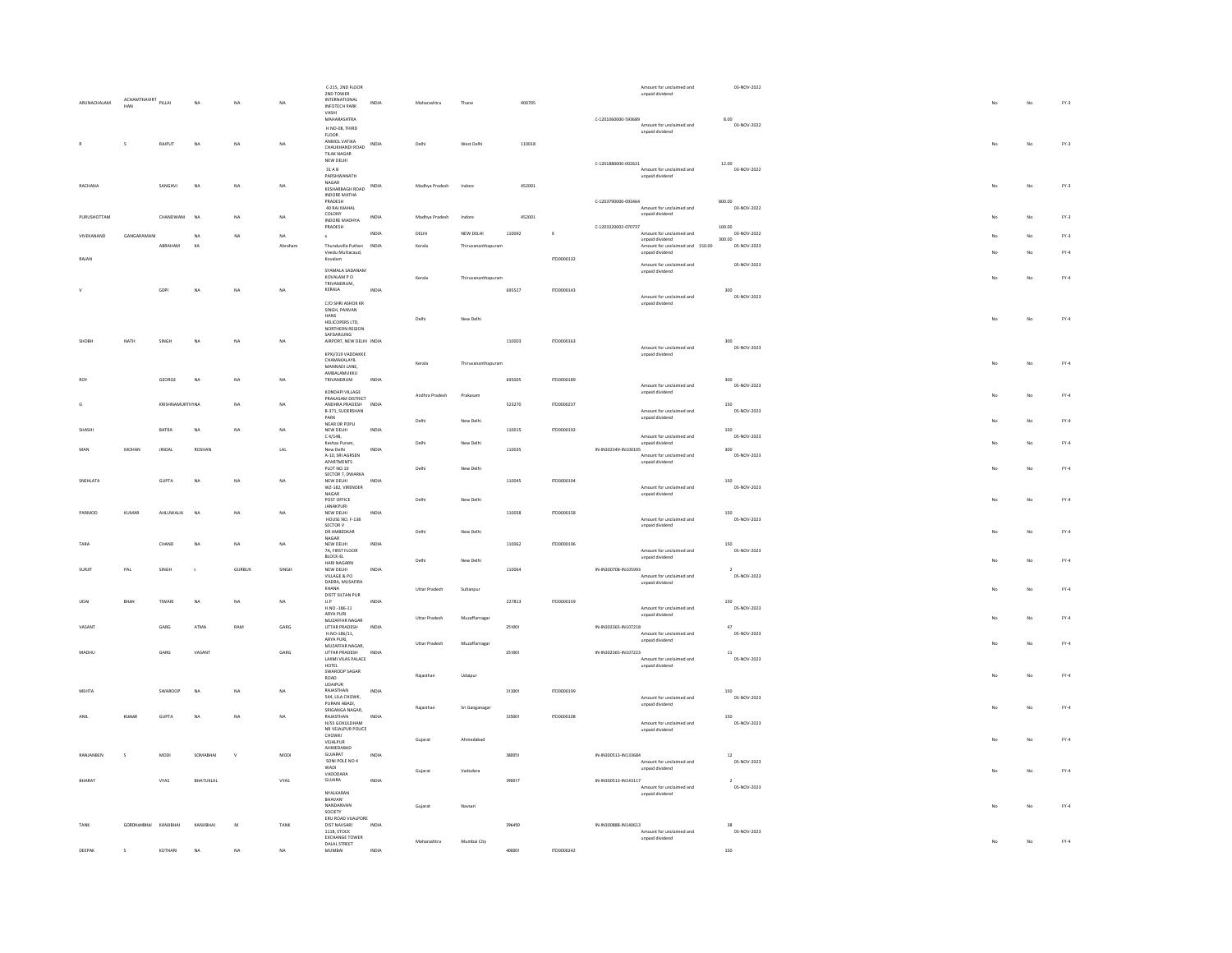|              |                            |                         |           |           |                 | C-215, 2ND FLOOR                                                |              |                      |                    |        |              |                      |                                             | 03-NOV-2022           |
|--------------|----------------------------|-------------------------|-----------|-----------|-----------------|-----------------------------------------------------------------|--------------|----------------------|--------------------|--------|--------------|----------------------|---------------------------------------------|-----------------------|
|              |                            |                         |           |           |                 | 2ND TOWER                                                       |              |                      |                    |        |              |                      | Amount for unclaimed and<br>unpaid dividend |                       |
| ARUNACHALAM  | ACHAMTHAVIRT PILLAI<br>HAN |                         | <b>NA</b> | MA.       | MA.             | INTERNATIONAL<br><b>INFOTECH PARK</b>                           | INDIA        | Maharashtr           | Than               | 400705 |              |                      |                                             |                       |
|              |                            |                         |           |           |                 | VASHI                                                           |              |                      |                    |        |              |                      |                                             |                       |
|              |                            |                         |           |           |                 | MAHARASHTRA                                                     |              |                      |                    |        |              | C-1201060000-593689  |                                             | 8.00                  |
|              |                            |                         |           |           |                 | H NO-08, THIRD                                                  |              |                      |                    |        |              |                      | Amount for unclaimed and<br>unpaid dividend | 03-NOV-2022           |
|              |                            |                         |           |           |                 | $FLOOR$                                                         |              |                      |                    |        |              |                      |                                             |                       |
|              | s                          | RAJPUT                  | NA        | NA        | NA              | ANMOL VATIKA<br>CHAUKHANDI ROAD INDIA                           |              | Delh                 | West Delhi         | 110018 |              |                      |                                             |                       |
|              |                            |                         |           |           |                 | TILAK NAGAR                                                     |              |                      |                    |        |              |                      |                                             |                       |
|              |                            |                         |           |           |                 | NEW DELHI                                                       |              |                      |                    |        |              | C-1201880000-002621  |                                             | 12.00                 |
|              |                            |                         |           |           |                 | 31 A R                                                          |              |                      |                    |        |              |                      | Amount for unclaimed and                    | 03-NOV-2022           |
|              |                            |                         |           |           |                 | PARSHWANATH                                                     |              |                      |                    |        |              |                      | unpaid dividend                             |                       |
| RACHANA      |                            | SANGHVI                 | NA        | NA.       | NA              | NAGAR<br>KESHARBAGH ROAD                                        | INDIA        | Madhya Pradesh       | Indone             | 452001 |              |                      |                                             |                       |
|              |                            |                         |           |           |                 | INDORE MATHA                                                    |              |                      |                    |        |              |                      |                                             |                       |
|              |                            |                         |           |           |                 | PRADESH                                                         |              |                      |                    |        |              | C-1203790000-093464  |                                             | 800.00                |
|              |                            |                         |           |           |                 | 40 RAJ MAHAL<br>COLONY                                          |              |                      |                    |        |              |                      | Amount for unclaimed and<br>unpaid dividend | 03-NOV-2022           |
| PURUSHOTTAM  |                            | CHANDWANI               | <b>NA</b> | NA        | NA              | INDORE MADHYA                                                   | INDIA        | Madhya Pradesh       | Indore             | 452001 |              |                      |                                             |                       |
|              |                            |                         |           |           |                 | PRADESH                                                         |              |                      |                    |        |              | C-1203320002-070737  |                                             | 100.00                |
| VIVEKANAND   | GANGARAMANI                |                         | <b>NA</b> | NA        | NA              | $\mathbf{x}$                                                    | INDIA        | DELHI                | NEW DELHI          | 110092 | $\mathbf{x}$ |                      | Amount for unclaimed and<br>unpaid dividend | 03-NOV-2022<br>300.00 |
|              |                            | ABRAHAM                 | KA        |           | Abrahan         | Thunduvilla Puthen INDIA                                        |              | Kerala               | Thiruvananthapuram |        |              |                      | Amount for unclaimed and 150.00             | 05-NOV-2023           |
| RAJAN        |                            |                         |           |           |                 | Veedu Muttacaud,<br>Kovalam                                     |              |                      |                    |        | ITD0000132   |                      | unpaid dividend                             |                       |
|              |                            |                         |           |           |                 |                                                                 |              |                      |                    |        |              |                      | Amount for unclaimed and                    | 05-NOV-2023           |
|              |                            |                         |           |           |                 | SYAMALA SADANAM                                                 |              |                      |                    |        |              |                      | unpaid dividend                             |                       |
|              |                            |                         |           |           |                 | KOVALAM PO                                                      |              | Kerala               | Thiruvananthapuram |        |              |                      |                                             |                       |
|              |                            | GOP                     | <b>NA</b> | NA        | NA              | TRIVANDRUM,<br>KERALA                                           | INDIA        |                      |                    | 695527 | ITD0000143   |                      |                                             | 300                   |
|              |                            |                         |           |           |                 |                                                                 |              |                      |                    |        |              |                      | Amount for unclaimed and                    | 05-NOV-2023           |
|              |                            |                         |           |           |                 | C/O SHRI ASHOK KR                                               |              |                      |                    |        |              |                      | unpaid dividend                             |                       |
|              |                            |                         |           |           |                 | SINGH, PANVAN<br>HANS                                           |              |                      |                    |        |              |                      |                                             |                       |
|              |                            |                         |           |           |                 |                                                                 |              | Delhi                | New Delhi          |        |              |                      |                                             |                       |
|              |                            |                         |           |           |                 | HELICOPERS LTD,<br>NORTHERN REGION                              |              |                      |                    |        |              |                      |                                             |                       |
|              | NATH                       | SINGH                   | <b>NA</b> | NA        | NA              | SAFDARJUNG<br>AIRPORT, NEW DELHI INDIA                          |              |                      |                    | 110003 | ITD0000163   |                      |                                             | 300                   |
|              |                            |                         |           |           |                 |                                                                 |              |                      |                    |        |              |                      | Amount for unclaimed and                    | 05-NOV-2023           |
|              |                            |                         |           |           |                 | KPXI/319 VADDAKKE                                               |              |                      |                    |        |              |                      | unpaid dividend                             |                       |
|              |                            |                         |           |           |                 | CHAMAKALAYIL                                                    |              | Kerala               | Thinwananthanuram  |        |              |                      |                                             |                       |
|              |                            |                         |           |           |                 | MANNADI LANE,<br>AMBALAMUKKU                                    |              |                      |                    |        |              |                      |                                             |                       |
|              |                            | GEORGE                  | <b>NA</b> | <b>NA</b> | NA              | TRIVANDRUM                                                      | INDIA        |                      |                    | 695005 | ITD0000189   |                      |                                             | 300                   |
|              |                            |                         |           |           |                 | KONDAPI VIII AGE                                                |              |                      |                    |        |              |                      | Amount for unclaimed and                    | 05-NOV-2023           |
|              |                            |                         |           |           |                 | PRAKASAM DISTRICT                                               |              | Andhra Pradesh       | Prakasan           |        |              |                      | unpaid dividend                             |                       |
|              |                            | <b>KRISHNAMLIRTHYNA</b> |           | NA.       | NA              | ANDHRA PRADESH                                                  | INDIA        |                      |                    | 523270 | 170000237    |                      |                                             | 150                   |
|              |                            |                         |           |           |                 | B-371, SUDERSHAN                                                |              |                      |                    |        |              |                      | Amount for unclaimed and                    | 05-NOV-2023           |
|              |                            |                         |           |           |                 | PARK<br>NEAR DR POPLI                                           |              | Delhi                | New Delhi          |        |              |                      | unpaid dividend                             |                       |
| SHASH        |                            | BATRA                   | <b>NA</b> | NA        | NA              | NEW DELHI                                                       | INDIA        |                      |                    | 110015 | ITD0000192   |                      |                                             | 150                   |
|              |                            |                         |           |           |                 | $\in$ 4/14B,                                                    |              |                      |                    |        |              |                      | Amount for unclaimed and                    | 05-NOV-2023           |
|              | MOHAN                      | <b>JINDAL</b>           | ROSHA     |           | $_{\text{LAL}}$ | Keshav Puram.<br>New Delhi                                      | INDIA        | Delhi                | New Delhi          | 110035 |              | IN-IN302349-IN100105 | unpaid dividend                             | $300\,$               |
|              |                            |                         |           |           |                 | A-10, SRI AGRSEN                                                |              |                      |                    |        |              |                      | Amount for unclaimed and                    | 05-NOV-2023           |
|              |                            |                         |           |           |                 | APARTMENTS                                                      |              |                      |                    |        |              |                      | unpaid dividend                             |                       |
|              |                            |                         |           |           |                 | PLOT NO.10                                                      |              | Delhi                | New Delhi          |        |              |                      |                                             |                       |
| SNEHLATA     |                            | GUPTA                   | NA        | NA        | NA              | SECTOR 7, DWARKA<br>NEW DELHI                                   | INDIA        |                      |                    | 110045 | ITD0000194   |                      |                                             | 150                   |
|              |                            |                         |           |           |                 | WZ-182, VIRENDER                                                |              |                      |                    |        |              |                      | Amount for unclaimed and                    | 05-NOV-2023           |
|              |                            |                         |           |           |                 | NAGAR                                                           |              |                      |                    |        |              |                      | unpaid dividend                             |                       |
|              |                            |                         |           |           |                 | POST OFFICE<br>JANAKPURI                                        |              | Delhi                | New Delhi          |        |              |                      |                                             |                       |
| PARMOD       | KUMAR                      | AHLUWALIA               | <b>NA</b> | NA        | NA              | NEW DELHI                                                       | INDIA        |                      |                    | 110058 | ITD0000158   |                      |                                             | 150                   |
|              |                            |                         |           |           |                 | HOUSE NO. F-138                                                 |              |                      |                    |        |              |                      | Amount for unclaimed and                    | 05-NOV-2023           |
|              |                            |                         |           |           |                 | SECTOR V                                                        |              |                      |                    |        |              |                      | unpaid dividend                             |                       |
|              |                            |                         |           |           |                 | DR AMBEDKAR<br>NAGAR                                            |              | Delhi                | New Delhi          |        |              |                      |                                             |                       |
| TARA         |                            | CHAND                   | <b>NA</b> | <b>NA</b> | NA              | NEW DELHI                                                       | INDIA        |                      |                    | 110062 | ITD0000196   |                      |                                             | 150                   |
|              |                            |                         |           |           |                 | 7A, FIRST FLOOR                                                 |              |                      |                    |        |              |                      | Amount for unclaimed and                    | 05-NOV-2023           |
|              |                            |                         |           |           |                 | <b>BLOCK-EL</b><br>HARI NAGARN                                  |              | Delhi                | New Delhi          |        |              |                      | unpaid dividend                             |                       |
| SURIT        | PAL                        | SINGH                   |           | GURBUX    | SINGH           | NEW DELHI                                                       | INDIA        |                      |                    | 110064 |              | IN-IN300708-IN105993 |                                             |                       |
|              |                            |                         |           |           |                 | VILLAGE & PO                                                    |              |                      |                    |        |              |                      | Amount for unclaimed and                    | 05-NOV-2023           |
|              |                            |                         |           |           |                 | DADRA, MUSAFIRA                                                 |              |                      |                    |        |              |                      | unpaid dividend                             |                       |
|              |                            |                         |           |           |                 | KHANA<br>DISTT SILTAN PUR                                       |              | Uttar Pradesh        | Sultanpur          |        |              |                      |                                             |                       |
|              | BHAN                       | TIWARI                  | NA        | NA        | NA              | $\ensuremath{\mathsf{U}}\xspace.\ensuremath{\mathsf{P}}\xspace$ | INDM         |                      |                    | 227813 | ITD0000159   |                      |                                             | 150                   |
|              |                            |                         |           |           |                 | H.NO.-186-11                                                    |              |                      |                    |        |              |                      | Amount for unclaimed and                    | 05-NOV-2023           |
|              |                            |                         |           |           |                 | ARYA PURI                                                       |              | <b>Uttar Pradesh</b> | Muzaffarnagar      |        |              |                      | unpaid dividend                             |                       |
| VASAN        |                            | GARG                    | ATMA      | RAM       | GARG            | MUZAFFAR NAGAR<br>UTTAR PRADESH                                 | INDIA        |                      |                    | 251001 |              | IN-IN302365-IN107218 |                                             | 47                    |
|              |                            |                         |           |           |                 | H.NO-186/11,                                                    |              |                      |                    |        |              |                      | Amount for unclaimed and                    | 05-NOV-2023           |
|              |                            |                         |           |           |                 | ARYA PURI,<br>MUZAFFAR NAGAR,                                   |              | Uttar Pradesh        | Muzaffarnagar      |        |              |                      | unpaid dividend                             |                       |
| MADHL        |                            | GARG                    | VASANT    |           | GARG            | UTTAR PRADESH                                                   | INDIA        |                      |                    |        |              |                      |                                             |                       |
|              |                            |                         |           |           |                 | LAXMI VILAS PALACE                                              |              |                      |                    | 251001 |              | IN-IN302365-IN107223 | Amount for unclaimed and                    | $11\,$<br>05-NOV-2023 |
|              |                            |                         |           |           |                 | HOTEL                                                           |              |                      |                    |        |              |                      | unpaid dividend                             |                       |
|              |                            |                         |           |           |                 | SWAROOP SAGAR                                                   |              | Rajasthan            | Udaipur            |        |              |                      |                                             |                       |
|              |                            |                         |           |           |                 | ROAD<br>UDAIPUR                                                 |              |                      |                    |        |              |                      |                                             |                       |
|              |                            |                         |           | NA.       | NA              | RAJASTHAN                                                       | INDIA        |                      |                    | 313001 | ITD0000199   |                      |                                             | 150                   |
| <b>MEHTA</b> |                            | SWARDOP                 | NA        |           |                 | 544, LILA CHOWK,                                                |              |                      |                    |        |              |                      | Amount for unclaimed and                    | 05-NOV-2023           |
|              |                            |                         |           |           |                 |                                                                 |              | Rajasthan            | Sri Ganganagar     |        |              |                      | unpaid dividend                             |                       |
|              |                            |                         |           |           |                 | PURANI ABADI.                                                   |              |                      |                    | 335001 | ITD0000108   |                      |                                             |                       |
| ANIL         | KUMAR                      | <b>GUPTA</b>            | <b>NA</b> | NA        | NA              | SRIGANGA NAGAR,<br>RAJASTHAN                                    | <b>INDIA</b> |                      |                    |        |              |                      |                                             | 150                   |
|              |                            |                         |           |           |                 |                                                                 |              |                      |                    |        |              |                      |                                             |                       |
|              |                            |                         |           |           |                 | H/55 GOKULDHAM<br>NR VEJALPUR POLICE                            |              |                      |                    |        |              |                      | Amount for unclaimed and<br>unpaid dividend | 05-NOV-2023           |
|              |                            |                         |           |           |                 | $\text{CHOWKI}$                                                 |              | Gujarat              | Ahmedabad          |        |              |                      |                                             |                       |
|              |                            |                         |           |           |                 | VEJALPUR<br>AHMEDARAD                                           |              |                      |                    |        |              |                      |                                             |                       |
| RANJANBEN    | $\sim$                     | MODI                    | SOMABHAI  |           | MODI            | $GUIARAT$                                                       | INDIA        |                      |                    | 380051 |              | IN-IN300513-IN133684 |                                             | $12$                  |
|              |                            |                         |           |           |                 | SONI POLE NO 4                                                  |              |                      |                    |        |              |                      | Amount for unclaimed and                    | 05-NOV-2023           |
|              |                            |                         |           |           |                 | WADI<br>VADODARA                                                |              | Gujarat              | Vadodara           |        |              |                      | unpaid dividend                             |                       |
| BHARAT       |                            | VYAS                    | BHATUKLAL |           | VYAS            | GUJARA                                                          | INDIA        |                      |                    | 390017 |              | IN-IN300513-IN143117 |                                             | $\mathbf{2}$          |
|              |                            |                         |           |           |                 |                                                                 |              |                      |                    |        |              |                      | Amount for unclaimed and                    | 05-NOV-2023           |
|              |                            |                         |           |           |                 | NYALKARAN                                                       |              |                      |                    |        |              |                      | unpaid dividend                             |                       |
|              |                            |                         |           |           |                 | BHAVAN'<br>NANDANVAN                                            |              | Gujarat              | Navsari            |        |              |                      |                                             |                       |
|              |                            |                         |           |           |                 | SOCIETY                                                         |              |                      |                    |        |              |                      |                                             |                       |
|              |                            |                         |           |           |                 | ERU ROAD VUALPORE                                               |              |                      |                    |        |              |                      |                                             |                       |
|              | GORDHANBHAI                | KANJIBHAI               | KANJIBHAI |           | TANK            | DIST NAVSARI                                                    | INDIA        |                      |                    | 396450 |              | IN-IN300888-IN140613 |                                             | 28                    |
| TANK         |                            |                         |           |           |                 | 1118, STOCK<br><b>EXCHANGE TOWER</b>                            |              |                      |                    |        |              |                      | Amount for unclaimed and<br>unpaid dividend | 05-NOV-2023           |
| DEEPAK       | $\mathsf S$                | KOTHARI                 | <b>NA</b> | NA        | NA              | DALAL STREET<br>MUMBAI                                          | INDIA        | Maharashtra          | Mumbai City        | 400001 | ITD0000242   |                      |                                             | 150                   |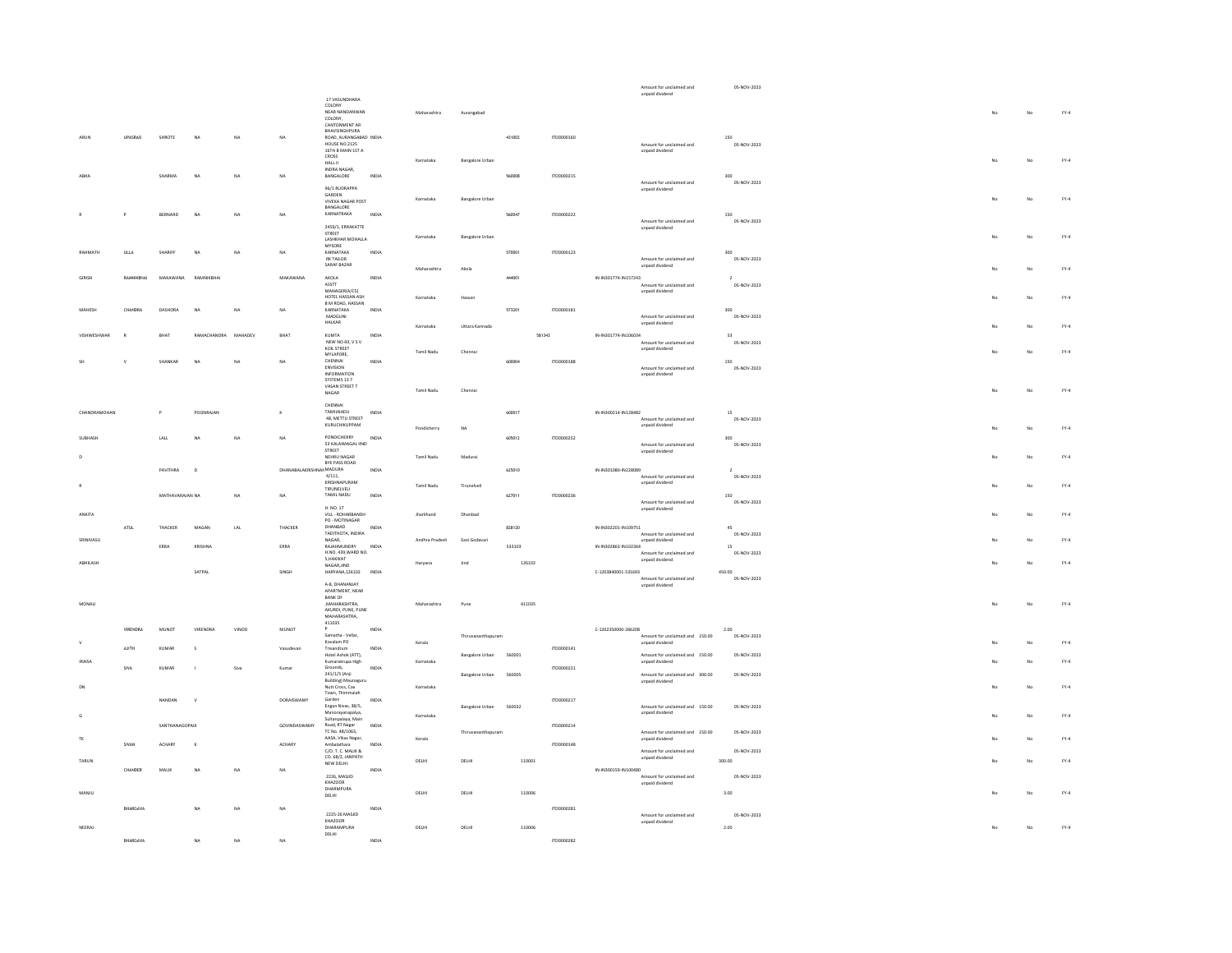|                    |                 |                       |                     |           |                         |                                                           |              |                   |                        |        |            |                      | Amount for unclaimed and<br>unpaid dividend        | 05-NOV-2023              |    |    |        |
|--------------------|-----------------|-----------------------|---------------------|-----------|-------------------------|-----------------------------------------------------------|--------------|-------------------|------------------------|--------|------------|----------------------|----------------------------------------------------|--------------------------|----|----|--------|
|                    |                 |                       |                     |           |                         | 17 VASHNDHARA<br>COLONY                                   |              |                   |                        |        |            |                      |                                                    |                          |    |    |        |
|                    |                 |                       |                     |           |                         | NEAR NANDANWAN<br>COLONY,                                 |              | Maharashtra       | Aurangabad             |        |            |                      |                                                    |                          | No | No | $FY-4$ |
|                    |                 |                       |                     |           |                         | CANTONMENT AR<br>BHAVSINGHPURA                            |              |                   |                        |        |            |                      |                                                    |                          |    |    |        |
|                    | <b>UPASRAO</b>  | SHROTE                | <b>NA</b>           | NA        | NA                      | ROAD, AURANGABAD INDIA<br><b>HOUSE NO.2125</b>            |              |                   |                        | 431002 | ITD0000160 |                      |                                                    | 150                      |    |    |        |
|                    |                 |                       |                     |           |                         | 16TH B MAIN 1ST A                                         |              |                   |                        |        |            |                      | Amount for unclaimed and<br>unpaid dividend        | 05-NOV-2023              |    |    |        |
|                    |                 |                       |                     |           |                         | CROSS<br>HALL II<br>INDRA NAGAR,                          |              | Karnataka         | <b>Bangalore Urban</b> |        |            |                      |                                                    |                          | No | No | $FY-4$ |
|                    |                 | SHARMA                | <b>NA</b>           | <b>NA</b> | NA                      | <b>RANGALORE</b>                                          | INDIA        |                   |                        | 560008 | ITD0000215 |                      |                                                    | 300                      |    |    |        |
|                    |                 |                       |                     |           |                         | 96/1 RUDRAPPA                                             |              |                   |                        |        |            |                      | Amount for unclaimed and<br>unpaid dividend        | 05-NOV-2023              |    |    |        |
|                    |                 |                       |                     |           |                         | GARDEN<br>VIVEKA NAGAR POST                               |              | Karnataka         | <b>Bangalore Urbar</b> |        |            |                      |                                                    |                          |    | No | $FY-4$ |
|                    |                 | BERNARD               | NA                  | NA        | NA                      | BANGALORE<br>KARNATRAKA                                   | INDM         |                   |                        | 560047 | ITD0000222 |                      |                                                    | 150                      |    |    |        |
|                    |                 |                       |                     |           |                         | 2459/1, ERRAKATTE                                         |              |                   |                        |        |            |                      | Amount for unclaimed and                           | 05-NOV-2023              |    |    |        |
|                    |                 |                       |                     |           |                         | STREET                                                    |              | Karnataka         | <b>Bangalore Urban</b> |        |            |                      | unpaid dividend                                    |                          |    | No | $FY-4$ |
| PAUMANTH           |                 | SHARIFF               | NA                  |           |                         | LASHKHAR MOHALLA<br>MYSORE                                | INDIA        |                   |                        |        |            |                      |                                                    | 200                      |    |    |        |
|                    | ULLA            |                       |                     | NA        | NA                      | KARNATAKA<br>RK TAILOR                                    |              |                   |                        | 570001 | ITD0000123 |                      | Amount for unclaimed and                           | 05-NOV-2023              |    |    |        |
|                    |                 |                       |                     |           |                         | SARAF BAZAR                                               |              | Maharashtra       | Akola                  |        |            |                      | unpaid dividend                                    |                          |    | No | $FY-4$ |
|                    |                 | MAKAWANA              | RAMNIKBHA           |           | MAKAWANA                | AKOLA<br>ASSTT                                            | INDIA        |                   |                        | 444001 |            | IN-IN301774-IN157243 | Amount for unclaimed and                           | 05-NOV-2023              |    |    |        |
|                    |                 |                       |                     |           |                         | MANAGERIA/CS)<br>HOTEL HASSAN ASH                         |              | Karnataka         | Hassan                 |        |            |                      | unpaid dividend                                    |                          |    | No | $FY-4$ |
| MAHESH             | CHANDRA         | <b>DASHORA</b>        | <b>NA</b>           | NA        | NA                      | B M ROAD, HASSAN<br>KARNATAKA                             | INDIA        |                   |                        | 573201 | ITD0000181 |                      |                                                    | 300                      |    |    |        |
|                    |                 |                       |                     |           |                         | MADGUNI<br>HALKAR                                         |              |                   |                        |        |            |                      | Amount for unclaimed and<br>unpaid dividend        | 05-NOV-2023              |    |    |        |
| <b>VISHWESHWAR</b> | $\mathbb{R}$    | BHAT                  | RAMACHANDRA MAHADEV |           | BHAT                    | KUMTA                                                     | INDIA        | Karnataka         | Uttara Kannada         | 581343 |            | IN-IN301774-IN106034 |                                                    | 53                       |    | No | $FY-4$ |
|                    |                 |                       |                     |           |                         | NEW NO 69, V S V<br>KOIL STREET                           |              |                   |                        |        |            |                      | Amount for unclaimed and                           | 05-NOV-2023              |    |    |        |
|                    |                 |                       |                     |           |                         | MYLAPORE,                                                 |              | Tamil Nadu        | Chenna                 |        |            |                      | unpaid dividend                                    |                          |    | No | $FY-4$ |
|                    |                 | SHANKAR               | <b>NA</b>           | NA        | NA                      | CHENNAL<br>ENVISION                                       | INDIA        |                   |                        | 600004 | ITD0000188 |                      | Amount for unclaimed and                           | 150<br>05-NOV-2023       |    |    |        |
|                    |                 |                       |                     |           |                         | INFORMATION<br>SYSTEMS 13 7                               |              |                   |                        |        |            |                      | unpaid dividend                                    |                          |    |    |        |
|                    |                 |                       |                     |           |                         | VASAN STREET T<br>NAGAR                                   |              | Tamil Nadu        | Chenna                 |        |            |                      |                                                    |                          |    | No | $FY-4$ |
|                    |                 |                       |                     |           |                         | CHENNAL                                                   |              |                   |                        |        |            |                      |                                                    |                          |    |    |        |
| CHANDRAMOHAN       |                 |                       | POONRAJAN           |           | ×                       | TAMILNADU<br>48, METTU STREET                             | INDIA        |                   |                        | 600017 |            | IN-IN300214-IN128482 | Amount for unclaimed and                           | 15<br>05-NOV-2023        |    |    |        |
|                    |                 |                       |                     |           |                         | KURUCHIKUPPAM                                             |              | Pondicherry       | NA                     |        |            |                      | unpaid dividend                                    |                          |    | No | $FY-4$ |
| <b>SURHASH</b>     |                 | LALL                  | <b>NA</b>           | NA        | <b>NA</b>               | PONDICHERRY<br>53 KALAIMAGAL IIND                         | INDIA        |                   |                        | 605012 | 1TD0000252 |                      |                                                    | 300                      |    |    |        |
|                    |                 |                       |                     |           |                         | STREET<br>NEHRU NAGAR                                     |              |                   |                        |        |            |                      | Amount for unclaimed and<br>unpaid dividend        | 05-NOV-2023              |    |    |        |
|                    |                 |                       |                     |           |                         | BYE PASS ROAD                                             |              | Tamil Nadu        | Madurai                |        |            |                      |                                                    |                          |    | No | $FY-4$ |
|                    |                 | PAVITHRA              | $\mathbf{D}$        |           | DHANABALAKRISHNANMADURA | 4/111.                                                    | INDIA        |                   |                        | 625010 |            | IN-IN301080-IN228089 | Amount for unclaimed and                           | $\bar{z}$<br>05-NOV-2023 |    |    |        |
|                    |                 |                       |                     |           |                         |                                                           |              |                   |                        |        |            |                      |                                                    |                          |    |    |        |
|                    |                 |                       |                     |           |                         | KRISHNAPURAM<br>TIRUNELVELI                               |              | <b>Tamil Nadu</b> | Tirunelveli            |        |            |                      | unpaid dividend                                    |                          |    | No | $FY-4$ |
|                    |                 | MATHAVARAJAN NA       |                     | NA        | NA.                     | TAMIL NADU                                                | INDIA        |                   |                        | 627011 | ITD0000236 |                      |                                                    | $150\,$<br>05-NOV-2023   |    |    |        |
| <b>ANKITA</b>      |                 |                       |                     |           |                         | H. NO. 17<br>VILL - ROHARBANDH                            |              | <b>Iharkhand</b>  | Dhanhad                |        |            |                      | Amount for unclaimed and<br>unpaid dividend        |                          |    | No |        |
|                    | ATLIE           | THACKER               | MAGAN               | LAL       | THACKER                 | PO - MOTINAGAR<br>DHANBAD                                 | INDIA        |                   |                        | 828120 |            | IN-IN302201-IN109751 |                                                    | 45                       |    |    | $FY-4$ |
|                    |                 |                       |                     |           |                         | TADITHOTA, INDIRA                                         |              |                   |                        |        |            |                      | Amount for unclaimed and                           | 05-NOV-2023              |    |    |        |
| SRINIVASLI         |                 | ERRA                  | KRISHNA             |           | ERRA                    | NAGAR.<br>RAJAHMUNDRY                                     | INDIA        | Andhra Pradesh    | East Godayari          | 533103 |            | IN-IN302863-IN102364 | unpaid dividend                                    | 15                       |    | No | $FY-4$ |
| ABHILASH           |                 |                       |                     |           |                         | H.NO. 439.WARD NO.<br>5, HAKIKAT                          |              |                   | Jind                   | 126102 |            |                      | Amount for unclaimed and<br>unpaid dividend        | 05-NOV-2023              |    | No | $FY-4$ |
|                    |                 |                       | SATPAL              |           | SINGH                   | NAGARJIND<br>HARYANA,126102                               | INDIA        | Haryana           |                        |        |            | C-1203840001-531693  |                                                    | 450.00                   |    |    |        |
|                    |                 |                       |                     |           |                         | A-8, DHANANJAY                                            |              |                   |                        |        |            |                      | Amount for unclaimed and<br>unpaid dividend        | 05-NOV-2023              |    |    |        |
|                    |                 |                       |                     |           |                         | APARTMENT, NEAR<br><b>BANK OF</b>                         |              |                   |                        |        |            |                      |                                                    |                          |    |    |        |
| MONALL             |                 |                       |                     |           |                         | <b>MAHARASHTRA</b><br>AKURDI, PUNE, PUNE                  |              | Maharashtra       | Pune                   | 411035 |            |                      |                                                    |                          |    | No | $FY-4$ |
|                    |                 |                       |                     |           |                         | MAHARASHTRA.<br>411035                                    |              |                   |                        |        |            |                      |                                                    |                          |    |    |        |
|                    | <b>VIRENDRA</b> | <b>MUNOT</b>          | VIRENDRA            | VINOD     | MUNOT                   | Samatha - Vellar,                                         | INDIA        |                   | Thiruvananthapuram     |        |            | C-1202350000-266208  | Amount for unclaimed and 150.00                    | 2.00<br>05-NOV-2023      |    |    |        |
|                    |                 |                       |                     |           |                         | Kovalam PO                                                |              | Kerala            |                        |        |            |                      | unpaid dividend                                    |                          |    | No | $FY-4$ |
|                    | AJITH           | KUMAR                 | s                   |           | Vasudevar               | Trivandrum<br>Hotel Ashok (ATT).                          | INDIA        |                   | <b>Bangalore Urban</b> | 560001 | ITD0000141 |                      | Amount for unclaimed and 150.00                    | 05-NOV-2023              |    |    |        |
| <b>IRAISA</b>      | SIVA            | KUMAR                 |                     | Siva      | Kumar                   | Kumarakrupa High<br>Grounds.                              | INDIA        | Karnataka         |                        |        | ITD0000221 |                      | unpaid dividend                                    |                          |    | No | $FY-4$ |
|                    |                 |                       |                     |           |                         | 241/1/3 (Anji                                             |              |                   | Bangalore Urban        | 560005 |            |                      | Amount for unclaimed and 300.00<br>unpaid dividend | 05-NOV-2023              |    |    |        |
|                    |                 |                       |                     |           |                         | Building) Maunaguru<br>Nutt Cross, Cox<br>Town, Thimmaiah |              | Karnataka         |                        |        |            |                      |                                                    |                          |    | No | $FY-4$ |
|                    |                 | NANDAN                | $\mathsf{V}$        |           | DORAISWAMY              | Garden<br>Engan Nivas, 38/5,                              | INDIA        |                   | Bangalore Urban        | 560032 | ITD0000217 |                      | Amount for unclaimed and 150.00                    | 05-NOV-2023              |    |    |        |
|                    |                 |                       |                     |           |                         | Manorayanapalya,<br>Sultanpalaya, Main                    |              | Karnataka         |                        |        |            |                      | unpaid dividend                                    |                          |    | No | $FY-4$ |
|                    |                 | <b>SANTHANAGOPAIK</b> |                     |           | GOVINDASWAMY            | Road, RT Nagar<br>TC No. 48/1063,                         | INDIA        |                   | Thiruvananthapuram     |        | ITD0000214 |                      |                                                    | 05-NOV-2023              |    |    |        |
|                    | SIVAN           | ACHARY                | $\mathbf{x}$        |           | ACHARY                  | AASA, Vikas Nagar,<br>Ambalathara                         | INDIA        | Kerala            |                        |        | 1700000148 |                      | Amount for unclaimed and 150.00<br>unpaid dividend |                          |    | No | $FY-4$ |
|                    |                 |                       |                     |           |                         | C/O. T. C. MALIK &                                        |              |                   |                        |        |            |                      | Amount for unclaimed and                           | 05-NOV-2023              |    |    |        |
| TARUN              |                 |                       |                     |           |                         | CO. 68/2, JANPATH<br>NEW DELHI.                           |              | DELHI             | DELHI                  | 110001 |            |                      | unpaid dividend                                    | 300.00                   |    | No | $FY-4$ |
|                    | CHANDER         | MALIK                 | <b>NA</b>           | NA        | <b>NA</b>               | 2226, MASJID                                              | INDIA        |                   |                        |        |            | IN-IN300159-IN100480 | Amount for unclaimed and                           | 05-NOV-2023              |    |    |        |
| MANJU              |                 |                       |                     |           |                         | KHAZOOR<br>DHARMPURA                                      |              | DELHI             | DELHI                  | 110006 |            |                      | unpaid dividend                                    | 3.00                     |    | No | $FN-4$ |
|                    |                 |                       |                     |           |                         | DELHI                                                     |              |                   |                        |        |            |                      |                                                    |                          |    |    |        |
|                    | BHARGAVA        |                       | <b>NA</b>           | NA        | NA                      | 2225-26 MASJID                                            |              |                   |                        |        | ITD0000281 |                      | Amount for unclaimed and                           | 05-NOV-2023              |    |    |        |
| NEERAJ             |                 |                       |                     |           |                         | KHAZOOR<br>DHARAMPURA                                     |              | DELHI             | DELHI                  | 110006 |            |                      | unpaid dividend                                    | 2.00                     |    | No | $FY-4$ |
|                    | BHARGAVA        |                       | <b>NA</b>           | NA        | NA                      | $DELHI$                                                   | <b>INDIA</b> |                   |                        |        | ITD0000282 |                      |                                                    |                          |    |    |        |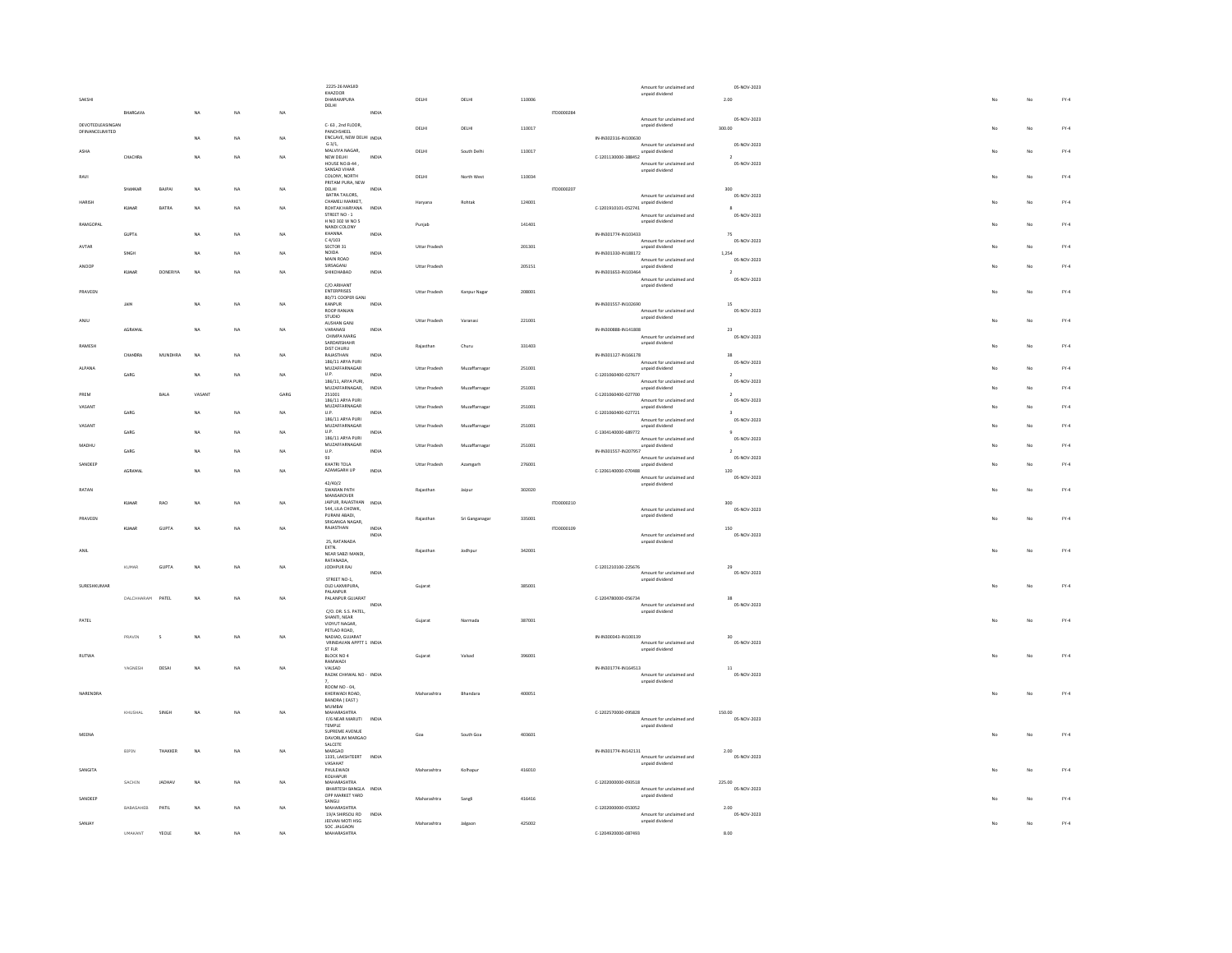|                                     |                  |              |                |    |           | 2225-26 MASJID<br>KHAZOOR                   |              |                      |                |        |            | Amount for unclaimed and                         | 05-NOV-2023                    |    |    |              |
|-------------------------------------|------------------|--------------|----------------|----|-----------|---------------------------------------------|--------------|----------------------|----------------|--------|------------|--------------------------------------------------|--------------------------------|----|----|--------------|
|                                     |                  |              |                |    |           | DHARAMPURA                                  |              | DELHI                | DELH           | 110006 |            | unpaid dividend                                  | 2.00                           |    | No | $FY-4$       |
|                                     | BHARGAVA         |              | <b>NA</b>      | NA | NA        | DELHI                                       | INDIA        |                      |                |        | ITD0000284 |                                                  |                                |    |    |              |
|                                     |                  |              |                |    |           |                                             |              |                      |                |        |            | Amount for unclaimed and                         | 05-NOV-2023                    |    |    |              |
| DEVOTEDLEASINGAN<br>DEINANCELIMITED |                  |              |                |    |           | C-63, 2nd FLOOR,<br>PANCHSHEEL              |              | DELHI                | DELHI          | 110017 |            | unpaid dividend                                  | 300.00                         |    | No | $FY-4$       |
|                                     |                  |              | <b>NA</b>      | NA | NA        | ENCLAVE, NEW DELHI INDIA                    |              |                      |                |        |            | IN-IN302316-IN100630                             |                                |    |    |              |
| ASHA                                |                  |              |                |    |           | G3/1.<br>MALVIYA NAGAR,                     |              | DELHI                | South Delhi    | 110017 |            | Amount for unclaimed and<br>unpaid dividend      | 05-NOV-2023                    |    | No | $FY-4$       |
|                                     | CHACHRA          |              | NA             | NA | NA        | NEW DELHI                                   | INDIA        |                      |                |        |            | C-1201130000-388452                              |                                |    |    |              |
|                                     |                  |              |                |    |           | HOUSE NO.B-44,<br>SANSAD VIHAR              |              |                      |                |        |            | Amount for unclaimed and<br>unpaid dividend      | 05-NOV-2023                    |    |    |              |
| RAVI                                |                  |              |                |    |           | COLONY, NORTH                               |              | DELHI                | North West     | 110034 |            |                                                  |                                |    | No | $FY-4$       |
|                                     | SHANKAR          | BAJPAI       | NA             | NA | NA        | PRITAM PURA, NEW<br>DELHI                   | INDIA        |                      |                |        | ITD0000207 |                                                  | 300                            |    |    |              |
|                                     |                  |              |                |    |           | BATRA TAILORS.                              |              |                      |                |        |            | Amount for unclaimed and                         | 05-NOV-2023                    |    |    |              |
| HARISH                              | KUMAR            | BATRA        | <b>NA</b>      | NA | NA        | CHAMELI MARKET.<br>ROHTAK HARYANA           | INDIA        | Haryana              | Robtak         | 124001 |            | unpaid dividend<br>C-1201910101-052741           | $\,$ 8 $\,$                    |    | No | $FY-4$       |
|                                     |                  |              |                |    |           | STREET NO - 1                               |              |                      |                |        |            | Amount for unclaimed and                         | 05-NOV-2023                    |    |    |              |
| RAMGOPAL                            |                  |              |                |    |           | H NO 302 W NO 5<br>NANDI COLONY             |              | Punjab               |                | 141401 |            | unpaid dividend                                  |                                |    | No | $FY-4$       |
|                                     | GUPTA            |              | <b>NA</b>      | NA | NA        | KHANNA                                      | INDIA        |                      |                |        |            | IN-IN301774-IN103433                             | 75                             |    |    |              |
| AVTAR                               |                  |              |                |    |           | $c$ $d/103$<br>SECTOR 31                    |              | <b>Uttar Pradesh</b> |                | 201301 |            | Amount for unclaimed and<br>unpaid dividend      | 05-NOV-2023                    |    | No | $FY-4$       |
|                                     | SINGH            |              | <b>NA</b>      | NA | NA        | NOIDA                                       | INDIA        |                      |                |        |            | IN-IN301330-IN188172                             | 1,254                          |    |    |              |
| ANOOP                               |                  |              |                |    |           | MAIN ROAD<br>SIRSAGANJ                      |              | Uttar Pradesh        |                | 205151 |            | Amount for unclaimed and<br>unpaid dividend      | 05-NOV-2023                    |    | No | $FY-4$       |
|                                     | KUMAR            | DONERIYA     | NA             | NA | NA        | SHIKOHABAD                                  | INDIA        |                      |                |        |            | IN-IN301653-IN103464                             | $\overline{2}$                 |    |    |              |
|                                     |                  |              |                |    |           | C/O ARIHANT                                 |              |                      |                |        |            | Amount for unclaimed and<br>unpaid dividend      | 05-NOV-2023                    |    |    |              |
| PRAVEEN                             |                  |              |                |    |           | ENTERPRISES<br>80/71 COOPER GANJ            |              | Uttar Pradesh        | Kanpur Nagar   | 208001 |            |                                                  |                                |    | No | $FY-4$       |
|                                     | JAIN             |              | NA             | NA | NA        | KANPUR                                      | INDIA        |                      |                |        |            | IN-IN301557-IN102690                             | $15\,$                         |    |    |              |
|                                     |                  |              |                |    |           | ROOP RANJAN<br>STUDIO                       |              |                      |                |        |            | Amount for unclaimed and                         | 05-NOV-2023                    |    |    |              |
| ANJU                                |                  |              |                |    |           | AUSHAN GANJ                                 |              | <b>Uttar Pradesh</b> | Varanasi       | 221001 |            | unpaid dividend                                  |                                | No | No | $FY-4$       |
|                                     | AGRAWAL          |              | <b>NA</b>      | NA | NA        | VARANASI<br>CHIMPA MARG                     | INDIA        |                      |                |        |            | IN-IN300888-IN141808                             | 23                             |    |    |              |
| RAMESH                              |                  |              |                |    |           | SARDARSHAHR                                 |              | Raiasthan            | Churu          | 331403 |            | Amount for unclaimed and<br>unpaid dividend      | 05-NOV-2023                    |    | No | $FY-4$       |
|                                     | CHANDRA          | MUNDHRA      | NA             | NA | NA        | DIST CHURU<br>RAJASTHAN                     | INDIA        |                      |                |        |            | IN-IN301127-IN166178                             | 38                             |    |    |              |
|                                     |                  |              |                |    |           | 186/11 ARYA PURI                            |              |                      |                |        |            | Amount for unclaimed and                         | 05-NOV-2023                    |    |    |              |
| ALPANA                              | GARG             |              | NA             | NA | NA        | MUZAFFARNAGAR<br>U.P.                       | INDIA        | <b>Uttar Pradesh</b> | Muzaffarnagar  | 251001 |            | unpaid dividend<br>C-1201060400-027677           | $\overline{2}$                 |    | No | $FY-4$       |
|                                     |                  |              |                |    |           | 186/11 ARYA PURL                            |              |                      |                |        |            | Amount for unclaimed and                         | 05-NOV-2023                    |    |    |              |
| PREM                                |                  | <b>BALA</b>  | VASANT         |    | GARG      | MUZAFFARNAGAR,<br>251001                    | <b>INDIA</b> | Uttar Pradesh        | Muzaffarnagar  | 251001 |            | unpaid dividend<br>C-1201060400-027700           | $\rightarrow$                  |    | No | ${\sf FY-4}$ |
|                                     |                  |              |                |    |           | 186/11 ARYA PURI                            |              |                      |                |        |            | Amount for unclaimed and                         | 05-NOV-2023                    |    |    |              |
| VASANT                              | GARG             |              | <b>NA</b>      | NA | NA        | MUZAFFARNAGAR<br>U.P.                       | INDIA        | <b>Uttar Pradesh</b> | Muzaffarnagar  | 251001 |            | unpaid dividend<br>C-1201060400-027721           |                                |    | No | $FY-4$       |
|                                     |                  |              |                |    |           | 186/11 ARYA PURI                            |              |                      |                |        |            | Amount for unclaimed and                         | 05-NOV-2023                    |    |    |              |
| VASANT                              | GARG.            |              | <b>NA</b>      | NA | NA.       | MUZAFFARNAGAR<br>U.P.                       | INDIA        | Uttar Pradesh        | Muzaffarnagar  | 251001 |            | unpaid dividend<br>C-1304140000-689772           | $\alpha$                       |    | No | $FY-4$       |
|                                     |                  |              |                |    |           | 186/11 ARYA PURI                            |              |                      |                |        |            | Amount for unclaimed and                         | 05-NOV-2023                    |    |    |              |
| MADHU                               | GARG             |              | <b>NA</b>      | NA | NA        | MUZAFFARNAGAR<br>$\mathsf{U}.\mathsf{P}.$   | INDIA        | Uttar Pradesh        | Muzaffarnagar  | 251001 |            | unpaid dividend<br>IN-IN301557-IN207957          | $\overline{2}$                 |    | No | $FY-4$       |
|                                     |                  |              |                |    |           | 93<br>KHATRI TOLA                           |              |                      |                |        |            | Amount for unclaimed and                         | 05-NOV-2023                    |    |    |              |
| SANDEEP                             | AGRAWAL          |              | <b>NA</b>      | NA | NA        | AZAMGARH UP                                 | INDIA        | Uttar Pradesh        | Azamgarh       | 276001 |            | unpaid dividend<br>C-1206140000-070488           | 120                            |    | No | $FY-4$       |
|                                     |                  |              |                |    |           |                                             |              |                      |                |        |            | Amount for unclaimed and                         | 05-NOV-2023                    |    |    |              |
| RATAN                               |                  |              |                |    |           | 42/40/2<br><b>SWARAN PATH</b>               |              | Rajasthan            | Jaipur         | 302020 |            | unpaid dividend                                  |                                |    | No | $FY-4$       |
|                                     |                  |              |                |    |           | MANSAROVER                                  |              |                      |                |        |            |                                                  |                                |    |    |              |
|                                     | KIMAR            | RAO          | NA             | NA | NA        | JAIPUR, RAJASTHAN INDIA<br>544, LILA CHOWK, |              |                      |                |        | 170000210  | Amount for unclaimed and                         | $300 -$<br>05-NOV-2023         |    |    |              |
| PRAVEEN                             |                  |              |                |    |           | PURANI ABADI.                               |              |                      |                | 335001 |            | unpaid dividend                                  |                                |    | No | $FY-4$       |
|                                     | KIMAR            | <b>GUPTA</b> | NA             | NA | <b>NA</b> | SRIGANGA NAGAR,<br>RAJASTHAN                | INDIA        |                      | Sri Ganganagar |        | 1700000109 |                                                  | 150                            |    |    |              |
|                                     |                  |              |                |    |           |                                             | INDIA        |                      |                |        |            | Amount for unclaimed and                         | 05-NOV-2023                    |    |    |              |
|                                     |                  |              |                |    |           | 25, RATANADA<br>EXTN.                       |              |                      |                |        |            | unpaid dividend                                  |                                |    |    |              |
| ANIL                                |                  |              |                |    |           | NEAR SABZI MANDI,                           |              | Rajasthan            | Jodhour        | 342001 |            |                                                  |                                |    | No | $FY-4$       |
|                                     | KUMAR            | GUPTA        | NA             | NA | NA        | RATANADA.<br>JODHPUR RAJ                    |              |                      |                |        |            | C-1201210100-225676                              | 29                             |    |    |              |
|                                     |                  |              |                |    |           |                                             | INDIA        |                      |                |        |            | Amount for unclaimed and                         | 05-NOV-2023                    |    |    |              |
| SURESHKUMAR                         |                  |              |                |    |           | STREET NO-1,<br>OLD LAXMIPURA,              |              | Guiarat              |                | 385001 |            | unpaid dividend                                  |                                |    | No | $FY-4$       |
|                                     |                  |              |                |    |           | PALANPUR                                    |              |                      |                |        |            |                                                  |                                |    |    |              |
|                                     | DALCHHARAM PATEL |              | N <sub>A</sub> | NA | NA        | PALANPUR GUJARAT                            | INDIA        |                      |                |        |            | C-1204780000-056734<br>Amount for unclaimed and  | 38<br>05-NOV-2023              |    |    |              |
|                                     |                  |              |                |    |           | C/O. DR. S.S. PATEL.                        |              |                      |                |        |            | unpaid dividend                                  |                                |    |    |              |
| PATEL                               |                  |              |                |    |           | SHANTI, NEAR<br>VIDYUT NAGAR.               |              | Guiarat              | Narmada        | 387001 |            |                                                  |                                |    | No | $FN-4$       |
|                                     |                  |              |                |    |           | PETLAD ROAD,                                |              |                      |                |        |            |                                                  |                                |    |    |              |
|                                     | PRAVIN           | $\mathbf{S}$ | <b>NA</b>      | NA | NA        | NADIAD GUIARAT<br>VRINDAVAN APPTT 1 INDIA   |              |                      |                |        |            | IN-IN300343-IN100139<br>Amount for unclaimed and | 20 <sub>1</sub><br>05-NOV-2023 |    |    |              |
|                                     |                  |              |                |    |           | ST FLR                                      |              |                      |                |        |            | unpaid dividend                                  |                                |    |    |              |
| RUTWA                               |                  |              |                |    |           | BLOCK NO 4                                  |              | Gujarat              | Valsad         | 396001 |            |                                                  |                                |    | No | $FY-4$       |
|                                     | YAGNESH          | DESAI        | <b>NA</b>      | NA | NA        | RAMWADI<br>VALSAD                           |              |                      |                |        |            | IN-IN301774-IN164513                             | $11\,$                         |    |    |              |
|                                     |                  |              |                |    |           | RAZAK CHHWAL NO - INDIA                     |              |                      |                |        |            | Amount for unclaimed and<br>unpaid dividend      | 05-NOV-2023                    |    |    |              |
|                                     |                  |              |                |    |           | ROOM NO - 04                                |              |                      |                |        |            |                                                  |                                |    |    |              |
| NARENDRA                            |                  |              |                |    |           | KHERWADI ROAD,<br>BANDRA (EAST)             |              | Maharashtra          | Bhandara       | 400051 |            |                                                  |                                | No | No | FY.4         |
|                                     |                  |              |                |    |           | MUMBAI                                      |              |                      |                |        |            |                                                  |                                |    |    |              |
|                                     | KHUSHAL          | SINGH        | NA             | NA | NA        | MAHARASHTRA<br>F/6 NEAR MARUTI              | INDIA        |                      |                |        |            | C-1202570000-095828<br>Amount for unclaimed and  | 150.00<br>05-NOV-2023          |    |    |              |
|                                     |                  |              |                |    |           | <b>TEMPLE</b><br>SUPREME AVENUE             |              |                      |                |        |            | unpaid dividend                                  |                                |    |    |              |
| <b>MEENA</b>                        |                  |              |                |    |           | DAVORLIM MARGAO                             |              | Goa                  | South Goa      | 403601 |            |                                                  |                                | No | No | $FY-4$       |
|                                     |                  |              |                |    | NA        | SALCETE                                     |              |                      |                |        |            |                                                  |                                |    |    |              |
|                                     | <b>BIPIN</b>     | THAKKER      | NA             | NA |           | MARGAO<br>1335. LAKSHTEERT INDIA            |              |                      |                |        |            | IN-IN301774-IN142131<br>Amount for unclaimed and | 2.00<br>05-NOV-2023            |    |    |              |
|                                     |                  |              |                |    |           | VASAHAT                                     |              |                      |                |        |            | unpaid dividend                                  |                                |    |    |              |
| SANGITA                             |                  |              |                |    |           | PHULEWADI<br>KOLHAPUR                       |              | Maharashtra          | Kolhapur       | 416010 |            |                                                  |                                |    | No | $FY-4$       |
|                                     | SACHIN           | JADHAV       | NA             | NA | NA        | MAHARASHTRA<br>BHARTESH BANGLA INDIA        |              |                      |                |        |            | C-1202000000-093518<br>Amount for unclaimed and  | 225.00<br>05-NOV-2023          |    |    |              |
|                                     |                  |              |                |    |           | OPP MARKET YARD                             |              |                      |                |        |            | unpaid dividend                                  |                                |    |    | $FY-4$       |
| SANDEEP                             |                  |              |                |    |           | SANGLI                                      |              | Maharashtra          | Sangl          | 416416 |            |                                                  |                                |    | No |              |
|                                     |                  |              |                |    |           |                                             |              |                      |                |        |            |                                                  |                                |    |    |              |
|                                     | BABASAHEB        | PATIL        | NA             | NA | NA        | MAHARASHTRA<br>19/A SHIRSOLI RD             | INDIA        |                      |                |        |            | C-1202000000-053052<br>Amount for unclaimed and  | 2.00<br>05-NOV-2023            |    |    |              |
| SANJAY                              |                  |              |                |    |           | <b>IFFVAN MOTI HSG</b>                      |              | Maharashtra          | Jalgao         | 425002 |            | unpaid dividend                                  |                                |    | No | $FY-4$       |
|                                     | UMAKANT          | YEOLE        | <b>NA</b>      | NA | NA        | SOC JALGAON<br>MAHARASHTRA                  |              |                      |                |        |            | C-1204920000-087493                              | 8.00                           |    |    |              |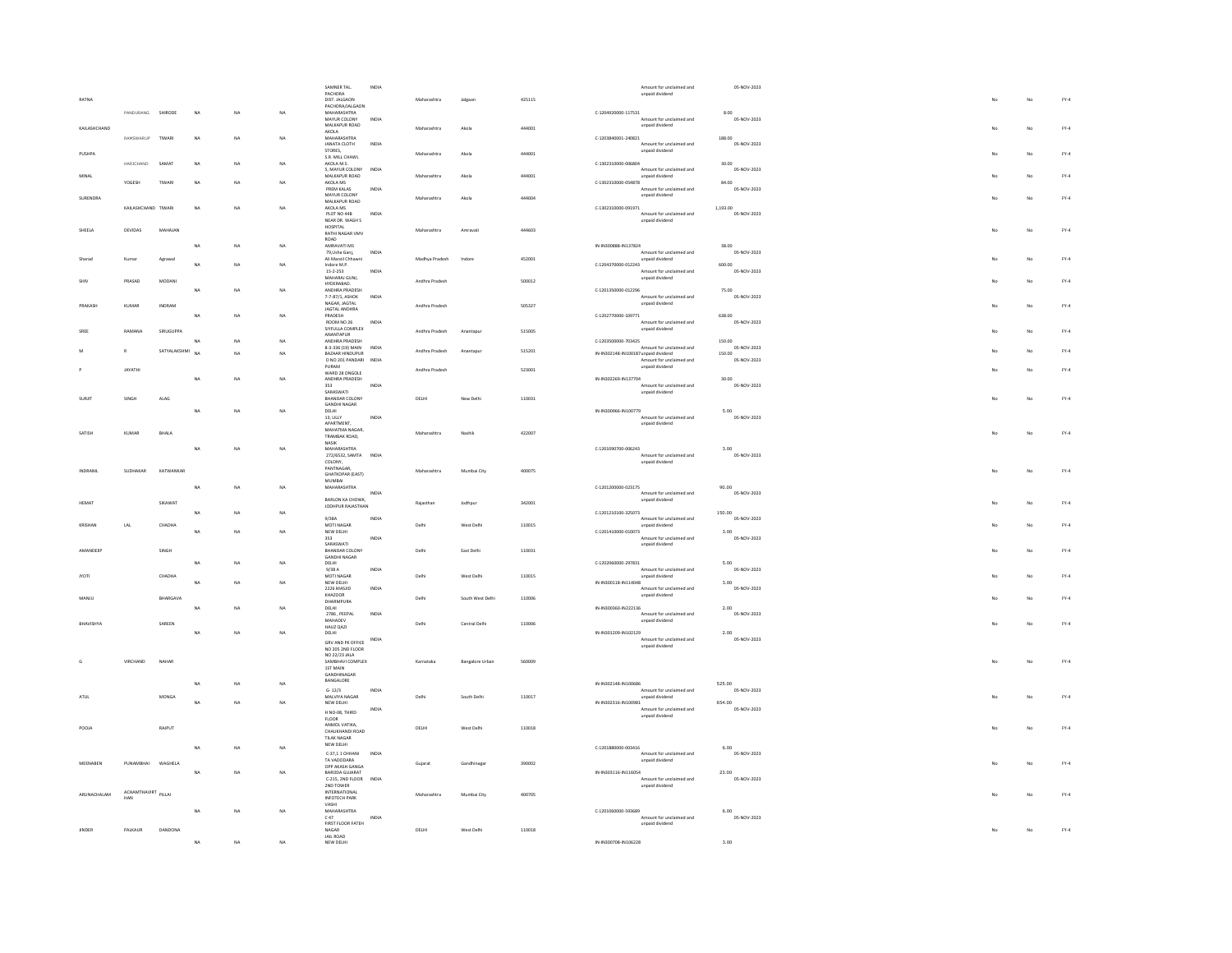|               |                            |                 |           |           |                         | SAMNER TAL.                               | INDIA        |                |                  |        |                       | Amount for unclaimed and                                         | 05-NOV-2023           |    |             |              |
|---------------|----------------------------|-----------------|-----------|-----------|-------------------------|-------------------------------------------|--------------|----------------|------------------|--------|-----------------------|------------------------------------------------------------------|-----------------------|----|-------------|--------------|
|               |                            |                 |           |           |                         | PACHORA<br>DIST. JALGAON                  |              | Maharashtra    | Jalgaon          | 425115 |                       | unpaid dividend                                                  |                       |    | No          | $FY-4$       |
|               |                            |                 |           |           |                         | PACHORA/JALGAON                           |              |                |                  |        |                       |                                                                  |                       |    |             |              |
|               | PANDURANG SHIRODE          |                 | NA        | NA        | $_{\rm NA}$             | MAHARASHTRA                               |              |                |                  |        | $C-1204920000-117531$ | Amount for unclaimed and                                         | 8.00                  |    |             |              |
|               |                            |                 |           |           |                         | MAYUR COLONY<br>MALKAPUR ROAD             | INDIA        |                |                  |        |                       | unpaid dividend                                                  | 05-NOV-2023           |    |             |              |
| KAILASHCHAND  |                            |                 |           |           |                         | AKOLA                                     |              | Maharashtra    | Akola            | 444001 |                       |                                                                  |                       |    | No          | $FY-4$       |
|               | RAMSWARUP                  | TIWARI          | NA        | NA        | NA                      | MAHARASHTRA<br>JANATA CLOTH               | INDIA        |                |                  |        | C-1203840001-240821   | Amount for unclaimed and                                         | 188.00<br>05-NOV-2023 |    |             |              |
|               |                            |                 |           |           |                         | STORES,                                   |              |                |                  |        |                       | unpaid dividend                                                  |                       |    |             | $FY-4$       |
| PUSHPA        |                            |                 |           |           |                         | S.R. MILL CHAWL                           |              | Maharashtra    | Akola            | 444001 |                       |                                                                  |                       |    | No          |              |
|               | HARICHAND                  | SAMA'           | NA        | NA        | NA                      | AKOLA M.S.<br>5. MAYUR COLONY             | INDIA        |                |                  |        | C-1302310000-006804   | Amount for unclaimed and                                         | 30.00<br>05-NOV-2023  |    |             |              |
| MINAL         |                            |                 |           |           |                         | MALKAPUR ROAD                             |              | Maharashtra    |                  | 444001 |                       | unpaid dividend                                                  |                       |    |             | $FY-4$       |
|               | YOGESH                     | TIWARI          | <b>NA</b> | NA        | NA                      | AKOLA MS                                  |              |                |                  |        | C-1302310000-054878   |                                                                  | 84.00                 |    |             |              |
|               |                            |                 |           |           |                         | PREM KALAS<br>MAYUR COLONY                | INDIA        |                |                  |        |                       | Amount for unclaimed and<br>unpaid dividend                      | 05-NOV-2023           |    |             |              |
| SURENDRA      |                            |                 |           |           |                         | MALKAPUR ROAD                             |              | Maharashtra    | Akola            | 444004 |                       |                                                                  |                       |    | No          | $FY-4$       |
|               | KAILASHCHAND TIWARI        |                 | NA        | NA        | NA                      | AKOLA MS                                  |              |                |                  |        | C-1302310000-091971   |                                                                  | 1.193.00              |    |             |              |
|               |                            |                 |           |           |                         | PLOT NO 44B<br>NEAR DR. WAGH S            | INDIA        |                |                  |        |                       | Amount for unclaimed and<br>unpaid dividend                      | 05-NOV-2023           |    |             |              |
| SHEELA        | DEVIDAS                    | MAHAJAN         |           |           |                         | HOSPITAL                                  |              | Maharashtra    | Amravati         | 444603 |                       |                                                                  |                       |    | $_{\rm No}$ | ${\sf FY-4}$ |
|               |                            |                 |           |           |                         | RATHI NAGAR VMV<br>ROAD                   |              |                |                  |        |                       |                                                                  |                       |    |             |              |
|               |                            |                 | <b>NA</b> | NA        | NA                      | AMRAVATI MS                               |              |                |                  |        | IN-IN300888-IN137824  |                                                                  | 38.00                 |    |             |              |
|               |                            |                 |           |           |                         | 79, Usha Ganj,                            | INDIA        |                |                  |        |                       | Amount for unclaimed and                                         | 05-NOV-2023           |    |             |              |
| Sharad        | Kumar                      | Agrawal         | <b>MA</b> | NA        | NA                      | Ali Manzil Chhawni<br>Indore M.P.         |              | Madhya Pradesh | Indore           | 452001 | C-1204370000-012243   | unpaid dividend                                                  | 600.00                |    | No          | $FY-4$       |
|               |                            |                 |           |           |                         | $15 - 2 - 253$                            | INDIA        |                |                  |        |                       | Amount for unclaimed and                                         | 05-NOV-2023           |    |             |              |
|               | PRASAD                     | MODAN           |           |           |                         | MAHARAJ GUNJ,                             |              | Andhra Pradesh |                  | 500012 |                       | unpaid dividend                                                  |                       |    | No          | $FY-4$       |
|               |                            |                 | NA        | NA        | NA                      | HYDERABAD.<br>ANDHRA PRADESH              |              |                |                  |        | C-1201350000-012296   |                                                                  | 75.00                 |    |             |              |
|               |                            |                 |           |           |                         | 7-7-87/1, ASHOK                           | <b>INDIA</b> |                |                  |        |                       | Amount for unclaimed and                                         | 05-NOV-2023           |    |             |              |
| PRAKASI       | KUMAR                      | INDRAM          |           |           |                         | NAGAR, JAGTAL<br>JAGTAL ANDHRA            |              | Andhra Pradesh |                  | 505327 |                       | unpaid dividend                                                  |                       |    | $_{\rm No}$ | $FY-4$       |
|               |                            |                 | NA        | <b>NA</b> | NA                      | PRADESH                                   |              |                |                  |        | C-1202770000-109771   |                                                                  | 638.00                |    |             |              |
|               |                            |                 |           |           |                         | ROOM NO 26                                | INDIA        |                |                  |        |                       | Amount for unclaimed and                                         | 05-NOV-2023           |    |             |              |
| SREE          | RAMANA                     | SIRUGUPPA       |           |           |                         | SIYFULLA COMPLEX                          |              | Andhra Pradesh | Anantapu         | 515005 |                       | unpaid dividend                                                  |                       |    | $_{\rm No}$ | $FY-4$       |
|               |                            |                 | NA        | NA        | NA                      | ANANTAPUR<br>ANDHRA PRADESH               |              |                |                  |        | C-1203500000-703425   |                                                                  | 150.00                |    |             |              |
|               | R                          | SATYALAKSHMI    |           |           |                         | 8-3-336 (19) MAIN                         | INDIA        | Andhra Pradesh | Anantapu         | 515201 |                       | Amount for unclaimed and                                         | 05-NOV-2023           |    | No          | $FY-4$       |
|               |                            |                 | NA        | <b>NA</b> | NA                      | BAZAAR HINDUPUR<br>D NO 201 PANDARI INDIA |              |                |                  |        |                       | IN-IN302148-IN100187 unpaid dividend<br>Amount for unclaimed and | 150.00<br>05-NOV-2023 |    |             |              |
|               |                            |                 |           |           |                         | PURAM                                     |              |                |                  |        |                       | unpaid dividend                                                  |                       |    |             |              |
|               | JAYATHI                    |                 |           |           |                         | WARD 28 ONGOLE                            |              | Andhra Pradesh |                  | 523001 |                       |                                                                  |                       |    | No          | $FY-4$       |
|               |                            |                 | NA        | NA        | NA                      | ANDHRA PRADESH<br>353                     | INDIA        |                |                  |        | IN-IN302269-IN137704  | -<br>Amount for unclaimed and                                    | 30.00<br>05-NOV-2023  |    |             |              |
|               |                            |                 |           |           |                         | SARASWATI                                 |              |                |                  |        |                       | unpaid dividend                                                  |                       |    |             |              |
| SURJIT        | SINGH                      | ALAG            |           |           |                         | BHANDAR COLONY                            |              | DELHI          | New Delhi        | 110031 |                       |                                                                  |                       |    | No          | $FY-4$       |
|               |                            |                 | <b>NA</b> | NA        | NA                      | GANDHI NAGAR<br>DELHI                     |              |                |                  |        | IN-IN300966-IN100779  |                                                                  | 5.00                  |    |             |              |
|               |                            |                 |           |           |                         | 13. LILLY                                 | INDIA        |                |                  |        |                       | Amount for unclaimed and                                         | 05-NOV-2023           |    |             |              |
|               |                            |                 |           |           |                         | APARTMENT,                                |              |                |                  |        |                       | unpaid dividend                                                  |                       |    |             |              |
| SATISH        | KUMAR                      | BHALA           |           |           |                         | MAHATMA NAGAR.<br>TRAMBAK ROAD,           |              | Maharashtra    | Nashik           | 422007 |                       |                                                                  |                       |    | No          | $FY-4$       |
|               |                            |                 |           |           |                         | <b>NASIK</b>                              |              |                |                  |        |                       |                                                                  |                       |    |             |              |
|               |                            |                 | <b>NA</b> | NA        | NA                      | MAHARASHTRA                               |              |                |                  |        | C-1201090700-006243   | Amount for unclaimed and                                         | 3.00<br>05-NOV-2023   |    |             |              |
|               |                            |                 |           |           |                         | 272/6532, SAMTA INDIA<br>COLONY,          |              |                |                  |        |                       | unpaid dividend                                                  |                       |    |             |              |
|               |                            |                 |           |           |                         | PANTNAGAR.                                |              |                |                  |        |                       |                                                                  |                       |    |             |              |
|               |                            |                 |           |           |                         |                                           |              |                |                  |        |                       |                                                                  |                       |    |             |              |
| INDRANIL      | SUDHAKAR                   | KATWANKAR       |           |           |                         | <b>GHATKOPAR</b> (EAST)                   |              | Maharashtra    | Mumbai City      | 400075 |                       |                                                                  |                       |    | No          | $FY-4$       |
|               |                            |                 | NA        |           | NA                      | <b>MUMBAI</b>                             |              |                |                  |        |                       |                                                                  | 90.00                 |    |             |              |
|               |                            |                 |           | NA        |                         | MAHARASHTRA                               | INDIA        |                |                  |        | C-1201200000-023175   | Amount for unclaimed and                                         | 05-NOV-2023           |    |             |              |
| <b>HEMAT</b>  |                            | SIKAWAT         |           |           |                         | BARLON KA CHOWK,                          |              | Rajasthar      | Jodhpur          | 342001 |                       | unpaid dividend                                                  |                       |    | No          | $FN-4$       |
|               |                            |                 | NA        | NA        | NA                      | JODHPUR RAJASTHAN                         |              |                |                  |        | C-1201210100-325073   |                                                                  |                       |    |             |              |
|               |                            |                 |           |           |                         | 9/38A                                     | INDIA        |                |                  |        |                       | Amount for unclaimed and                                         | 150.00<br>05-NOV-2023 |    |             |              |
| KRISHAN       | $_{\rm LAL}$               | CHADHA          |           |           |                         | MOTI NAGAR                                |              | Delhi          | West Delhi       | 110015 |                       | unpaid dividend                                                  |                       |    | No          | $FN-4$       |
|               |                            |                 | <b>NA</b> | NA        | NA                      | NEW DELHI<br>353                          | INDIA        |                |                  |        | C-1201410000-010073   | Amount for unclaimed and                                         | 3.00<br>05-NOV-2023   |    |             |              |
|               |                            |                 |           |           |                         | SARASWATI                                 |              |                |                  |        |                       | unpaid dividend                                                  |                       |    |             |              |
| AMANDEER      |                            | SINGH           |           |           |                         | BHANDAR COLONY<br><b>GANDHI NAGAR</b>     |              | Delhi          | East Delhi       | 110031 |                       |                                                                  |                       |    | No          | $FN-4$       |
|               |                            |                 | NA        | NA        | NA                      | DELHI                                     |              |                |                  |        | C-1202060000-297831   |                                                                  | 5.00                  |    |             |              |
| <b>MOTI</b>   |                            | CHADHA          |           |           |                         | 9/38A<br>MOTI NAGAR                       | INDIA        | Delhi          | West Delhi       | 110015 |                       | Amount for unclaimed and                                         | 05-NOV-2023           |    | No          | $FN-4$       |
|               |                            |                 | <b>NA</b> | NA        | NA                      | NEW DELHI                                 |              |                |                  |        | IN-IN300118-IN114048  | unpaid dividend                                                  | 3.00                  |    |             |              |
|               |                            |                 |           |           |                         | 2226 MASJID                               | INDIA        |                |                  |        |                       | Amount for unclaimed and                                         | 05-NOV-2023           |    |             |              |
| MANJU         |                            | <b>BHARGAVA</b> |           |           |                         | KHAZOOR<br>DHARMPURA                      |              | Delhi          | South West Delhi | 110006 |                       | unpaid dividend                                                  |                       |    | No          | $FY-4$       |
|               |                            |                 | <b>NA</b> | NA        | NA                      | DELHI                                     |              |                |                  |        | IN-IN300360-IN222136  |                                                                  | 2.00                  |    |             |              |
|               |                            |                 |           |           |                         | 2786, PEEPAL                              | INDIA        |                |                  |        |                       | Amount for unclaimed and                                         | 05-NOV-2023           |    |             |              |
| BHAVISHYA     |                            | SAREEN          |           |           |                         | MAHADEV<br>HAUZ QAZI                      |              | Delhi          | Central Delhi    | 110006 |                       | unpaid dividend                                                  |                       |    | No          | $FN-4$       |
|               |                            |                 | <b>NA</b> | NA        | $_{\rm NA}$             | DELHI                                     |              |                |                  |        | IN-IN301209-IN102129  |                                                                  | 2.00                  |    |             |              |
|               |                            |                 |           |           |                         | GRV AND PK OFFICE                         | INDIA        |                |                  |        |                       | Amount for unclaimed and<br>unpaid dividend                      | 05-NOV-2023           |    |             |              |
|               |                            |                 |           |           |                         | NO 205 2ND FLOOR                          |              |                |                  |        |                       |                                                                  |                       |    |             |              |
| G             | VIRCHAND                   | NAHAR           |           |           |                         | NO 22/23 JALA<br>SAMBHAVI COMPLEX         |              | Karnataka      | Bangalore Urban  | 560009 |                       |                                                                  |                       | No | No          | $FY-4$       |
|               |                            |                 |           |           |                         | 1ST MAIN                                  |              |                |                  |        |                       |                                                                  |                       |    |             |              |
|               |                            |                 |           |           |                         | GANDHINAGAR                               |              |                |                  |        |                       |                                                                  |                       |    |             |              |
|               |                            |                 | <b>NA</b> | NA        | NA                      | BANGALORE<br>$G - 12/3$                   | INDIA        |                |                  |        | IN-IN302148-IN100686  | Amount for unclaimed and                                         | 525.00<br>05-NOV-2023 |    |             |              |
| ATUL          |                            | MONGA           |           |           |                         | MALVIYA NAGAR                             |              | Delhi          | South Delh       | 110017 |                       | unpaid dividend                                                  |                       |    | No          | $FY-4$       |
|               |                            |                 | <b>NA</b> | NA        | NA                      | NEW DELHI                                 |              |                |                  |        | IN-IN302316-IN100981  |                                                                  | 654.00                |    |             |              |
|               |                            |                 |           |           |                         | H NO-08, THIRD                            | INDIA        |                |                  |        |                       | Amount for unclaimed and<br>unpaid dividend                      | 05-NOV-2023           |    |             |              |
|               |                            |                 |           |           |                         | <b>FLOOR</b>                              |              |                |                  |        |                       |                                                                  |                       |    |             |              |
| POOIA         |                            | RAIPLIT         |           |           |                         | ANMOL VATIKA,<br>CHAUKHANDI ROAD          |              | DELHI          | West Delhi       | 110018 |                       |                                                                  |                       |    | No          | $FY-4$       |
|               |                            |                 |           |           |                         | <b>TILAK NAGAR</b>                        |              |                |                  |        |                       |                                                                  |                       |    |             |              |
|               |                            |                 | NA        | NA        | NA                      | NEW DELHI                                 |              |                |                  |        | C-1201880000-003416   |                                                                  | 6.00                  |    |             |              |
|               |                            |                 |           |           |                         | C-37.1 1 CHHANI                           | INDIA        |                |                  |        |                       | Amount for unclaimed and                                         | 05-NOV-2023           |    |             |              |
| MEENABEN      | PUNAMBHAI                  | WAGHELA         |           |           |                         | TA VADODARA<br>OPP AKASH GANGA            |              | Gujarat        | Gandhinagar      | 390002 |                       | unpaid dividend                                                  |                       |    | No          | ${\sf FY-4}$ |
|               |                            |                 | NA        | NA        | NA                      | BARODA GUJARAT                            |              |                |                  |        | IN-IN303116-IN116054  |                                                                  | 23.00                 |    |             |              |
|               |                            |                 |           |           |                         | C-215, 2ND FLOOR INDIA<br>2ND TOWER       |              |                |                  |        |                       | Amount for unclaimed and<br>unpaid dividend                      | 05-NOV-2023           |    |             |              |
| ARLINACHALAM  |                            |                 |           |           |                         | <b>INTERNATIONAL</b>                      |              | Maharashtra    | Mumbai City      | 400705 |                       |                                                                  |                       |    | No          | $FY-4$       |
|               | ACHAMTHAVIRT PILLAI<br>HAN |                 |           |           |                         | <b>INFOTECH PARK</b>                      |              |                |                  |        |                       |                                                                  |                       |    |             |              |
|               |                            |                 | <b>NA</b> | NA        | $\overline{\mathbf{z}}$ | VASHI<br>MAHARASHTRA                      |              |                |                  |        | C-1201060000-593689   |                                                                  | 6.00                  |    |             |              |
|               |                            |                 |           |           |                         | C.47                                      | INDIA        |                |                  |        |                       | Amount for unclaimed and                                         | 05-NOV-2023           |    |             |              |
| <b>JINDER</b> | PALKAUR                    | DANDONA         |           |           |                         | FIRST FLOOR FATEH<br>NAGAR                |              | DELHI          | West Delhi       | 110018 |                       | unpaid dividend                                                  |                       |    | No          | $FN-4$       |
|               |                            |                 |           | NA        | NA                      | <b>JAIL ROAD</b><br>NEW DELHI             |              |                |                  |        | IN-IN300708-IN106228  |                                                                  | 3.00                  |    |             |              |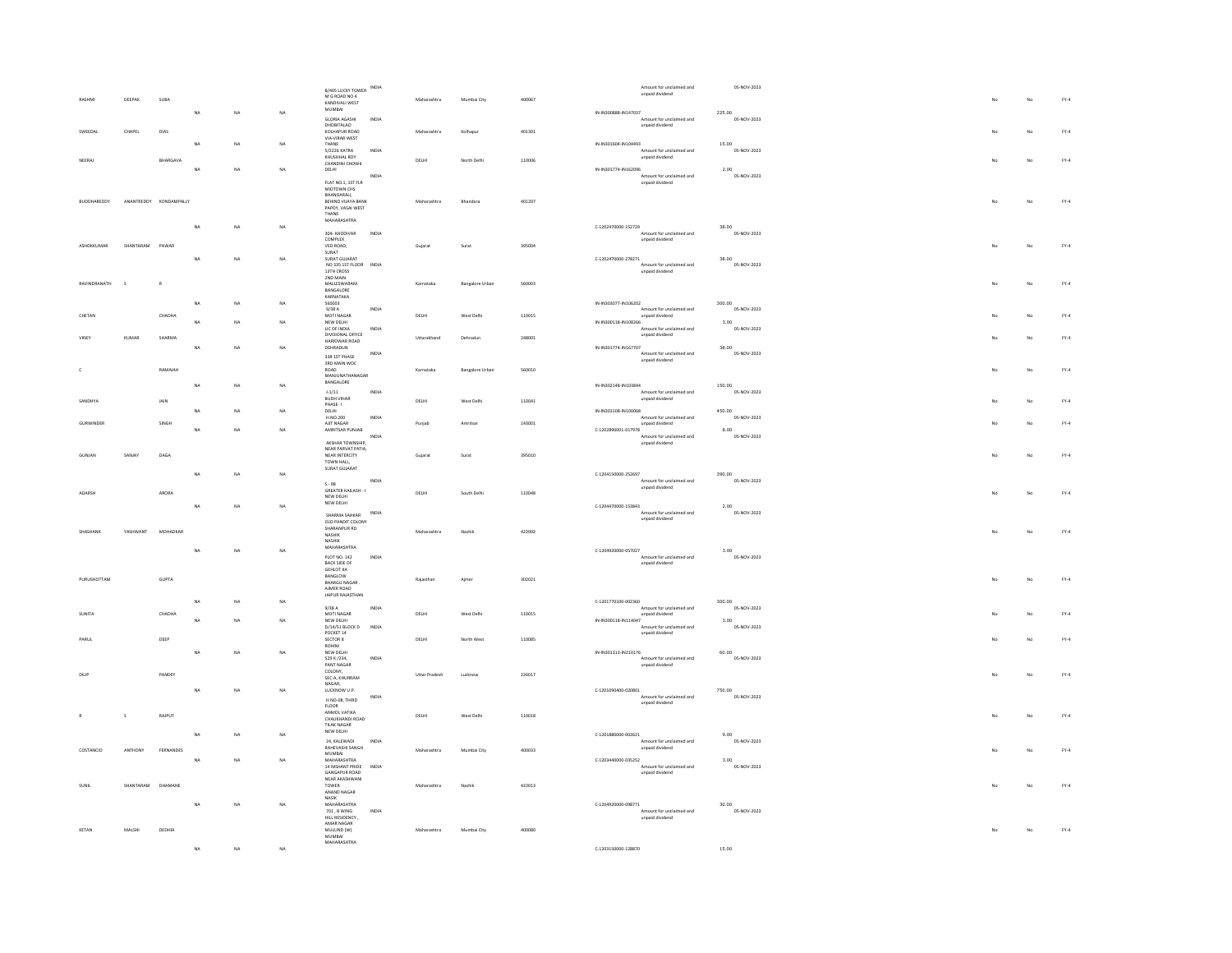|              |                      |                        |             |           |           | B/405 LUCKY TOWER INDIA                 |       |               |                        |        | Amount for unclaimed and                         | 05-NOV-2023           |    |    |        |
|--------------|----------------------|------------------------|-------------|-----------|-----------|-----------------------------------------|-------|---------------|------------------------|--------|--------------------------------------------------|-----------------------|----|----|--------|
| <b>RASHM</b> | DEEPAK               | SUBA                   |             |           |           | M G ROAD NO 4                           |       | Maharashtra   | Mumbai City            | 400067 | unpaid dividend                                  |                       |    | No | $FY-4$ |
|              |                      |                        |             |           |           | KANDIVALL WEST<br>MUMBAI                |       |               |                        |        |                                                  |                       |    |    |        |
|              |                      |                        | $_{\sf NA}$ | NA        | NA        | GLORIA AGASHI                           | INDIA |               |                        |        | IN-IN300888-IN147037<br>Amount for unclaimed and | 225.00<br>05-NOV-2023 |    |    |        |
|              |                      |                        |             |           |           | DHOBITALAO                              |       |               |                        |        | unpaid dividend                                  |                       |    |    |        |
| SWEEDAL      | CHAPEL               | DIAS                   |             |           |           | KOLHAPUR ROAD<br>VIA-VIRAR WEST         |       | Maharashtra   | Kolhapur               | 401301 |                                                  |                       |    | No | $FY-4$ |
|              |                      |                        | NA          | NA        | NA        | THANE                                   |       |               |                        |        | IN-IN301604-IN104493                             | 15.00                 |    |    |        |
|              |                      |                        |             |           |           | 5/2226 KATRA<br>KHUSHHAL ROY            | INDIA |               |                        |        | Amount for unclaimed and<br>unpaid dividend      | 05-NOV-2023           |    |    |        |
| NEERAJ       |                      | BHARGAVA               |             |           |           | CHANDINI CHOWK                          |       | DELHI         | North Delhi            | 110006 |                                                  |                       |    | No | $FY-4$ |
|              |                      |                        | <b>NA</b>   | NA        | NA        | DELHI                                   | INDIA |               |                        |        | IN-IN301774-IN162096<br>Amount for unclaimed and | 2.00<br>05-NOV-2023   |    |    |        |
|              |                      |                        |             |           |           | FLAT NO.1, 1ST FLR                      |       |               |                        |        | unpaid dividend                                  |                       |    |    |        |
|              |                      |                        |             |           |           | MIDTOWN CHS                             |       |               |                        |        |                                                  |                       |    |    |        |
| BUDDHAREDDY  |                      | ANANTREDDY KONDAMPALLY |             |           |           | BHANDARALI,<br>BEHIND VUAYA BANK        |       | Maharashtra   | Bhandara               | 401207 |                                                  |                       | No | No | $FY-4$ |
|              |                      |                        |             |           |           | PAPDY, VASAI WEST                       |       |               |                        |        |                                                  |                       |    |    |        |
|              |                      |                        |             |           |           | THANE<br>MAHARASHTRA                    |       |               |                        |        |                                                  |                       |    |    |        |
|              |                      |                        | NA          | <b>NA</b> | <b>NA</b> |                                         |       |               |                        |        | C-1202470000-152729                              | 38.00                 |    |    |        |
|              |                      |                        |             |           |           | 304- KHODIVAR<br>COMPLEX                | INDIA |               |                        |        | Amount for unclaimed and<br>unpaid dividend      | 05-NOV-2023           |    |    |        |
| ASHOKKUMAR   | SHANTARAM            | PAWAR                  |             |           |           | VED ROAD,                               |       | Gujarat       | Surat                  | 395004 |                                                  |                       |    | No | $FY-4$ |
|              |                      |                        | NA          | NA        | NA        | SURAT<br>SURAT GUJARAT                  |       |               |                        |        | C-1202470000-278271                              | 38.00                 |    |    |        |
|              |                      |                        |             |           |           | NO 335 1ST FLOOR INDIA                  |       |               |                        |        | Amount for unclaimed and                         | 05-NOV-2023           |    |    |        |
|              |                      |                        |             |           |           | 13TH CROSS                              |       |               |                        |        | unpaid dividend                                  |                       |    |    |        |
| RAVINDRANATH | $\ddot{\phantom{1}}$ | $\mathbb{R}$           |             |           |           | 2ND MAIN<br>MALLESWARAM                 |       | Karnataka     | <b>Bangalore Urban</b> | 560003 |                                                  |                       | No | No | $FY-4$ |
|              |                      |                        |             |           |           | BANGALORE                               |       |               |                        |        |                                                  |                       |    |    |        |
|              |                      |                        | $_{\sf NA}$ | NA        | NA        | KARNATAKA<br>560003                     |       |               |                        |        | IN-IN303077-IN106202                             | 300.00                |    |    |        |
|              |                      |                        |             |           |           | 9/38A                                   | INDIA |               |                        |        | Amount for unclaimed and                         | 05-NOV-2023           |    |    |        |
| CHETAN       |                      | CHADHA                 | <b>NA</b>   | NA        | NA        | MOTI NAGAR<br>NEW DELHI                 |       | DELHI         | West Delhi             | 110015 | unpaid dividend<br>IN-IN300118-IN108266          | 3.00                  |    | No | $FY-4$ |
|              |                      |                        |             |           |           | LIC OF INDIA                            | INDIA |               |                        |        | Amount for unclaimed and                         | 05-NOV-2023           |    |    |        |
| <b>JINEY</b> | <b>KUMAR</b>         | SHARMA                 |             |           |           | DIVISIONAL OFFICE                       |       | Uttarakhand   | Dehradun               | 248001 | unpaid dividend                                  |                       |    | No | $FY-4$ |
|              |                      |                        | NA          | NA        | NA        | HARIDWAR ROAD<br>DEHRADUN               |       |               |                        |        | IN-IN301774-IN167707                             | 38.00                 |    |    |        |
|              |                      |                        |             |           |           | 338 1ST PHASE                           | INDIA |               |                        |        | Amount for unclaimed and                         | 05-NOV-2023           |    |    |        |
|              |                      |                        |             |           |           | 3RD MAIN WOC                            |       |               |                        |        | unpaid dividend                                  |                       |    |    |        |
|              |                      | RAMAIAH                |             |           |           | $ROAD$<br>MANJUNATHANAGAR               |       | Karnataka     | <b>Bangalore Urban</b> | 560010 |                                                  |                       |    | No | $FY-4$ |
|              |                      |                        | NA          | NA        | NA        | BANGALORE                               |       |               |                        |        | IN-IN302148-IN103844                             | 150.00                |    |    |        |
|              |                      |                        |             |           |           | $1 - 1/11$                              | INDIA |               |                        |        | Amount for unclaimed and                         | 05-NOV-2023           |    |    |        |
| SANDHYA      |                      | JAIN                   |             |           |           | <b>BUDH VIHAR</b><br>PHASE-1            |       | DELHI         | West Delhi             | 110041 | unpaid dividend                                  |                       |    | No | $FY-4$ |
|              |                      |                        | NA          | NA        | NA        | DELHI<br>H.NO.200                       |       |               |                        |        | IN-IN303108-IN100068                             | 450.00                |    |    |        |
| GURWINDER    |                      | SINGH                  |             |           |           | AUT NAGAR                               | INDIA |               | Amritian               | 143001 | Amount for unclaimed and                         | 05-NOV-2023           |    | No | $FY-4$ |
|              |                      |                        | <b>NA</b>   | NA        | NA        | AMRITSAR PUNJAB                         |       | Punjab        |                        |        | unpaid dividend<br>C-1202890001-017978           | 8.00                  |    |    |        |
|              |                      |                        |             |           |           |                                         | INDIA |               |                        |        | Amount for unclaimed and                         | 05-NOV-2023           |    |    |        |
|              |                      |                        |             |           |           | AKSHAR TOWNSHIP,<br>NEAR PARVAT PATIA   |       |               |                        |        | unpaid dividend                                  |                       |    |    |        |
| GUNJAN       | SANJAY               | DAGA                   |             |           |           | NEAR INTERCITY                          |       | Gujarat       | Surat                  | 395010 |                                                  |                       |    | No | $FY-4$ |
|              |                      |                        |             |           |           | TOWN HALL                               |       |               |                        |        |                                                  |                       |    |    |        |
|              |                      |                        |             |           |           |                                         |       |               |                        |        |                                                  |                       |    |    |        |
|              |                      |                        | NA          | <b>NA</b> | NA        | SURAT GUJARAT                           |       |               |                        |        | C-1204150000-252697                              | 390.00                |    |    |        |
|              |                      |                        |             |           |           |                                         | INDIA |               |                        |        | Amount for unclaimed and                         | 05-NOV-2023           |    |    |        |
| anarsk       |                      |                        |             |           |           | $S \cdot 98$<br>GREATER KAILASH - I     |       |               |                        |        | unpaid dividend                                  |                       |    |    |        |
|              |                      | ARORA                  |             |           |           | NEW DELHI<br>NEW DELHI                  |       | DELHI         | South Delhi            | 110048 |                                                  |                       |    | No | $FY-4$ |
|              |                      |                        | <b>NA</b>   | NA        | NA        |                                         |       |               |                        |        | C-1204470000-153843                              | 2.00                  |    |    |        |
|              |                      |                        |             |           |           | SHARMA SAHKAR                           | INDIA |               |                        |        | Amount for unclaimed and<br>unpaid dividend      | 05-NOV-2023           |    |    |        |
|              |                      |                        |             |           |           | OLD PANDIT COLONY<br>SHARANPUR RD       |       |               |                        |        |                                                  |                       |    |    |        |
| SHASHANK     | YASHWANT             | MOHADKAR               |             |           |           | NASHIK                                  |       | Maharashtra   | Nashik                 | 422002 |                                                  |                       | No | No | $FY-4$ |
|              |                      |                        |             |           |           | <b>NASHIK</b><br><b>MAHARASHTRA</b>     |       |               |                        |        |                                                  |                       |    |    |        |
|              |                      |                        | NA          | NA        | NA        | <b>PLOT NO. 142</b>                     | INDIA |               |                        |        | C-1204920000-057027<br>Amount for unclaimed and  | 3.00<br>05-NOV-2023   |    |    |        |
|              |                      |                        |             |           |           | <b>BACK SIDE OF</b>                     |       |               |                        |        | unpaid dividend                                  |                       |    |    |        |
|              |                      |                        |             |           |           | <b>GEHLOT KA</b><br>BANGLOW             |       |               |                        |        |                                                  |                       |    |    |        |
| PURUSHOTTAM  |                      | GUPTA                  |             |           |           | BHARGU NAGAR.                           |       | Rajasthan     | Ajmer                  | 302021 |                                                  |                       |    | No | $FY-4$ |
|              |                      |                        |             |           |           | AIMER ROAD                              |       |               |                        |        |                                                  |                       |    |    |        |
|              |                      |                        | <b>NA</b>   | NA        | NA        | JAIPUR RAJASTHAN                        |       |               |                        |        | C-1201770100-002360                              | 300.00                |    |    |        |
|              |                      |                        |             |           |           | 9/38 A                                  | INDIA |               |                        |        | Amount for unclaimed and                         | 05-NOV-2023           |    |    |        |
| SUNITA       |                      | CHADHA                 |             | NA        | NA        | MOTI NAGAR<br>NEW DELHI                 |       | <b>DELHI</b>  | West Delhi             | 110015 | unpaid dividend<br>IN-IN300118-IN114047          | 3.00                  |    | No | $FY-4$ |
|              |                      |                        |             |           |           | D/14/51 BLOCK D                         | INDIA |               |                        |        | Amount for unclaimed and                         | 05-NOV-2023           |    |    |        |
| PARUL        |                      | DEEP                   |             |           |           | POCKET 14<br>SECTOR 8                   |       | DELHI         | North West             | 110085 | unpaid dividend                                  |                       |    | No | $FY-4$ |
|              |                      |                        |             |           |           | ROHINI                                  |       |               |                        |        |                                                  |                       |    |    |        |
|              |                      |                        | <b>NA</b>   | NA        | NA        | NEW DELHI                               | INDIA |               |                        |        | IN-IN301313-IN210176                             | 60.00<br>05-NOV-2023  |    |    |        |
|              |                      |                        |             |           |           | 529 K /234,<br>PANT NAGAR               |       |               |                        |        | Amount for unclaimed and<br>unpaid dividend      |                       |    |    |        |
|              |                      | PANDEY                 |             |           |           |                                         |       | Uttar Pradesh | Lucknow                | 226017 |                                                  |                       |    | No | $FY-4$ |
|              |                      |                        |             |           |           | COLONY,<br>SEC-A, KHURRAM<br>NAGAR.     |       |               |                        |        |                                                  |                       |    |    |        |
|              |                      |                        | NA          | NA        | NA        | LUCKNOW U.P.                            |       |               |                        |        | $C-1201090400-020801$                            | 750.00                |    |    |        |
|              |                      |                        |             |           |           |                                         | INDIA |               |                        |        | Amount for unclaimed and<br>unpaid dividend      | 05-NOV-2023           |    |    |        |
|              |                      |                        |             |           |           | H NO-08, THIRD<br>FLOOR<br>ANMOL VATIKA |       |               |                        |        |                                                  |                       |    |    |        |
|              | $\sf s$              | RAIPUT                 |             |           |           | CHAUKHANDI ROAD                         |       | DELHI         | West Delhi             | 110018 |                                                  |                       |    | No | $FY-4$ |
|              |                      |                        |             |           |           | TILAK NAGAR                             |       |               |                        |        |                                                  |                       |    |    |        |
|              |                      |                        | NA          | NA        | NA        | NEW DELHI<br>24. KALEWADI               | INDIA |               |                        |        | C-1201880000-002621<br>Amount for unclaimed and  | 9.00<br>05-NOV-2023   |    |    |        |
| COSTANCIO    | ANTHONY              | FERNANDES              |             |           |           | RAHEVASHI SANGH                         |       | Maharashtra   | Mumbai City            | 400033 | unpaid dividend                                  |                       |    | No | $FY-4$ |
|              |                      |                        | <b>NA</b>   |           |           | MUMRAL                                  |       |               |                        |        |                                                  |                       |    |    |        |
|              |                      |                        |             | NA        | NA        | MAHARASHTRA<br>14 NISHANT PRIDE         | INDIA |               |                        |        | C-1203440000-035252<br>Amount for unclaimed and  | 3.00<br>05-NOV-2023   |    |    |        |
|              |                      |                        |             |           |           | GANGAPUR ROAD                           |       |               |                        |        | unpaid dividend                                  |                       |    |    |        |
|              | SHANTARAM            | DHAMANE                |             |           |           | NEAR AKASHWANI<br>TOWER                 |       | Maharashtra   | Nashir                 | 422013 |                                                  |                       |    | No | $FY-4$ |
|              |                      |                        |             |           |           | ANAND NAGAR                             |       |               |                        |        |                                                  |                       |    |    |        |
|              |                      |                        | NA          | NA        | NA        | $\textsf{NASIK}$<br>MAHARASHTRA         |       |               |                        |        | C-1204920000-098771                              | 30.00                 |    |    |        |
|              |                      |                        |             |           |           | 701, B WING                             | INDIA |               |                        |        | Amount for unclaimed and                         | 05-NOV-2023           |    |    |        |
|              |                      |                        |             |           |           | HILL RESIDENCY,<br>AMAR NAGAR           |       |               |                        |        | unpaid dividend                                  |                       |    |    |        |
| KETAN        | MALSHI               | DEDHIA                 |             |           |           | MULUND (W)                              |       | Maharashtra   | Mumbai City            | 400080 |                                                  |                       | No | No | $FY-4$ |
|              |                      |                        |             | NA        | NA        | <b>MUMBAI</b><br>MAHARASHTRA            |       |               |                        |        | C-1203150000-128870                              | 15.00                 |    |    |        |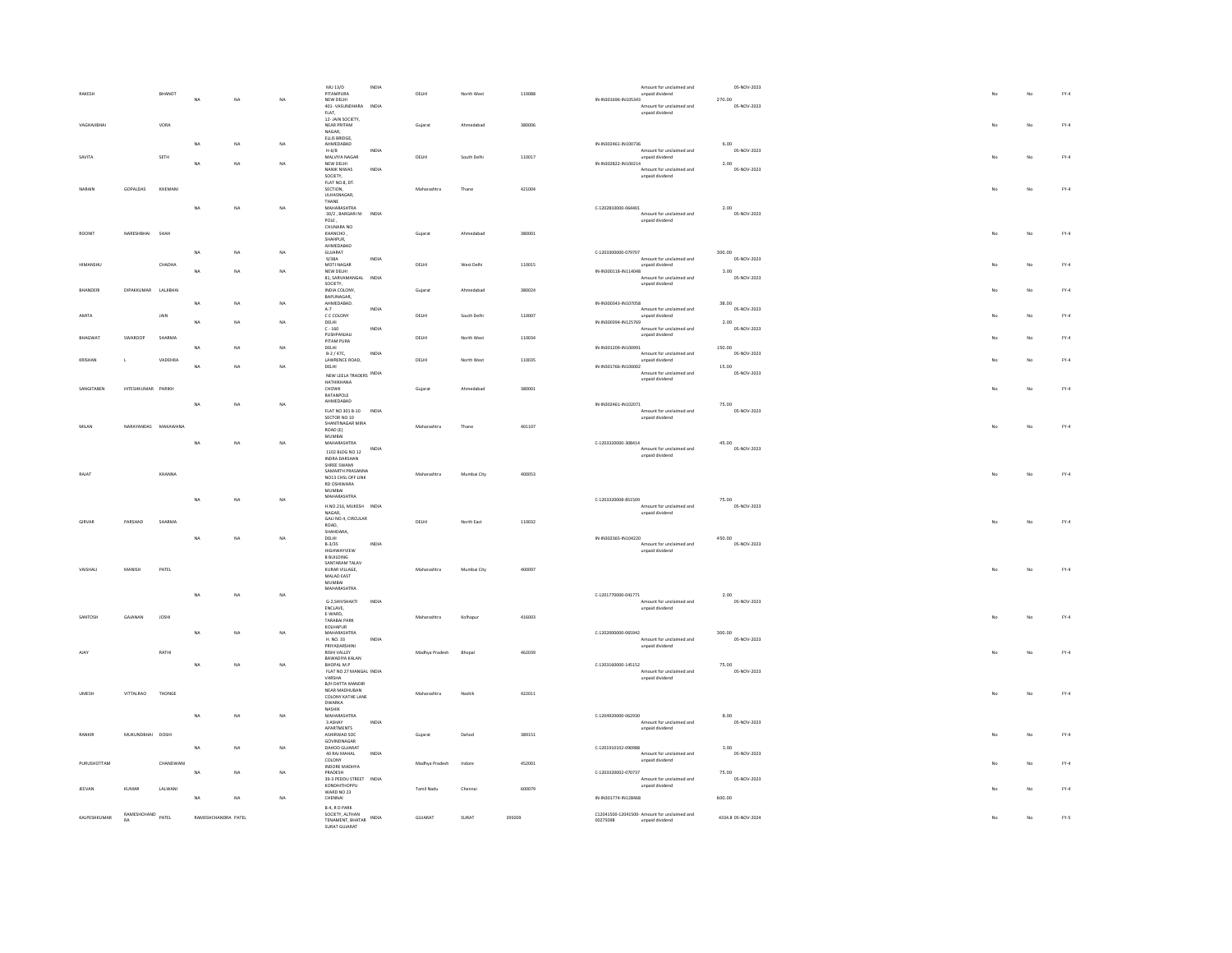| RAKESH         |                                | <b>BHANOT</b> |                     |           |           | $MU$ 13/D<br><b>PITAMPLIRA</b>                         | INDV         | DELHI          | North West  | 110088 | Amount for unclaimed and<br>unpaid dividend                                 | 05-NOV-2023           |    |    | $FY-4$       |
|----------------|--------------------------------|---------------|---------------------|-----------|-----------|--------------------------------------------------------|--------------|----------------|-------------|--------|-----------------------------------------------------------------------------|-----------------------|----|----|--------------|
|                |                                |               | NA                  | NA        | NA        | NEW DELHI<br>401- VASUNDHARA INDIA                     |              |                |             |        | IN-IN301696-IN105343<br>Amount for unclaimed and                            | 270.00<br>05-NOV-2023 |    |    |              |
|                |                                |               |                     |           |           | $FLAT,$<br>12-JAIN SOCIETY                             |              |                |             |        | unpaid dividend                                                             |                       |    |    |              |
| VAGHAJIBHAI    |                                | VORA          |                     |           |           | NEAR PRITAM<br>$\texttt{NAGAR}_\tau$                   |              | Gujarat        | Ahmedabad   | 380006 |                                                                             |                       |    | No | $FY-4$       |
|                |                                |               | NA                  | NA        | NA        | ELLIS BRIDGE.<br>AHMEDABAD                             | INDIA        |                |             |        | IN-IN302461-IN100736<br>Amount for unclaimed and                            | 6.00<br>05-NOV-2023   |    |    |              |
| SAVITA         |                                | ${\tt SETH}$  | NA                  | NA        | NA        | MALVIYA NAGAR<br>NEW DELHI                             |              | DELHI          | South Delhi | 110017 | unpaid dividend<br>IN-IN302822-IN100214                                     | 2.00                  |    | No | ${\sf FY-4}$ |
|                |                                |               |                     |           |           | NANIK NIWAS<br>SOCIETY                                 | INDIA        |                |             |        | Amount for unclaimed and<br>unpaid dividend                                 | 05-NOV-2023           |    |    |              |
| NARAIN         | GOPALDAS                       | KHEMANI       |                     |           |           | FLAT NO.8, DT.<br>SECTION,                             |              | Maharashtra    | Thane       | 421004 |                                                                             |                       |    | No | $FY-4$       |
|                |                                |               | NA                  | NA        | NA        | ULHASNAGAR,<br>THANE<br>MAHARASHTRA                    |              |                |             |        | C-1202810000-064401                                                         | 2.00                  |    |    |              |
|                |                                |               |                     |           |           | 30/2, BARGARI NI<br>POLE,                              | INDIA        |                |             |        | Amount for unclaimed and<br>unpaid dividend                                 | 05-NOV-2023           |    |    |              |
| ROONIT         | NARESHBHAI                     | SHAH          |                     |           |           | CHUNARA NO<br>KHANCHO.                                 |              | Gujarat        | Ahmedabad   | 380001 |                                                                             |                       |    | No | $FY-4$       |
|                |                                |               |                     |           |           | SHAHPUR,<br>AHMEDARAD                                  |              |                |             |        |                                                                             |                       |    |    |              |
|                |                                | CHADHA        | NA                  | NA        | NA        | GUJARAT<br>9/38A<br>MOTI NAGAR                         | <b>INDIA</b> | $DELHI$        | West Delhi  | 110015 | C-1203300000-079707<br>Amount for unclaimed and<br>unpaid dividend          | 300.00<br>05-NOV-2023 |    | No | ${\sf FY-4}$ |
|                |                                |               | NA                  | NA        | <b>NA</b> | NEW DELHI<br>81, SARVAMANGAL INDIA                     |              |                |             |        | IN-IN300118-IN114048<br>Amount for unclaimed and                            | 3.00<br>05-NOV-2023   |    |    |              |
| BHANDER        | DIPAKKUMAR LALJIBHAI           |               |                     |           |           | SOCIETY,<br>INDIA COLONY.                              |              | Guiarat        | Ahmedabad   | 380024 | unpaid dividend                                                             |                       |    | No | $FY-4$       |
|                |                                |               | NA                  | NA        | NA        | BAPUNAGAR,<br>AHMEDABAD.                               |              |                |             |        | IN-IN300343-IN107058                                                        | 38.00                 |    |    |              |
| AMITA          |                                | JAIN          |                     | NA        | NA        | $A-7$<br>C C COLONY<br>DELHI                           | INDIA        | DELHI          | South Delhi | 110007 | Amount for unclaimed and<br>unpaid dividend<br>IN-IN300394-IN125769         | 05-NOV-2023<br>2.00   |    | No | $FY-4$       |
|                |                                |               |                     |           |           | $C - 160$<br>PUSHPANJALI                               | <b>INDIA</b> |                |             |        | Amount for unclaimed and<br>unpaid dividend                                 | 05-NOV-2023           |    |    |              |
| <b>BHAGWA</b>  | SWAROOP                        | SHARMA        | NA                  | NA.       | NA        | PITAM PURA<br>DELHI                                    |              | DELHI          | North West  | 110034 | IN-IN301209-IN100991                                                        | 150.00                |    | No | $FY-4$       |
| <b>KRISHAN</b> | $\mathbf{L}$                   | VADEHRA       |                     |           |           | B-2 / 47C,<br>LAWRENCE ROAD,                           | INDIA        | DELHI          | North West  | 110035 | Amount for unclaimed and<br>unpaid dividend                                 | 05-NOV-2023           |    | No | $FY-4$       |
|                |                                |               | NA                  | NA        | NA        | DELHI<br>NEW LEELA TRADERS INDIA                       |              |                |             |        | IN-IN301766-IN100002<br>Amount for unclaimed and<br>unpaid dividend         | 15.00<br>05-NOV-2023  |    |    |              |
| SANGITAREN     | HITESHKUMAR PARIKH             |               |                     |           |           | HATHIKHANA<br>CHOWK                                    |              | Gujarat        | Ahmedahad   | 380001 |                                                                             |                       | No | No | $FY-4$       |
|                |                                |               | $_{\sf NA}$         | NA        | NA        | RATANPOLE<br>AHMEDABAD                                 |              |                |             |        | IN-IN302461-IN102071                                                        | 75.00                 |    |    |              |
|                |                                |               |                     |           |           | FLAT NO 301 B-10 INDIA<br>SECTOR NO 10                 |              |                |             |        | Amount for unclaimed and<br>unpaid dividend                                 | 05-NOV-2023           |    |    |              |
| MILAN          | NARAYANDAS MAKAWANA            |               |                     |           |           | SHANTINAGAR MIRA<br>ROAD (E)<br>MUMBAI                 |              | Maharashtra    | Thane       | 401107 |                                                                             |                       | No | No | ${\sf FY-4}$ |
|                |                                |               | NA                  | NA        | <b>NA</b> | MAHARASHTRA                                            | INDV         |                |             |        | C-1203320000-308414<br>Amount for unclaimed and                             | 45.00<br>05-NOV-2023  |    |    |              |
|                |                                |               |                     |           |           | 1102 BLDG NO 12<br>INDRA DARSHAN<br>SHREE SWAMI        |              |                |             |        | unpaid dividend                                                             |                       |    |    |              |
| RAJAT          |                                | KHANNA        |                     |           |           | SAMARTH PRASANNA<br>NO13 CHSL OFF LINK                 |              | Maharashtra    | Mumbai City | 400053 |                                                                             |                       |    | No | $FY-4$       |
|                |                                |               |                     |           |           | RD OSHIWARA<br>MUMBAI                                  |              |                |             |        |                                                                             |                       |    |    |              |
|                |                                |               | NA                  | NA.       | NA        | MAHARASHTRA<br>H.NO.216, MUKESH INDIA                  |              |                |             |        | C-1203320008-851509<br>Amount for unclaimed and                             | 75.00<br>05-NOV-2023  |    |    |              |
| <b>GIRVAR</b>  | PARSHAD                        | SHARMA        |                     |           |           | NAGAR.<br>GALI NO.4, CIRCULAR                          |              | DELHI          | North East  | 110032 | unpaid dividend                                                             |                       |    |    | $FN-4$       |
|                |                                |               | <b>NA</b>           | NA        | NA        | ROAD,<br>SHAHDARA,<br>DELHI                            |              |                |             |        | IN-IN302365-IN104220                                                        | 450.00                |    |    |              |
|                |                                |               |                     |           |           | $B-3/35$<br><b>HIGHWAYVIEW</b>                         | INDIA        |                |             |        | Amount for unclaimed and<br>unnaid dividend                                 | 05-NOV-2023           |    |    |              |
|                |                                |               |                     |           |           | <b>B BUILDING</b><br>SANTARAM TALAV                    |              |                |             |        |                                                                             |                       |    |    |              |
| VAISHALI       | MANISH                         | PATEL         |                     |           |           | KURAR VILLAGE,<br>MALAD EAST                           |              | Maharashtra    | Mumbai City | 400097 |                                                                             |                       |    | No | $FY-4$       |
|                |                                |               | NA                  | NA        | NA        | MUMBAI<br>MAHARASHTRA                                  |              |                |             |        | C-1201770000-041771                                                         | 2.00                  |    |    |              |
|                |                                |               |                     |           |           | G-2,SHIVSHAKTI<br>ENCLAVE.                             | INDIA        |                |             |        | Amount for unclaimed and<br>unpaid dividend                                 | 05-NOV-2023           |    |    |              |
| SANTOSE        | GAJANAN                        | <b>JOSHI</b>  |                     |           |           | E-WARD,<br><b>TARARAI PARK</b>                         |              | Maharashtra    | Kolhapur    | 416003 |                                                                             |                       |    | No | $FY-4$       |
|                |                                |               | NA                  | NA        | NA        | KOLHAPUR<br>MAHARASHTRA<br>H. NO. 33                   | INDIA        |                |             |        | C-1202000000-065942<br>Amount for unclaimed and                             | 300.00<br>05-NOV-2023 |    |    |              |
|                |                                | RATHI         |                     |           |           | PRIYADARSHINI<br>RISHI VALLEY                          |              | Madhya Pradesh | Bhopal      | 462039 | unpaid dividend                                                             |                       |    | No | $FY-4$       |
|                |                                |               | NA                  | NA        | NA        | BAWADIYA KALAN<br>BHOPAL M.P                           |              |                |             |        | C-1203160000-145152                                                         | 75.00                 |    |    |              |
|                |                                |               |                     |           |           | FLAT NO 27 MANGAL INDIA<br>VARSHA                      |              |                |             |        | Amount for unclaimed and<br>unpaid dividend                                 | 05-NOV-2023           |    |    |              |
| IMADO          | VITTALRAO                      | THONGE        |                     |           |           | B/H DATTA MANDIE<br>NEAR MADHUBAN<br>COLONY KATHE LANE |              | Maharashtra    | Nashik      | 422011 |                                                                             |                       |    | No | $FY-4$       |
|                |                                |               |                     |           |           | <b>DWARKA</b><br>NASHIK                                |              |                |             |        |                                                                             |                       |    |    |              |
|                |                                |               | NA                  | <b>NA</b> | NA        | MAHARASHTRA<br>3 ASHAY                                 | INDIA        |                |             |        | C-1204920000-062930<br>Amount for unclaimed and                             | 8.00<br>05-NOV-2023   |    |    |              |
| RANKIE         | MUKUNDBHAI DOSHI               |               |                     |           |           | APARTMENTS<br>ASHIRWAD SOC<br>GOVINDNAGAR              |              | Gujarat        | Dahod       | 389151 | unpaid dividend                                                             |                       |    | No | $FY-4$       |
|                |                                |               | NA                  | NA        | NA        | DAHOD GUJARAT<br>40 RAJ MAHAL                          | INDIA        |                |             |        | C-1201910102-090988<br>Amount for unclaimed and                             | 3.00<br>05-NOV-2023   |    |    |              |
| PURLISHOTTAM   |                                | CHANDWANI     |                     |           |           | COLONY<br>INDORE MADHYA                                |              | Madhya Pradesh | Indone      | 452001 | unpaid dividend                                                             |                       |    | No | $FY-4$       |
|                |                                |               | NA                  | NA        | <b>NA</b> | PRADESH<br>39-3 PEDDU STREET INDIA                     |              |                |             |        | C-1203320002-070737<br>Amount for unclaimed and                             | 75.00<br>05-NOV-2023  |    |    |              |
| <b>JEEVAN</b>  | KUMAR                          | LALWANI       | NA                  | NA        | NA        | <b>KONDHITHOPPU</b><br><b>WARD NO 23</b><br>CHENNAL    |              | Tamil Nadu     | Chenna      | 600079 | unpaid dividend<br>IN-IN301774-IN128468                                     | 600.00                |    | No | $FY-4$       |
|                |                                |               |                     |           |           | B-4 RD PARK                                            |              |                |             |        |                                                                             |                       |    |    |              |
| KALPESHKUMAR   | RAMESHCHAND PATEL<br><b>RA</b> |               | RAMESHCHANDRA PATEL |           |           | SOCIETY, ALTHAN<br>TENAMENT, BHATAR<br>SURAT GUIARAT   | INDIA        | GUJARAT        | SURAT       | 395009 | C12041500-12041500- Amount for unclaimed and<br>00275098<br>unpaid dividend | 4334.8 05-NOV-2024    |    | No | $FN-S$       |
|                |                                |               |                     |           |           |                                                        |              |                |             |        |                                                                             |                       |    |    |              |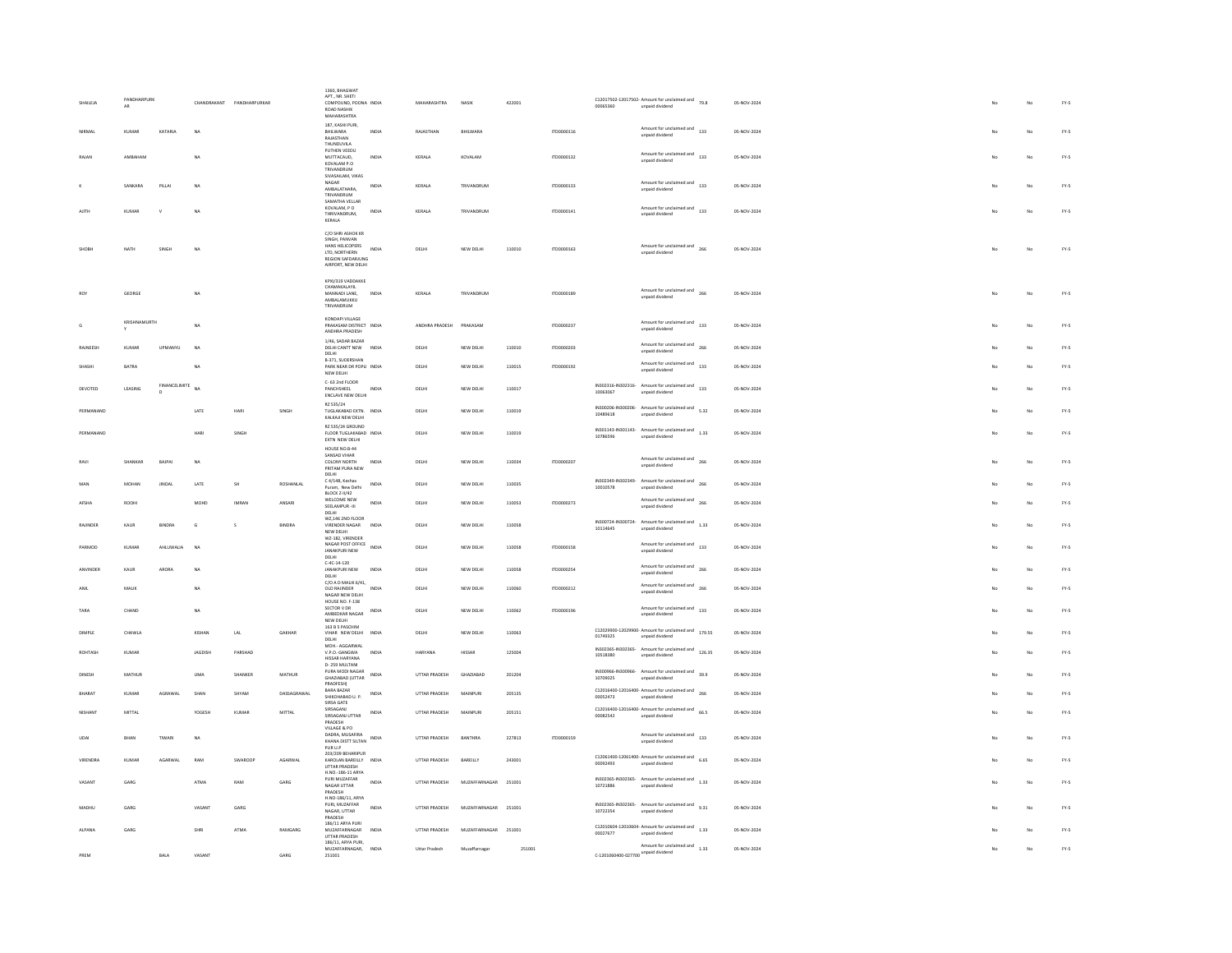|               |                   |                       |                           |                              |                    | 1360, BHAGWA'<br>APT NR SHETI                                                                                            |       |                         |               |        |            |                                     |                                                                           |             |    |    |               |
|---------------|-------------------|-----------------------|---------------------------|------------------------------|--------------------|--------------------------------------------------------------------------------------------------------------------------|-------|-------------------------|---------------|--------|------------|-------------------------------------|---------------------------------------------------------------------------|-------------|----|----|---------------|
| SHAILEJA      | PANDHARPURK<br>AR |                       | CHANDRAKANT PANDHARPURKAR |                              |                    | COMPOUND, POONA INDIA<br>ROAD NASHIK<br>MAHARASHTRA                                                                      |       | MAHARASHTRA             | NASIK         | 422001 |            | 00065360                            | C12017502-12017502- Amount for unclaimed and $79.8$<br>unpaid dividend    | 05-NOV-2024 |    | No | $FY.S$        |
| NIRMAL        | KUMAR             | KATARIA               | NA                        |                              |                    | 187. KASHI PURI.<br><b>BHILWARA</b><br>RAIASTHAN<br>THUNDUVILA                                                           | INDIA | RAJASTHAN               | BHILWARA      |        | ITD0000116 |                                     | Amount for unclaimed and<br>133<br>unpaid dividend                        | 05-NOV-2024 |    | No | FY.5          |
| RAJAN         | AMBAHAN           |                       | NA                        |                              |                    | PUTHEN VEEDU<br>MUTTACAUD,<br>KOVALAM P.O.<br>TRIVANDRUM                                                                 | INDIA | KERALA                  | KOVALAM       |        | ITD0000132 |                                     | Amount for unclaimed and<br>133<br>unpaid dividend                        | 05-NOV-2024 |    | No | FY-5          |
|               | SANKARA           | PILLAI                | <b>NA</b>                 |                              |                    | SIVASAILAM, VIKAS<br>NAGAR<br>AMBALATHARA.<br>TRIVANDRUM                                                                 | INDIA | KERALA                  | TRIVANDRUM    |        | ITD0000133 |                                     | Amount for unclaimed and<br>133<br>unpaid dividend                        | 05-NOV-2024 | No | No | $FY\text{-}S$ |
|               | KUMAR             |                       | NA                        |                              |                    | SAMATHA VELLAR<br>KOVALAM P.O.<br>THRIVANDRUM,<br>KERALA                                                                 | INDIA | KERALA                  | TRIVANDRUM    |        | ITD0000141 |                                     | Amount for unclaimed and<br>133<br>unpaid dividend                        | 05-NOV-2024 | No | No | $FY\text{-}S$ |
|               | NATH              | SINGH                 | <b>NA</b>                 |                              |                    | C/O SHRI ASHOK KR<br>SINGH, PANVAN<br>HANS HELICOPERS<br>LTD, NORTHERN<br><b>REGION SAFDARJUNG</b><br>AIRPORT, NEW DELHI | INDIA | DELHI                   | NEW DELHI     | 110010 | ITD0000163 |                                     | Amount for unclaimed and 266<br>unpaid dividend                           | 05-NOV-2024 | No | No | $FY-S$        |
|               | GEORGE            |                       | NA                        |                              |                    | KPXI/319 VADDAKKE<br>CHAMAKALAYIL<br>MANNADI LANE,<br>AMBALAMUKKU<br>TRIVANDRUM                                          | INDIA | KERALA                  | TRIVANDRUM    |        | ITD0000189 |                                     | Amount for unclaimed and 266<br>unpaid dividend                           | 05-NOV-2024 | No | No | $FY\text{-}S$ |
|               | KRISHNAMURTH      |                       | N <sub>A</sub>            |                              |                    | KONDAPI VILLAGE<br>PRAKASAM DISTRICT INDIA<br>ANDHRA PRADESH<br>1/46 SADAR RAZAR                                         |       | ANDHRA PRADESH PRAKASAM |               |        | ITD0000237 |                                     | Amount for unclaimed and 133<br>unpaid dividend                           | 05-NOV-2024 | No | No | FY-5          |
| RAJNEESH      | KUMAR             | UPMANYU               | NA                        |                              |                    | DELHI CANTT NEW INDIA<br>DELHL.                                                                                          |       | DELHI                   | NEW DELHI     | 110010 | ITD0000203 |                                     | Amount for unclaimed and<br>266<br>unpaid dividend                        | 05-NOV-2024 |    | No | $FY-5$        |
| SHASHI        | <b>BATRA</b>      |                       | NA                        |                              |                    | B-371, SUDERSHAN<br>PARK NEAR DR POPLI INDIA<br>NEW DELHI                                                                |       | DELHI                   | NEW DELHI     | 110015 | ITD0000192 |                                     | Amount for unclaimed and 133<br>unpaid dividend                           | 05-NOV-2024 |    | No | FY-5          |
| DEVOTED       | LEASING           | FINANCELIMITE NA<br>n |                           |                              |                    | C- 63 2nd FLOOR<br>PANCHSHEEL<br>ENCLAVE NEW DELHI                                                                       | INDIA | DELHI                   | NEW DELHI     | 110017 |            | 10063067                            | IN302316-IN302316- Amount for unclaimed and 133<br>unpaid dividend        | 05-NOV-2024 |    | No | FY-5          |
| PERMANAND     |                   |                       | LATE                      | HAR                          | SINGH              | RZ 535/24<br>TUGLAKABAD EXTN. INDIA<br>KALKAJI NEW DELHI                                                                 |       | DELHI                   | NEW DELHI     | 110019 |            | 10489618                            | IN300206-IN300206-Amount for unclaimed and $5.32$<br>unpaid dividend      | 05-NOV-2024 |    | No | $FY\text{-}S$ |
| PERMANAND     |                   |                       | HARI                      | SINGH                        |                    | RZ 535/24 GROUND<br>FLOOR TUGLAKABAD INDIA<br>EXTN NEW DELHI<br>HOLISE NO R-44                                           |       | DELHI                   | NEW DELHI     | 110019 |            | 10786596                            | IN301143-IN301143-Amount for unclaimed and<br>1.33<br>unnaid dividend     | 05-NOV-2024 | No | No | FY-5          |
| RAVI          | SHANKAR           | RAIPAL                | NA                        |                              |                    | SANSAD VIHAR<br>COLONY NORTH<br>PRITAM PURA NEW<br>DELHI                                                                 | INDIA | DELHI                   | NEW DELHI     | 110034 | ITD0000207 |                                     | Amount for unclaimed and<br>266<br>unpaid dividend                        | 05-NOV-2024 | No | No | FY-5          |
| MAN           | MOHAN             | <b>JINDAL</b>         | LATE                      | SH                           | ROSHANLAL          | C 4/14B, Keshav<br>Puram, New Delhi<br>BLOCK Z-II/42                                                                     | INDIA | DELHI                   | NEW DELHI     | 110035 |            | IN302349-IN302349-<br>10010578      | Amount for unclaimed and<br>266<br>unpaid dividend                        | 05-NOV-2024 |    | No | FY.5          |
| AFSHA         | ROOHI             |                       | MOHD                      | <b>IMRAN</b>                 | ANSARI             | WELCOME NEW<br>SEELAMPUR -III<br>DELHI<br>W7 146 2ND FLOOR                                                               | INDIA | DELHI                   | NEW DELHI     | 110053 | ITD0000273 |                                     | Amount for unclaimed and 266<br>unpaid dividend                           | 05-NOV-2024 |    | No | FY-5          |
| RAJINDER      | KAUR              | BINDRA                | G                         | s                            | BINDRA             | VIRENDER NAGAR<br>NEW DELHI<br>W2-182, VIRENDER                                                                          | INDIA | DELHI                   | NEW DELHI     | 110058 |            | IN300724-IN300724-<br>10114645      | Amount for unclaimed and<br>1.33<br>unpaid dividend                       | 05-NOV-2024 |    | No | $FY-5$        |
| PARMOD        | KUMAR             | AHLUWALIA             | NA                        |                              |                    | NAGAR POST OFFICE<br>JANAKPURI NEW<br>DELHI<br>$C-4C-14-120$                                                             | INDIA | DELHI                   | NEW DELHI     | 110058 | ITD0000158 |                                     | Amount for unclaimed and 133<br>unpaid dividend                           | 05-NOV-2024 |    | No | FY-5          |
| ANVINDER      | KAUR              | ARORA                 | NA                        |                              |                    | JANAKPURI NEW<br>DELHI                                                                                                   | INDIA | DELHI                   | NEW DELHI     | 110058 | ITD0000254 |                                     | Amount for unclaimed and<br>266<br>unpaid dividend                        | 05-NOV-2024 |    | No | FY-5          |
| ANIL          | MALIK             |                       | <b>NA</b>                 |                              |                    | C/O A D MALIK 6/41,<br>OLD RAJINDER<br>NAGAR NEW DELHI<br>HOUSE NO. F-138                                                | INDIA | DELHI                   | NEW DELHI     | 110060 | ITD0000212 |                                     | Amount for unclaimed and 266<br>unpaid dividend                           | 05-NOV-2024 |    | No | $FY-5$        |
| TARA          | CHAND             |                       | NA                        |                              |                    | SECTOR V DR<br>AMBEDKAR NAGAR<br>NEW DELHI                                                                               | INDIA | DELHI                   | NEW DELHI     | 110062 | ITD0000196 |                                     | Amount for unclaimed and 133<br>unpaid dividend                           | 05-NOV-2024 |    | No | FY-5          |
| DIMPLE        | CHAWLA            |                       | KISHAN                    | $_{\rm LAL}$                 | GAKHAR             | 163 B 5 PASCHIM<br>VIHAR NEW DELHI<br>DELHI<br>MOH.- AGGARWAL                                                            | INDIA | DELHI                   | NEW DELHI     | 110063 |            | 01749325                            | C12029900-12029900- Amount for unclaimed and<br>179.55<br>unpaid dividend | 05-NOV-2024 |    | No | FY-5          |
| ROHTASH       | <b>KUMAR</b>      |                       | JAGDISH                   | PARSHAD                      |                    | V.P.O.-GANGWA<br><b>HISSAR HARYANA</b><br>D-259 MULTANI                                                                  | INDIA | <b>HARYANA</b>          | HISSAR        | 125004 |            | 10518380                            | IN302365-IN302365- Amount for unclaimed and 126.35<br>unpaid dividend     | 05-NOV-2024 |    | No | FY-5          |
| DINESH        | MATHUR            |                       | UMA                       | SHANKER                      | MATHUR             | PURA MODI NAGAR<br><b>GHAZIABAD (UTTAR</b><br>PRADFESH)<br>BARA BAZAR                                                    | INDIA | UTTAR PRADESH           | GHAZIABAD     | 201204 |            | 10709025                            | IN300966-IN300966- Amount for unclaimed and 39.9<br>unpaid dividend       | 05-NOV-2024 |    | No | $FY.S$        |
| RHARAT        | KUMAR             | AGRAWAL               | SHAN                      | SHYAM                        | <b>DASSAGRAWAL</b> | SHIKOHARAD II. P<br>SIRSA GATE                                                                                           | INDIA | <b>LITTAR PRADESH</b>   | MAINPURI      | 205135 |            | 00052473                            | $C12016400-12016400$ - Amount for unclaimed and $266$<br>unpaid dividend  | 05-NOV-2024 |    | No | FY-5          |
| <b>NISHAN</b> | MITTAL            |                       | YOGESH                    | KUMAR                        | MITTAL             | SIRSAGANI<br>SIRSAGANJ UTTAR<br>PRADESH<br>VILLAGE & PO                                                                  | INDIA | UTTAR PRADESH           | MAINPUR       | 205151 |            | 00082542                            | C12016400-12016400- Amount for unclaimed and $66.5$<br>unpaid dividend    | 05-NOV-2024 |    | No | $FY-5$        |
| LIDAL         | RHAN              | TIWARI                | NA                        |                              |                    | DADRA, MUSAFIRA<br>KHANA DISTT SILTAN INDIA<br>PUR U.P                                                                   |       | UTTAR PRADESH           | RANTHRA       | 227813 | ITD0000159 |                                     | Amount for unclaimed and<br>133<br>unpaid dividend                        | 05-NOV-2024 |    | No | $FY-S$        |
| VIRENDRA      | <b>KUMAR</b>      | AGARWAL               | RAM                       | SWAROOF                      | AGARWAL            | 203/209 BEHARIPUR<br>KAROLAN BAREILLY INDIA<br>UTTAR PRADESH<br>H.NO.-186-11 ARYA                                        |       | UTTAR PRADESH           | BAREILLY      | 243001 |            | 00092493                            | C12061400-12061400-Amount for unclaimed and $6.65$<br>unpaid dividend     | 05-NOV-2024 |    | No | FY-5          |
| VASANT        | GARG              |                       | ATMA                      | RAM                          | GARG               | PURI MUZAFFAR<br>NAGAR UTTAR<br>PRADESH<br>H.NO-186/11, ARYA                                                             | INDIA | UTTAR PRADESH           | MUZAFFARNAGAR | 251001 |            | 10721886                            | IN302365-IN302365-Amount for unclaimed and<br>1.33<br>unpaid dividend     | 05-NOV-2024 |    | No | $FY-5$        |
| MADHU         | GARG              |                       | VASANT                    | $\ensuremath{\mathsf{GARS}}$ |                    | PURI, MUZAFFAR<br>NAGAR, UTTAR<br>PRADESH                                                                                | INDIA | UTTAR PRADESH           | MUZAFFARNAGAR | 251001 |            | 10722354                            | IN302365-IN302365-<br>Amount for unclaimed and<br>9.31<br>unpaid dividend | 05-NOV-2024 |    | No | $FY-S$        |
| <b>ALPANA</b> | GARG              |                       | SHRI                      | ATMA                         | RAMGARG            | 186/11 ARYA PURI<br>MUZAFFARNAGAR<br>UTTAR PRADESH<br>186/11, ARYA PURI.                                                 | INDIA | <b>LITTAR PRADESH</b>   | MUZAFFARNAGAR | 251001 |            | 00027677                            | $C12010604-12010604$ - Amount for unclaimed and $1.33$<br>unpaid dividend | 05-NOV-2024 |    | No | $FY-S$        |
| PREM          |                   | BALA                  | VASANT                    |                              | GARG               | MUZAFFARNAGAR,<br>251001                                                                                                 | INDIA | Uttar Pradesh           | Muzaffarnagar | 251001 |            | C-1201060400-027700 unpaid dividend | Amount for unclaimed and 1.33                                             | 05-NOV-2024 |    | No | $FY-5$        |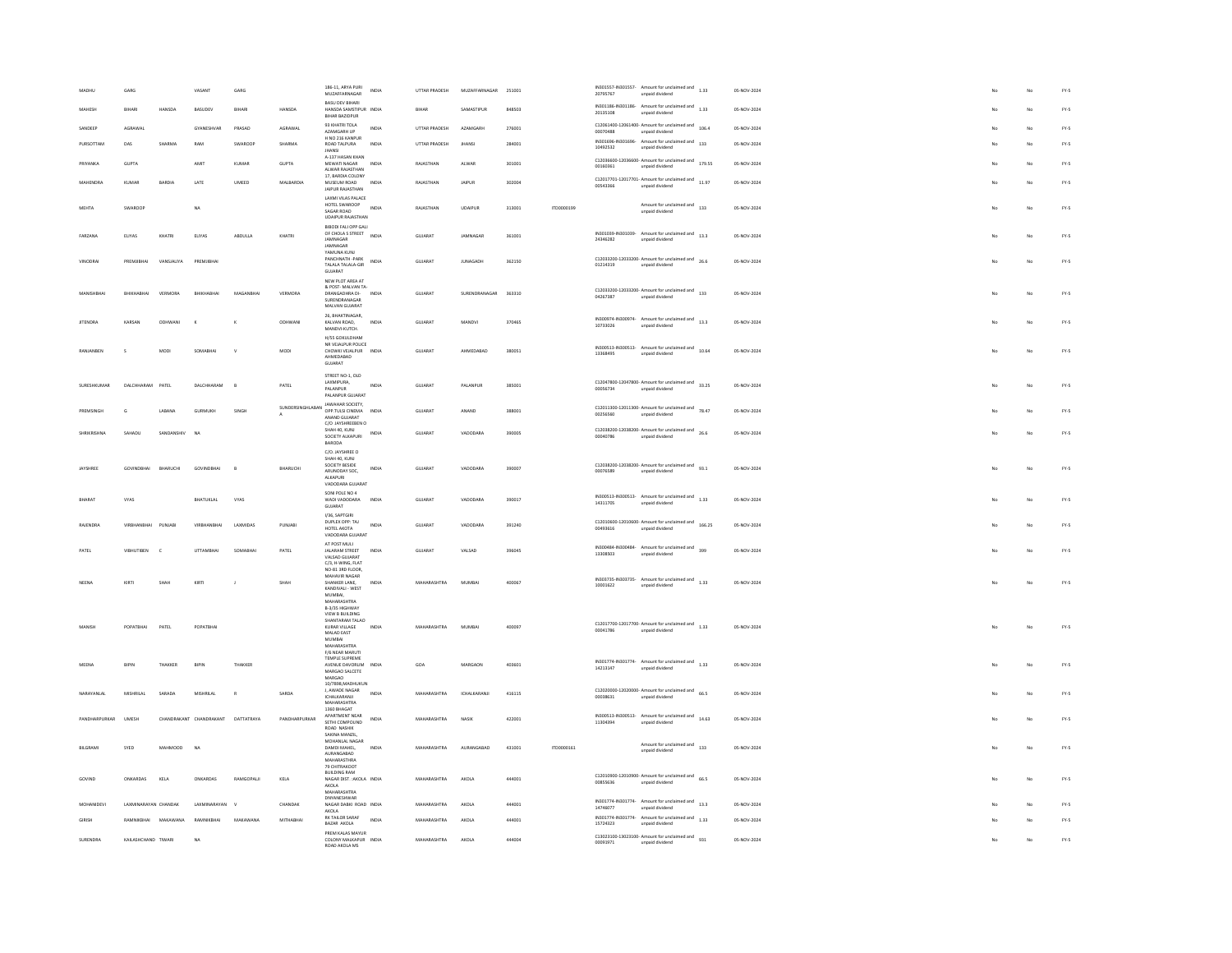| <b>MADHLE</b>       | GARG                 |                                | VASANT                             | GARG           |                  | 186-11, ARYA PURI                                        | INDIA        | UTTAR PRADESH      | MUZAFFARNAGAR      | 251001 |            |          | IN301557-IN301557- $\overline{A}$ Amount for unclaimed and 1.33           |      | 05-NOV-2024 |    | No | $FY-5$ |
|---------------------|----------------------|--------------------------------|------------------------------------|----------------|------------------|----------------------------------------------------------|--------------|--------------------|--------------------|--------|------------|----------|---------------------------------------------------------------------------|------|-------------|----|----|--------|
|                     |                      |                                |                                    |                |                  | MUZAFFARNAGAR<br><b>RASLI DEV RIHARI</b>                 |              |                    |                    |        |            | 20795767 | unpaid dividend                                                           |      |             |    |    |        |
| MAHESH              | BIHARI               | HANSDA                         | <b>BASUDEV</b>                     | BIHARI         | HANSDA           | HANSDA SAMSTIPUR INDIA<br>BIHAR BAZIDPUR                 |              | <b>BIHAR</b>       | SAMASTIPUR         | 848503 |            | 20135108 | IN301186-IN301186-Amount for unclaimed and<br>1.33<br>unpaid dividend     |      | 05-NOV-2024 |    | No | FY.5   |
| SANDEEP             | AGRAWAL              |                                | GYANESHVAR                         | PRASAD         | AGRAWAL          | 93 KHATRI TOLA<br>AZAMGARH UP                            | <b>INDIA</b> | UTTAR PRADESH      | AZAMGARH           | 276001 |            | 00070488 | C12061400-12061400- Amount for unclaimed and $106.4$<br>unpaid dividend   |      | 05-NOV-2024 |    | No | FY-5   |
| PURSOTTAN           | DAS                  | SHARMA                         | RAM                                | SWAROOF        | SHARMA           | H NO 216 KANPUR<br>ROAD TALPURA<br><b>JHANSI</b>         | INDIA        | UTTAR PRADESH      | <b>JHANS</b>       | 284001 |            | 10492532 | IN301696-IN301696- Amount for unclaimed and<br>unpaid dividend            | 133  | 05-NOV-2024 |    | No | $FY-5$ |
| PRIYANKA            | GUPTA                |                                | AMIT                               | KUMAR          | GUPTA            | A-137 HASAN KHAN<br>MEWATI NAGAR                         | INDIA        | RAJASTHAN          | ALWAR              | 301001 |            | 00160361 | C12036600-12036600- Amount for unclaimed and<br>179.55<br>unpaid dividend |      | 05-NOV-2024 |    | No | FY-5   |
| MAHENDRA            | KUMAR                | <b>BARDIA</b>                  | LATE                               | UMEED          | MALBARDIA        | ALWAR RAIASTHAN<br>17, BARDIA COLONY<br>MUSEUM ROAD      | INDIA        | RAIASTHAN          | JAIPUR             | 302004 |            |          | C12017701-12017701- Amount for unclaimed and $11.97$                      |      | 05-NOV-2024 |    | No | FY-5   |
|                     |                      |                                |                                    |                |                  | JAIPUR RAJASTHAN<br>LAXMI VILAS PALACE                   |              |                    |                    |        |            | 00543366 | unpaid dividend                                                           |      |             |    |    |        |
| <b>MEHTA</b>        | SWAROOF              |                                | NA                                 |                |                  | HOTEL SWAROOP INDIA<br>SAGAR ROAD                        |              | RAJASTHAN          | UDAIPUR            | 313001 | ITD0000199 |          | Amount for unclaimed and 133<br>unpaid dividend                           |      | 05-NOV-2024 |    | No | FY-5   |
|                     |                      |                                |                                    |                |                  | <b>UDAIPUR RAJASTHAN</b><br><b>BIBODI FALI OPP GALI</b>  |              |                    |                    |        |            |          |                                                                           |      |             |    |    |        |
| FARZANA             | ELIYAS               | KHATRI                         | ELIYAS                             | ABDULLA        | KHATRI           | OF CHOLA S STREET<br>JAMNAGAR<br><b>IAMNAGAR</b>         | INDIA        | GUJARAT            | <b>IAMNAGAR</b>    | 361001 |            | 24346282 | IN301039-IN301039- Amount for unclaimed and 13.3<br>unpaid dividend       |      | 05-NOV-2024 |    | No | FY-5   |
| VINODRAL            | PREMIRHAL            | VANSIALIYA                     | PREMIRHAL                          |                |                  | YAMUNA KUNJ<br>PANCHNATH - PARK<br>TALALA TALALA-GIR     | INDIA        | GUJARAT            | <b>ILINAGADH</b>   | 362150 |            | 01214319 | C12033200-12033200- Amount for unclaimed and 26.6<br>unpaid dividend      |      | 05-NOV-2024 |    | No | FY-5   |
|                     |                      |                                |                                    |                |                  | GUJARAT<br>NEW PLOT AREA AT                              |              |                    |                    |        |            |          |                                                                           |      |             |    |    |        |
| MANISHBHA           | BHIKHABHAI           | VERMORA                        | BHIKHABHAI                         | MAGANBHA       | VERMORA          | & POST- MAI VAN TA-<br>DRANGADHRA DI- INDIA              |              | GUJARAT            | SURENDRANAGAR      | 363310 |            |          | $C12033200-12033200$ - Amount for unclaimed and $133$                     |      | 05-NOV-2024 |    | No | $FY-S$ |
|                     |                      |                                |                                    |                |                  | SURENDRANAGAR<br>MALVAN GUJARAT                          |              |                    |                    |        |            | 04267387 | unpaid dividend                                                           |      |             |    |    |        |
| <b>JITENDRA</b>     | KARSAN               | ODHWANI                        | $\mathbf x$                        | $\kappa$       | ODHWANI          | 26, BHAKTINAGAR,<br>KALVAN ROAD,<br>MANDVI-KUTCH.        | INDIA        | GUJARAT            | MANDVI             | 370465 |            | 10733026 | IN300974-IN300974- Amount for unclaimed and 13.3<br>unpaid dividend       |      | 05-NOV-2024 |    | No | $FY-5$ |
|                     |                      |                                |                                    |                |                  | H/SS GOKULDHAM                                           |              |                    |                    |        |            |          |                                                                           |      |             |    |    |        |
| RANJANBEN           | s                    | MODI                           | SOMABHAI                           | $\mathbf{v}$   | MODI             | NR VEJALPUR POLICE<br>CHOWKI VEJALPUR INDIA<br>AHMEDABAD |              | GUJARAT            | AHMEDABAD          | 380051 |            | 13368495 | IN300513-IN300513- Amount for unclaimed and 10.64<br>unpaid dividend      |      | 05-NOV-2024 |    | No | FY-5   |
|                     |                      |                                |                                    |                |                  | GUJARAT                                                  |              |                    |                    |        |            |          |                                                                           |      |             |    |    |        |
| SURESHKUMAR         | DALCHHARAM PATEL     |                                | DALCHHARAM                         | $\overline{B}$ | PATEL            | STREET NO-1, OLD<br>LAXMIPURA,<br>PALANPUR               | INDIA        | GUJARAT            | PALANPUR           | 385001 |            | 00056734 | C12047800-12047800- Amount for unclaimed and 33.25<br>unpaid dividend     |      | 05-NOV-2024 |    | No | $FY-5$ |
|                     |                      |                                |                                    |                |                  | PALANPUR GUJARAT<br><b>IAWAHAR SOCIETY</b>               |              |                    |                    |        |            |          |                                                                           |      |             |    |    |        |
| PREMSINGH           | G                    | LABANA                         | <b>GURMUKH</b>                     | SINGH          | SUNDERSINGHLABAN | OPP.TULSI CINEMA<br>ANAND GUJARAT                        | INDIA        | <b>GUJARAT</b>     | ANAND              | 388001 |            | 00256560 | C12011300-12011300- Amount for unclaimed and<br>78.47<br>unpaid dividend  |      | 05-NOV-2024 |    | No | FY-5   |
| <b>SHRIKRISHNA</b>  | SAHADU               | SANDANSHIV                     | NA                                 |                |                  | C/O JAYSHREEBEN O<br>SHAH 40, KUNJ<br>SOCIETY ALKAPURI   | INDIA        | GUJARAT            | VADODARA           | 39000  |            | 00040786 | C12038200-12038200- Amount for unclaimed and 26.6<br>unpaid dividend      |      | 05-NOV-2024 |    | No | $FY-5$ |
|                     |                      |                                |                                    |                |                  | BARODA<br>C/O. JAYSHREE O                                |              |                    |                    |        |            |          |                                                                           |      |             |    |    |        |
|                     |                      |                                |                                    |                |                  | SHAH 40, KUNJ<br>SOCIETY BESIDE                          |              |                    |                    |        |            |          | $C12038200-12038200$ - Amount for unclaimed and $93.1$                    |      |             |    |    |        |
| JAYSHREE            | <b>GOVINDBHAI</b>    | BHARUCHI                       | <b>GOVINDBHAI</b>                  | B              | BHARUCHI         | ARUNODAY SOC.<br>ALKAPURI                                | <b>INDIA</b> | GUJARAT            | VADODARA           | 390007 |            | 00076589 | unpaid dividend                                                           |      | 05-NOV-2024 |    | No | FY-5   |
|                     |                      |                                |                                    |                |                  | VADODARA GUJARAT<br>SONI POLE NO 4                       |              |                    |                    |        |            |          | IN300513-IN300513- Amount for unclaimed and                               |      |             |    |    |        |
| <b>BHARAT</b>       | VYAS                 |                                | BHATUKLAL                          | VYAS           |                  | WADI VADODARA<br>GUJARAT                                 | INDIA        | GUJARAT            | VADODAR            | 390017 |            | 14311705 | unpaid dividend                                                           | 1.33 | 05-NOV-2024 |    | No | $FY-5$ |
| RAJENDRA            | VIRBHANBHAI          | PUNJABI                        | <b>VIRRHANRHAI</b>                 | LAXMIDAS       | PUNJABI          | I/36, SAPTGIRI<br>DUPLEX OPP: TAJ                        | INDIA        | GUJARAT            | VADODARA           | 391240 |            |          | C12010600-12010600- Amount for unclaimed and 166.25                       |      | 05-NOV-2024 |    | No | FY-5   |
|                     |                      |                                |                                    |                |                  | HOTEL AKOTA<br>VADODARA GUJARAT                          |              |                    |                    |        |            | 00493616 | unpaid dividend                                                           |      |             |    |    |        |
| PATEL               | <b>VIBHUTIBEN</b>    |                                | <b>UTTAMBHAI</b>                   | SOMARHA        | PATEL            | AT POST MULI<br>JALARAM STREET<br>VALSAD GUJARAT         | INDIA        | GUJARAT            | VALSAD             | 396045 |            | 13308503 | IN300484-IN300484- Amount for unclaimed and 399<br>unpaid dividend        |      | 05-NOV-2024 |    | No | $FY-5$ |
|                     |                      |                                |                                    |                |                  | C/3, H-WING, FLAT<br>NO-81 3RD FLOOR,<br>MAHAVIR NAGAR   |              |                    |                    |        |            |          |                                                                           |      |             |    |    |        |
| NEENA               | KIRTI                | SHAH                           | KIRTI                              | $\mathbf{I}$   | SHAH             | SHANKER LANE,<br>KANDIVALI - WEST                        | INDIA        | MAHARASHTRA        | MUMBAI             | 400067 |            | 10001622 | IN303735-IN303735- Amount for unclaimed and 1.33<br>unpaid dividend       |      | 05-NOV-2024 |    | No | $FY-S$ |
|                     |                      |                                |                                    |                |                  | MUMBAI,<br><b>MAHARASHTRA</b>                            |              |                    |                    |        |            |          |                                                                           |      |             |    |    |        |
|                     |                      |                                |                                    |                |                  | B-3/35 HIGHWAY<br>VIEW R RUILDING<br>SHANTARAM TALAO     |              |                    |                    |        |            |          |                                                                           |      |             |    |    |        |
| MANISH              | POPATBHAI            | PATEL                          | POPATBHAI                          |                |                  | KURAR VILLAGE<br>MALAD EAST                              | <b>INDIA</b> | MAHARASHTRA        | MUMBAI             | 400097 |            | 00041786 | C12017700-12017700- Amount for unclaimed and $1.33$<br>unpaid dividend    |      | 05-NOV-2024 |    | No | FY-5   |
|                     |                      |                                |                                    |                |                  | <b>MUMBAI</b><br>MAHARASHTRA<br>F/6 NEAR MARUTI          |              |                    |                    |        |            |          |                                                                           |      |             |    |    |        |
| MEENA               | BIPIN                | THAKKER                        | BIPIN                              | THAKKER        |                  | TEMPLE SUPREME<br>AVENUE DAVORLIM INDIA                  |              | GOA                | MARGAON            | 403601 |            |          | IN301774-IN301774- Amount for unclaimed and                               | 1.33 | 05-NOV-2024 | No | No | FY-5   |
|                     |                      |                                |                                    |                |                  | MARGAO SALCETE<br>MARGAO                                 |              |                    |                    |        |            | 14213147 | unpaid dividend                                                           |      |             |    |    |        |
| NARAYANI AI         | MISHRILAI            | SARADA                         | MISHRILAI                          | $\mathbb{R}$   | SARDA            | 10/7898, MADHUKUN<br>J. AWADE NAGAR<br>ICHALKARANJI      | INDIA        | MAHARASHTRA        | <b>ICHALKARANI</b> | 416115 |            | 00038631 | $C12020000-12020000$ - Amount for unclaimed and $66.5$<br>unpaid dividend |      | 05-NOV-2024 |    | No | FY-5   |
|                     |                      |                                |                                    |                |                  | <b>MAHARASHTRA</b><br>1360 BHAGAT                        |              |                    |                    |        |            |          |                                                                           |      |             |    |    |        |
| PANDHARPURKAR UMESH |                      |                                | CHANDRAKANT CHANDRAKANT DATTATRAYA |                | PANDHARPURKAR    | APARTMENT NEAR<br>SETHI COMPOUND<br>ROAD NASHIK          | INDIA        | MAHARASHTRA        | NASIK              | 422001 |            | 11304394 | IN300513-IN300513- Amount for unclaimed and 14.63<br>unpaid dividend      |      | 05-NOV-2024 |    | No | FY-5   |
|                     |                      |                                |                                    |                |                  | SAKINA MANZIL<br>MOHANLAL NAGAR                          |              |                    |                    |        |            |          | Amount for unclaimed and 133                                              |      |             |    |    |        |
| <b>BILGRAMI</b>     | SYED                 | MAHMOOD                        | NA                                 |                |                  | DAMDI MAHEL<br>AURANGABAD<br>MAHARASTHRA                 | INDIA        | <b>MAHARASHTRA</b> | AURANGARAD         | 431001 | 1700000161 |          | unpaid dividend                                                           |      | 05-NOV-2024 |    | No | FY-5   |
|                     |                      |                                |                                    |                |                  | 79 CHITRAKOOT<br><b>BUILDING RAM</b>                     |              |                    |                    |        |            |          | $C12010900-12010900$ - Amount for unclaimed and $66.5$                    |      |             |    |    |        |
| GOVIND              | ONKARDAS             | KELA                           | ONKARDAS                           | RAMGOPALII     | KELA             | NAGAR DIST. : AKOLA INDIA<br>AKOLA<br>MAHARASHTRA        |              | MAHARASHTRA        | AKOLA              | 444001 |            | 00855636 | unpaid dividend                                                           |      | 05-NOV-2024 |    | No | FY-5   |
| MOHANIDEVI          | LAXMINARAYAN CHANDAK |                                | LAXMINARAYAN                       | <b>V</b>       | CHANDAR          | DNYANESHWAR<br>NAGAR DABKI ROAD INDIA                    |              | MAHARASHTRA        | AKOLA              | 444001 |            | 14746077 | IN301774-IN301774- Amount for unclaimed and $13.3$<br>unpaid dividend     |      | 05-NOV-2024 |    | No | $FY-S$ |
| GIRISH              |                      | RAMNIKBHAI MAKAWANA RAMNIKBHAI |                                    | MAKAWANA       | MITHABHAI        | AKOLA<br><b>RK TAILOR SARAF</b>                          | INDIA        | MAHARASHTRA        | AKOLA              | 444001 |            |          | IN301774-IN301774- Amount for unclaimed and $1.33$                        |      | 05-NOV-2024 |    | No | FY-5   |
|                     |                      |                                |                                    |                |                  | BAZAR AKOLA<br>PREM KALAS MAYUR                          |              |                    |                    |        |            | 15724323 | unpaid dividend<br>$C13023100-13023100$ - Amount for unclaimed and $931$  |      |             |    |    |        |
| SURENDRA            | KAILASHCHAND TIWARI  |                                | NA                                 |                |                  | COLONY MALKAPUR INDIA<br><b>POAD AVOI A MS</b>           |              | MAHARASHTRA        | AKOLA              | 444004 |            | 00091971 | unpaid dividend                                                           |      | 05-NOV-2024 |    | No | $FY-S$ |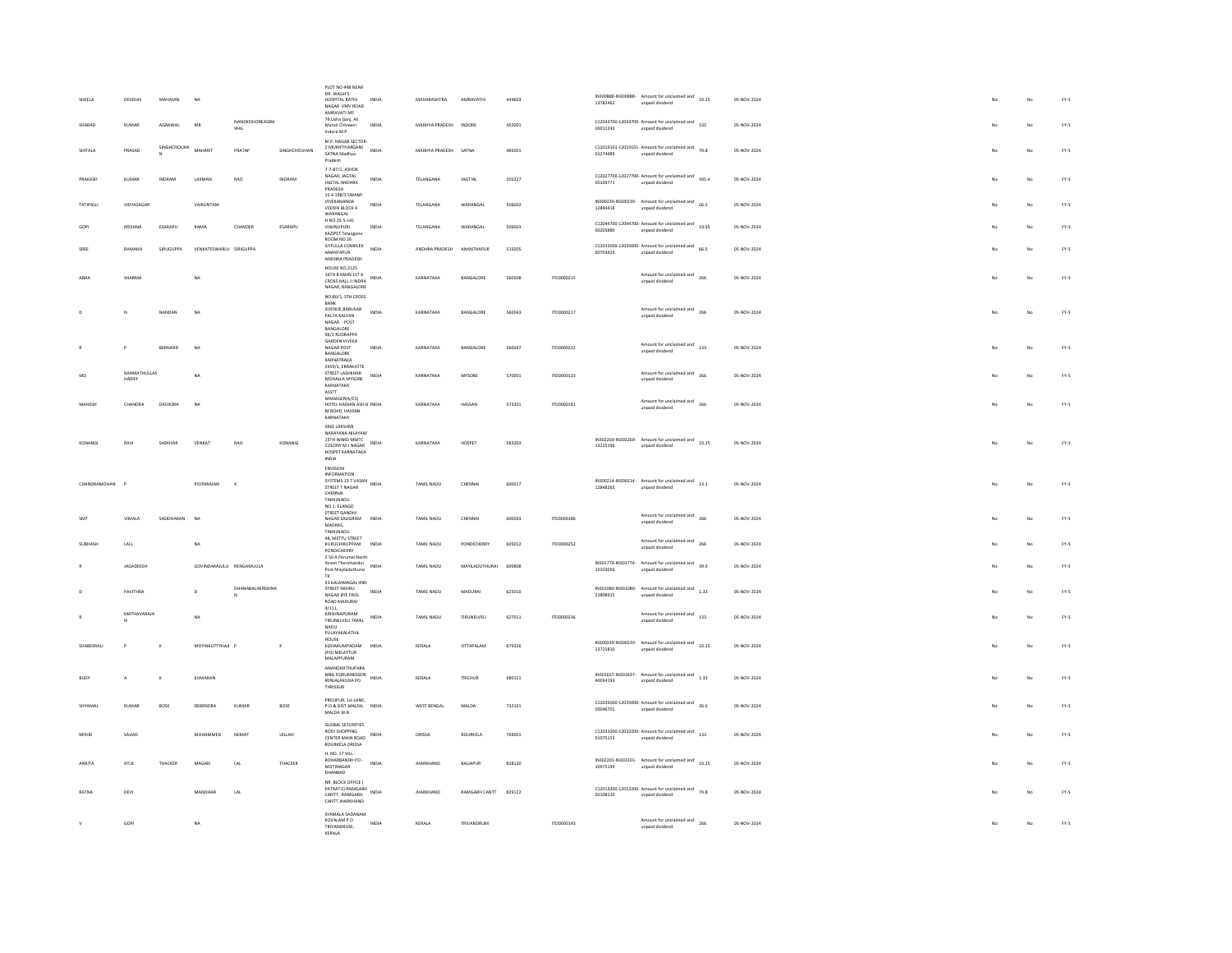| SHEELA        | DEVIDAS                | MAHAJAN     | NA                        |                        |              | PLOT NO 44B NEAR<br>DR. WAGH'S<br>HOSPITAL RATHI<br>NAGAR VMV ROAD<br>AMRAVATI MS       | INDIA | MAHARASHTRA          | AMRAVATHI        | 444603 |            | 13782462 | IN300888-IN300888- Amount for unclaimed and 33.25<br>unpaid dividend                                                                                                                                                               | 05-NOV-2024 | No  | No          | $FY-5$ |
|---------------|------------------------|-------------|---------------------------|------------------------|--------------|-----------------------------------------------------------------------------------------|-------|----------------------|------------------|--------|------------|----------|------------------------------------------------------------------------------------------------------------------------------------------------------------------------------------------------------------------------------------|-------------|-----|-------------|--------|
| HARAD         | KUMAR                  | AGRAWAL     | MR                        | NANDKISHOREAGRA<br>WAL |              | 79.Usha Gani, Ali<br>Manzil Chhawni<br>Indore M.P.                                      | INDIA | MADHYA PRADESH       | INDORE           | 452001 |            | 00012243 | C12043700-12043700- Amount for unclaimed and 532<br>unpaid dividend                                                                                                                                                                | 05-NOV-2024 |     | No          | FY-5   |
| SHITALA       | PRASAD                 | SINGHCHOUHA | MAHANT                    | PRATAP                 | SINGHCHOUHAN | M.P. NAGAR SECTOR-<br>2 MUKHTIYARGANJ<br>SATNA Madhya<br>Pradesh                        | INDIA | MADHYA PRADESH SATNA |                  | 485001 |            | 01274489 | C12019101-12019101- Amount for unclaimed and $79.8$<br>unpaid dividend                                                                                                                                                             | 05-NOV-2024 |     | No          | $FY-S$ |
| PRAKASH       | KUMAR                  | INDRAM      | LAXMAN                    | RAO                    | INDRAM       | 7-7-87/1, ASHOK<br>NAGAR, JAGTAL<br>JAGTAL ANDHRA<br>PRADESH                            | INDIA | TELANGANA            | <b>JAGTIAL</b>   | 505327 |            | 00109771 | C12027700-12027700- Amount for unclaimed and 505.4<br>unpaid dividend                                                                                                                                                              | 05-NOV-2024 | No  | No          | $FY-5$ |
| TATIPALLI     | VIDYASAGAF             |             | VAIKUNTAM                 |                        |              | 15.4.198/3 SWAMI<br>VIVEKANANDA<br>VEEDHI BLOCK 4<br>WARANGAL                           | INDIA | TELANGANA            | WARANGAL         | 506002 |            | 12844418 | IN300239-IN300239-<br>Amount for unclaimed and<br>66.5<br>unpaid dividend                                                                                                                                                          | 05-NOV-2024 | No  | No          | FY-5   |
| GOP           | KRISHNA                | ESARAPU     | RAMA                      | CHANDER                | ESARAPU      | H NO 25-5-141<br>VISHNUPURI<br>KAZIPET Telangana                                        | INDIA | TELANGANA            | WARANGAI         | 506003 |            | 00205880 | C12044700-12044700- Amount for unclaimed and<br>19.95<br>unpaid dividend                                                                                                                                                           | 05-NOV-2024 |     | No          | FY-5   |
|               | RAMANA                 | SIRUGUPPA   | VENKATESWARLU SIRIGUPPA   |                        |              | ROOM NO 26<br>SIYFULLA COMPLEX<br>ANANTAPUR<br>ANDHRA PRADESH                           | INDIA | ANDHRA PRADESH       | ANANTHAPUR       | 515005 |            | 00703425 | C12035000-12035000- Amount for unclaimed and $66.5$<br>unpaid dividend                                                                                                                                                             | 05-NOV-2024 |     | No          | $FY-5$ |
|               | SHARMA                 |             | NA                        |                        |              | <b>HOUSE NO.2125</b><br>16TH B MAIN 1ST A<br>CROSS HALL II INDRA<br>NAGAR, BANGALORE    | INDIA | KARNATAKA            | BANGALORE        | 560008 | ITD0000215 |          | Amount for unclaimed and<br>266<br>unpaid dividend                                                                                                                                                                                 | 05-NOV-2024 | No  | No          | FY-5   |
|               |                        |             |                           |                        |              | NO:80/1, STH CROSS<br>BANK<br>AVENUE, BABUSAB                                           |       |                      |                  |        |            |          | Amount for unclaimed and<br>266                                                                                                                                                                                                    |             | No  |             |        |
|               | N                      | NANDAN      | NA                        |                        |              | PALYA KALYAN<br>$\texttt{NAGAR}\xspace$ - $\texttt{POST}$<br>BANGALORE<br>96/1 RUDRAPPA | INDIA | KARNATAKA            | BANGALORE        | 560043 | ITD0000217 |          | unpaid dividend                                                                                                                                                                                                                    | 05-NOV-2024 |     | No          | FY-5   |
|               |                        | BERNARD     | NA                        |                        |              | <b>GARDEN VIVEKA</b><br>NAGAR POST<br>BANGALORE<br>KARNATRAKA                           | INDIA | KARNATAKA            | BANGALORI        | 560047 | ITD0000222 |          | Amount for unclaimed and<br>133<br>unpaid dividend                                                                                                                                                                                 | 05-NOV-2024 |     |             | FY-5   |
|               | RAHMATHULLAS<br>HARIFF |             | <b>NA</b>                 |                        |              | 2459/1, ERRAKATTE<br>STREET LASHKHAR<br>MOHALLA MYSORE<br>KARNATAKA                     | INDIA | KARNATAKA            | MYSORE           | 570001 | ITD0000123 |          | Amount for unclaimed and<br>266<br>unpaid dividend                                                                                                                                                                                 | 05-NOV-2024 |     | No          | FY-5   |
| MAHESH        | CHANDRA                | DASHORA     | <b>NA</b>                 |                        |              | ASSTT<br>MANAGER(A/CS)<br>HOTEL HASSAN ASH B INDIA<br>M ROAD, HASSAN                    |       | KARNATAKA            | HASSAN           | 573201 | 1700000181 |          | Amount for unclaimed and<br>266<br>unpaid dividend                                                                                                                                                                                 | 05-NOV-2024 | No  | No          | $FY-5$ |
|               |                        |             |                           |                        |              | KARNATAKA<br>SREE LAKSHMI<br>NARAYANA NILAYAM                                           |       |                      |                  |        |            |          |                                                                                                                                                                                                                                    |             |     |             |        |
| KONANGI       | RAVI                   | SHEKHAR     | VENKAT                    | RAO                    | KONANGI      | 15TH WARD MMTC<br>COLONY M J NAGAR<br>HOSPET KARNATAKA<br>INDIA                         | INDIA | KARNATAKA            | HOSPET           | 583203 |            | 13225196 | IN302269-IN302269- Amount for unclaimed and 33.25<br>unpaid dividend                                                                                                                                                               | 05-NOV-2024 | No  | No          | $FY-5$ |
| CHANDRAMOHAN  |                        |             | POONRAJAN                 | $\kappa$               |              | ENVISION<br>INFORMATION<br>INFORMATION<br>SYSTEMS 13 7 VASAN<br>Company INDIA           |       | TAMIL NADU           | CHENNA           | 600017 |            |          | IN300214-IN300214-<br>Amount for unclaimed and<br>13.3                                                                                                                                                                             | 05-NOV-2024 |     | No          | $FY-S$ |
|               |                        |             |                           |                        |              | STREET T NAGAR<br>CHENNAI<br>TAMILNADU<br>NO 1: ELANGO<br>STREET GANDHI                 |       |                      |                  |        |            | 12848265 | unpaid dividend                                                                                                                                                                                                                    |             |     |             |        |
| <b>SMT</b>    |                        |             |                           |                        |              |                                                                                         |       |                      | CHENNA           | 600093 |            |          |                                                                                                                                                                                                                                    |             |     |             |        |
|               | VIMALA                 | SASIDHARAN  | NA                        |                        |              | NAGAR SALIGRAM<br>MADRAS.<br>TAMILNADU                                                  | INDIA | TAMIL NADU           |                  |        | ITD0000186 |          | Amount for unclaimed and<br>266<br>unpaid dividend                                                                                                                                                                                 | 05-NOV-2024 |     | No          | $FY-5$ |
| SUBHASH       | $_{\rm LALL}$          |             | NA                        |                        |              | 48. METTU STREET<br>KURUCHIKUPPAM<br>PONDICHERRY                                        | INDIA | TAMIL NADU           | PONDICHERRY      | 605012 | ITD0000252 |          | Amount for unclaimed and<br>266<br>unpaid dividend                                                                                                                                                                                 | 05-NOV-2024 |     | No          | $FY-5$ |
|               | JAGADEESH              |             | GOVINDARAJULU RENGARAJULA |                        |              | 2 50 A Perumal North<br>Street Therizhandur<br>Post Mayiladuthurai<br>TK.               | INDIA | TAMIL NADU           | MAYILADUTHURAI   | 609808 |            | 10103056 | IN301774-IN301774- Amount for unclaimed and 39.9<br>unpaid dividend                                                                                                                                                                | 05-NOV-2024 |     | No          | FY-5   |
|               | PAVITHRA               |             | $\overline{D}$            | DHANABALAKRISHNA       |              | 53 KALAIMAGAL IIND<br>STREET NEHRU<br>NAGAR BYE PASS<br>ROAD MADURAL                    | INDIA | TAMIL NADU           | MADURA           | 625010 |            | 22808915 | $\nonumber \begin{tabular}{ll} \bf 1N301080\textcolor{black}{\color{black} \textbf{1N301080}} & \textcolor{red}{\bf 1N301080} & \textcolor{red}{\bf 1N301080} & \textcolor{red}{\bf 1N33} \\ \bf \end{tabular}$<br>unpaid dividend | 05-NOV-2024 |     | No          | FY.5   |
|               | MATHAVARAJA            |             | NA                        |                        |              | 4/111,<br>KRISHNAPURAM<br>TIRUNELVELI TAMIL<br>NADIL                                    | INDIA | TAMIL NADU           | TIRUNELVELI      | 627011 | ITD0000236 |          | $A {monot} for \text{ uncalained} and \begin{array}{cc} & \\ 133 \end{array}$<br>unpaid dividend                                                                                                                                   | 05-NOV-2024 |     | No          | FY-5   |
| SHABEERALI    |                        | $\mathbf k$ | MOYINKUTTYHAJI P          |                        |              | PULAYAKALATHIL<br>HOUSE<br>KIZHAKUMPADAM<br>(PO) MELATTUR                               | INDIA | KERALA               | OTTAPALAM        | 679326 |            | 13725810 | IN300239-IN300239- Amount for unclaimed and 33.25<br>Innehivib history                                                                                                                                                             | 05-NOV-2024 |     | No          | FY-5   |
| <b>BILOY</b>  | A.                     | $\kappa$    | KUMARAN                   |                        |              | MALAPPURAM<br>ANANDHATHUPARA<br>MBIL KORUMBISSERI INDIA<br>IRINJALAKUDA PO              |       | KERALA               | TRICHUR          | 680121 |            | 40094193 | IN301637-IN301637- Amount for unclaimed and 1.33<br>unpaid dividend                                                                                                                                                                | 05-NOV-2024 | No  | No          | FY-5   |
| SHYAMAI       | KUMAR                  | BOSE        | DEBENDRA                  | KUMAR                  | <b>BOSE</b>  | THRISSUR<br>PIROJPUR, 1st LANE.<br>P.O.& DIST-MALDA, INDIA<br>MALDA W.B.                |       | WEST BENGAL          | MALDA            | 732101 |            | 00046701 | C12035000-12035000- Amount for unclaimed and 26.6<br>unpaid dividend                                                                                                                                                               | 05-NOV-2024 |     | No          | $FY-S$ |
| MOHD          | SAJJAD                 |             | MOHAMMED                  | NEMAT                  | UILLAH       | GLORAL SECURITIES<br><b>ROSY SHOPPING</b><br>CENTER MAIN ROAD                           | INDIA | ORISSA               | ROURKELA         | 769001 |            | 01075155 | $C12033200-12033200$ - Amount for unclaimed and $133$<br>unpaid dividend                                                                                                                                                           | 05-NOV-2024 | No. | No          | FY-5   |
| <b>ANKITA</b> | <b>ATUL</b>            | THACKER     | MAGAN                     | LAL                    | THACKER      | ROURKELA ORISSA<br>H. NO. 17 VILL -<br>ROHARBANDH PO -                                  | INDIA | <b>IHARKHAND</b>     | <b>BALLAPLIR</b> | 828120 |            |          | IN302201-IN302201- Amount for unclaimed and 33.25                                                                                                                                                                                  | 05-NOV-2024 |     | No          | FY-5   |
| RATNA         | DEVI                   |             | MANOHAR                   | LAL                    |              | MOTINAGAR<br>DHANRAD<br>NR. BLOCK OFFICE (<br>PATRATU) RAMGARH                          | INDIA | <b>JHARKHAND</b>     | RAMGARH CANTT    | 829122 |            | 10975199 | unpaid dividend<br>C12013200-12013200- Amount for unclaimed and 79.8                                                                                                                                                               | 05-NOV-2024 |     | No          | FY-5   |
|               | GOPI                   |             | NA                        |                        |              | CANTT. RAMGARH<br>CANTT JHARKHAND<br>SYAMALA SADANAM<br>KOVALAM P O                     | INDIA | KERALA               | TRIVANDRUM       |        | ITD0000143 | 00108120 | unpaid dividend<br>Amount for unclaimed and<br>266                                                                                                                                                                                 | 05-NOV-2024 | No  | $_{\rm No}$ | $FY-S$ |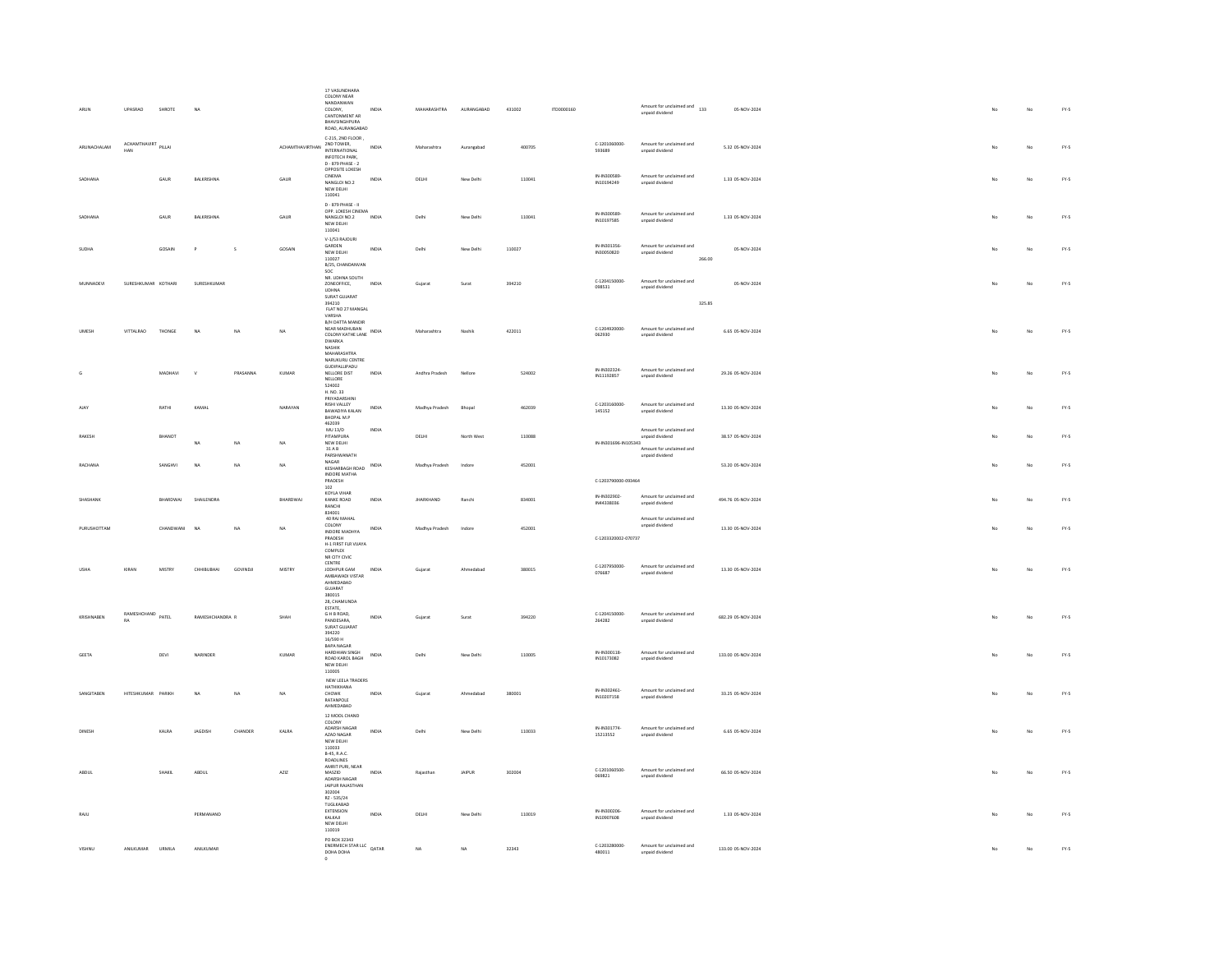| ARUN          | UPASRAO                    | SHROTE        | NA              |              |                            | 17 VASUNDHARA<br>COLONY NEAR<br>NANDANWAN<br>COLONY.<br>CANTONMENT AR<br>BHAVSINGHPURA<br>ROAD, AURANGABAD   | <b>INDIA</b>   | MAHARASHTRA      | AURANGABAD | 431002 | ITD0000160 |                            | Amount for unclaimed and<br>133<br>unpaid dividend                      | 05-NOV-2024        | No          | No | $FY-5$ |
|---------------|----------------------------|---------------|-----------------|--------------|----------------------------|--------------------------------------------------------------------------------------------------------------|----------------|------------------|------------|--------|------------|----------------------------|-------------------------------------------------------------------------|--------------------|-------------|----|--------|
| ARUNACHALAM   | ACHAMTHAVIRT PILLAI<br>HAN |               |                 |              | ACHAMTHAVIRTHAN 2ND TOWER, | C-215, 2ND FLOOR<br><b>INFOTECH PARK</b><br>D - 879 PHASE - 2                                                | INDIA          | Maharashtra      | Aurangabad | 400705 |            | C-1201060000-<br>593689    | Amount for unclaimed and<br>unpaid dividend                             | 5.32 05-NOV-2024   |             | No | $FY-5$ |
| SADHANA       |                            | GAUR          | BALKRISHNA      |              | GAUR                       | OPPOSITE LOKESH<br>CINEMA<br>NANGLOI NO.2<br>NEW DELHI<br>110041                                             | INDIA          | DELHI            | New Delhi  | 110041 |            | IN-IN300589<br>IN10194249  | Amount for unclaimed and<br>unpaid dividend                             | 1.33 05-NOV-2024   | No          | No | FY-5   |
| SADHANA       |                            | GAUR          | BALKRISHNA      |              | GAUR                       | D - 879 PHASE - II<br>OPP. LOKESH CINEMA<br>NANGLOI NO.2<br>NEW DELHI<br>110041                              | INDIA          | Delhi            | New Delhi  | 110041 |            | IN-IN300589-<br>IN10197585 | Amount for unclaimed and<br>unpaid dividend                             | 1.33 05-NOV-2024   | No          | No | FY-5   |
| SUDHA         |                            | GOSAIN        | $\mathsf{P}$    | $\mathsf{s}$ | GOSAIN                     | V-1/53 RAJOURI<br>GARDEN<br>NEW DELHI<br>110027<br>B/25, CHANDANVAN<br>SOC                                   | INDIA          | Delhi            | New Delhi  | 110027 |            | IN-IN301356<br>IN30050820  | Amount for unclaimed and<br>unpaid dividend<br>266.00                   | 05-NOV-2024        | No          | No | FY-5   |
| MUNNADEVI     | SURESHKUMAR KOTHARI        |               | SURESHKUMAF     |              |                            | NR. UDHNA SOUTH<br>ZONEOFFICE,<br><b>UDHNA</b><br>SURAT GUJARAT<br>394210                                    | INDIA          | Gujarat          | Surat      | 394210 |            | C-1204150000-<br>098531    | Amount for unclaimed and<br>unpaid dividend<br>325.85                   | 05-NOV-2024        | No          | No | $FY-5$ |
| UMESH         | VITTALRAD                  | THONGE        | N <sub>A</sub>  | NA           | <b>NA</b>                  | FLAT NO 27 MANGAL<br>VARSHA<br><b>B/H DATTA MANDIR</b><br>NEAR MADHUBAN<br>COLONY KATHE LANE INDIA           |                | Maharashtra      | Nashik     | 422011 |            | C-1204920000-<br>062930    | Amount for unclaimed and<br>unpaid dividend                             | 6.65 05-NOV-2024   | No          | No | FY-5   |
|               |                            |               |                 |              |                            | DWARKA<br><b>NASHIK</b><br>MAHARASHTRA<br>MAHARASHTRA<br>NARUKURU CENTRE<br>GUDIPALLIPADU                    |                |                  |            |        |            |                            |                                                                         |                    |             |    |        |
|               |                            | MADHAVI       | $\mathbf{v}$    | PRASANNA     | KUMAR                      | NELLORE DIST<br>NELIORE<br>524002<br>H. NO. 33<br>PRIYADARSHINI                                              | INDIA          | Andhra Pradesh   | Nellore    | 524002 |            | IN-IN302324<br>IN11192857  | Amount for unclaimed and<br>unpaid dividend                             | 29.26 05-NOV-2024  | No          | No | $FY-5$ |
| AIAY          |                            | RATHI         | KAMAL           |              | NARAYAN                    | <b>RISHLVALLEY</b><br>BAWADIYA KALAN<br>BHOPAL M.P<br>462039<br>MU 13/D                                      | INDIA<br>INDIA | Madhya Pradesh   | Bhopal     | 462039 |            | 0.1203160000<br>145152     | Amount for unclaimed and<br>unpaid dividend<br>Amount for unclaimed and | 13.30 05-NOV-2024  |             | No | $FY-S$ |
| <b>RAKESH</b> |                            | BHANOT        |                 | NA           | NA                         | PITAMPURA<br>NEW DELHI<br>$31\,\mathrm{A}\,\mathrm{B}$<br>PARSHWANATH<br>NAGAR                               |                | DELHI            | North West | 110088 |            | IN-IN301696-IN105343       | unpaid dividend<br>Amount for unclaimed and<br>unpaid dividend          | 38.57 05-NOV-2024  |             | No | $FY-5$ |
| RACHANA       |                            | SANGHVI       | NA              | NA           | NA                         | KESHARBAGH ROAD<br>INDORE MATHA                                                                              | INDIA          | Madhya Pradesh   | Indore     | 452001 |            |                            |                                                                         | 53.20 05-NOV-2024  |             | No | $FY-5$ |
|               |                            |               |                 |              |                            |                                                                                                              |                |                  |            |        |            |                            |                                                                         |                    |             |    |        |
|               |                            |               |                 |              |                            | PRADESH<br>102                                                                                               |                |                  |            |        |            | C-1203790000-093464        |                                                                         |                    |             |    |        |
| SHASHANI      |                            | BHARDWAJ      | SHAILENDRA      |              | BHARDWAJ                   | KOYLA VIHAR<br>KANKE ROAD<br>RANCHI<br>834001<br>40 RAJ MAHAL                                                | INDIA          | <b>JHARKHAND</b> | Ranchi     | 834001 |            | IN-IN302902-<br>IN44338036 | Amount for unclaimed and<br>unpaid dividend<br>Amount for unclaimed and | 494.76 05-NOV-2024 |             | No | $FY-5$ |
| PURUSHOTTAM   |                            | CHANDWANI     | N <sub>A</sub>  | <b>NA</b>    | NA                         | COLONY<br>INDORE MADHYA<br>PRADESH<br>H-1 FIRST FLR VUAYA<br>COMPLEX<br>NR CITY CIVIC                        | INDIA          | Madhya Pradesh   | Indore     | 452001 |            | C-1203320002-070737        | unpaid dividend                                                         | 13.30 05-NOV-2024  | No          | No | FY-5   |
| <b>USHA</b>   | KIRAN                      | <b>MISTRY</b> | CHHIBUBHAI      | GOVINDJI     | MISTRY                     | ${\tt CENTRE}$<br>JODHPUR GAM<br>AMRAWADI VISTAR<br>AHMEDABAD<br>GUIARAT<br>380015                           | INDIA          | Guiarat          | Ahmedabad  | 380015 |            | C-1207950000-<br>076687    | Amount for unclaimed and<br>unpaid dividend                             | 13.30 05-NOV-2024  | No          | No | FY-5   |
| KRISHNAREN    | RAMESHCHAND PATEL<br>RA    |               | RAMESHCHANDRA R |              | SHAH                       | 28. CHAMUNDA<br>ESTATE,<br>G H B ROAD.<br>PANDESARA,<br>SURAT GUJARAT                                        | INDIA          | Gujarat          | Surat      | 394220 |            | C-1204150000-<br>264282    | Amount for unclaimed and<br>unpaid dividend                             | 682.29.05-NOV-2024 | No          | No | FY-5   |
| GEETA         |                            | DEVI          | NARINDER        |              | KUMAR                      | 394220<br>16/590 H<br>RAPA NAGAR<br>HARDHIAN SINGH<br>ROAD KAROL BAGH<br>NEW DELHI                           | INDIA          | Delhi            | New Delhi  | 110005 |            | IN-IN300118-<br>IN10173082 | Amount for unclaimed and<br>unpaid dividend                             | 133.00 05-NOV-2024 | No          | No | $FY-5$ |
| SANGITABEN    | HITESHKUMAR PARIKH         |               | NA              | NA           | NA                         | 110005<br>NEW LEELA TRADERS<br>HATHIKHANA<br>CHOWK<br><b>RATANPOLE</b>                                       | INDIA          | Gujarat          | Ahmedabad  | 380001 |            | IN-IN302461<br>IN10207158  | Amount for unclaimed and<br>unpaid dividend                             | 33.25 05-NOV-2024  | No          | No | $FY-5$ |
| DINESH        |                            | KALRA         | JAGDISH         | CHANDER      | KALRA                      | AHMEDABAD<br>12 MOOL CHAND<br>COLONY<br>ADARSH NAGAR<br>AZAD NAGAR<br>NEW DELHI                              | INDIA          | Delhi            | New Delhi  | 110033 |            | IN-IN301774<br>15213552    | Amount for unclaimed and<br>unpaid dividend                             | 6.65 05-NOV-2024   |             | No | $FY-S$ |
| ABDUL         |                            | SHAKIL        | ABDUL           |              | AZIZ                       | 110033<br><b>B-45, R.A.C.</b><br>ROADLINES<br>AMRIT PURI, NEAR<br>MASZID<br>ADARSH NAGAR<br>JAIPUR RAJASTHAN | INDIA          | Rajastha         | JAIPUR     | 302004 |            | C-1201060500-<br>069821    | Amount for unclaimed and<br>unpaid dividend                             | 66.50 05-NOV-2024  |             | No | $FY-S$ |
| RAJU          |                            |               | PERMANAND       |              |                            | 302004<br>RZ - 535/24<br>TUGLKABAD<br><b>EXTENSION</b><br>KALKAJI<br>NEW DELHI<br>110019                     | INDIA          | <b>DELHI</b>     | New Delhi  | 110019 |            | IN-IN300206<br>IN10907608  | Amount for unclaimed and<br>unpaid dividend                             | 1.33.05-NOV-2024   | $M_{\rm C}$ | No | FY-5   |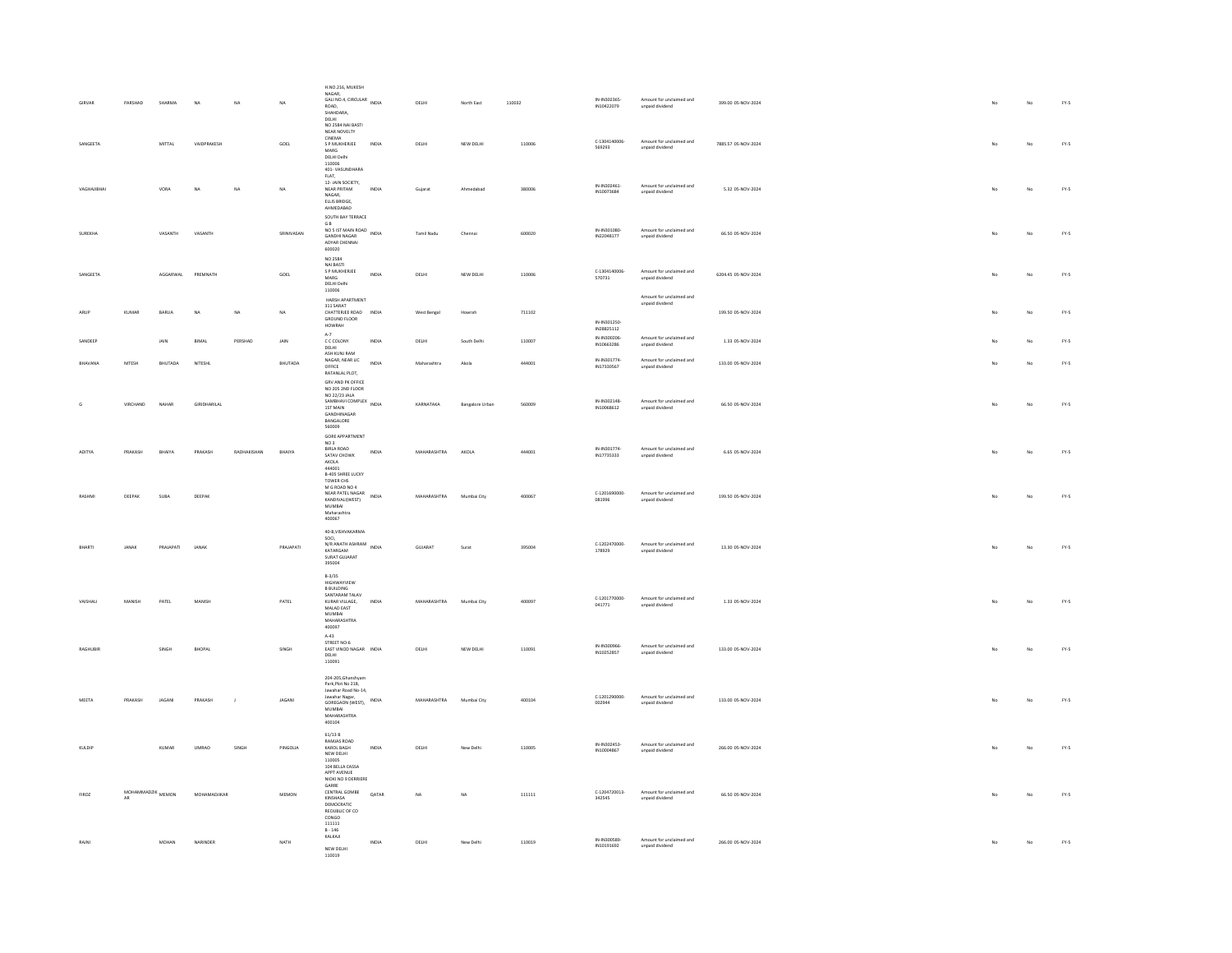| GIRVAR       | PARSHAI                |           | NA           | NA             | NA.         | H.NO.216, MUKESH<br>NAGAR,<br>Nasan, CIRCULAR INDIA<br>ROAD,<br>SHAHDARA.<br>DELHI<br>NO 2584 NAI BASTI                                       |              | DELHI        | North East             | 110032 | IN-IN302365-<br>IN10422079 | Amount for unclaimed and<br>unpaid dividend | 399.00 05-NOV-2024  |     | No          | $FY.S$ |
|--------------|------------------------|-----------|--------------|----------------|-------------|-----------------------------------------------------------------------------------------------------------------------------------------------|--------------|--------------|------------------------|--------|----------------------------|---------------------------------------------|---------------------|-----|-------------|--------|
| SANGEETA     |                        | MITTAL    | VAIDPRAKESH  |                | GOEL        | NEAR NOVELTY<br>CINEMA<br>S P MUKHERJEE<br>MARG<br>DELHI Delhi<br>110006<br>401-VASUNDHARA                                                    | INDIA        | DELHI        | NEW DELHI              | 110006 | C-1304140006-<br>569293    | Amount for unclaimed and<br>unpaid dividend | 7885.57 05-NOV-2024 | No  | $_{\rm No}$ | $FY-S$ |
| VAGHAJIBHA   |                        | VORA      | NA           | NA             | NA.         | $FLAT$<br>12-JAIN SOCIETY.<br><b>NEAR PRITAM</b><br>NAGAR.<br>ELLIS BRIDGE.<br>AHMEDABAD                                                      | INDIA        | Gujarat      | Ahmedabad              | 380006 | IN-IN302461<br>IN10073684  | Amount for unclaimed and<br>unpaid dividend | 5.32 05-NOV-2024    |     | No          | FY.5   |
| SUREKHA      |                        | VASANTH   | VASANTH      |                | SRINIVASAN  | SOUTH BAY TERRACE<br><b>GB</b><br>G B<br>NO 5 IST MAIN ROAD<br>NDIA<br>GANDHI NAGAR<br>ADYAR CHENNAL<br>600020                                |              | Tamil Nadu   | Chennai                | 600020 | IN-IN301080<br>IN22048177  | Amount for unclaimed and<br>unpaid dividend | 66.50 05-NOV-2024   | No  | No          | $FY.S$ |
| SANGEETA     |                        | AGGARWAL  | PREMNATH     |                | GOEL        | NO 2584<br>NAI BASTI<br>S P MUKHERJEE<br>$\ensuremath{\mathsf{MARG}}$<br>DELHI Delhi<br>110006                                                | INDIA        | DELHI        | NEW DELHI              | 110006 | C-1304140006<br>570731     | Amount for unclaimed and<br>unpaid dividend | 6204.45 05-NOV-2024 | No  | No          | $FY.S$ |
| ARUP         | KUMAR                  | RARUA     | NA           | N <sub>A</sub> | <b>NA</b>   | HARSH APARTMENT<br>311 SARAT<br>CHATTERIEF ROAD INDIA<br>GROUND FLOOR<br>HOWRAH                                                               |              | West Bengal  | Howrah                 | 711102 | IN-IN301250-<br>IN28825112 | Amount for unclaimed and<br>unpaid dividend | 199.50.05-NOV-2024  | Mo. | No          | $FN-5$ |
| SANDEEP      |                        | JAIN      | <b>BIMAL</b> | PERSHAD        | <b>IAIN</b> | $A-7$<br>C C COLONY<br>DELHI<br>ASH KUNJ RAM                                                                                                  | INDIA        | <b>DELHI</b> | South Delhi            | 110007 | IN-IN300206<br>IN10663286  | Amount for unclaimed and<br>unpaid dividend | 1.33.05-NOV-2024    |     | No          | FY-5   |
| BHAVANA      | NITESH                 | BHUTADA   | NITESHL      |                | BHUTADA     | NAGAR, NEAR LIC<br>OFFICE<br>RATANLAL PLOT,                                                                                                   | INDIA        | Maharashtra  | Akola                  | 444001 | IN-IN301774<br>IN17330567  | Amount for unclaimed and<br>unpaid dividend | 133.00 05-NOV-2024  |     | No          | $FY-5$ |
|              | VIRCHAND               | NAHAR     | GIRIDHARILAL |                |             | GRY AND PK OFFICE<br>NO 205 2ND FLOOR<br>NO 22/23 JALA<br>SAMBHAVI COMPLEX<br>1ST MAIN<br>GANDHINAGAR<br>BANGALORE<br>560009                  | INDIA        | KARNATAKA    | <b>Bangalore Urban</b> | 560009 | IN-IN302148<br>IN10068612  | Amount for unclaimed and<br>unpaid dividend | 66.50 05-NOV-2024   | No. | No          | $FN-5$ |
| ADITYA       | PRAKASH                | BHAIYA    | PRAKASH      | RADHAKISHAN    | BHAIYA      | GORE APPARTMENT<br>$NO3$<br>BIRLA ROAD<br>SATAV CHOWK<br>AKOLA<br>444001<br><b>B-405 SHREE LUCKY</b>                                          | INDIA        | MAHARASHTRA  | AKOLA                  | 444001 | IN-IN301774<br>IN17735333  | Amount for unclaimed and<br>unpaid dividend | 6.65 05-NOV-2024    | No  | No          | $FN-5$ |
| RASHM        | DEEPAK                 | SUBA      | DEEPAK       |                |             | TOWER CHS<br>$\mathsf{M}\xspace$ G ROAD NO 4<br>NEAR PATEL NAGAR<br>KANDIVALI(WEST)<br>MUMBAI<br>Maharashtra<br>400067                        | INDIA        | MAHARASHTRA  | Mumbai City            | 400067 | C-1201690000-<br>081996    | Amount for unclaimed and<br>unpaid dividend | 199.50 05-NOV-2024  | No  | No          | $FY-5$ |
|              | JANAK                  | PRAJAPATI | JANA)        |                | PRAJAPATI   | 40-B, VISHVAKARMA<br>SOCI.<br>N/R ANATH ASHRAM INDIA<br>KATARGAM<br>SURAT GUJARAT<br>395004                                                   |              | GUJARAT      | Surat                  | 395004 | C-1202470000-<br>178929    | Amount for unclaimed and<br>unpaid dividend | 13.30 05-NOV-2024   | No  | No          | $FN-5$ |
|              | MANISK                 | PATEL     | MANISH       |                | PATEL       | $B-3/35$<br>HIGHWAYVIEW<br><b>B BUILDING</b><br>SANTARAM TALAV<br>KURAR VILLAGE,<br>MALAD EAST<br>MUMBAI<br>MAHARASHTRA<br>400097             | INDIA        | MAHARASHTRA  | Mumbai City            | 400097 | C-1201770000-<br>041771    | Amount for unclaimed and<br>unpaid dividend | 1.33 05-NOV-2024    |     | No          | $FY-5$ |
| RAGHUBIR     |                        | SINGH     | BHOPAL       |                | SINGH       | $A - 43$<br>STREET NO-6<br>EAST VINOD NAGAR INDIA<br><b>DELHI</b><br>110091                                                                   |              | DELHI        | NEW DELHI              | 110091 | IN-IN300966<br>IN10252857  | Amount for unclaimed and<br>unpaid dividend | 133.00 05-NOV-2024  | No  | No          | $FN-5$ |
| MEETA        | PRAKASH                | JAGANI    | PRAKASH      | $\bar{1}$      | JAGANI      | 204-205, Ghanshyam<br>Park Plot No 218.<br>Jawahar Road No-14,<br>Jawahar Nagar<br>GOREGAON (WEST),<br><b>MUMBAI</b><br>MAHARASHTRA<br>400104 | INDIA        | MAHARASHTRA  | Mumbai City            | 400104 | C-1201290000-<br>002944    | Amount for unclaimed and<br>unpaid dividend | 133.00 05-NOV-2024  |     | No          | $FN-5$ |
| KULDIR       |                        | KUMAR     | <b>UMRAO</b> | SINGH          | PINGOLIA    | 61/13B<br>RAMIAS ROAD<br>KAROL BAGH<br>NEW DELHI<br>110005<br>104 BELLA CASSA<br>APPT AVENUE                                                  | INDIA        | DELHI        | New Delhi              | 110005 | IN-IN302453-<br>IN10004867 | Amount for unclaimed and<br>unpaid dividend | 266.00 05-NOV-2024  |     | No          | $FN-5$ |
| <b>FIROZ</b> | MOHAMMADZIK<br><br>AR. |           | MOHAMADIIKAR |                | MEMON       | NIOKI NO 9 DERRIERE<br>GARRE<br>CENTRAL GOMBE<br>KINSHASA<br>DEMOCRATIC<br>REQUBLIC OF CO.<br>CONGO<br>111111                                 | <b>OATAR</b> | NA           | <b>NA</b>              | 111111 | C-1204720013-<br>342545    | Amount for unclaimed and<br>unpaid dividend | 66.50.05-NOV-2024   | No  | No          | $FY-S$ |
| RAJNI        |                        | MOHAM     | NARINDER     |                | NATH        | $B - 146$<br>KALKAJI<br>NEW DELHI<br>110019                                                                                                   | INDIA        | DELHI        | New Delhi              | 110019 | IN-IN300589<br>IN10191692  | Amount for unclaimed and<br>unpaid dividend | 266.00 05-NOV-2024  |     | No          | $FY-S$ |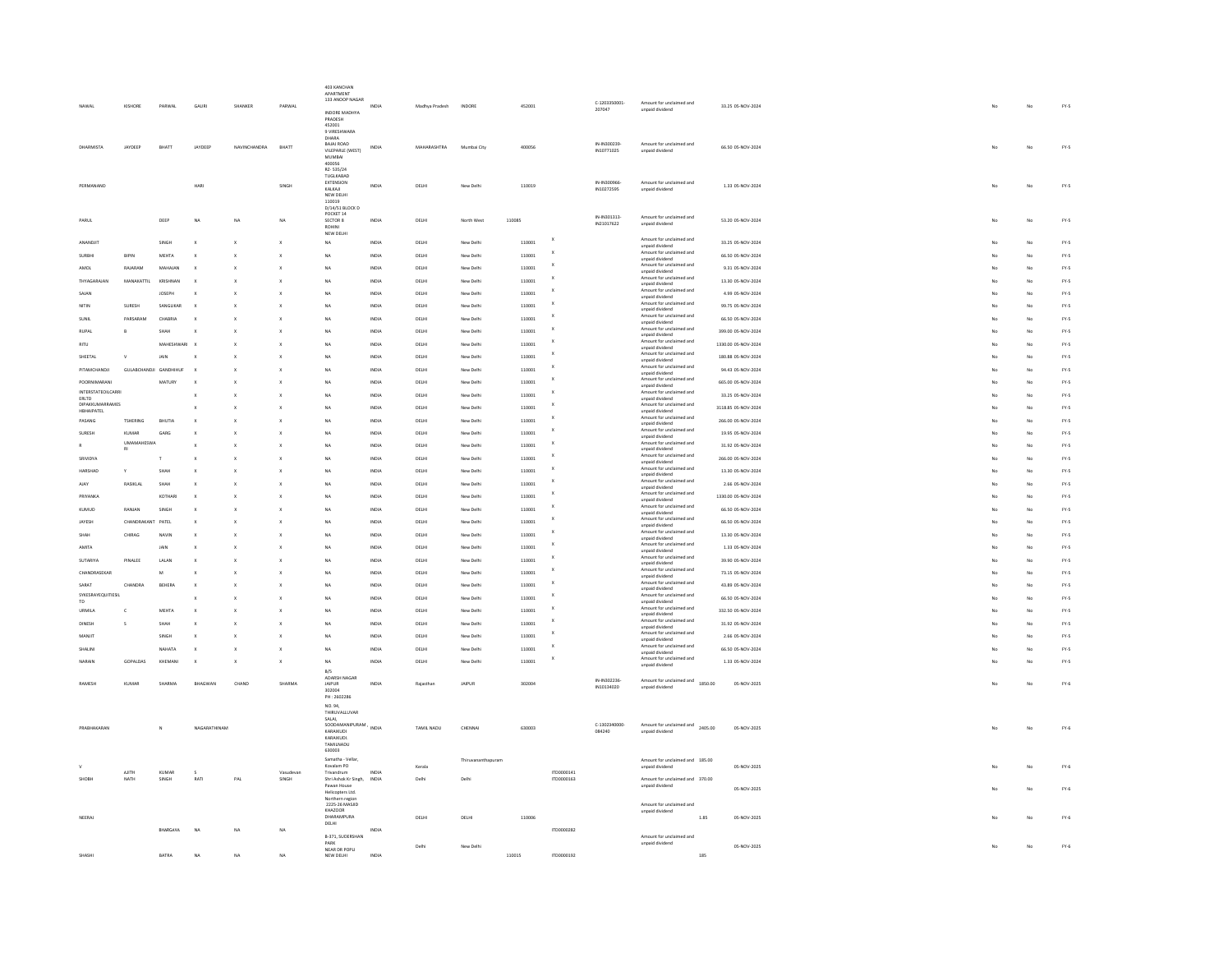|                          |                            |                |              |              |                           | 403 KANCHAN<br>APARTMENT<br>133 ANOOP NAGAR |       |                |                    |        |                       |                            |                                                                |                     |    |                |        |
|--------------------------|----------------------------|----------------|--------------|--------------|---------------------------|---------------------------------------------|-------|----------------|--------------------|--------|-----------------------|----------------------------|----------------------------------------------------------------|---------------------|----|----------------|--------|
|                          | KISHORE                    | PARWAL         | GAUR         | SHANKER      | PARWAL                    | INDORE MADHYA                               | INDU  | Madhya Pradesh | <b>INDORE</b>      | 452001 |                       | C-1203350001<br>207047     | Amount for unclaimed and<br>unpaid dividend                    | 33.25 05-NOV-2024   |    | No             | FY.5   |
|                          |                            |                |              |              |                           | PRADESH<br>452001                           |       |                |                    |        |                       |                            |                                                                |                     |    |                |        |
|                          |                            |                |              |              |                           | 9 VIRESHWARA<br>DHARA                       |       |                |                    |        |                       |                            |                                                                |                     |    |                |        |
| DHARMISTA                | JAYDEEP                    | BHATT          | JAYDEEP      | NAVINCHANDRA | BHATT                     | BAJAJ ROAD<br>VILEPARLE (WEST)              | INDU  | MAHARASHTRA    | Mumbai City        | 400056 |                       | IN-IN300239-<br>IN10771025 | Amount for unclaimed and<br>unpaid dividend                    | 66.50 05-NOV-2024   |    | .<br>No        | FY.5   |
|                          |                            |                |              |              |                           | <b>MUMBAI</b>                               |       |                |                    |        |                       |                            |                                                                |                     |    |                |        |
|                          |                            |                |              |              |                           | 400056<br>RZ-535/24                         |       |                |                    |        |                       |                            |                                                                |                     |    |                |        |
| PERMANAND                |                            |                | HARI         |              | SINGH                     | TUGLKABAD<br><b>EXTENSION</b>               | INDIA | DELHI          | New Delhi          | 110019 |                       | IN-IN300966                | Amount for unclaimed and                                       | 1.33 05-NOV-2024    | No | No             | $FY-5$ |
|                          |                            |                |              |              |                           | KALKAJI<br>NEW DELHI                        |       |                |                    |        |                       | IN10272595                 | unpaid dividend                                                |                     |    |                |        |
|                          |                            |                |              |              |                           | 110019<br>D/14/51 BLOCK D                   |       |                |                    |        |                       |                            |                                                                |                     |    |                |        |
| PARUL                    |                            | DEER           | NA           |              | NA                        | POCKET 14<br>SECTOR 8                       | INDIA | DELHI          | North West         | 110085 |                       | IN-IN301313-               | Amount for unclaimed and                                       | 53.20 05-NOV-2024   |    | No             | $FY-5$ |
|                          |                            |                |              |              |                           | ROHINI<br>NEW DELHI                         |       |                |                    |        |                       | IN21017622                 | unpaid dividend                                                |                     |    |                |        |
| ANANDJIT                 |                            | SINGH          |              |              | $\boldsymbol{\mathsf{x}}$ | NA                                          | INDIA | DELHI          | New Delhi          | 110001 | $\mathbf{x}$          |                            | Amount for unclaimed and<br>unpaid dividend                    | 33.25 05-NOV-2024   |    | No             | FY-5   |
| SURBHI                   | BIPIN                      | MEHTA          |              |              | $\mathbf{x}$              | NA                                          | INDIA | DELHI          | New Delhi          | 110001 | $\boldsymbol{\times}$ |                            | Amount for unclaimed and<br>unpaid dividend                    | 66.50 05-NOV-2024   | No | No             | $FY-S$ |
| AMOL                     | RAJARAM                    | MAHAJAN        |              |              | $\mathbf{x}$              | NA                                          | INDIA | DELHI          | New Delhi          | 110001 |                       |                            | Amount for unclaimed and                                       | 9.31 05-NOV-2024    | No | No             | FY.5   |
| THYAGARAJAN              | MANAKATTIL                 | KRISHNA        |              |              | $\mathbf{x}$              | NA                                          | INDIA | DELHI          | New Delhi          | 110001 |                       |                            | unpaid dividend<br>Amount for unclaimed and<br>unpaid dividend | 13.30 05-NOV-2024   |    | No             | FY.5   |
| SAJAN                    |                            | <b>JOSEPH</b>  |              |              |                           | .<br>Na                                     | INDIA | DELHI          | New Delhi          | 110001 | x                     |                            | Amount for unclaimed and<br>unpaid dividend                    | 4.99 05-NOV-2024    |    | No             | $FY.S$ |
| NITIN                    | SURESH                     | SANGLIKAF      |              |              |                           | NA                                          | INDIA | DELHI          | New Delhi          | 110001 |                       |                            | Amount for unclaimed and<br>unpaid dividend                    | 99.75 05-NOV-2024   |    | No             | $FY.S$ |
|                          | PARSARAM                   | CHABRU         |              |              |                           | NA                                          | INDU  | DELH           | New Delhi          | 110001 |                       |                            | Amount for unclaimed and                                       | 66.50 05-NOV-2024   |    | No             | FY.5   |
| RUPA                     | B                          | SHAH           |              |              |                           | NA                                          | INDU  | DELH           | New Delh           | 110001 |                       |                            | unpaid dividend<br>Amount for unclaimed and                    | 399.00 05-NOV-2024  |    | No             | FY.5   |
| RITH                     |                            | MAHESHWARI     |              |              |                           | NA                                          | INDIA | DELHI          | New Delhi          | 110001 |                       |                            | unpaid dividend<br>Amount for unclaimed and                    | 1330.00 05-NOV-2024 |    | $\mathbf{M}$   | $FY-S$ |
| SHEETAL                  | $\mathbf{u}$               | <b>JAIN</b>    |              |              |                           | NA                                          | INDIA | DELHI          | New Delhi          | 110001 | $\mathbf x$           |                            | unpaid dividend<br>Amount for unclaimed and                    | 180.88 05-NOV-2024  |    | No             | FY-5   |
| PITAMCHANDJI             | GULABCHANDJI GANDHIHUF     |                |              |              |                           | NA                                          | INDIA | DELHI          | New Delhi          | 110001 |                       |                            | unpaid dividend<br>Amount for unclaimed and                    | 94.43 05-NOV-2024   |    | No             | FY-5   |
| POORNIMARAN              |                            | MATURY         |              |              | $\mathbf{x}$              | NA                                          | INDIA | DELHI          | New Delhi          | 110001 | x                     |                            | unpaid dividend<br>Amount for unclaimed and                    | 665.00 05-NOV-2024  | No | No             | $FY-S$ |
| INTERSTATEOILCARRI       |                            |                |              |              |                           | <b>NA</b>                                   |       |                |                    |        |                       |                            | unpaid dividend<br>Amount for unclaimed and                    | 33.25 05-NOV-2024   |    |                | FY.5   |
| ERLTD<br>DIPAKKUMARRAMES |                            |                |              |              | $\boldsymbol{\mathsf{x}}$ |                                             | INDIA | DELHI          | New Delhi          | 110001 | x                     |                            | unpaid dividend<br>Amount for unclaimed and                    |                     |    | No             |        |
| <b>HBHAIPATEL</b>        |                            |                |              |              |                           | NA                                          | INDIA | DELHI          | New Delhi          | 110001 |                       |                            | unpaid dividend<br>Amount for unclaimed and                    | 3118.85 05-NOV-2024 |    | No             | FY.5   |
| PASANG                   | <b>TSHERING</b>            | <b>BHUTIA</b>  |              |              | $\boldsymbol{\mathsf{x}}$ | N <sub>A</sub>                              | INDIA | DELHI          | New Delhi          | 110001 |                       |                            | unpaid dividend<br>Amount for unclaimed and                    | 266.00 05-NOV-2024  |    | No             | $FY.S$ |
| SURESH                   | KUMAR<br><b>IMAMAHESWA</b> | GARG           |              |              |                           | NA                                          | INDU  | DELHI          | New Delhi          | 110001 |                       |                            | unpaid dividend<br>Amount for unclaimed and                    | 19.95 05-NOV-2024   |    | No             | $FY-S$ |
|                          | RI                         |                |              |              | $\boldsymbol{\mathsf{x}}$ | NA                                          | INDIA | DELHI          | New Delhi          | 110001 |                       |                            | unpaid dividend<br>Amount for unclaimed and                    | 31.92 05-NOV-2024   |    | No             | FY-5   |
| SRIVIDYA                 |                            |                |              |              |                           | NA                                          | INDIA | DELHI          | New Delhi          | 110001 |                       |                            | unpaid dividend<br>Amount for unclaimed and                    | 266.00 05-NOV-2024  |    | $\mathbf{M}$   | $FY-S$ |
| HARSHAP                  | v                          | SHAH           |              |              | $\mathbf{x}$              | NA                                          | INDIA | <b>DELHI</b>   | New Delhi          | 110001 | x                     |                            | unpaid dividend                                                | 13.30 05-NOV-2024   |    | N <sub>0</sub> | $FY-S$ |
| A1AY                     | <b>RASIKLAL</b>            | SHAH           |              |              |                           | NA                                          | INDIA | <b>DELHI</b>   | New Delhi          | 110001 |                       |                            | Amount for unclaimed and<br>unpaid dividend                    | 2.66.05-NOV-2024    |    | No             | $FN-5$ |
| PRIYANKA                 |                            | KOTHARI        |              |              | $\boldsymbol{\mathsf{x}}$ | NA                                          | INDIA | DELHI          | New Delhi          | 110001 | x                     |                            | Amount for unclaimed and<br>unpaid dividend                    | 1330.00 05-NOV-2024 |    | No             | $FY-5$ |
| KUMUD                    | RANJAN                     | SINGH          |              |              | $\boldsymbol{\mathsf{x}}$ | NA                                          | INDIA | DELHI          | New Delhi          | 110001 |                       |                            | Amount for unclaimed and<br>unpaid dividend                    | 66.50 05-NOV-2024   |    | No             | FY.5   |
| JAYESH                   | CHANDRAKANT                | PATEL          |              |              |                           | NA                                          | INDIA | DELHI          | New Delhi          | 110001 |                       |                            | Amount for unclaimed and<br>unpaid dividend                    | 66.50 05-NOV-2024   |    | No             | FY.5   |
| SHAH                     | CHIRAG                     | NAVIN          |              |              | X                         | <b>NA</b>                                   | INDIA | DELHI          | New Delhi          | 110001 |                       |                            | Amount for unclaimed and<br>unpaid dividend                    | 13.30 05-NOV-2024   |    | No             | FY.5   |
| AMITA                    |                            | <b>JAIN</b>    |              |              |                           | $\overline{M}$                              | INDIA | DELHI          | New Delhi          | 110001 |                       |                            | Amount for unclaimed and<br>unpaid dividend                    | 1.33 05-NOV-2024    |    | No             | $FY.S$ |
| SUTARIYA                 | PINALEE                    | LALAN          |              |              | $\mathbf{x}$              | NA                                          | INDIA | DELHI          | New Delhi          | 110001 |                       |                            | Amount for unclaimed and<br>unpaid dividend                    | 39.90 05-NOV-2024   |    | No             | $FY.5$ |
| CHANDRASEKAR             |                            | $\mathbf{M}$   |              |              |                           | NA                                          | INDIA | DELHI          | New Delhi          | 110001 |                       |                            | Amount for unclaimed and<br>unpaid dividend                    | 73.15 05-NOV-2024   |    | No             | FY-5   |
| SARAT                    | CHANDRA                    | REHERA         |              |              |                           | NA                                          | INDIA | <b>DELHI</b>   | New Delhi          | 110001 | x                     |                            | Amount for unclaimed and<br>unpaid dividend                    | 43.89 05-NOV-2024   |    | No             | $FY-5$ |
| SYKESRAYEQUITIESIL<br>m  |                            |                |              |              | $\mathbf{x}$              | NA                                          | INDIA | DELHI          | New Delhi          | 110001 |                       |                            | Amount for unclaimed and                                       | 66.50 05-NOV-2024   | No | No             | $FN-5$ |
| URMILA                   | c                          | MEHTA          |              |              | $\boldsymbol{\mathsf{x}}$ | <b>NA</b>                                   | INDIA | DELHI          | New Delhi          | 110001 | x                     |                            | unpaid dividend<br>Amount for unclaimed and                    | 332.50 05-NOV-2024  | No | No             | $FN-5$ |
| DINESH                   | s                          | SHAH           |              |              | $\boldsymbol{\mathsf{x}}$ | NA                                          | INDIA | DELHI          | New Delhi          | 110001 |                       |                            | unpaid dividend<br>Amount for unclaimed and                    | 31.92 05-NOV-2024   |    | No             | $FY-5$ |
| MANJIT                   |                            | SINGH          |              |              | $\boldsymbol{\mathsf{x}}$ | <b>NA</b>                                   | INDIA | DELHI          | New Delhi          | 110001 |                       |                            | unpaid dividend<br>Amount for unclaimed and                    | 2.66 05-NOV-2024    |    | No             | FY.5   |
| SHALIN                   |                            | NAHATA         |              |              | $\boldsymbol{\mathsf{x}}$ | NA                                          | INDIA | DELHI          | New Delhi          | 110001 |                       |                            | unpaid dividend<br>Amount for unclaimed and                    | 66.50 05-NOV-2024   |    | No             | FY.5   |
| VARAIN                   | GOPALDAS                   | KHEMAN         |              |              |                           | <b>NA</b>                                   | INDIA | DELHI          | New Delh           | 110001 |                       |                            | unpaid dividend<br>mount for unclaimed and                     | 1.33 05-NOV-2024    |    | No             | FY.5   |
|                          |                            |                |              |              |                           | B/S<br>ADARSH NAGAR                         |       |                |                    |        |                       |                            | unpaid dividend                                                |                     |    |                |        |
| RAMESH                   | <b>KUMAR</b>               | SHARMA         | BHAGWAN      | CHAND        | SHARMA                    | <b>JAIPUR</b>                               | INDIA | Rajasthan      | JAIPUR             | 302004 |                       | IN-IN302236-<br>IN10134020 | Amount for unclaimed and<br>1850.00                            | 05-NOV-2025         | No | No             | $FY-6$ |
|                          |                            |                |              |              |                           | 302004<br>PH: 2602286                       |       |                |                    |        |                       |                            | unpaid dividend                                                |                     |    |                |        |
|                          |                            |                |              |              |                           | NO. 94,                                     |       |                |                    |        |                       |                            |                                                                |                     |    |                |        |
|                          |                            |                |              |              |                           | THIRUVALLUVAR<br>SALAI                      |       |                |                    |        |                       |                            |                                                                |                     |    |                |        |
| PRABHAKARAN              |                            |                | NAGARATHINAM |              |                           | SOODAMANIPURAM<br>KARAIKUDI                 | INDIA | TAMIL NADU     | CHENNA             | 630003 |                       | C-1302340000-<br>084240    | Amount for unclaimed and<br>2405.00<br>unpaid dividend         | 05-NOV-2025         |    | No             | $FY-6$ |
|                          |                            |                |              |              |                           | KARAIKUDI.<br>TAMILNADU                     |       |                |                    |        |                       |                            |                                                                |                     |    |                |        |
|                          |                            |                |              |              |                           | 630003<br>Samatha - Vellar                  |       |                | Thiruvananthapuran |        |                       |                            | Amount for unclaimed and 185.00                                |                     |    |                |        |
|                          | A ITH                      | KUMAR          |              |              | 1/m                       | Kovalam PO<br>Trivandrum                    | INDIA | Kerala         |                    |        | 1700000141            |                            | unpaid dividend                                                | 05-NOV-2025         |    | No             | $FY-6$ |
| SHOBH                    | NATH                       | SINGH          | RATI         | PAL          | SINGH                     | Shri Ashok Kr Singh,                        | INDIA | Delhi          | Delhi              |        | ITD0000163            |                            | Amount for unclaimed and 370.00                                |                     |    |                |        |
|                          |                            |                |              |              |                           | Pawan Hous<br>Helicopters Ltd.              |       |                |                    |        |                       |                            | unpaid dividend                                                | 05-NOV-2025         |    | No             | $FY-6$ |
|                          |                            |                |              |              |                           | Northern region<br>2225-26 MASJID           |       |                |                    |        |                       |                            | Amount for unclaimed and                                       |                     |    |                |        |
| NEERAL                   |                            |                |              |              |                           | KHAZOOR<br><b>DHARAMPURA</b>                |       | DELH           | DELHI              | 110006 |                       |                            | unpaid dividend<br>1.85                                        | 05-NOV-2025         |    | No             | $FY-6$ |
|                          |                            | <b>BHARGAV</b> |              | NA           |                           | DELHI                                       |       |                |                    |        | ITD0000282            |                            |                                                                |                     |    |                |        |
|                          |                            |                |              |              |                           | B-371, SUDERSHAN<br>PARK                    |       | Delhi          | New Delhi          |        |                       |                            | Amount for unclaimed and<br>unpaid dividend                    | 05-NOV-2025         |    | No             | $FY-6$ |
| SHASH                    |                            | RATRA          |              | NA           | NA                        | NEAR DR POPLI<br>NEW DELHI                  | INDIA |                |                    | 110015 | ITD0000192            |                            | 185                                                            |                     |    |                |        |
|                          |                            |                |              |              |                           |                                             |       |                |                    |        |                       |                            |                                                                |                     |    |                |        |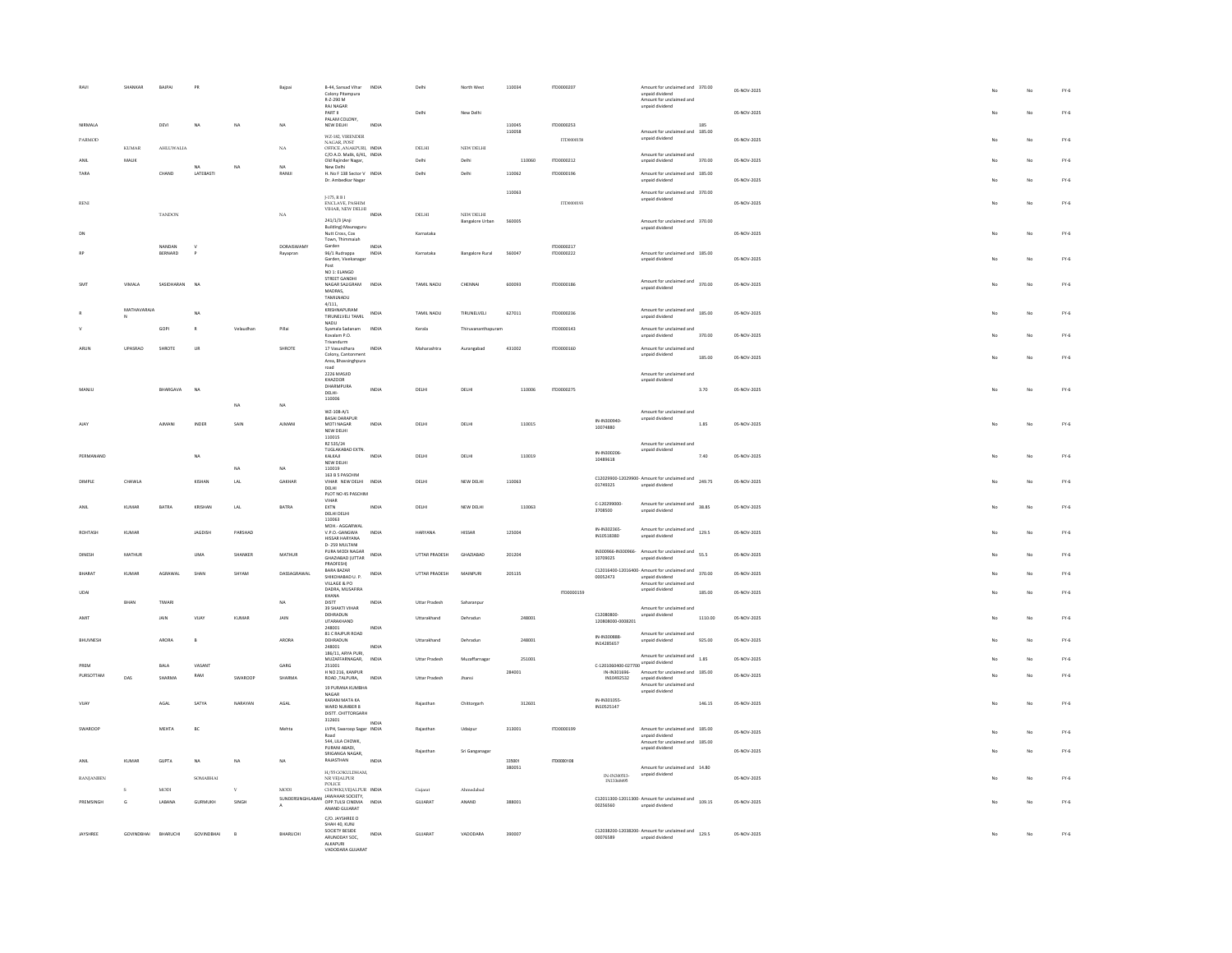|                  | SHANKAR           | BAJPAI        | PR                     |              | Baipai      | B-44, Sansad Vihar<br>Colony Pitampura<br>R-Z-290 M<br><b>RAINAGAR</b><br>PART II | INDIA | Delhi<br>Delh        | North West<br>New Delhi             | 110034           | ITD0000207 |                                     | Amount for unclaimed and 370.00<br>unpaid dividend<br>Amount for unclaimed and<br>unpaid dividend    |         | 05-NOV-2025<br>05-NOV-2025 |  |                         | No<br>No       | $FY-6$<br>$FY-6$ |
|------------------|-------------------|---------------|------------------------|--------------|-------------|-----------------------------------------------------------------------------------|-------|----------------------|-------------------------------------|------------------|------------|-------------------------------------|------------------------------------------------------------------------------------------------------|---------|----------------------------|--|-------------------------|----------------|------------------|
| NIRMALA          |                   | DEVI          | <b>NA</b>              | NA           | NA          | PALAM COLONY.<br>NEW DELHI                                                        | INDIA |                      |                                     | 110045           | ITD0000253 |                                     |                                                                                                      |         |                            |  |                         |                |                  |
| PARMOD           |                   |               |                        |              |             | WZ-182, VIRENDER                                                                  |       |                      |                                     | 110058           | TT0000158  |                                     | Amount for unclaimed and 185.00<br>unpaid dividend                                                   |         | 05-NOV-2025                |  |                         | No             | $FY-6$           |
|                  | <b>KUMAR</b>      | AHLUWALIA     |                        |              | NA          | NAGAR, POST<br>OFFICE, ANAKPURI, INDIA                                            |       | $_{\rm DELHI}$       | NEW DELHI                           |                  |            |                                     |                                                                                                      |         |                            |  |                         |                |                  |
| ANIL             | MALIK             |               |                        |              |             | C/O A.D. Malik, 6/41, INDIA<br>Old Rajinder Nagar,                                |       | Delhi                | Delhi                               | 110060           | ITD0000212 |                                     | Amount for unclaimed and<br>unpaid dividend                                                          | 370.00  | 05-NOV-2025                |  |                         | No             | $FY-6$           |
| TARA             |                   | CHAND         | <b>NA</b><br>LATEBASTI | NA           | NA<br>RANUL | New Delhi<br>H. No F 138 Sector V INDIA                                           |       | Delhi                | Delhi                               | 110062           | ITD0000196 |                                     | Amount for unclaimed and 185.00                                                                      |         |                            |  |                         |                |                  |
|                  |                   |               |                        |              |             | Dr. Ambedkar Nagar                                                                |       |                      |                                     |                  |            |                                     | unpaid dividend                                                                                      |         | 05-NOV-2025                |  |                         | No             | $FY-6$           |
|                  |                   |               |                        |              |             | J-175, R $\rm B$ I                                                                |       |                      |                                     | 110063           |            |                                     | Amount for unclaimed and 370.00<br>unpaid dividend                                                   |         |                            |  |                         |                |                  |
| RENI             |                   |               |                        |              |             | ENCLAVE, PASHIM<br>VIHAR, NEW DELHI                                               |       |                      |                                     |                  | ITD0000193 |                                     |                                                                                                      |         | 05-NOV-2025                |  | No                      | No             | $FY-6$           |
|                  |                   | <b>TANDON</b> |                        |              | NA          | 241/1/3 (Anii                                                                     | INDIA | DELHI                | NEW DELHI<br><b>Bangalore Urban</b> | 560005           |            |                                     | Amount for unclaimed and 370.00                                                                      |         |                            |  |                         |                |                  |
| DN               |                   |               |                        |              |             | <b>Building) Maunaguru</b><br>Nutt Cross, Cox                                     |       | Karnataka            |                                     |                  |            |                                     | unpaid dividend                                                                                      |         | 05-NOV-2025                |  |                         | No             | $FY-6$           |
|                  |                   | NANDAN        |                        |              | DORAISWAMY  | Town, Thimmaiah<br>Garden                                                         | INDIA |                      |                                     |                  | (TD0000217 |                                     |                                                                                                      |         |                            |  |                         |                |                  |
|                  |                   | BERNARD       |                        |              | Rayapran    | 96/1 Rudrappa<br>Garden, Vivekanagar                                              | INDIA | Karnataka            | <b>Bangalore Rural</b>              | 560047           | ITD0000222 |                                     | Amount for unclaimed and 185.00<br>unpaid dividend                                                   |         | 05-NOV-2025                |  |                         | No             | $FY-6$           |
|                  |                   |               |                        |              |             | Post<br>NO 1: ELANGO                                                              |       |                      |                                     |                  |            |                                     |                                                                                                      |         |                            |  |                         |                |                  |
| SM               | VIMALA            | SASIDHARAN NA |                        |              |             | STREET GANDHI<br>NAGAR SALIGRAM                                                   | INDIA | TAMIL NADU           | CHENNAL                             | 600093           | ITD0000186 |                                     | Amount for unclaimed and 370.00                                                                      |         | 05-NOV-2025                |  |                         | No             | $FY-6$           |
|                  |                   |               |                        |              |             | MADRAS,<br>TAMILNADU                                                              |       |                      |                                     |                  |            |                                     | unpaid dividend                                                                                      |         |                            |  |                         |                |                  |
|                  | MATHAVARAJA       |               |                        |              |             | 4/111,<br>KRISHNAPURAM                                                            |       |                      |                                     |                  |            |                                     |                                                                                                      |         |                            |  |                         |                |                  |
|                  |                   |               | <b>NA</b>              |              |             | TIRUNELVELI TAMIL                                                                 | INDIA | TAMIL NADU           | TIRUNELVELI                         | 627011           | ITD0000236 |                                     | Amount for unclaimed and 185.00<br>unpaid dividend                                                   |         | 05-NOV-2025                |  | No                      | No             | $FY-6$           |
|                  |                   | GOPL          | $\mathbb{R}$           | Velaudhan    | Pillai      | NADU<br>Syamala Sadanam                                                           | INDIA | Kerala               | Thinwananthanuram                   |                  | ITD0000143 |                                     | Amount for unclaimed and                                                                             |         |                            |  |                         |                |                  |
|                  |                   |               |                        |              |             | Kovalam P.O.<br>Trivandurm                                                        |       |                      |                                     |                  |            |                                     | unpaid dividend                                                                                      | 370.00  | 05-NOV-2025                |  |                         | No             | $FY-6$           |
| ARUN             | UPASRAO           | SHROTE        | $\mathsf{UR}$          |              | SHROTE      | 17 Vasundhara<br>Colony, Cantonment                                               | INDIA | Maharashtra          | Aurangabad                          | 431002           | ITD0000160 |                                     | Amount for unclaimed and<br>unpaid dividend                                                          | 185.00  | 05-NOV-2025                |  |                         | N <sub>0</sub> | $FY-6$           |
|                  |                   |               |                        |              |             | Area, Bhavsinghpura<br>road                                                       |       |                      |                                     |                  |            |                                     |                                                                                                      |         |                            |  |                         |                |                  |
|                  |                   |               |                        |              |             | 2226 MASJID<br>KHAZOOR                                                            |       |                      |                                     |                  |            |                                     | Amount for unclaimed and<br>unpaid dividend                                                          |         |                            |  |                         |                |                  |
| MANJU            |                   | BHARGAVA      | NA                     |              |             | DHARMPURA<br>DELHI-                                                               | INDIA | DELHI                | DELHI                               | 110006           | ITD0000275 |                                     |                                                                                                      | 3.70    | 05-NOV-2025                |  |                         | No             | $FY-6$           |
|                  |                   |               |                        | NA           | NA          | 110006                                                                            |       |                      |                                     |                  |            |                                     |                                                                                                      |         |                            |  |                         |                |                  |
|                  |                   |               |                        |              |             | W7-108-A/1<br><b>BASAI DARAPUR</b>                                                |       |                      |                                     |                  |            |                                     | Amount for unclaimed and                                                                             |         |                            |  |                         |                |                  |
| AJA)             |                   | AJMANI        | <b>INDER</b>           | SAIN         | AIMANI      | MOTI NAGAR<br>NEW DELHI                                                           | INDIA | DELHI                | DELHI                               | 110015           |            | IN-IN300940<br>10074880             | unpaid dividend                                                                                      | 1.85    | 05-NOV-2025                |  | $M_{\odot}$             | No             | $FY-6$           |
|                  |                   |               |                        |              |             | 110015<br>RZ 535/24                                                               |       |                      |                                     |                  |            |                                     | Amount for unclaimed and                                                                             |         |                            |  |                         |                |                  |
| PERMANAND        |                   |               |                        |              |             | TUGLAKABAD EXTN                                                                   | INDIA |                      |                                     |                  |            | IN-IN300206                         | unpaid dividend                                                                                      |         |                            |  |                         |                |                  |
|                  |                   |               | <b>NA</b>              |              |             | KALKAJI<br>NEW DELHI                                                              |       | DELHI                | DELHI                               | 110019           |            | 10489618                            |                                                                                                      | 7.40    | 05-NOV-2025                |  |                         | No             | $FY-6$           |
|                  |                   |               |                        | NA.          | NA          | 110019                                                                            |       |                      |                                     |                  |            |                                     |                                                                                                      |         |                            |  |                         |                |                  |
|                  |                   |               |                        |              |             | 163 B 5 PASCHIM                                                                   |       |                      |                                     |                  |            |                                     |                                                                                                      |         |                            |  |                         |                |                  |
| <b>DIMPLE</b>    | CHAWLA            |               | KISHAN                 | LAL          | GAKHAR      | VIHAR NEW DELHI INDIA<br>DELHI                                                    |       | DELHI                | NEW DELHI                           | 110063           |            | 01749325                            | C12029900-12029900- Amount for unclaimed and 249.75<br>unpaid dividend                               |         | 05-NOV-2025                |  |                         | No             | $FY-6$           |
|                  |                   |               |                        |              |             | PLOT NO 45 PASCHIM                                                                |       |                      |                                     |                  |            |                                     |                                                                                                      |         |                            |  |                         |                |                  |
| <b>ANIL</b>      | KUMAR             | BATRA         | KRISHAN                | LAL          | BATRA       | VIHAR<br>EXTN<br>DELHI DELHI                                                      | INDIA | DELHI                | NEW DELHI                           | 110063           |            | C-120299000<br>3708500              | Amount for unclaimed and 38.85<br>unpaid dividend                                                    |         | 05-NOV-2025                |  |                         | No             | $FY-6$           |
|                  |                   |               |                        |              |             | 110063<br>MOH .- AGGARWAL                                                         |       |                      |                                     |                  |            |                                     |                                                                                                      |         |                            |  |                         |                |                  |
| ROHTASH          | KUMAR             |               | JAGDISH                | PARSHAD      |             | V.P.O.-GANGWA<br>HISSAR HARYANA                                                   | INDIA | HARYANA              | HISSAR                              | 125004           |            | IN-IN302365-<br>IN10518380          | Amount for unclaimed and<br>129.5<br>unpaid dividend                                                 |         | 05-NOV-2025                |  |                         | No             | $FY-6$           |
|                  |                   |               |                        |              |             | D-259 MULTANI                                                                     |       |                      |                                     |                  |            |                                     |                                                                                                      |         |                            |  |                         |                |                  |
| DINESH           | MATHUR            |               | UMA                    | SHANKER      | MATHUR      | PURA MODI NAGAR<br><b>GHAZIABAD (UTTAR</b>                                        | INDIA | UTTAR PRADESH        | GHAZIARAD                           | 201204           |            | 10709025                            | IN300966-IN300966- Amount for unclaimed and<br>unpaid dividend                                       | 55.5    | 05-NOV-2025                |  |                         | No             | $FY-6$           |
| <b>BHARAT</b>    | KUMAR             | AGRAWAL       | SHAM                   | SHYAM        | DASSAGRAWAL | PRADFESH)<br>BARA BAZAR                                                           | INDIA | UTTAR PRADESH        | MAINPUR                             | 205135           |            |                                     |                                                                                                      |         | 05-NOV-2025                |  |                         | No             | $FY-6$           |
|                  |                   |               |                        |              |             | SHIKOHABAD U. P.                                                                  |       |                      |                                     |                  |            | 00052473                            | C12016400-12016400- Amount for unclaimed and $370.00$<br>unpaid dividend<br>Amount for unclaimed and |         |                            |  |                         |                |                  |
| <b>UDAI</b>      |                   |               |                        |              |             | VILLAGE & PO<br>DADRA, MUSAFIRA<br>KHANA                                          |       |                      |                                     |                  | ITD0000159 |                                     | unpaid dividend                                                                                      | 185.00  | 05-NOV-2025                |  | No                      | No             | $FY-6$           |
|                  | BHAN              | TIWARI        |                        |              | NA          | DISTT<br>39 SHAKTI VIHAR                                                          | INDIA | Uttar Pradesh        | Saharanpu                           |                  |            |                                     | Amount for unclaimed and                                                                             |         |                            |  |                         |                |                  |
| AMIT             |                   | JAIN          | VIJAY                  | KUMAR        | JAIN        | DEHRADUN<br>UTARAKHAND                                                            |       | Uttarakhand          | Dehradun                            | 248001           |            | C12080800<br>120808000-0008201      | unpaid dividend                                                                                      | 1110.00 | 05-NOV-2025                |  | No                      | No             | $FY-6$           |
|                  |                   |               |                        |              |             | 248001<br>81 C RAJPUR ROAD                                                        | INDM  |                      |                                     |                  |            |                                     | Amount for unclaimed and                                                                             |         |                            |  |                         |                |                  |
| <b>BHITVNESE</b> |                   | ARORA         | $\mathbf{R}$           |              | ARORA       | DEHRADUN<br>248001                                                                | INDIA | Uttarakhand          | Debradun                            | 248001           |            | IN-IN300888-<br>IN14285657          | unpaid dividend                                                                                      | 925.00  | 05-NOV-2025                |  | $\overline{\mathbf{M}}$ | No             | $FY-6$           |
|                  |                   |               |                        |              |             | 186/11 ARYA PURL                                                                  | INDIA | Uttar Pradesh        | Muzaffarnagar                       |                  |            |                                     | Amount for unclaimed and                                                                             | 1.85    |                            |  |                         |                |                  |
| PREM             |                   | RAI A         | VASANT                 |              | GARG        | MUZAFFARNAGAR,<br>251001                                                          |       |                      |                                     | 251001<br>284001 |            | C-1201060400-027700 unpaid dividend |                                                                                                      |         | 05-NOV-2025                |  |                         | $_{\rm No}$    | $\text{FY-6}$    |
| PURSOTTAM        | DAS               | SHARMA        | RAM                    | SWAROOP      | SHARMA      | H NO 216, KANPUR<br>ROAD, TALPURA, INDIA                                          |       | <b>Uttar Pradesh</b> | Jhansi                              |                  |            | IN-IN301696-<br>IN10492532          | Amount for unclaimed and 185.00<br>unpaid dividend                                                   |         | 05-NOV-2025                |  |                         | No             | $FY-6$           |
|                  |                   |               |                        |              |             | 19 PURANA KUMBHA<br>NAGAR                                                         |       |                      |                                     |                  |            |                                     | Amount for unclaimed and<br>unpaid dividend                                                          |         |                            |  |                         |                |                  |
| VUAY             |                   | AGAL          | SATYA                  | NARAYAN      | AGAL        | KARANI MATA KA<br>WARD NUMBER 8                                                   |       | Rajasthar            | Chittorgarh                         | 312601           |            | IN-IN301055-<br>IN10525147          |                                                                                                      | 146.15  | 05-NOV-2025                |  |                         | No             | $FY-6$           |
|                  |                   |               |                        |              |             | DISTT. CHITTORGARH<br>312601                                                      |       |                      |                                     |                  |            |                                     |                                                                                                      |         |                            |  |                         |                |                  |
| SWAROOF          |                   | MEHTA         | BC                     |              | Mehta       | LVPH, Swaroop Sagar INDIA                                                         | INDIA | Rajasthan            | Udaipur                             | 313001           | ITD0000199 |                                     | Amount for unclaimed and 185.00                                                                      |         | 05-NOV-2025                |  |                         | No             | $FY-6$           |
|                  |                   |               |                        |              |             | Road                                                                              |       |                      |                                     |                  |            |                                     | unpaid dividend<br>Amount for unclaimed and 185.00                                                   |         |                            |  |                         |                |                  |
|                  |                   |               |                        |              |             | noad<br>544, LILA CHOWK,<br>PURANI ABADI,<br>SRIGANGA NAGAR                       |       | Rajasthar            | Sri Ganganagar                      |                  |            |                                     | unpaid dividend                                                                                      |         | 05-NOV-2025                |  |                         | No             | $FY-6$           |
| ANIL             | KUMAR             | <b>GUPTA</b>  | NA                     | NA           | NA          | RAJASTHAN                                                                         | INDIA |                      |                                     | 335001<br>380051 | ITD0000108 |                                     | Amount for unclaimed and 14.80                                                                       |         |                            |  |                         |                |                  |
| <b>RANJANBEN</b> |                   |               | SOMABHAI               |              |             | H/55 GOKULDHAM,<br>NR VEJALPUR                                                    |       |                      |                                     |                  |            | $IN-IN300513-$<br>IN13368495        | unpaid dividend                                                                                      |         | 05-NOV-2025                |  |                         | No             | $FY-6$           |
|                  | $\mathsf{s}$      | MODI          |                        | $\mathbf{v}$ | MODI        | <b>POLICE</b><br>CHOWKI, VEJALPUR INDIA                                           |       | Gujarat              | Ahmedabad                           |                  |            |                                     |                                                                                                      |         |                            |  |                         |                |                  |
| PREMSINGH        | G                 | LABANA        | <b>GURMUKH</b>         | SINGH        |             | <b>JAWAHAR SOCIETY,</b>                                                           | INDIA | GUJARAT              | ANAND                               | 388001           |            | 00256560                            | C12011300-12011300- Amount for unclaimed and $109.15$<br>unnaid dividend                             |         | 05-NOV-2025                |  |                         | No             | $FY-6$           |
|                  |                   |               |                        |              |             | SUNDERSINGHLABAN OPP.TULSI CINEMA<br>ANAND GUJARAT<br>C/O. JAYSHREE O             |       |                      |                                     |                  |            |                                     |                                                                                                      |         |                            |  |                         |                |                  |
|                  |                   |               |                        |              |             | SHAH 40, KUNJ                                                                     |       |                      |                                     |                  |            |                                     |                                                                                                      |         |                            |  |                         |                |                  |
| <b>IAYSHREE</b>  | <b>GOVINDBHAI</b> | BHARUCHI      | <b>GOVINDRHAL</b>      | R            | BHARUCHI    | SOCIETY BESIDE<br>ARUNODAY SOC,<br>ALKAPURI                                       | INDIA | GUJARAT              | VADODARA                            | 390007           |            | 00076589                            | C12038200-12038200- Amount for unclaimed and 129.5<br>unpaid dividend                                |         | 05-NOV-2025                |  | No                      | No             | $FY-6$           |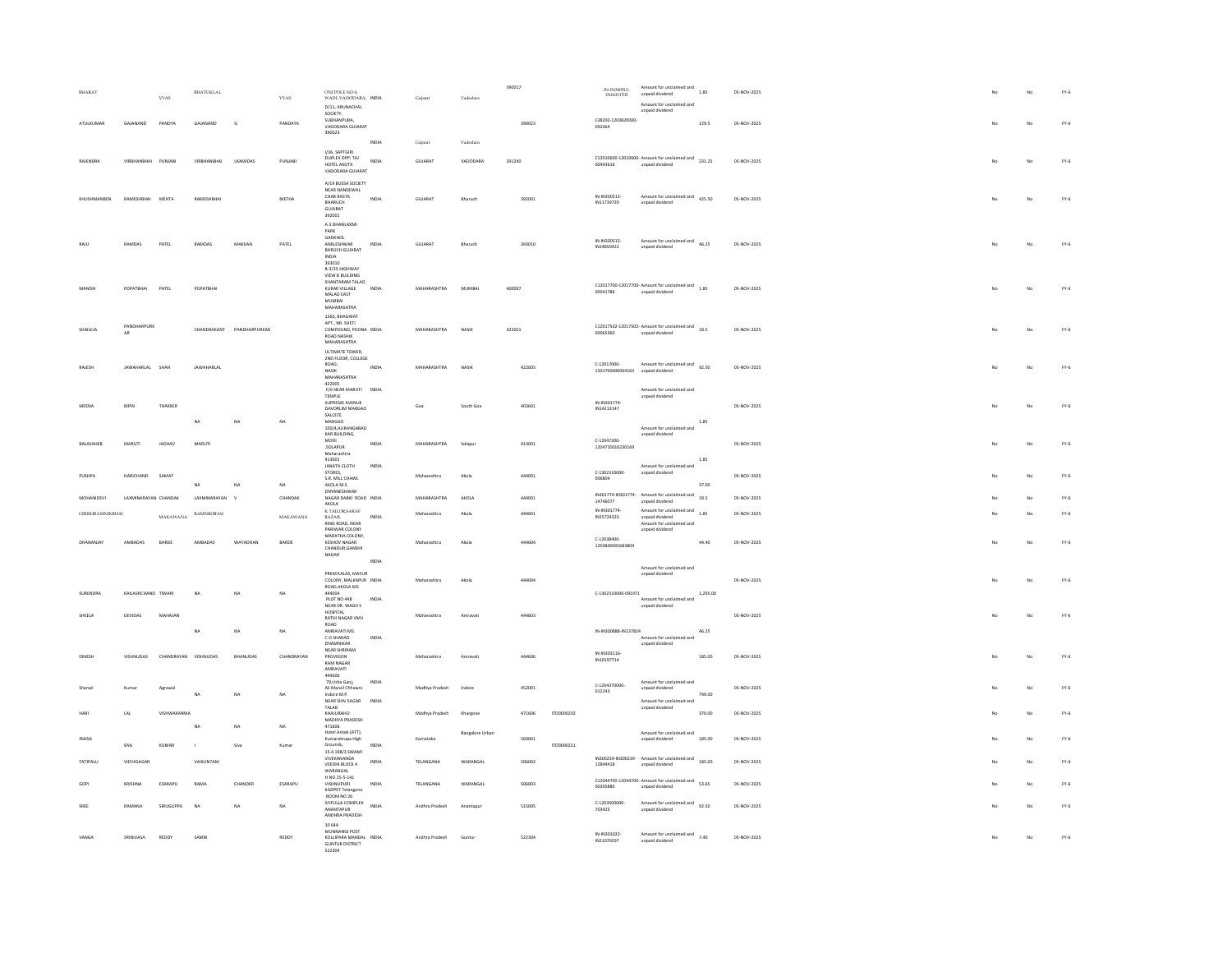| BHARAT                  |                                                                                                                            | <b>VYAS</b>          | BHATUKLAL          |               | <b>VYAS</b>  | ONI POLE NO 4,<br>WADI, VADODARA, INDIA<br>D/11, ARUNACHAL<br>SOCIETY.                        |              | Gujarat        | Vadodara               | 390017 |            | IN-IN300513-<br>IN14311705     | Amount for unclaimed and<br>unpaid dividend<br>Amount for unclaimed and<br>unpaid dividend         | 1.85     | 05-NOV-2025 |  |    | No             | $FY-6$        |
|-------------------------|----------------------------------------------------------------------------------------------------------------------------|----------------------|--------------------|---------------|--------------|-----------------------------------------------------------------------------------------------|--------------|----------------|------------------------|--------|------------|--------------------------------|----------------------------------------------------------------------------------------------------|----------|-------------|--|----|----------------|---------------|
| ATULKUMA                | GAJANAND                                                                                                                   | PANDYA               | GAJANAND           | G             | PANDAYA      | <b>SUBHANPURA</b><br>VADODARA GUJARAT<br>390023                                               |              |                |                        | 390023 |            | C38200-1203820000<br>092364    |                                                                                                    | 129.5    | 05-NOV-2025 |  |    | No             | $FY-6$        |
|                         |                                                                                                                            |                      |                    |               |              | I/36, SAPTGIRI                                                                                | INDIA        | Gujarat        | Vadodara               |        |            |                                |                                                                                                    |          |             |  |    |                |               |
| RAJENDRA                |                                                                                                                            | PUNJAB               | <b>VIRBHANBHAI</b> | LAXMIDAS      | PUNJABI      | DUPLEX OPP: TAJ<br>HOTEL AKOTA<br>VADODARA GUIARAT                                            | INDIA        | GUJARAT        | VADODARA               | 391240 |            | 00493616                       | C12010600-12010600- Amount for unclaimed and 231.25<br>unpaid dividend                             |          | 05-NOV-2025 |  |    | No             | $FY-6$        |
|                         |                                                                                                                            |                      |                    |               |              | A/19 BUSSA SOCIETY<br>NEAR NANDEWAL                                                           |              |                |                        |        |            |                                |                                                                                                    |          |             |  |    |                |               |
| KHLISHMANREN            | RAMESHRHAI MEHTA                                                                                                           |                      | RAMESHRHA          |               | <b>METHA</b> | CHAR RASTA<br>BHARUCH<br>GUJARAT<br>392001                                                    | INDIA        | GUIARAT        | Bharuch                | 392001 |            | IN-IN300513<br>IN11739720      | Amount for unclaimed and 425.50<br>unpaid dividend                                                 |          | 05-NOV-2025 |  |    | N <sub>0</sub> | $FY-6$        |
|                         |                                                                                                                            |                      |                    |               |              | A 3 DHANLAXMI<br>PARK<br><b>GADKHOL</b>                                                       |              |                |                        |        |            |                                |                                                                                                    |          |             |  |    |                |               |
|                         | RAMDAS                                                                                                                     | PATEL                | RAMDAS             | MAKKAN        | PATEL        | ANKLESHWAR<br><b>BHRUCH GUJARAT</b><br>$\sf INDIA$<br>393010                                  | INDIA        | GUJARAT        | Bharuch                | 393010 |            | IN-IN300513<br>IN14850422      | Amount for unclaimed and 46.25<br>unpaid dividend                                                  |          | 05-NOV-2025 |  |    | No             | $\text{FY-6}$ |
|                         | POPATBHAI                                                                                                                  | PATEL                | POPATBHA           |               |              | B-3/35 HIGHWAY<br>VIEW B BUILDING<br>SHANTARAM TALAO<br>KURAR VILLAGE                         | INDIA        | MAHARASHTRA    | MUMBAI                 | 400097 |            |                                | $C12017700-12017700$ - Amount for unclaimed and $1.85$                                             |          | 05-NOV-2025 |  |    | No             | $\text{FY-6}$ |
|                         |                                                                                                                            |                      |                    |               |              | MALAD EAST<br>MUMBAI<br>MAHARASHTRA<br>1360, BHAGWAT                                          |              |                |                        |        |            | 00041786                       | unpaid dividend                                                                                    |          |             |  |    |                |               |
| SHAILEJA                | PANDHARPUR                                                                                                                 |                      | CHANDRAKANT        | PANDHARPURKAR |              | APT NR SHETI<br>COMPOUND, POONA INDIA                                                         |              | MAHARASHTRA    | NASIK                  | 422001 |            |                                | C12017502-12017502- Amount for unclaimed and<br>18.5                                               |          | 05-NOV-2025 |  |    | No             | $\text{FY-6}$ |
|                         | AR                                                                                                                         |                      |                    |               |              | ROAD NASHIK<br>MAHARASHTRA<br><b>ULTIMATE TOWER</b>                                           |              |                |                        |        |            | 00065360                       | unpaid dividend                                                                                    |          |             |  |    |                |               |
| RAJESH                  | JAWAHARLAL SHAH                                                                                                            |                      | JAWAHARLAL         |               |              | 2ND FLOOR, COLLEGE<br>ROAD.<br>NASIR                                                          | INDIA        | MAHARASHTRA    | NASIK                  | 422005 |            | 0.12017000<br>1201700000004163 | Amount for unclaimed and 92.50<br>unpaid dividend                                                  |          | 05-NOV-2025 |  |    | No             | $FY-6$        |
|                         |                                                                                                                            |                      |                    |               |              | <b>MAHARASHTRA</b><br>422005                                                                  |              |                |                        |        |            |                                |                                                                                                    |          |             |  |    |                |               |
|                         |                                                                                                                            |                      |                    |               |              | F/6 NEAR MARUTI INDIA<br>TEMPLE                                                               |              |                |                        |        |            |                                | Amount for unclaimed and<br>unpaid dividend                                                        |          |             |  |    |                |               |
| MEENA                   | <b>RIPIN</b>                                                                                                               | THAKKER              |                    |               |              | SUPREME AVENUE<br>DAVORLIM MARGAO<br>SALCETE                                                  |              | Goa            | South Goa              | 403601 |            | IN-IN301774<br>IN14213147      |                                                                                                    |          | 05-NOV-2025 |  |    | No             | $FY-6$        |
|                         |                                                                                                                            |                      | $_{\sf NA}$        | NA            | NA           | MARGAO<br>100/4,AURANGABAD                                                                    |              |                |                        |        |            |                                | Amount for unclaimed and                                                                           | 1.85     |             |  |    |                |               |
| <b>BALASAHEB</b>        | <b>MARUTI</b>                                                                                                              | JADHAV               | MARUTI             |               |              | KAR BUILDING,<br>MODI<br>SOLAPUR                                                              | INDIA        | MAHARASHTRA    | Solapur                | 413001 |            | C-12047200<br>1204720010230169 | unpaid dividend                                                                                    |          | 05-NOV-2025 |  | No | No             | $FY-6$        |
|                         |                                                                                                                            |                      |                    |               |              | Maharashtra<br>413001                                                                         |              |                |                        |        |            |                                |                                                                                                    | 1.85     |             |  |    |                |               |
| PLISHPA                 | HARICHAND                                                                                                                  | SAMAT                |                    |               |              | <b>JANATA CLOTH</b><br>STORES.                                                                | INDIA        | Maharashtra    | Akola                  | 444001 |            | C-1302310000-                  | Amount for unclaimed and<br>unpaid dividend                                                        |          | 05-NOV-2025 |  |    | No             | $FY-6$        |
|                         |                                                                                                                            |                      | <b>NA</b>          | NA            | NA           | S.R. MILL CHAWL<br>AKOLA M.S.<br>DNYANESHWAR                                                  |              |                |                        |        |            | 006804                         |                                                                                                    | 37.00    |             |  |    |                |               |
| MOHANIDEVI              | LAXMINARAYAN CHANDAK                                                                                                       |                      | LAXMINARAYAN       | $\mathbf{v}$  | CHANDAR      | NAGAR DABKI ROAD INDIA<br><b>AKOLA</b>                                                        |              | MAHARASHTRA    | AKOLA                  | 444001 |            | IN301774-IN301774-<br>14746077 | Amount for unclaimed and 18.5<br>unpaid dividend                                                   |          | 05-NOV-2025 |  |    | No             | $FY-6$        |
| <b>GIRISHRAMNIKBHAI</b> |                                                                                                                            | <b>MAKAWANA</b>      | RAMNIKBHAI         |               | MAKAWANA     | K TAILOR SARAF<br>BAZAR.<br>RING ROAD, NEAR<br>PARIWAR COLONY                                 | INDIA        | Maharashtra    | Akola                  | 444001 |            | IN-IN301774<br>IN15724323      | Amount for unclaimed and<br>1.85<br>unpaid dividend<br>Amount for unclaimed and<br>unpaid dividend |          | 05-NOV-2025 |  |    | No             | $FY-6$        |
| DHANANJAY               | AMBADAS                                                                                                                    | BARDE                | AMBADAS            | WAYADHAN      | BARDE        | MARATHA COLONY,<br><b>KESHOV NAGAR</b><br>CHANDUR, GANDHI<br>NAGAR                            |              | Maharashtra    | Akola                  | 444004 |            | C-12038400<br>1203840001683804 |                                                                                                    | 44.40    | 05-NOV-2025 |  | No | No             | $FY-6$        |
|                         |                                                                                                                            |                      |                    |               |              | PREM KALAS, MAYUR                                                                             | INDIA        |                |                        |        |            |                                | Amount for unclaimed and                                                                           |          |             |  |    |                |               |
|                         |                                                                                                                            |                      |                    |               |              | COLONY, MALKAPUR INDIA<br>ROAD, AKOLA MS                                                      |              | Maharashtra    | Akola                  | 444004 |            |                                | unpaid dividend                                                                                    |          | 05-NOV-2025 |  |    | No             | $FY-6$        |
| SURENDRA                | KAILASHCHAND TIWARI                                                                                                        |                      | <b>NA</b>          | NA            | NA           | 444004<br>PLOT NO 44B                                                                         | <b>INDIA</b> |                |                        |        |            | C-1302310000-091971            | Amount for unclaimed and                                                                           | 1,295.00 |             |  |    |                |               |
| SHEELA                  | DEVIDAS                                                                                                                    | MAHAJAN              |                    |               |              | NEAR DR. WAGH S<br>HOSPITAL<br>RATHI NAGAR VMV                                                |              | Maharashtra    | Amravat                | 444603 |            |                                | unpaid dividend                                                                                    |          | 05-NOV-2025 |  |    | No             | $FY-6$        |
|                         |                                                                                                                            |                      | NA                 | NA            | NA           | ROAD<br>AMRAVATI MS                                                                           |              |                |                        |        |            | IN-IN300888-IN137824           |                                                                                                    | 46.25    |             |  |    |                |               |
|                         |                                                                                                                            |                      |                    |               |              | C O SHARAD<br>DHAMNIKAR<br>NEAR SHRIRAM                                                       | INDIA        |                |                        |        |            |                                | Amount for unclaimed and<br>unpaid dividend                                                        |          |             |  |    |                |               |
| <b>DINES</b>            | <b>VISHNUDAS</b>                                                                                                           | CHANDRAYAN VISHNUDAS |                    | RHANIIDAS     | CHANDRAYAN   | PROVISION<br><b>RAM NAGAR</b><br>AMRAVATI<br>444606                                           |              | Maharashtra    | Amravat                | 444505 |            | IN-IN303116-<br>IN10197714     |                                                                                                    | 185.00   | 05-NOV-2025 |  |    | No             | $FY-6$        |
| Sharad                  | Kumar                                                                                                                      | Agrawa               |                    |               |              | 79.Usha Gani.<br>Ali Manzil Chhawni                                                           | <b>INDIA</b> | Madhya Pradesh | Indore                 | 452001 |            | C-1204370000<br>012243         | Amount for unclaimed and<br>unpaid dividend                                                        |          | 05-NOV-2025 |  |    | No             | $FY-6$        |
|                         |                                                                                                                            |                      | NA                 | NA            | NA           | Indore M P                                                                                    | INDIA        |                |                        |        |            |                                | Amount for unclaimed and                                                                           | 740.00   |             |  |    |                |               |
|                         |                                                                                                                            |                      |                    |               |              | NEAR SHIV SAGAR                                                                               |              |                |                        |        |            |                                |                                                                                                    |          |             |  |    |                | $FY-6$        |
|                         | $_{\rm LAL}$                                                                                                               | VISHWAKARMA          |                    |               |              | TALAB<br>KHAJURAHO                                                                            |              | Madhya Pradesh | Khargon                | 471606 | ITD0000202 |                                | unpaid dividend                                                                                    | 370.00   | 05-NOV-2025 |  |    | No             |               |
|                         |                                                                                                                            |                      | NA                 | NA            | NA           | MADHYA PRADESH<br>471606<br>Hotel Ashok (ATT),                                                |              |                | <b>Bangalore Urban</b> |        |            |                                | Amount for unclaimed and                                                                           |          |             |  |    |                |               |
| <b>IRAISA</b>           | $\ensuremath{\mathsf{S}}\xspace\ensuremath{\mathsf{I}}\xspace\ensuremath{\mathsf{V}}\xspace\ensuremath{\mathsf{A}}\xspace$ | KUMAR                |                    | Siva          | Kumar        | Kumarakrupa High<br>Grounds,                                                                  | INDIA        | Karnataka      |                        | 560001 | ITD0000221 |                                | unpaid dividend                                                                                    | 185.00   | 05-NOV-2025 |  |    | No             | $FY-6$        |
| TATIPALLI               | VIDYASAGAR                                                                                                                 |                      | VAIKUNTAM          |               |              | 15.4.198/3 SWAMI<br>VIVEKANANDA<br><b>VEEDHI BLOCK 4</b><br>WARANGAL                          | INDIA        | TELANGANA      | WARANGAL               | 506002 |            | 12844418                       | IN300239-IN300239- Amount for unclaimed and 185.00<br>unpaid dividend                              |          | 05-NOV-2025 |  |    | No             | $FY-6$        |
|                         | KRISHNA                                                                                                                    | ESARAPL              | RAMA               | CHANDER       | ESARAPU      | H NO 25-5-141<br>VISHNUPURI<br>KAZIPET Telangana                                              | INDIA        | TELANGANA      | WARANGAL               | 506003 |            | 00205880                       | C12044700-12044700- Amount for unclaimed and 53.65<br>unpaid dividend                              |          | 05-NOV-2025 |  |    | No             | $FY-6$        |
| SREE                    | RAMANA                                                                                                                     | SIRUGUPPA            | <b>NA</b>          | NA            | NA           | ROOM NO 26<br>SIYFULLA COMPLEX<br>ANANTAPUR                                                   | <b>INDIA</b> | Andhra Pradesh | Anantapur              | 515005 |            | C-1203500000-<br>703425        | Amount for unclaimed and 92.50<br>unpaid dividend                                                  |          | 05-NOV-2025 |  |    | No             | $FY-6$        |
|                         | SRINIVASA                                                                                                                  | REDDY                | SAMBI              |               | REDDY        | ANDHRA PRADESH<br>10 64A<br>MUNNANGI POST<br>KOLLIPARA MANDAL INDIA<br><b>GUNTUR DISTRICT</b> |              | Andhra Pradesh | Guntu                  | 522304 |            | IN-IN301022<br>IN21070297      | Amount for unclaimed and<br>7.40<br>unpaid dividend                                                |          | 05-NOV-2025 |  |    | No             | $FY-6$        |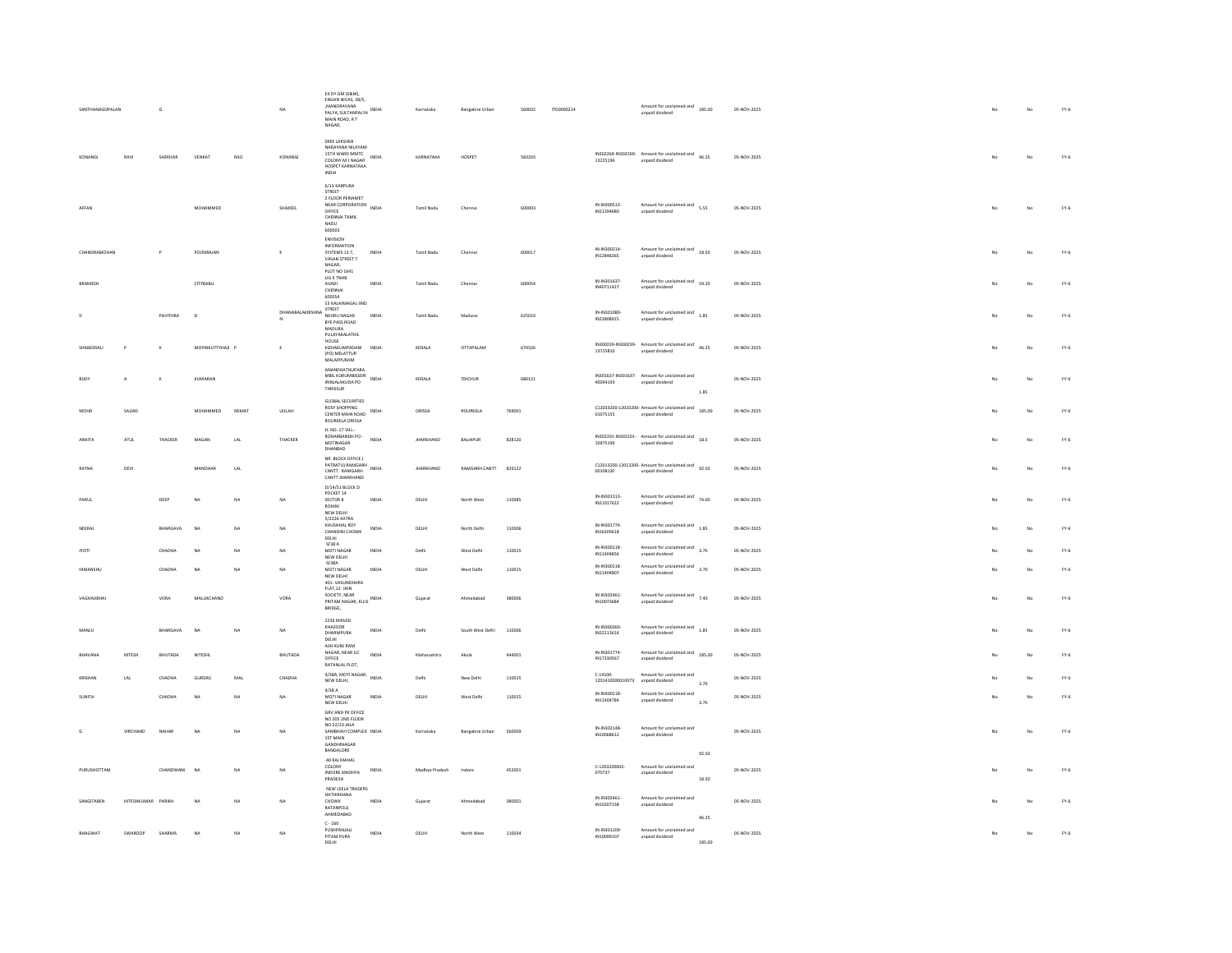| SANTHANAGOPALAN |                    |          |                  |            | NA                           | EX DY GM (E&M).<br>ENGAN NIVAS, 38/5,<br><b>MANORAYANA</b><br>PALYA, SULTANPALYA INDIA<br>MAIN ROAD, R.T.<br>NAGAR,      |              | Karnataka        | <b>Bangalore Urban</b> | 560032  | ITD0000214 |                                            | Amount for unclaimed and<br>185.00<br>unpaid dividend                                |                 | 05-NOV-2025 |    | No          | $FY-6$        |
|-----------------|--------------------|----------|------------------|------------|------------------------------|--------------------------------------------------------------------------------------------------------------------------|--------------|------------------|------------------------|---------|------------|--------------------------------------------|--------------------------------------------------------------------------------------|-----------------|-------------|----|-------------|---------------|
| KONANGI         | RAVI               | SHEKHAR  | VENKAT           | <b>RAO</b> | KONANGI                      | SREE LAKSHMI<br>NARAYANA NILAYAM<br>15TH WARD MMTC<br>COLONY M J NAGAR INDIA<br>HOSPET KARNATAKA<br>INDIA                |              | KARNATAKA        | HOSPET                 | 583203  |            | 13225196                                   | IN302269-IN302269- Amount for unclaimed and 46.25<br>unpaid dividend                 |                 | 05-NOV-2025 | No | No          | $FY-6$        |
| AFFAN           |                    |          | MOHAMMED         |            | SHAKEEL                      | 6/13 KARPURA<br>STREET<br>2 FLOOR PERIAMET<br>NEAR CORPORATION<br>OFFICE<br>CHENNAI TAMIL<br>NADU<br>600003              | INDIA        | Tamil Nadu       | Chennai                | 600003  |            | IN-IN300513-<br>IN21394680                 | Amount for unclaimed and 5.55<br>unpaid dividend                                     |                 | 05-NOV-2025 | No | $_{\rm No}$ | $FY-6$        |
| CHANDRAMOHAN    |                    |          | POONRAIAN        |            |                              | ENVISION<br>INFORMATION<br>SYSTEMS 13.7<br>VASAN STREET T<br>NAGAR.<br>PLOT NO 1641                                      | <b>INDIA</b> | Tamil Nadu       | Chenna                 | 600017  |            | IN-IN300214<br>IN12848265                  | Amount for unclaimed and 18.50<br>unpaid dividend                                    |                 | 05-NOV-2025 |    | No          | $FY-6$        |
| BRAMESH         |                    |          | CITYBABU         |            |                              | LIG II TNHB<br>AVADI<br>CHENNAL<br>600054<br>53 KALAIMAGAL IIND                                                          | INDIA        | Tamil Nadu       | Chennai                | 600054  |            | IN-IN301637<br>IN40711427                  | Amount for unclaimed and<br>59.20<br>unpaid dividend                                 |                 | 05-NOV-2025 |    | No          | $FY-6$        |
|                 |                    | PAVITHRA | $\sim$           |            | DHANABALAKRISHNA NEHRU NAGAR | STREET<br>BYE PASS ROAD<br>MADURA                                                                                        | INDIA        | Tamil Nadu       | Madurai                | 625010  |            | IN-IN301080-<br>IN22808915                 | Amount for unclaimed and 1.85<br>unpaid dividend                                     |                 | 05-NOV-2025 |    | No          | $FY-6$        |
| SHABEERALI      | P                  | $\kappa$ | MOYINKUTTYHAJI P |            | $\kappa$                     | PULAYAKALATHIL<br>HOUSE<br>KIZHAKUMPADAM INDIA<br>(PO) MELATTUR<br>MALAPPURAM                                            |              | KERALA           | <b>OTTAPALAM</b>       | 679326  |            | 13725810                                   | IN300239-IN300239-Amount for unclaimed and<br>46.25<br>unpaid dividend               |                 | 05-NOV-2025 | No | No          | $FY-6$        |
| <b>BUOY</b>     | A                  |          | KUMARAN          |            |                              | ANANDHATHUPARA<br>MBIL KORUMBISSERI<br>MBIL KORUMBISSERI INDIA<br>IRINJALAKUDA PO<br>THRISSUR                            |              | KERALA           | TRICHUR                | 680121  |            | 40094193                                   | IN301637-IN301637- Amount for unclaimed and<br>unpaid dividend                       | $1.85\,$        | 05-NOV-2025 |    | No          | FY.6          |
| MOHD            | SAILAD             |          | <b>MOHAMMED</b>  | NEMAT      | UILLAH                       | <b>GLOBAL SECURITIES</b><br>ROSY SHOPPING<br>CENTER MAIN ROAD<br>ROURKELA ORISSA                                         | INDIA        | ORISSA           | ROURKELA               | 769001  |            | 01075155                                   | C12033200-12033200- Amount for unclaimed and<br>unpaid dividend                      | 185.00          | 05-NOV-2025 |    | No          | $FY-6$        |
| ANKITA          | ATUL               | THACKER  | MAGAN            | LAL        | THACKER                      | H. NO. 17 VILL<br>ROHARBANDH PO -<br>MOTINAGAR<br>DHANBAD                                                                | INDIA        | <b>IHARKHAND</b> | BALIAPUR               | 828120  |            | 10975199                                   | IN302201-IN302201- Amount for unclaimed and 18.5<br>unpaid dividend                  |                 | 05-NOV-2025 |    | No          | $\text{FY-6}$ |
| RATNA           | DEVI               |          | MANOHAR          | LAL        |                              | NR. BLOCK OFFICE (<br>PATRATU) RAMGARH<br>CANTT, RAMGARH<br>CANTT JHARKHAND<br>D/14/51 BLOCK D                           | INDIA        | <b>JHARKHAND</b> | RAMGARH CANTT          | 829122  |            | 00108120                                   | C12013200-12013200- Amount for unclaimed and<br>92.50<br>unpaid dividend             |                 | 05-NOV-2025 | No | No          | $FY-6$        |
| PARUL           |                    | DEEP     | <b>NA</b>        | NA         | NA                           | POCKET 14<br>SECTOR 8<br>ROHINI<br>NEW DELHI<br>5/2226 KATRA                                                             | INDIA        | $DELHI$          | North Wes              | 110085  |            | IN-IN301313-<br>IN21017622                 | Amount for unclaimed and<br>$74.00$<br>unpaid dividend                               |                 | 05-NOV-2025 |    | No          | $\text{FY-6}$ |
| NEERAJ          |                    | BHARGAVA | NA               | NA         | NA                           | KHUSHHAL ROY<br>CHANDINI CHOWK<br>DELHI<br>9/38A                                                                         | INDIA        | DELHI            | North Delhi            | 110006  |            | IN-IN301774-<br>IN16209618<br>IN-IN300118- | Amount for unclaimed and<br>1.85<br>unpaid dividend<br>Amount for unclaimed and 3.70 |                 | 05-NOV-2025 |    | No          | $FY-6$        |
| <b>IYOTI</b>    |                    | CHADHA   | <b>NA</b>        | NA         | NA                           | MOTI NAGAR<br>NEW DELHI<br>9/38A                                                                                         | INDIA        | Delhi            | West Delh              | 110015  |            | IN11404856                                 | unpaid dividend                                                                      |                 | 05-NOV-2025 |    | No          | $\text{FY-6}$ |
| <b>HIMANSHI</b> |                    | CHADHA   | <b>NA</b>        | NA         | NA                           | MOTI NAGAR<br>NEW DELHI<br>401- VASUNDHARA<br>FLAT, 12- JAIN                                                             | INDIA        | DELHI            | West Delhi             | 110015  |            | IN-IN300118-<br>IN11404807                 | Amount for unclaimed and<br>3.70<br>unpaid dividend                                  |                 | 05-NOV-2025 |    | No          | $FY-6$        |
| VAGHAJIBHAI     |                    | VORA     | MALUKCHAND       |            | VORA                         | SOCIETY NEAR<br>PRITAM NAGAR, ELLIS INDIA<br>BRIDGE,<br>2226 MASJID                                                      |              | Gujarat          | Ahmedabad              | 380006  |            | IN-IN302461-<br>IN10073684                 | Amount for unclaimed and 7.40<br>unpaid dividend                                     |                 | 05-NOV-2025 | No | $_{\rm No}$ | $FY-6$        |
| MANJU           |                    | BHARGAVA | NA               | NA         | NA                           | KHAZOOR<br>DHARMPURA<br>DELHI<br>ASH KUNJ RAM                                                                            | <b>INDIA</b> | Delhi            | South West Delhi       | 110006  |            | IN-IN300360-<br>IN22213616                 | Amount for unclaimed and<br>1.85<br>unpaid dividend                                  |                 | 05-NOV-2025 | No | No          | $FY-6$        |
| BHAVANA         | NITESH             | BHUTADA  | NITESHL          |            | BHUTADA                      | NAGAR, NEAR LIC<br>OFFICE<br>RATANLAL PLOT.                                                                              | INDIA        | Maharashtra      | Akola                  | 444001  |            | IN-IN301774-<br>IN17330567                 | Amount for unclaimed and 185.00<br>unpaid dividend                                   |                 | 05-NOV-2025 |    | No          | $FY-6$        |
| KRISHAN         | LAL                | CHADHA   | <b>GURDAS</b>    | MAL        | CHADHA                       | 9/38A, MOTI NAGAR,<br>NEW DELHI,                                                                                         | INDIA        | Delhi            | New Delhi              | 110015  |            | $C-14100-$<br>1201410000010073             | Amount for unclaimed and<br>unpaid dividend                                          | 3.70            | 05-NOV-2025 |    | No          | $FY-6$        |
| <b>SUNITA</b>   |                    | CHADHA   | NA               | NA         | NA                           | 9/38A<br>MOTI NAGAR<br>NEW DELHI                                                                                         | INDIA        | DELHI            | West Delh              | 110015  |            | IN-IN300118-<br>IN11404784                 | Amount for unclaimed and<br>unpaid dividend                                          | 3.70            | 05-NOV-2025 |    | No          | FY.6          |
|                 | VIRCHAND           | NAHAR    | NA               | NA.        | NA                           | GRV AND PK OFFICE<br>NO 205 2ND FLOOR<br>NO 22/23 JALA<br>SAMBHAVI COMPLEX INDIA<br>1ST MAIN<br>GANDHINAGAR<br>BANGALORE |              | Karnataka        | <b>Bangalore Urban</b> | \$60009 |            | IN-IN302148-<br>IN10068612                 | Amount for unclaimed and<br>unpaid dividend                                          | 92.50           | 05-NOV-2025 |    | No          | $\text{FY-6}$ |
| PURUSHOTTAM     |                    | CHANDWAN | NA               | NA         | NA                           | 40 RAJ MAHAL<br>COLONY<br>INDORE MADHYA<br>PRADESH                                                                       | INDIA        | Madhya Pradesh   |                        | 452001  |            | C-1203320002<br>070737                     | Amount for unclaimed and<br>unpaid dividend                                          | 18.50           | 05-NOV-2025 |    | No          | $FY-6$        |
| SANGITAREN      | HITESHKUMAR PARIKH |          | NA               | NA         | <b>NA</b>                    | NEW LEELA TRADERS<br>HATHIKHANA<br>CHOWK<br>RATANPOLE<br>AHMEDABAD                                                       | INDIA        | Gujarat          | Ahmedahad              | 380001  |            | IN-IN302461<br>IN10207158                  | Amount for unclaimed and<br>unpaid dividend                                          |                 | 05-NOV-2025 | No | No          | $FY-6$        |
| <b>BHAGWAT</b>  | <b>SWAROOF</b>     | SHARMA   | NA               | NA         | NA                           | $C - 160$<br>PUSHPANJALI<br>PITAM PURA<br>DELHI                                                                          | INDIA        | DELHI            | North West             | 110034  |            | IN-IN301209<br>IN10099107                  | Amount for unclaimed and<br>unpaid dividend                                          | 46.25<br>185.00 | 05-NOV-2025 |    | No          | $FY-6$        |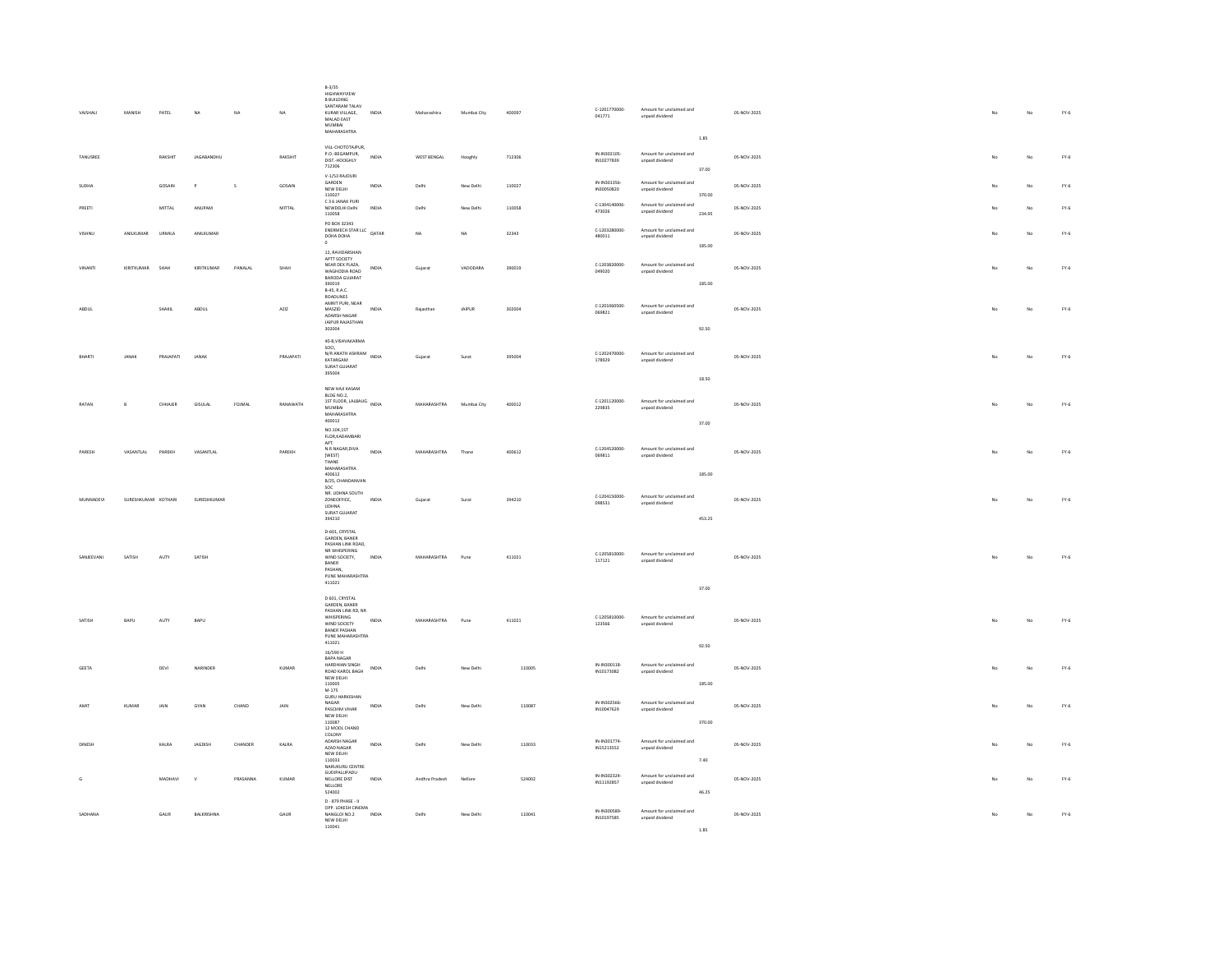| VAISHALI         | MANISH              | PATEL         | $_{\sf NA}$        | $_{\rm NA}$ | $_{\rm NA}$       | $B-3/35$<br>HIGHWAYVIEW<br><b>BRUILDING</b><br>SANTARAM TALAV<br>KURAR VILLAGE,<br>INDIA<br>MALAD EAST<br>MUMBAI<br>MAHARASHTRA                  | Maharashtra        | Mumbai City | 400097 | C-1201770000-<br>041771   | Amount for unclaimed and<br>unpaid dividend                      | 05-NOV-2025 | $_{\rm No}$ | $_{\rm No}$ | $FY-6$ |
|------------------|---------------------|---------------|--------------------|-------------|-------------------|--------------------------------------------------------------------------------------------------------------------------------------------------|--------------------|-------------|--------|---------------------------|------------------------------------------------------------------|-------------|-------------|-------------|--------|
| <b>TANLISREE</b> |                     | RAKSHIT       | <b>IAGARANDHLI</b> |             | RAKSHIT           | VILL-CHOTOTAJPUR,<br>P.O.-BEGAMPUR.<br>INDIA<br>DIST.-HOOGHLY<br>712306                                                                          | <b>WEST BENGAL</b> | Hooghly     | 712306 | IN-IN302105<br>IN10277839 | $1.85\,$<br>Amount for unclaimed and<br>unpaid dividend<br>37.00 | 05-NOV-2025 | No          | No          | $FY-6$ |
| <b>SUDHA</b>     |                     | GOSAIN        |                    | s           | GOSAIN            | V-1/53 RAJOURI<br>GARDEN<br>INDIA<br>NEW DELHI                                                                                                   | Delhi              | New Delhi   | 110027 | IN-IN301356<br>IN30050820 | Amount for unclaimed and<br>unpaid dividend                      | 05-NOV-2025 |             | No          | $FY-6$ |
| PREETI           |                     | <b>MITTAL</b> | ANUPAM             |             | $\mathsf{MITTAL}$ | 110027<br>C 3 6 JANAK PURI<br>NEWDELHI Delhi<br>INDIA<br>110058                                                                                  | Delhi              | New Delhi   | 110058 | C-1304140006<br>473026    | 370.00<br>Amount for unclaimed and<br>unpaid dividend<br>234.95  | 05-NOV-2025 |             | No          | $FY-6$ |
| VISHNU           | ANILKUMAR           | URMILA        | ANILKUMAR          |             |                   | PO ROX 32343<br>PO BOX 32345<br>ENERMECH STAR LLC<br>CALL DALL<br>DOHA DOHA<br>$^{\circ}$                                                        | NA                 | NA          | 32343  | C-1203280000-<br>480011   | Amount for unclaimed and<br>unpaid dividend                      | 05-NOV-2025 | No          | No          | $FY-6$ |
| VINANTI          | KIRITKUMAR SHAH     |               | KIRITKUMAR         | PANALAL     | SHAH              | 12, RAVIDARSHAN<br>APTT SOCIETY<br>NEAR DEX PLAZA,<br><b>INDIA</b><br>WAGHODIA ROAD<br><b>BARODA GUJARAT</b><br>390019<br>B-45, R.A.C.           | Gujarat            | VADODARA    | 390019 | C-1203820000-<br>049020   | 185.00<br>Amount for unclaimed and<br>unpaid dividend<br>185.00  | 05-NOV-2025 | No          | No          | $FY-6$ |
| ABDUL            |                     | SHAKIL        | ABDUL              |             | AZIZ              | ROADLINES<br>AMRIT PURI, NEAR<br>MASZID<br>INDIA<br>ADARSH NAGAR<br>JAIPUR RAJASTHAN                                                             | Rajasthan          | JAIPUR      | 302004 | C-1201060500<br>069821    | Amount for unclaimed and<br>unpaid dividend                      | 05-NOV-2025 | No          | No          | $FY-6$ |
|                  |                     |               |                    |             |                   | 302004<br>40-B, VISHVAKARMA                                                                                                                      |                    |             |        |                           | 92.50                                                            |             |             |             |        |
| BHARTI           | JANAK               | PRAJAPATI     | JANAK              |             | PRAJAPATI         | SOCI.<br>NJU.,<br>N/R ANATH ASHRAM INDIA<br>KATARGAM<br>SURAT GUJARAT<br>395004                                                                  | Gujarat            | Surat       | 395004 | C-1202470000-<br>178929   | Amount for unclaimed and<br>unpaid dividend                      | 05-NOV-2025 | No          | No          | $FY-6$ |
|                  |                     |               |                    |             |                   | NEW HAJI KASAM<br>BLDG NO.2.                                                                                                                     |                    |             |        |                           | 18.50                                                            |             |             |             |        |
| RATAN            | <b>R</b>            | CHHAJER       | GISULAL            | FOJMAL      | RANAWATH          | 1ST FLOOR, LALBAUG INDIA<br><b>MUMRAL</b><br>MAHARASHTRA<br>400012                                                                               | MAHARASHTRA        | Mumbai City | 400012 | $C-1201120000$<br>229835  | Amount for unclaimed and<br>unpaid dividend<br>37.00             | 05-NOV-2025 | No          | No          | $FY-6$ |
|                  |                     |               |                    |             |                   | NO 104 1ST<br>FLOR, KADAMBARI<br>APT<br>N.R.NAGAR, DIVA                                                                                          |                    |             |        |                           |                                                                  |             |             |             |        |
| PARESH           | VASANTLAL           | PAREKH        | VASANTLAL          |             | PAREKH            | <b>INDIA</b><br>[WEST]<br>THANE<br><b>MAHARASHTRA</b><br>400612                                                                                  | MAHARASHTRA        | Thane       | 400612 | C-1204520000-<br>069811   | Amount for unclaimed and<br>unpaid dividend<br>185.00            | 05-NOV-2025 | No          | No          | $FY-6$ |
| MUNNADEVI        | SURESHKUMAR KOTHARI |               | SURESHKUMAR        |             |                   | B/25, CHANDANVAN<br>son<br>NR. UDHNA SOUTH<br>ZONEOFFICE,<br>INDIA<br><b>UDHNA</b><br>SURAT GUJARAT<br>394210                                    | Gujarat            | Surat       | 394210 | C-1204150000-<br>098531   | Amount for unclaimed and<br>unpaid dividend<br>453.25            | 05-NOV-2025 | No          | No          | $FY-6$ |
| SANJEEVANI       | SATISH              | AUTY          | SATISH             |             |                   | D-601, CRYSTAL<br>GARDEN, BANER<br>PASHAN LINK ROAD<br>NR WHISPERING<br>WIND SOCIETY,<br>INDIA<br>BANER<br>PASHAN,<br>PUNE MAHARASHTRA<br>411021 | MAHARASHTRA        | Pune        | 411021 | C-1205810000-<br>117121   | Amount for unclaimed and<br>unpaid dividend                      | 05-NOV-2025 | No          | No          | $FY-6$ |
|                  |                     |               |                    |             |                   | D 601, CRYSTAL<br>GARDEN, BANER                                                                                                                  |                    |             |        |                           | 37.00                                                            |             |             |             |        |
| SATISH           | BAPU                | AUTY          | BAPU               |             |                   | PASHAN LINK RD, NR<br>WHISPERING<br><b>INDIA</b><br>WIND SOCIETY<br><b>BANER PASHAN</b><br>PUNE MAHARASHTRA                                      | MAHARASHTRA        | Pune        | 411021 | C-1205810000-<br>123566   | Amount for unclaimed and<br>unpaid dividend                      | 05-NOV-2025 | No          | No          | $FY-6$ |
|                  |                     |               |                    |             |                   | 411021<br>16/590 H<br>RAPA NAGAR<br>HARDHIAN SINGH                                                                                               |                    |             |        | IN-IN300118-              | 92.50<br>Amount for unclaimed and                                |             |             |             |        |
| GEETA            |                     | DEVI          | NARINDER           |             | KUMAR             | <b>INDIA</b><br>ROAD KAROL BAGH<br>NEW DELHI<br>110005<br>$M-175$                                                                                | Delhi              | New Delhi   | 110005 | IN10173082                | unpaid dividend<br>185.00                                        | 05-NOV-2025 | No          | No          | $FY-6$ |
| <b>AMIT</b>      | KUMAR               | JAIN          | GYAN               | CHAND       | JAIN              | <b>GURU HARKISHAN</b><br>NAGAR<br><b>INDIA</b><br>PASCHIM VIHAR<br>NEW DELHI<br>110087                                                           | Delhi              | New Delhi   | 110087 | IN-IN302566<br>IN10047629 | Amount for unclaimed and<br>unpaid dividend<br>370.00            | 05-NOV-2025 | No          | No          | $FY-6$ |
| DINESH           |                     | KALRA         | JAGDISH            | CHANDER     | KALRA             | 12 MOOL CHAND<br>COLONY<br>ADARSH NAGAR<br>INDIA<br>AZAD NAGAR<br>NEW DELHI                                                                      | Delhi              | New Delhi   | 110033 | IN-IN301774<br>IN15213552 | Amount for unclaimed and<br>unpaid dividend                      | 05-NOV-2025 | No.         | No          | $FY-6$ |
|                  |                     |               |                    |             |                   | 110033<br>NARUKURU CENTRE<br>GUDIPALLIPADU                                                                                                       |                    |             |        | IN-IN302324-              | 7.40<br>Amount for unclaimed and                                 |             |             |             |        |
| G                |                     | MADHAVI       | $\mathbf{v}$       | PRASANNA    | KUMAR             | NELLORE DIST<br>INDIA<br>NELLORE<br>524002                                                                                                       | Andhra Pradesh     | Nellore     | 524002 | IN11192857                | unpaid dividend<br>46.25                                         | 05-NOV-2025 |             | No          | $FY-6$ |
| SADHANA          |                     | GAUR          | BALKRISHNA         |             | GAUR              | D - 879 PHASE - II<br>OPP. LOKESH CINEMA<br>NANGLOI NO.2<br>INDIA<br>NEW DELHI<br>110011                                                         | Delhi              | New Delhi   | 110041 | IN-IN300589<br>IN10197585 | Amount for unclaimed and<br>unpaid dividend                      | 05-NOV-2025 | No          | No          | $FY-6$ |

1.85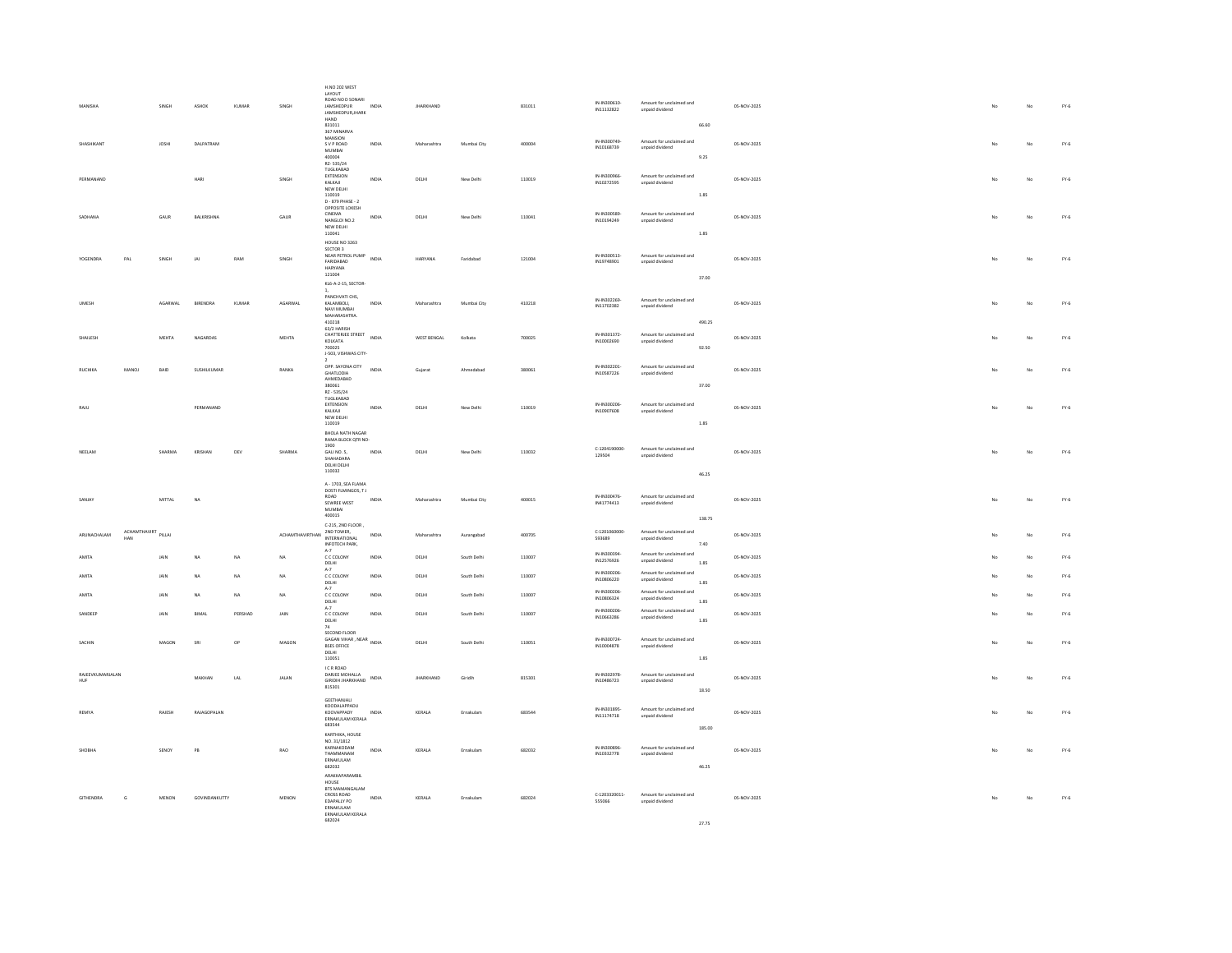|                                  |              |         |               |               |                            | <b>H.NO 202 WEST</b><br>LAYOUT                                 |                                      |                  |             |        |                           |                                             |          |             |    |             |        |
|----------------------------------|--------------|---------|---------------|---------------|----------------------------|----------------------------------------------------------------|--------------------------------------|------------------|-------------|--------|---------------------------|---------------------------------------------|----------|-------------|----|-------------|--------|
| MANISHA                          |              | SINGH   | ASHOK         | <b>KUMAR</b>  | SINGH                      | ROAD NO D SONARI<br><b>JAMSHEDPUR</b><br>JAMSHEDPUR, JHARK     | INDIA                                | <b>JHARKHAND</b> |             | 831011 | IN-IN300610<br>IN11132822 | Amount for unclaimed and<br>unpaid dividend |          | 05-NOV-2025 | No | No          | $FY-6$ |
|                                  |              |         |               |               |                            | HAND<br>831011<br>367 MINARVA                                  |                                      |                  |             |        |                           |                                             | 66.60    |             |    |             |        |
| <b>SHASHIKANT</b>                |              | JOSH    | DALPATRAM     |               |                            | MANSION<br>S V P ROAD                                          | INDIA                                | Maharashtra      | Mumbai City | 400004 | IN-IN300749               | Amount for unclaimed and                    |          | 05-NOV-2025 |    | No          | $FY-6$ |
|                                  |              |         |               |               |                            | <b>MUMBAI</b><br>400004                                        |                                      |                  |             |        | IN10168739                | unpaid dividend                             | 9.25     |             |    |             |        |
|                                  |              |         |               |               |                            | RZ-535/24<br>TUGLKABAD<br>EXTENSION                            |                                      |                  |             |        | IN-IN300966               | Amount for unclaimed and                    |          |             |    |             |        |
| PERMANAND                        |              |         | HARI          |               | SINGH                      | KALKAJI<br>NEW DELHI                                           | INDIA                                | DELHI            | New Delhi   | 110019 | IN10272595                | unpaid dividend                             |          | 05-NOV-2025 | No | No          | $FY-6$ |
|                                  |              |         |               |               |                            | 110019<br>D - 879 PHASE - 2<br>OPPOSITE LOKESH                 |                                      |                  |             |        |                           |                                             | 1.85     |             |    |             |        |
| SADHANA                          |              | GAUR    | BALKRISHNA    |               | GAUR                       | CINEMA<br>NANGLOLNO 2                                          | INDIA                                | DELHI            | New Delhi   | 110041 | IN-IN300589<br>IN10194249 | Amount for unclaimed and<br>unpaid dividend |          | 05-NOV-2025 | No | No          | $FY-6$ |
|                                  |              |         |               |               |                            | NEW DELHI<br>110041                                            |                                      |                  |             |        |                           |                                             | 1.85     |             |    |             |        |
|                                  |              |         |               |               |                            | HOUSE NO 3263<br>SECTOR 3                                      |                                      |                  |             |        | IN-IN300513               |                                             |          |             |    |             |        |
| YOGENDRA<br>PAL                  |              | SINGH   | IAI           | RAM           | SINGH                      | NEAR PETROL PUMP<br>FARIDABAD<br>HARYANA                       | INDIA                                | HARYANA          | Faridabad   | 121004 | IN19748901                | Amount for unclaimed and<br>unpaid dividend |          | 05-NOV-2025 | No | No          | $FY-6$ |
|                                  |              |         |               |               |                            | 121004<br>KL6-A-2-15, SECTOR-                                  |                                      |                  |             |        |                           |                                             | 37.00    |             |    |             |        |
|                                  |              |         |               |               |                            | PANCHVATI CHS.                                                 |                                      |                  |             |        | IN-IN302269               | Amount for unclaimed and                    |          |             |    |             |        |
| <b>UMES</b>                      |              | AGARWAL | BIRENDRA      | KUMAR         | AGARWAL                    | KALAMBOLI,<br>NAVI MUMBAI<br>MAHARASHTRA.                      | INDM                                 | Maharashtra      | Mumbai City | 410218 | IN11702382                | unpaid dividend                             |          | 05-NOV-2025 |    | No          | $FY-6$ |
|                                  |              |         |               |               |                            | 410218<br>63/2 HARISH                                          |                                      |                  |             |        |                           |                                             | 490.25   |             |    |             |        |
| SHAILESH                         |              | MEHTA   | NAGARDAS      |               | MEHTA                      | CHATTERIEE STREET<br>KOLKATA<br>700025                         | <b>INDIA</b>                         | WEST BENGAL      | Kolkata     | 700025 | IN-IN301372<br>IN10002690 | Amount for unclaimed and<br>unpaid dividend | 92.50    | 05-NOV-2025 |    | No          | $FY-6$ |
|                                  |              |         |               |               |                            | J-503, VISHWAS CITY-                                           |                                      |                  |             |        |                           |                                             |          |             |    |             |        |
| RUCHIKA                          | MANOJ        | BAID    | SUSHILKUMAR   |               | RANKA                      | OPP, SAYONA CITY<br><b>GHATLODIA</b><br>AHMEDABAD              | INDIA                                | Gujarat          | Ahmedabad   | 380061 | IN-IN302201<br>IN10587226 | Amount for unclaimed and<br>unpaid dividend |          | 05-NOV-2025 | No | No          | $FY-6$ |
|                                  |              |         |               |               |                            | 380061<br>RZ - 535/24                                          |                                      |                  |             |        |                           |                                             | 37.00    |             |    |             |        |
| RAJU                             |              |         | PERMANAND     |               |                            | TUGLKABAD<br>EXTENSION<br>KAIKAIL                              | INDIA                                | DELHI            | New Delhi   | 110019 | IN-IN300206<br>IN10907608 | Amount for unclaimed and<br>unpaid dividend |          | 05-NOV-2025 | No | No          | $FY-6$ |
|                                  |              |         |               |               |                            | NEW DELHI<br>110019                                            |                                      |                  |             |        |                           |                                             | 1.85     |             |    |             |        |
|                                  |              |         |               |               |                            | BHOLA NATH NAGAR<br>RAMA BLOCK QTR NO-                         |                                      |                  |             |        |                           |                                             |          |             |    |             |        |
| NEELAM                           |              | SHARMA  | KRISHAN       | DEV           | SHARMA                     | 1900<br>GALI NO. 5,<br>SHAHADARA                               | INDIA                                | DELHI            | New Delhi   | 110032 | C-1204190000<br>129504    | Amount for unclaimed and<br>unpaid dividend |          | 05-NOV-2025 | No | No          | $FY-6$ |
|                                  |              |         |               |               |                            | DELHI DELHI<br>110032                                          |                                      |                  |             |        |                           |                                             | 46.25    |             |    |             |        |
|                                  |              |         |               |               |                            | A - 1703, SEA FLAMA<br>DOSTI FLMINGOS, TJ                      |                                      |                  |             |        |                           |                                             |          |             |    |             |        |
| SANJAY                           |              | MITTAL  | <b>NA</b>     |               |                            | ROAD<br>SEWREE WEST                                            | INDIA                                | Maharashtra      | Mumbai City | 400015 | IN-IN300476<br>IN41774413 | Amount for unclaimed and<br>unpaid dividend |          | 05-NOV-2025 | No | No          | $FY-6$ |
|                                  |              |         |               |               |                            | MUMBAI<br>400015                                               |                                      |                  |             |        |                           |                                             | 138.75   |             |    |             |        |
| ARUNACHALAM<br>HAN               | ACHAMTHAVIRT | PILLAI  |               |               | ACHAMTHAVIRTHAN 2ND TOWER, | C-215, 2ND FLOOR<br>INTERNATIONAL                              | <b>INDIA</b>                         | Maharashtra      | Aurangabad  | 400705 | C-1201060000<br>593689    | Amount for unclaimed and<br>unpaid dividend |          | 05-NOV-2025 | No | No          | $FY-6$ |
|                                  |              |         |               |               |                            | INFOTECH PARK,<br>$A-7$                                        |                                      |                  |             |        | IN-IN300394               | Amount for unclaimed and                    | 7.40     |             |    |             |        |
| AMITA                            |              | JAIN    | NA            | NA            | <b>NA</b>                  | C C COLONY<br>$DELHI$<br>$A-7$                                 | <b>INDIA</b>                         | DELHI            | South Delhi | 110007 | IN12576926                | unpaid dividend                             | $1.85\,$ | 05-NOV-2025 | No | No          | $FY-6$ |
| AMITA                            |              | JAIN    | <b>NA</b>     | NA            | NA                         | C C COLONY<br>DELHI                                            | INDIA                                | DELHI            | South Delhi | 110007 | IN-IN300206<br>IN10806220 | Amount for unclaimed and<br>unpaid dividend | 1.85     | 05-NOV-2025 |    | No          | $FY-6$ |
| AMITA                            |              | JAIN    | NA            | NA            | NA                         | $A-7$<br>C C COLONY<br>DELHI                                   | <b>INDIA</b>                         | DELHI            | South Delhi | 110007 | IN-IN300206<br>IN10806324 | Amount for unclaimed and<br>unpaid dividend | 1.85     | 05-NOV-2025 |    | $_{\rm No}$ | $FY-6$ |
| SANDEEP                          |              | JAIN    | BIMAL         | PERSHAD       | JAIN                       | $A-7$<br>C C COLONY                                            | <b>INDIA</b>                         | DELHI            | South Delhi | 110007 | IN-IN300206<br>IN10663286 | Amount for unclaimed and<br>unpaid dividend |          | 05-NOV-2025 | No | No          | $FY-6$ |
|                                  |              |         |               |               |                            | DELHI<br>74<br>SECOND FLOOR                                    |                                      |                  |             |        |                           |                                             | 1.85     |             |    |             |        |
| SACHIN                           |              | MAGON   | SRI           | $\mathsf{OP}$ | MAGON                      | SECOND PLUGA<br>GAGAN VIHAR , NEAR INDIA<br><b>BSES OFFICE</b> |                                      | DELHI            | South Delhi | 110051 | IN-IN300724<br>IN10004878 | Amount for unclaimed and<br>unpaid dividend |          | 05-NOV-2025 | No | No          | $FY-6$ |
|                                  |              |         |               |               |                            | DELHI<br>110051                                                |                                      |                  |             |        |                           |                                             | 1.85     |             |    |             |        |
| RAJEEVKUMARJALAN<br>HUF          |              |         | <b>MAKHAN</b> | LAL           | JALAN                      | I C R ROAD<br>DARIEE MOHALLA<br><b>GIRIDIH JHARKHAND</b>       | $\ensuremath{\mathsf{INDIA}}\xspace$ | <b>JHARKHAND</b> | Giridih     | 815301 | IN-IN302978<br>IN10486723 | Amount for unclaimed and<br>unpaid dividend |          | 05-NOV-2025 | No | No          | $FY-6$ |
|                                  |              |         |               |               |                            | 815301                                                         |                                      |                  |             |        |                           |                                             | 18.50    |             |    |             |        |
| REMYA                            |              | RAJESH  | RAJAGOPALAN   |               |                            | GEETHANJALI<br>KOODALAPPADU<br>KOOVAPPADY                      | INDIA                                | KERALA           | Ernakulam   | 683544 | IN-IN301895               | Amount for unclaimed and                    |          | 05-NOV-2025 | No | No          | $FY-6$ |
|                                  |              |         |               |               |                            | FRNAKLIJAM KERALA<br>683544                                    |                                      |                  |             |        | IN11174718                | unpaid dividend                             | 185.00   |             |    |             |        |
|                                  |              |         |               |               |                            | KARTHIKA, HOUSE<br>NO. 31/1812                                 |                                      |                  |             |        |                           |                                             |          |             |    |             |        |
| SHORHA                           |              | SENOY   | PB            |               | RAO                        | KARNAKODAM<br>THAMMANAM<br>ERNAKULAM                           | INDIA                                | KERALA           | Frnakulam   | 682032 | IN-IN300896<br>IN10332778 | Amount for unclaimed and<br>unpaid dividend |          | 05-NOV-2025 | No | No          | $FY-6$ |
|                                  |              |         |               |               |                            | 682032<br>ARAKKAPARAMBIL                                       |                                      |                  |             |        |                           |                                             | 46.25    |             |    |             |        |
|                                  |              |         |               |               |                            | HOUSE<br><b>BTS MAMANGALAM</b>                                 |                                      |                  |             |        |                           |                                             |          |             |    |             |        |
| <b>GITHENDRA</b><br>$\mathbf{G}$ |              | MENON   | GOVINDANKUTTY |               | MENON                      | CROSS ROAD<br>EDAPALLY PO<br>FRNAKLIJ AM                       | INDIA                                | KERALA           | Ernakulam   | 682024 | C-1203320011-<br>555066   | Amount for unclaimed and<br>unpaid dividend |          | 05-NOV-2025 |    | No          | $FY-6$ |
|                                  |              |         |               |               |                            | ERNAKULAM KERALA<br>682024                                     |                                      |                  |             |        |                           |                                             | 27.75    |             |    |             |        |
|                                  |              |         |               |               |                            |                                                                |                                      |                  |             |        |                           |                                             |          |             |    |             |        |

27.75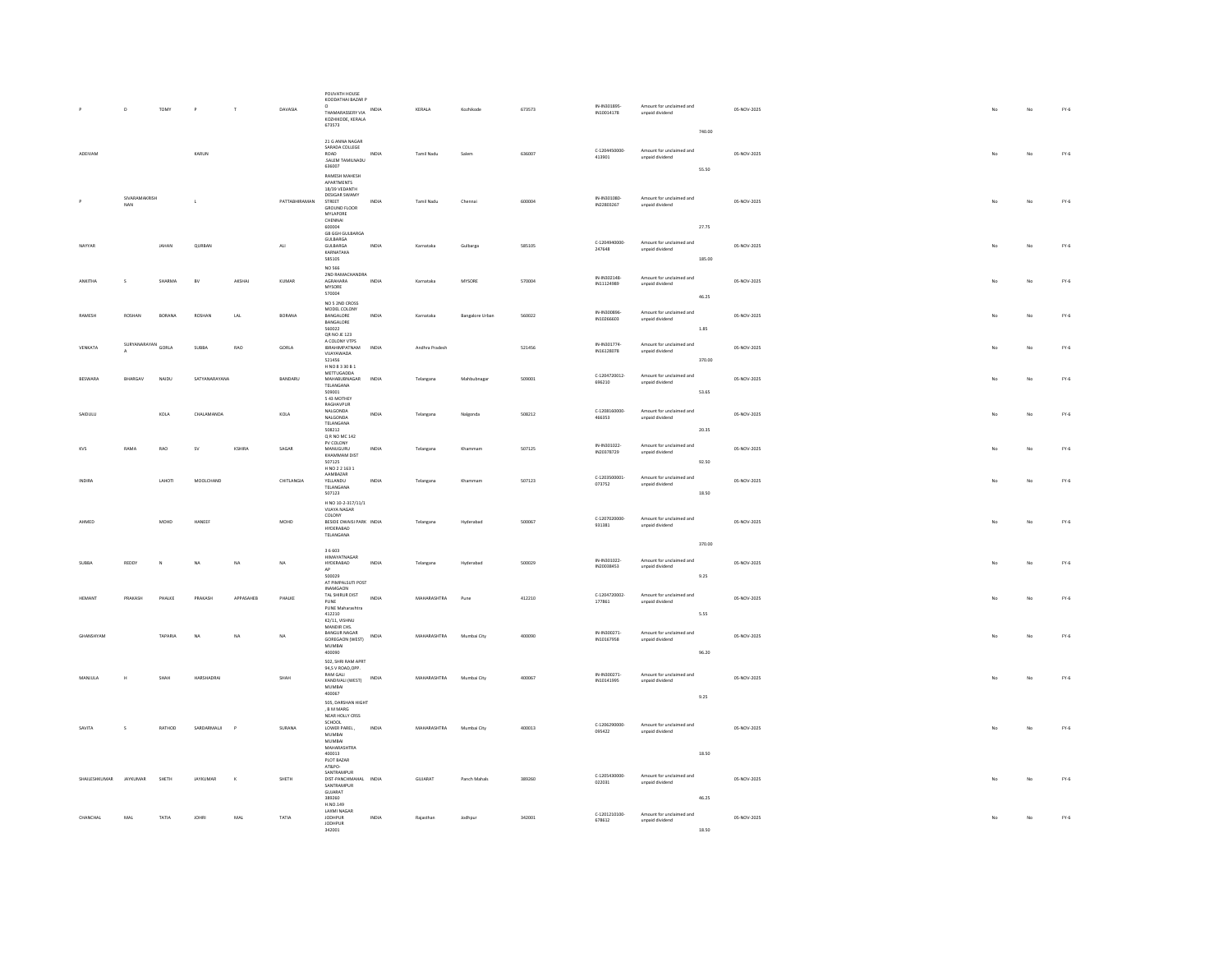|                  | D                    | TOMY          | P             | $\mathbf{r}$ | DAVASIA       | POUVATH HOUSE<br>KOODATHAI BAZAR P<br>$^{\circ}$<br>THAMARASSERY VIA INDIA<br>KOZHIKODE, KERALA<br>673573                    |              | KERALA            | Kozhikode              | 673573 | IN-IN301895<br>IN10014178 | Amount for unclaimed and<br>unpaid dividend |                 | 05-NOV-2025 |                | No          | $FY-6$        |
|------------------|----------------------|---------------|---------------|--------------|---------------|------------------------------------------------------------------------------------------------------------------------------|--------------|-------------------|------------------------|--------|---------------------------|---------------------------------------------|-----------------|-------------|----------------|-------------|---------------|
| ADEIVAM          |                      |               | KARUN         |              |               | 21 G ANNA NAGAR<br>SARADA COLLEGE<br>ROAD<br>SALEM TAMILNADU<br>636007                                                       | INDIA        | <b>Tamil Nadu</b> | Salem                  | 636007 | C-1204450000<br>413901    | Amount for unclaimed and<br>unpaid dividend | 740.00<br>55.50 | 05-NOV-2025 | No             | No          | $FY-6$        |
|                  | SIVARAMAKRISH<br>NAN |               | $\mathbf{L}$  |              | PATTABHIRAMAN | <b>RAMESH MAHESH</b><br>APARTMENTS<br>18/39 VEDANTH<br>DESIGAR SWAMY<br>STREET<br><b>GROUND FLOOR</b><br>MYLAPORE<br>CHENNAI | INDIA        | Tamil Nadu        | Chennai                | 600004 | IN-IN301080<br>IN22803267 | Amount for unclaimed and<br>unpaid dividend |                 | 05-NOV-2025 | No             | No          | $FY-6$        |
| NAYYAR           |                      | JAHAN         | QURBAN        |              | ALI           | 600004<br><b>GB GGH GULBARGA</b><br>GULBARGA<br>GULBARGA<br>KARNATAKA<br>585105                                              | INDIA        | Karnataka         | Gulbarga               | 585105 | C-1204940000-<br>247648   | Amount for unclaimed and<br>unpaid dividend | 27.75<br>185.00 | 05-NOV-2025 | No             | No          | $FY-6$        |
| ANKITHA          | s                    | SHARMA        | BV            | AKSHAJ       | KUMAR         | NO 566<br>2ND RAMACHANDRA<br>AGRAHARA<br>MYSORE<br>570004                                                                    | INDIA        | Karnataka         | MYSORE                 | 570004 | IN-IN302148<br>IN11124989 | Amount for unclaimed and<br>unpaid dividend | 46.25           | 05-NOV-2025 | No             | No          | $FY-6$        |
| RAMESH           | ROSHAN               | <b>BORANA</b> | ROSHAN        | LAL          | BORANA        | NO 5 2ND CROSS<br>MODEL COLONY<br>BANGALORE<br>BANGALORE<br>560022                                                           | <b>INDIA</b> | Karnataka         | <b>Bangalore Urban</b> | 560022 | IN-IN300896<br>IN10266603 | Amount for unclaimed and<br>unpaid dividend | 1.85            | 05-NOV-2025 | No             | No          | $FY-6$        |
| VENKATA          | SURYANARAYAN GORLA   |               | <b>SUBBA</b>  | <b>RAO</b>   | GORLA         | QR NO JE 123<br>A COLONY VTPS<br><b>IBRAHIMPATNAM</b><br>VIJAYAWADA<br>521456<br>H NO 8 3 30 B 1                             | INDIA        | Andhra Pradesh    |                        | 521456 | IN-IN301774<br>IN16128078 | Amount for unclaimed and<br>unpaid dividend | 370.00          | 05-NOV-2025 |                | No          | $FY-6$        |
| <b>BESWARA</b>   | BHARGAV              | NAIDU         | SATYANARAYANA |              | BANDARU       | METTUGADDA<br>MAHABUBNAGAR<br>TELANGANA<br>509001<br>5 43 MOTHEY                                                             | INDIA        | Telangana         | Mahbubnagar            | 509001 | C-1204720012-<br>696210   | Amount for unclaimed and<br>unpaid dividend | 53.65           | 05-NOV-2025 | No             | No          | $FY-6$        |
| SAIDULU          |                      | KOLA          | CHALAMANDA    |              | KOLA          | RAGHAVPUR<br>NALGONDA<br>NALGONDA<br>TELANGANA<br>508212                                                                     | INDIA        | Telangana         | Nalgonda               | 508212 | C-1208160000-<br>466353   | Amount for unclaimed and<br>unpaid dividend | 20.35           | 05-NOV-2025 | No             | No          | $FY-6$        |
| <b>KVS</b>       | RAMA                 | RAO           | <b>SV</b>     | KSHIRA       | SAGAR         | QR NO MC 142<br>PV COLONY<br>MANUGURU<br>KHAMMAM DIST<br>507125                                                              | <b>INDIA</b> | Telangana         | Khammam                | 507125 | IN-IN301022<br>IN20378729 | Amount for unclaimed and<br>unpaid dividend | 92.50           | 05-NOV-2025 | No             | No          | $FY-6$        |
| INDIRA           |                      | LAHOT         | MOOLCHAND     |              | CHITLANGIA    | H NO 2 2 163 1<br>AAMBAZAR<br>YELLANDU<br>TELANGANA<br>507123                                                                | INDIA        | Telangana         | Khammam                | 507123 | C-1203500001<br>073752    | Amount for unclaimed and<br>unpaid dividend | 18.50           | 05-NOV-2025 |                | No          | $FY-6$        |
| AHMED            |                      | MOHD          | HANEER        |              | <b>MOHD</b>   | H NO 10-2-317/11/1<br>VIJAYA NAGAR<br>COLONY<br>BESIDE OWAISI PARK INDIA<br>HYDERABAD<br>TELANGANA                           |              | Telangana         | Hyderabad              | 500067 | C-1207020000-<br>931381   | Amount for unclaimed and<br>unpaid dividend | 370.00          | 05-NOV-2025 | N <sub>0</sub> | No          | $\text{FY-6}$ |
| <b>SUBBA</b>     | REDDY                | N             | <b>NA</b>     | NA           | NA            | 36603<br><b>HIMAYATNAGAR</b><br><b>HYDERABAD</b><br>AP<br>500029                                                             | <b>INDIA</b> | Telangana         | Hyderabad              | 500029 | IN-IN301022<br>IN20038453 | Amount for unclaimed and<br>unpaid dividend | 9.25            | 05-NOV-2025 | No             | No          | $FY-6$        |
| HEMANT           | PRAKASH              | PHALKE        | PRAKASH       | APPASAHEB    | PHALKE        | AT PIMPALSUTI POST<br><b>INAMGAON</b><br>TAL SHIRUR DIST<br>PUNE<br>PUNE Maharashtra                                         | <b>INDIA</b> | MAHARASHTRA       | Pune                   | 412210 | C-1204720002-<br>177861   | Amount for unclaimed and<br>unpaid dividend |                 | 05-NOV-2025 | No             | No          | $FY-6$        |
| <b>GHANSHYAN</b> |                      | TAPARIA       | NA            | NA           | NA            | 412210<br>K2/11, VISHNU<br>MANDIR CHS.<br>BANGUR NAGAR<br>GOREGAON (WEST)<br>MUMBAL<br>400090                                | INDIA        | MAHARASHTRA       | Mumbai City            | 400090 | IN-IN300271<br>IN10167958 | Amount for unclaimed and<br>unpaid dividend | 5.55<br>96.20   | 05-NOV-2025 | No             | $_{\rm No}$ | $\text{FY-6}$ |
| MANJULA          | $\mathbf H$          | SHAH          | HARSHADRAI    |              | SHAH          | 502, SHRI RAM APRT<br>94.S V ROAD, OPP.<br>RAM GALI<br>KANDIVALI (WEST)<br>MUMBAI<br>400067                                  | INDIA        | MAHARASHTRA       | Mumbai City            | 400067 | IN-IN300271<br>IN10141995 | Amount for unclaimed and<br>unpaid dividend |                 | 05-NOV-2025 | No             | No          | $FY-6$        |
| SAVITA           |                      | RATHOD        | SARDARMALJI   |              | SURANA        | 505 DARSHAN HIGHT<br>, B M MARG<br>NEAR HOLLY CRSS<br>SCHOOL<br>LOWER PAREL,<br>MUMBAI<br>MUMBAI                             | INDIA        | MAHARASHTRA       | Mumbai City            | 400013 | C-1206290000-<br>095422   | Amount for unclaimed and<br>unpaid dividend | 9.25            | 05-NOV-2025 |                | No          | $FY-6$        |
| SHAILESHKUMAR    | <b>JAYKUMAR</b>      | SHETH         | JAYKUMAR      | $\kappa$     | SHETH         | MAHARASHTRA<br>400013<br>PLOT BAZAR<br>AT&PO-<br>SANTRAMPUR<br>DIST-PANCHMAHAL INDIA<br>SANTRAMPUR<br>GUJARAT                |              | GUJARAT           | Panch Mahals           | 389260 | C-1205430000-<br>022031   | Amount for unclaimed and<br>unpaid dividend | 18.50           | 05-NOV-2025 |                | No          | $FY-6$        |
| CHANCHAL         | MAI                  | TATIA         | <b>IOHR</b>   | MAL          | TATIA         | 389260<br>H.NO.149<br>LAXMI NAGAR<br><b>JODHPUR</b><br><b>JODHPUR</b><br>342001                                              | <b>INDIA</b> | Rajasthar         | Jodhpur                | 342001 | C-1201210100-<br>678612   | Amount for unclaimed and<br>unpaid dividend | 46.25<br>18.50  | 05-NOV-2025 |                | No          | $FY-6$        |
|                  |                      |               |               |              |               |                                                                                                                              |              |                   |                        |        |                           |                                             |                 |             |                |             |               |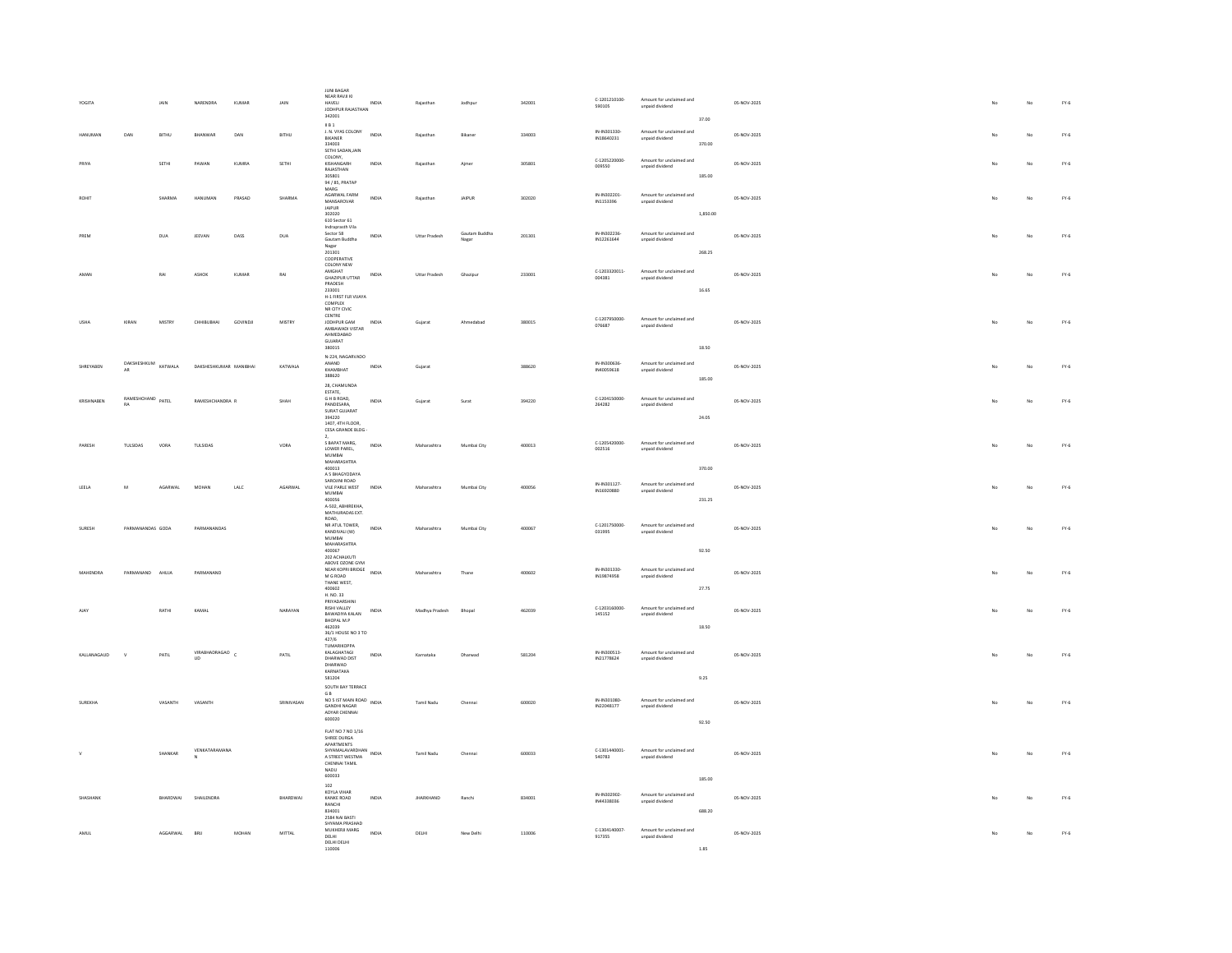| YOGITA      |                                |              | NARENDRA               | KUMAF              | JAIN            | <b>JUNI BAGAR</b><br>NEAR RAVJI KI<br>HAVELI<br>JODHPUR RAJASTHAN<br>342001                                                                                                                 | INDIA        |                   |                        | 342001 | C-1201210100-<br>590105    | Amount for unclaimed and<br>unpaid dividend |                 | 05-NOV-2025 |    | No | $FY-6$        |
|-------------|--------------------------------|--------------|------------------------|--------------------|-----------------|---------------------------------------------------------------------------------------------------------------------------------------------------------------------------------------------|--------------|-------------------|------------------------|--------|----------------------------|---------------------------------------------|-----------------|-------------|----|----|---------------|
| HANUMAN     | DAN                            | <b>BITHU</b> | BHANWAR                | DAN                | BITHU           | <b>ILB 1</b><br>J. N. VYAS COLONY<br>BIKANER<br>334003                                                                                                                                      | INDIA        | Rajasthan         | Bikaner                | 334003 | IN-IN301330-<br>IN18640231 | Amount for unclaimed and<br>unpaid dividend | 37.00<br>370.00 | 05-NOV-2025 |    | No | $FY-6$        |
| PRIYA       |                                | SETHI        | PAWAN                  | KUMRA              | SETHI           | SETHI SADANJAIN<br>COLONY,<br>KISHANGARH<br>RAJASTHAN                                                                                                                                       | INDIA        | Raiasthan         | Aimer                  | 305801 | C-1205220000-<br>009550    | Amount for unclaimed and<br>unpaid dividend |                 | 05-NOV-2025 |    | No | $FY-6$        |
| ROHIT       |                                | SHARMA       | HANUMAN                | PRASAD             | SHARMA          | 305801<br>94 / 85, PRATAP<br>MARG<br>AGARWAL FARM                                                                                                                                           | INDIA        | Rajasthan         | JAIPUR                 | 302020 | IN-IN302201-               | Amount for unclaimed and                    | 185.00          | 05-NOV-2025 | No | No | $FY-6$        |
|             |                                |              |                        |                    |                 | MANSAROVAR<br>$\ensuremath{\mathsf{I}}\ensuremath{\mathsf{A}}\ensuremath{\mathsf{I}}\ensuremath{\mathsf{P}}\ensuremath{\mathsf{U}}\ensuremath{\mathsf{R}}$<br>302020<br>$610$ Sector $61\,$ |              |                   |                        |        | IN1153396                  | unpaid dividend                             | 1,850.00        |             |    |    |               |
| PREM        |                                | DUA          | JEEVAN                 | $_{\texttt{DASS}}$ | DUA             | Indraprasth Vila<br>Sector 58<br>Gautam Buddha<br>Nagar<br>201301                                                                                                                           | INDIA        | Uttar Pradesh     | Gautam Buddha<br>Nagar | 201301 | IN-IN302236-<br>IN12261644 | Amount for unclaimed and<br>unpaid dividend | 268.25          | 05-NOV-2025 | No | No | $FY-6$        |
| AMAN        |                                | RAI          | ASHOK                  | KUMAR              | RAI             | COOPERATIVE<br><b>COLONY NEW</b><br>AMGHAT<br>GHAZIPUR UTTAR                                                                                                                                | INDIA        | Uttar Pradesh     | Ghazipur               | 233001 | C-1203320011-<br>004381    | Amount for unclaimed and<br>unpaid dividend |                 | 05-NOV-2025 |    | No | $\text{FY-6}$ |
|             |                                |              |                        |                    |                 | PRADESH<br>233001<br>H-1 FIRST FLR VUAYA<br>COMPLEX<br>NR CITY CIVIC                                                                                                                        |              |                   |                        |        |                            |                                             | 16.65           |             |    |    |               |
| <b>USHA</b> | KIRAN                          | MISTRY       | CHHIBUBHAI             | GOVINDJI           | MISTRY          | ${\tt CENTRE}$<br>JODHPUR GAM<br>AMBAWADI VISTAR<br>AHMEDARAD                                                                                                                               | INDIA        | Gujarat           | Ahmedabad              | 380015 | C-1207950000-<br>076687    | Amount for unclaimed and<br>unpaid dividend |                 | 05-NOV-2025 | No | No | $FY-6$        |
|             |                                |              |                        |                    |                 | $GUIARAT$<br>380015<br>N-224, NAGARVADO                                                                                                                                                     |              |                   |                        |        |                            |                                             | 18.50           |             |    |    |               |
| SHREYABEN   | DAKSHESHKUM KATWALA<br>AR      |              | DAKSHESHKUMAR MANIBHAI |                    | KATWALA         | ANAND<br>KHAMBHAT<br>388620<br>28. CHAMUNDA                                                                                                                                                 | INDIA        | Gujarat           |                        | 388620 | IN-IN300636-<br>IN40059618 | Amount for unclaimed and<br>unpaid dividend | 185.00          | 05-NOV-2025 |    | No | FY.6          |
| KRISHNAREN  | RAMESHCHAND PATEL<br><b>RA</b> |              | RAMESHCHANDRA R        |                    | SHAH            | ESTATE,<br>G H B ROAD.<br>PANDESARA,<br>SURAT GUJARAT                                                                                                                                       | INDIA        | Guiarat           | Surat                  | 394220 | C-1204150000-<br>264282    | Amount for unclaimed and<br>unpaid dividend |                 | 05-NOV-2025 | No | No | $FY-6$        |
|             |                                |              |                        |                    |                 | 394220<br>1407, 4TH FLOOR,<br>CESA GRANDE BLDG<br>$\mathbf{2}$                                                                                                                              |              |                   |                        |        |                            |                                             | 24.05           |             |    |    |               |
| PARESH      | TULSIDAS                       | VORA         | TULSIDAS               |                    | VORA            | S BAPAT MARG,<br>LOWER PAREL,<br>MUMBAI<br>MAHARASHTRA<br>400013                                                                                                                            | INDIA        | Maharashtra       | Mumbai City            | 400013 | C-1205420000<br>002516     | Amount for unclaimed and<br>unpaid dividend | 370.00          | 05-NOV-2025 | No | No | $FY-6$        |
| LEELA       | $\overline{M}$                 | AGARWAL      | MOHAN                  | LALO               | AGARWAL         | A 5 BHAGYODAYA<br>SAROUNLROAD<br>VILE PARLE WEST<br>MUMBAI                                                                                                                                  | INDIA        | Maharashtra       | Mumbai City            | 400056 | IN-IN301127-<br>IN16920880 | Amount for unclaimed and<br>unpaid dividend |                 | 05-NOV-2025 | No | No | $FY-6$        |
|             |                                |              |                        |                    |                 | 400056<br>A-502, ABHIREKHA<br>MATHURADAS EXT.<br>ROAD.                                                                                                                                      |              |                   |                        |        |                            |                                             | 231.25          |             |    |    |               |
| SURESH      | PARMANANDAS GODA               |              | PARMANANDAS            |                    |                 | NR ATUL TOWER,<br>KANDIVALI (W)<br>MUMBAI<br>MAHARASHTRA<br>400067                                                                                                                          | <b>INDIA</b> | Maharashtra       | Mumbai City            | 400067 | C-1201750000<br>031995     | Amount for unclaimed and<br>unpaid dividend |                 | 05-NOV-2025 | No | No | $FY-6$        |
| MAHENDRA    | PARMANAND AHUJA                |              | PARMANAND              |                    |                 | 202 ACHALKUTI<br>ABOVE OZONE GYM<br>NEAR KOPRI BRIDGE                                                                                                                                       | INDIA        | Maharashtra       | Thane                  | 400602 | IN-IN301330-               | Amount for unclaimed and                    | 92.50           | 05-NOV-2025 |    | No | $FY-6$        |
|             |                                |              |                        |                    |                 | $M$ G ROAD<br>THANE WEST.<br>400602<br>H. NO. 33                                                                                                                                            |              |                   |                        |        | IN19874958                 | unpaid dividend                             | 27.75           |             |    |    |               |
| <b>ALAY</b> |                                | RATHI        | KAMAL                  |                    | NARAYAN         | PRIYADARSHINI<br>RISHI VALLEY<br>BAWADIYA KALAN<br>BHOPAL M.P                                                                                                                               | INDIA        | Madhya Pradesh    | <b>Rhonal</b>          | 462039 | C-1203160000<br>145152     | Amount for unclaimed and<br>unpaid dividend |                 | 05-NOV-2025 |    | No | $FY-6$        |
|             |                                |              |                        |                    |                 | 462039<br>462039<br>36/1 HOUSE NO 3 TO<br>427/6<br>TUMARIKOPPA                                                                                                                              |              |                   |                        |        |                            |                                             | 18.50           |             |    |    |               |
| KALLANAGAUD | $\mathbf{v}$                   | PATIL        | VIRABHADRAGAO C<br>UD  |                    | PATIL           | KALAGHATAGI<br>DHARWAD DIST<br>DHARWAD<br>KARNATAKA                                                                                                                                         | INDIA        | Karnataka         | Dharwad                | 581204 | IN-IN300513-<br>IN21778624 | Amount for unclaimed and<br>unpaid dividend |                 | 05-NOV-2025 |    | No | $FY-6$        |
|             |                                |              |                        |                    |                 | 581204<br>SOUTH BAY TERRACE<br>$\mathsf{G}\,\mathsf{B}$                                                                                                                                     |              |                   |                        |        |                            |                                             | 9.25            |             |    |    |               |
| SURFKHA     |                                | VASANTH      | VASANTH                |                    | SRINIVASAN      | NO 5 IST MAIN ROAD INDIA<br>GANDHI NAGAR<br>ADYAR CHENNAL<br>600020                                                                                                                         |              | Tamil Nadu        | Chenna                 | 600020 | IN-IN301080-<br>IN22048177 | Amount for unclaimed and<br>unpaid dividend | 92.50           | 05-NOV-2025 |    | No | $FY-6$        |
|             |                                |              | VENKATARAMANA          |                    |                 | FLAT NO 7 NO 1/16<br>SHREE DURGA<br>APARTMENTS                                                                                                                                              |              |                   |                        |        | C-1301440001               | Amount for unclaimed and                    |                 |             |    |    |               |
|             |                                | SHANKAR      |                        |                    |                 | SHYAMALAVARDHAN INDIA<br>A STREET WESTMA<br>CHENNAI TAMIL<br>NADU<br>600033                                                                                                                 |              | <b>Tamil Nadu</b> | Chennai                | 600033 | 540783                     | unpaid dividend                             | 185.00          | 05-NOV-2025 | No | No | $FY-6$        |
|             |                                | RHARDWAL     | SHAILENDRA             |                    | <b>BHARDWAL</b> | 102<br>KOYLA VIHAR                                                                                                                                                                          | INDIA        | <b>IHARKHAND</b>  |                        |        | IN-IN302902-               | Amount for unclaimed and                    |                 |             |    | No |               |
|             |                                |              |                        |                    |                 | KANKE ROAD<br>RANCHI<br>834001<br>2584 NAI BASTI<br>SHYAMA PRASHAD                                                                                                                          |              |                   | Ranchi                 | 834001 | IN44338036                 | unpaid dividend                             | 688.20          | 05-NOV-2025 |    |    | $FY-6$        |
| AMUL        |                                | AGGARWAL     | BRU                    | MOHAN              | MITTAL          | MUKHERJI MARG<br>DELHI<br>DELHI DELHI<br>110006                                                                                                                                             | INDIA        | DELHI             | New Delhi              | 110006 | C-1304140007<br>917355     | Amount for unclaimed and<br>unpaid dividend | 1.85            | 05-NOV-2025 |    | No | $FY-6$        |
|             |                                |              |                        |                    |                 |                                                                                                                                                                                             |              |                   |                        |        |                            |                                             |                 |             |    |    |               |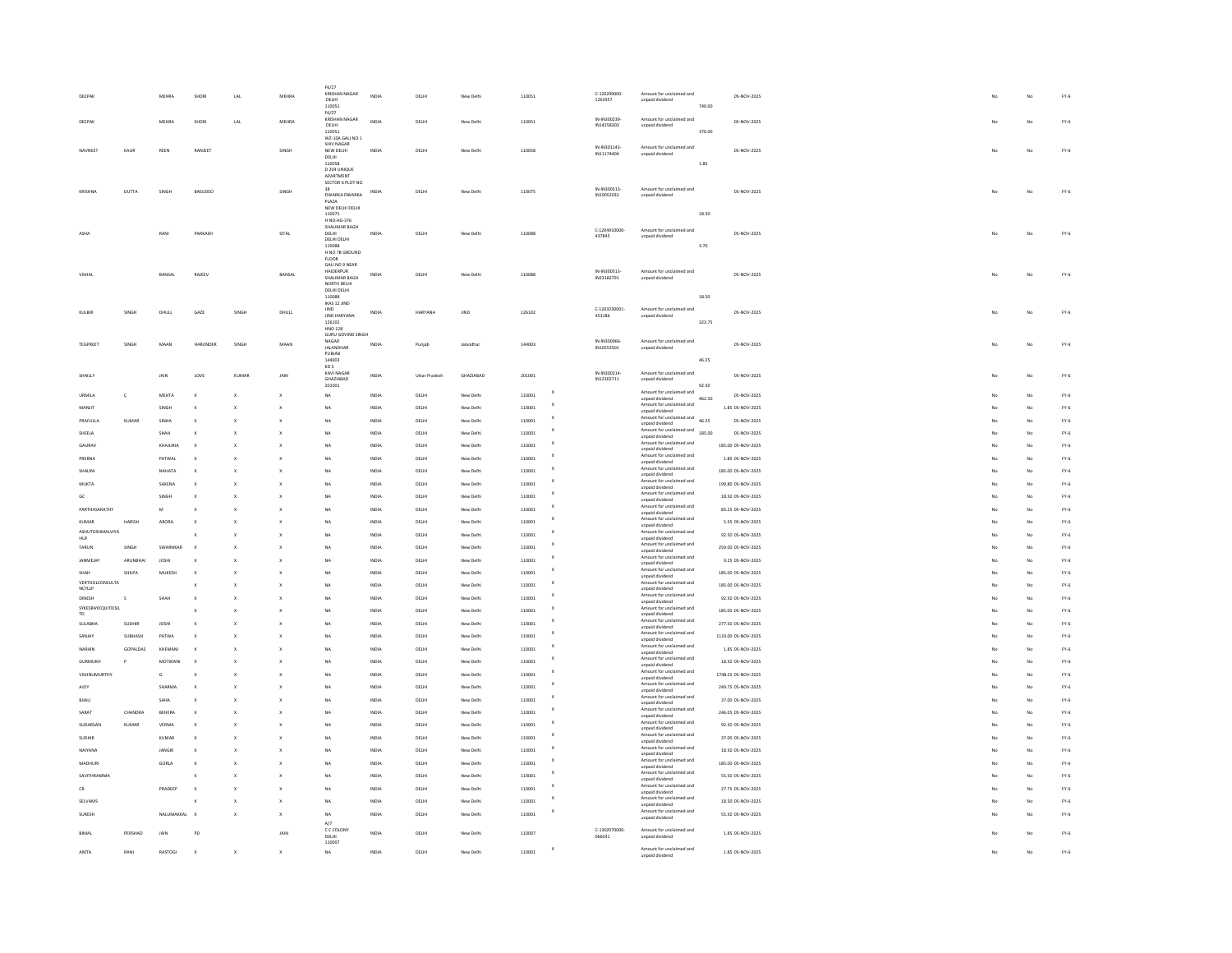| DEEPAR                        |                  | MEHRA                 | SHOR          | LAL          | MEHRA                     | F6/27<br>KRISHAN NAGAR<br>DELHI                  | INDIA          | DELHI          | New Delhi              | 110051           |               | $c - 120299000$<br>1265957 | Amount for unclaimed and<br>unpaid dividend                                     |        | 05-NOV-2025                             |    | $\overline{M}$ | $FY-6$           |
|-------------------------------|------------------|-----------------------|---------------|--------------|---------------------------|--------------------------------------------------|----------------|----------------|------------------------|------------------|---------------|----------------------------|---------------------------------------------------------------------------------|--------|-----------------------------------------|----|----------------|------------------|
|                               |                  |                       |               |              |                           | 110051<br>F6/27                                  |                |                |                        |                  |               |                            |                                                                                 | 740.00 |                                         |    |                |                  |
| DEEPAK                        |                  | <b>MEHRA</b>          | SHORI         | LAL          | MEHRA                     | KRISHAN NAGAR<br>DELHI<br>110051                 | INDIA          | DELHI          | New Delhi              | 110051           |               | IN-IN300239<br>IN14258303  | Amount for unclaimed and<br>unpaid dividend                                     | 370.00 | 05-NOV-2025                             |    | No             | $FY-6$           |
|                               |                  |                       |               |              |                           | WZ-10A GALI NO 1<br><b>SHIV NAGAR</b>            |                |                |                        |                  |               | IN-IN301143-               | Amount for unclaimed and                                                        |        |                                         |    |                |                  |
| NAVNEET                       | KAUR             | REEN                  | RANJEET       |              | SINGH                     | NEW DELHI<br>DELHI                               | INDIA          | DELHI          | New Delhi              | 110058           |               | IN11174404                 | unpaid dividend                                                                 |        | 05-NOV-2025                             | No | No             | $\text{FY-6}$    |
|                               |                  |                       |               |              |                           | 110058<br>D 204 UNIQUE<br>APARTMENT              |                |                |                        |                  |               |                            |                                                                                 | 1.85   |                                         |    |                |                  |
|                               |                  |                       |               |              |                           | SECTOR 6 PLOT NO                                 |                |                |                        |                  |               |                            |                                                                                 |        |                                         |    |                |                  |
| KRISHNA                       | DUTTA            | SINGH                 | BASUDEO       |              | SINGH                     | DWARKA DWARKA                                    | INDIA          | DELHI          | New Delhi              | 110075           |               | IN-IN300513-<br>IN19052032 | Amount for unclaimed and<br>unpaid dividend                                     |        | 05-NOV-2025                             |    | No             | $FY-6$           |
|                               |                  |                       |               |              |                           | PLAZA<br>NEW DELHI DELHI<br>110075               |                |                |                        |                  |               |                            |                                                                                 | 18.50  |                                         |    |                |                  |
|                               |                  |                       |               |              |                           | H NO-46-376<br>SHALIMAR BAGH                     |                |                |                        |                  |               |                            |                                                                                 |        |                                         |    |                |                  |
| ASHA                          |                  | RANI                  | PARKASH       |              | SITAL                     | DELHL<br>DELHI DELHI                             | INDIA          | DELHI          | New Delhi              | 110088           |               | C-1204910000<br>437845     | Amount for unclaimed and<br>unpaid dividend                                     |        | 05-NOV-2025                             |    | No             | $FY-6$           |
|                               |                  |                       |               |              |                           | 110088                                           |                |                |                        |                  |               |                            |                                                                                 | 3.70   |                                         |    |                |                  |
|                               |                  |                       |               |              |                           | H NO 7B GROUND<br><b>FLOOR</b><br>GALI NO 9 NEAR |                |                |                        |                  |               |                            |                                                                                 |        |                                         |    |                |                  |
| VISHA                         |                  | BANSAL                | <b>RAIFFV</b> |              | BANSAL                    | <b>HAIDERPUR</b><br>SHALIMAR BAGH                | INDIA          | DELHI          | New Delhi              | 110088           |               | IN-IN300513-<br>IN23182791 | Amount for unclaimed and<br>unpaid dividend                                     |        | 05-NOV-2025                             |    | $\mathbf{M}$   | $FY-6$           |
|                               |                  |                       |               |              |                           | NORTH DELHI<br>DELHI DELHI                       |                |                |                        |                  |               |                            |                                                                                 |        |                                         |    |                |                  |
|                               |                  |                       |               |              |                           | 110088<br><b>IKAS 12 JIND</b>                    |                |                |                        |                  |               |                            |                                                                                 | 18.50  |                                         |    |                |                  |
| KULBIR                        | SINGH            | DHULL                 | GAZE          | SINGH        | DHULL                     | IIND<br>JIND HARYANA                             | INDIA          | HARYANA        | JIND                   | 126102           |               | C-1203230001<br>453186     | Amount for unclaimed and<br>unpaid dividend                                     |        | 05-NOV-2025                             | No | No             | $FY-6$           |
|                               |                  |                       |               |              |                           | 126102<br><b>HNO 128</b>                         |                |                |                        |                  |               |                            |                                                                                 | 323.75 |                                         |    |                |                  |
|                               |                  |                       |               |              |                           | GURU GOVIND SINGH<br>NAGAR                       |                |                |                        |                  |               | IN-IN300966                | Amount for unclaimed and                                                        |        |                                         |    |                |                  |
| <b>TEGPREET</b>               | SINGH            | MAAN                  | HARJINDER     | SINGH        | MAAN                      | <b>JALANDHAR</b><br>PUBJAB                       | INDIA          | Punjab         | Jalandhar              | 144003           |               | IN10553501                 | unpaid dividend                                                                 |        | 05-NOV-2025                             | No | No             | $FY-6$           |
|                               |                  |                       |               |              |                           | 144003<br>KD <sub>5</sub>                        |                |                |                        |                  |               |                            |                                                                                 | 46.25  |                                         |    |                |                  |
| SHAILLY                       |                  | JAIN                  | LOVE          | KUMA         | <b>JAI</b>                | KAVI NAGAR<br>GHAZIABAD                          | INDIA          | Uttar Pradesh  | GHAZIABAD              | 201001           |               | IN-IN300214<br>IN12302711  | Amount for unclaimed and<br>unpaid dividend                                     |        | 05-NOV-2025                             |    | No             | $FY-6$           |
| URMILA                        | $\mathbf{c}$     | MEHTA                 |               |              | $\mathsf{x}$              | 201001<br><b>NA</b>                              | INDIA          | DELHI          | New Delhi              | 110001           |               |                            | Amount for unclaimed and                                                        | 92.50  | 05-NOV-2025                             |    | No             | $FY-6$           |
| MANJI'                        |                  | SINGH                 |               |              |                           | <b>NA</b>                                        | INDIA          | DELHI          | New Delhi              | 110001           | x             |                            | unpaid dividend<br>Amount for unclaimed and                                     | 462.50 | 1.85 05-NOV-2025                        |    | No             | $FY-6$           |
| PRAFULLA                      | KUMAR            | SINHA                 |               |              | X                         | <b>NA</b>                                        | INDIA          | DELHI          | New Delhi              | 110001           |               |                            | unpaid dividend<br>Impaid divide<br>Amount for unclaimed and<br>46.25           |        | 05-NOV-2025                             |    | No             | $FY-6$           |
| SHEELA                        |                  | SHAF                  |               |              |                           | NA                                               | INDIA          | DELHI          | New Delhi              | 110001           |               |                            | unpaid dividend<br>Inpaid universalismed and<br>Amount for unclaimed and 185.00 |        | 05-NOV-2025                             |    | No             | $FY-6$           |
| <b>GAURA</b>                  |                  | KHAJURI               |               |              |                           | NA                                               | INDIA          | DELHI          | New Delhi              | 110001           |               |                            | unpaid dividend<br>Amount for unclaimed and                                     |        | 185.00 05-NOV-2025                      |    | No             | $FY-6$           |
| PRERNA                        |                  | PATWA                 |               |              |                           | NA                                               | INDIA          | DELHI          | New Delhi              | 110001           |               |                            | unpaid dividend<br>Amount for unclaimed and                                     |        | 1.85 05-NOV-2025                        |    | No             | $FY-6$           |
| SHALINI                       |                  | NAHATA                |               |              |                           | <b>NA</b>                                        | INDIA          | DELHI          | New Delhi              | 110001           |               |                            | unpaid dividend<br>Amount for unclaimed and                                     |        | 185.00 05-NOV-2025                      |    | No             | $FY-6$           |
| MUKTA                         |                  | SAXENA                |               |              |                           | NA                                               | INDIA          | DELHI          | New Delhi              | 110001           |               |                            | unpaid dividend<br>Amount for unclaimed and                                     |        | 199.80 05-NOV-2025                      |    | No             | $FY-6$           |
| GC                            |                  | SINGH                 |               |              |                           | <b>NA</b>                                        | INDIA          | DELHI          | New Delhi              | 110001           |               |                            | unpaid dividend<br>Amount for unclaimed and<br>unpaid dividend                  |        | 18.50 05-NOV-2025                       |    | No             | $FY-6$           |
| PARTHASARATHY                 |                  | M                     |               |              |                           | <b>NA</b>                                        | INDIA          | DELHI          | New Delhi              | 110001           |               |                            | Amount for unclaimed and                                                        |        | 83.25 05-NOV-2025                       |    | No             | $FY-6$           |
| <b>KUMAR</b>                  | <b>HARISH</b>    | <b>ARORA</b>          |               |              |                           | <b>NA</b>                                        | INDIA          | DELHI          | New Delhi              | 110001           |               |                            | unpaid dividend<br>Amount for unclaimed and<br>unpaid dividend                  |        | 5.55 05-NOV-2025                        |    | No             | $FY-6$           |
| <b>ASHUTOSHMALVIYA</b><br>HUF |                  |                       |               |              |                           | NA                                               | INDIA          | DELHI          | New Delhi              | 110001           |               |                            | Amount for unclaimed and<br>unpaid dividend                                     |        | 92.50 05-NOV-2025                       |    | No             | $FY-6$           |
| TARUN                         | SINGH            | SWARNKAF              |               |              |                           | NA                                               | INDIA          | DELHI          | New Delhi              | 11000            |               |                            | Amount for unclaimed and<br>unpaid dividend                                     |        | 259.00 05-NOV-2025                      |    | No             | $FY-6$           |
| JANMEJAY                      | ARUNBHAI         | <b>JOSHI</b>          |               |              |                           | NA                                               | INDIA          | DELHI          | New Delhi              | 11000            |               |                            | Amount for unclaimed and<br>unpaid dividend                                     |        | 9.25 05-NOV-2025                        |    | No             | $FY-6$           |
| SHAH                          | SHILPA           | MUKESI                |               |              |                           | NA                                               | INDIA          | DELHI          | New Delhi              | 110001           |               |                            | Amount for unclaimed and<br>unpaid dividend                                     |        | 185.00 05-NOV-2025                      |    | No             | $FY-6$           |
| VERTOOLCONSULTA<br>NCYLLP     |                  |                       |               |              |                           | <b>NA</b>                                        | INDIA          | DELHI          | New Delhi              | 110001           |               |                            | Amount for unclaimed and<br>unpaid dividend                                     |        | 185.00 05-NOV-2025                      |    | No             | $FY-6$           |
| DINESH<br>SYKESRAYEOUTTIESU   |                  |                       |               |              |                           | NA                                               | INDIA          | DELHI          | New Delhi              | 110001           |               |                            | Amount for unclaimed and<br>unpaid dividend                                     |        | 92.50 05-NOV-2025                       |    | No             | $FY-6$           |
| TD.                           |                  |                       |               |              |                           | <b>NA</b>                                        | INDIA          | DELHI          | New Delhi              | 110001           |               |                            | Amount for unclaimed and<br>unpaid dividend                                     |        | 185.00 05-NOV-2025                      |    | No             | $FY-6$           |
| SUIARHA                       | SUDHIR           | <b>IOSHI</b>          |               |              |                           | $\overline{M}$                                   | INDIA          | DELHI          | New Delhi              | 110001           | ×             |                            | Amount for unclaimed and<br>unpaid dividend<br>Amount for unclaimed and         |        | 277.50 05-NOV-2025                      |    | No             | $FY-6$           |
| SANJAY                        | SUBHASH          | PATWA                 |               |              |                           | <b>NA</b>                                        | INDIA          | DELHI          | New Delhi              | 110001           |               |                            | unpaid dividend<br>Amount for unclaimed and                                     |        | 1110.00 05-NOV-2025                     |    | No             | $FY-6$           |
| NARAIN                        | GOPALDAS         | KHEMANI               |               |              |                           | NA                                               | INDIA          | <b>DELHI</b>   | New Delhi              | 110001           |               |                            | unpaid dividend<br>Amount for unclaimed and                                     |        | 1.85 05-NOV-2025                        |    | No             | $FY-6$           |
| <b>GURMUKH</b>                |                  | MOTWAN                |               |              |                           | <b>NA</b>                                        | INDIA          | DELHI          | New Delhi              | 110001           |               |                            | unpaid dividend<br>Amount for unclaimed and                                     |        | 18.50 05-NOV-2025                       |    | No             | $FY-6$           |
| VISHNUMURTHY                  |                  | G                     |               |              |                           | <b>NA</b>                                        | INDIA          | DELHI          | New Delhi              | 110001           |               |                            | unpaid dividend<br>Amount for unclaimed and                                     |        | 1748.25 05-NOV-2025                     |    | No             | $FY-6$           |
| <b>AIOY</b>                   |                  | SHARMA                |               |              |                           | <b>NA</b>                                        | INDIA          | DELHI          | New Delhi              | 110001           |               |                            | unpaid dividend<br>Amount for unclaimed and                                     |        | 249.75 05-NOV-2025                      |    | No             | $FY-6$           |
| BUALI<br>SARAT                |                  | SAHA                  |               |              |                           | NA<br>NA                                         | INDIA          | DELHI          | New Delhi              | 110001           |               |                            | unpaid dividend<br>Amount for unclaimed and                                     |        | 37.00 05-NOV-2025                       |    | No<br>No       | $FY-6$           |
| SUDARSAN                      | CHANDRA<br>KUMAF | <b>BEHER</b><br>VERMA |               |              |                           | NA                                               | INDIA<br>INDIA | DELHI<br>DELHI | New Delhi<br>New Delhi | 110001<br>110001 |               |                            | unpaid dividend<br>Amount for unclaimed and                                     |        | 246.05 05-NOV-2025<br>92.50 05-NOV-2025 |    | No             | $FY-6$<br>$FY-6$ |
| SUDHIR                        |                  | KUMA                  |               |              |                           |                                                  | INDIA          | DELHI          | New Delhi              | 11000            |               |                            | unpaid dividend<br>Amount for unclaimed and                                     |        | 37.00 05-NOV-2025                       |    | No             | $FY-6$           |
| NAIYANA                       |                  | JANGI                 |               |              |                           | NA                                               | INDIA          | DELHI          | New Delhi              | 110001           |               |                            | unpaid dividend<br>Amount for unclaimed and                                     |        | 18.50 05-NOV-2025                       |    | No             | $FY-6$           |
| MADHURI                       |                  | GORLA                 |               |              |                           | <b>NA</b>                                        | INDIA          | DELHI          | New Delhi              | 110001           |               |                            | unpaid dividend<br>Amount for unclaimed and                                     |        | 185.00 05-NOV-2025                      |    | No             | $FY-6$           |
| SAVITHRAMMA                   |                  |                       |               |              |                           | <b>NA</b>                                        | INDIA          | DELHI          | New Delhi              | 110001           |               |                            | unpaid dividend<br>Amount for unclaimed and                                     |        | 55.50 05-NOV-2025                       |    | No             | $FY-6$           |
| CR                            |                  | PRADEEP               |               |              |                           | NA                                               | INDIA          | <b>DELHI</b>   | New Delhi              | 110001           |               |                            | unpaid dividend<br>Amount for unclaimed and<br>unpaid dividend                  |        | 27.75 05-NOV-2025                       |    | No             | $FY-6$           |
| SELVAMS                       |                  |                       |               |              |                           | NA                                               | INDIA          | DELHI          | New Delhi              | 110001           | x             |                            | Amount for unclaimed and<br>unpaid dividend                                     |        | 18.50 05-NOV-2025                       |    | No             | $FY-6$           |
| SURESH                        |                  | NALUMAKKAL            | $\mathbf{x}$  |              | $\mathbf{x}$              | <b>NA</b>                                        | INDIA          | DELHI          | New Delhi              | 110001           |               |                            | Amount for unclaimed and<br>unpaid dividend                                     |        | 55.50 05-NOV-2025                       |    | No             | $FY-6$           |
| BIMAL                         | PERSHAD          |                       |               |              | JAIN                      | A/7<br>C C COLONY                                | INDIA          | DELHI          | New Delhi              | 110007           |               | C-1302070000-<br>066031    | Amount for unclaimed and<br>unpaid dividend                                     |        | 1.85 05-NOV-2025                        |    | No             | $FY-6$           |
|                               |                  |                       |               |              |                           | DELHI<br>110007                                  |                |                |                        |                  |               |                            |                                                                                 |        |                                         |    |                |                  |
| ANITA                         | RANI             | RASTOGI               | $\mathbf{x}$  | $\mathsf{x}$ | $\boldsymbol{\mathsf{x}}$ | NA                                               | INDIA          | DELHI          | New Delhi              | 110001           | $\,$ $\times$ |                            | Amount for unclaimed and<br>unpaid dividend                                     |        | 1.85 05-NOV-2025                        |    | No             | $FY-6$           |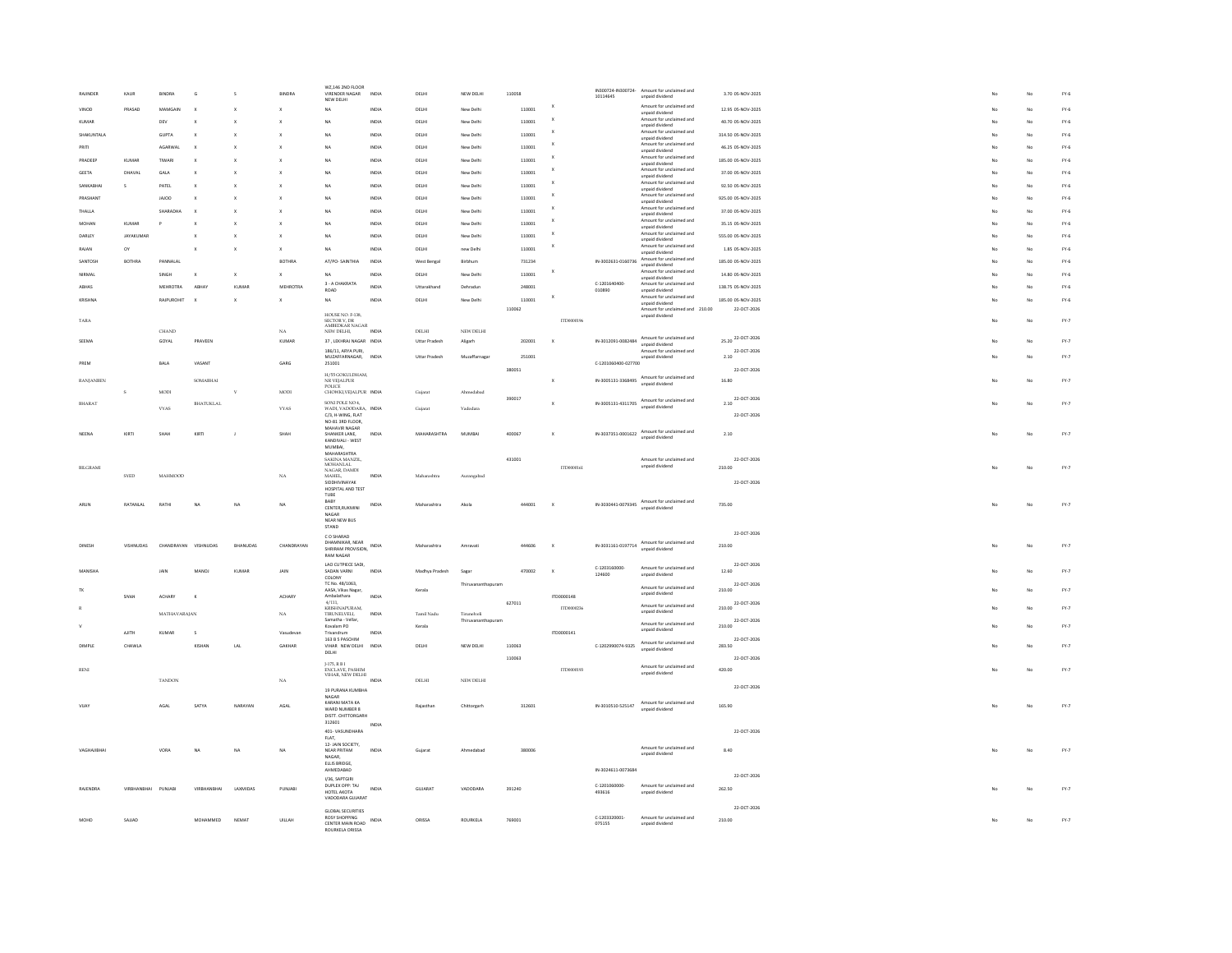| RAIINDER         | KALIR            | <b>RINDRA</b>    | $\epsilon$                | $\hat{\mathbf{c}}$        | <b>RINDRA</b>  | WZ,146 2ND FLOOR<br>VIRENDER NAGAR<br>NEW DELHI                     | INDIA | DELHI                | NEW DELHI          | 110058 |                           | 10114645                | IN300724-IN300724- Amount for unclaimed and<br>unpaid dividend                                                        | 3.70 05-NOV-2025      |    | No | $FY-6$                          |
|------------------|------------------|------------------|---------------------------|---------------------------|----------------|---------------------------------------------------------------------|-------|----------------------|--------------------|--------|---------------------------|-------------------------|-----------------------------------------------------------------------------------------------------------------------|-----------------------|----|----|---------------------------------|
| VINOD            | PRASAD           | MAMGAIL          |                           |                           |                | NA                                                                  | INDIA | DELH                 | New Delh           | 110001 |                           |                         | Amount for unclaimed and<br>unpaid dividend                                                                           | 12.95 05-NOV-2025     |    | No | $FY-6$                          |
| KUMA             |                  | DEV              |                           |                           |                | NA                                                                  | INDIA | DELH                 | New Delh           | 110001 |                           |                         | Amount for unclaimed and<br>unpaid dividend                                                                           | 40.70 05-NOV-2025     |    | No | $FY-6$                          |
| SHAKUNTALA       |                  | GUPTA            |                           |                           |                | <b>NA</b>                                                           | INDIA | DELH                 | New Delh           | 11000  |                           |                         | Amount for unclaimed and<br>unpaid dividend                                                                           | 314.50 05-NOV-2025    |    | No | $FY-6$                          |
| PRITI            |                  | AGARWAI          |                           | x                         |                | NA                                                                  | INDIA | DELHI                | New Delhi          | 110001 |                           |                         | Amount for unclaimed and<br>unpaid dividend                                                                           | 46.25 05-NOV-2025     |    | No | $FY-6$                          |
| PRADEEP          | KUMAR            | TIWARI           | $\boldsymbol{\mathsf{x}}$ |                           |                | <b>NA</b>                                                           | INDIA | DELHI                | New Delhi          | 11000  |                           |                         | Amount for unclaimed and<br>unpaid dividend                                                                           | 185.00 05-NOV-2025    |    | No | $FY-6$                          |
| <b>GEETA</b>     | DHAVAL           | GALA             | $\mathbf x$               |                           |                | <b>NA</b>                                                           | INDIA | DELHI                | New Delhi          | 110001 |                           |                         | Amount for unclaimed and<br>unpaid dividend                                                                           | 37.00 05-NOV-2025     |    | No | $FY-6$                          |
| SANKABHAI        | s                | PATEL            | $\mathbf x$               |                           |                | <b>NA</b>                                                           | INDIA | DELHI                | New Delhi          | 110001 | $\mathbf x$               |                         | Amount for unclaimed and<br>unpaid dividend                                                                           | 92.50 05-NOV-2025     |    | No | $FY-6$                          |
| PRASHANT         |                  | <b>JAJOO</b>     | $\mathbf{x}$              | $\mathbf{x}$              |                | <b>NA</b>                                                           | INDIA | DELHI                | New Delhi          | 110001 |                           |                         | Amount for unclaimed and<br>unpaid dividend                                                                           | 925.00 05-NOV-2025    |    | No | $FY-6$                          |
| THAILA           |                  | SHARADHA         | $\mathbf{x}$              |                           |                | <b>NA</b>                                                           | INDIA | DELHI                | New Delhi          | 110001 |                           |                         | Amount for unclaimed and<br>unpaid dividend                                                                           | 37.00 05-NOV-2025     |    | No | $FY-6$                          |
| MOHAN            | KUMAR            |                  |                           |                           |                | <b>NA</b>                                                           | INDIA | DELHI                | New Delhi          | 11000  | $\mathbf{x}$              |                         | Amount for unclaimed and<br>unpaid dividend                                                                           | 35.15 05-NOV-2025     |    | No | $FY-6$                          |
| DARLEY           | <b>JAYAKUMAR</b> |                  |                           |                           | $\mathbf{x}$   | <b>NA</b>                                                           | INDIA | <b>DELHI</b>         | New Delhi          | 110001 | $\boldsymbol{\mathsf{x}}$ |                         | Amount for unclaimed and<br>unpaid dividend                                                                           | 555.00 05-NOV-2025    |    | No | $FY-6$                          |
| RAJAN            | $_{\rm OV}$      |                  |                           |                           | $\mathbf{x}$   | <b>NA</b>                                                           | INDIA | DELHI                | new Delhi          | 110001 |                           |                         | Amount for unclaimed and<br>unpaid dividend                                                                           | 1.85 05-NOV-2025      |    | No | $FY-6$                          |
| SANTOSH          | BOTHRA           | PANNALA          |                           |                           | BOTHRA         | AT/PO-SAINTHIA                                                      | INDM  | West Bengal          |                    | 731234 |                           | IN-3002631-0160736      | Amount for unclaimed and<br>unpaid dividend                                                                           | 185.00 05-NOV-2025    |    | No | $FY-6$                          |
| NIRMAL           |                  | SINGH            | x                         | $\boldsymbol{\mathsf{x}}$ |                | <b>NA</b>                                                           | INDIA | $DELHI$              | New Delh           | 110001 |                           |                         | Amount for unclaimed and<br>unpaid dividend                                                                           | 14.80 05-NOV-2025     |    | No | $FY-6$                          |
| ABHAS            |                  | <b>MEHROTRA</b>  | <b>ABHAY</b>              | KUMA                      | <b>MEHROTR</b> | 3 - A CHAKRATA<br>ROAD                                              | INDIA | Uttarakhan           | Dehradu            | 24800  |                           | C-1201640400<br>010890  | Amount for unclaimed and<br>unpaid dividend                                                                           | 138.75 05-NOV-2025    |    |    | $FY-6$                          |
| KRISHNA          |                  | <b>RAJPUROHI</b> |                           | $\mathbf{x}$              |                | <b>NA</b>                                                           | INDIA | DELHI                | New Delh           | 110001 | $\boldsymbol{\mathsf{x}}$ |                         | Amount for unclaimed and<br>unpaid dividend                                                                           | 185.00 05-NOV-2025    |    | No | $FY-6$                          |
|                  |                  |                  |                           |                           |                | HOUSE NO. F-138,                                                    |       |                      |                    | 110062 |                           |                         | Amount for unclaimed and 210.00<br>unpaid dividend                                                                    | 22-OCT-2026           |    |    |                                 |
| TARA             |                  | <b>CHAND</b>     |                           |                           | $_{\rm NA}$    | SECTOR V, DR<br>AMBEDKAR NAGAR<br>NEW DELHI,                        | INDIA | DELHI                | NEW DELHI          |        | ITD0000196                |                         |                                                                                                                       |                       |    | No | FY.7                            |
| SEEMA            |                  | GOYAL            | PRAVEEN                   |                           | KUMAR          | 37, LEKHRAJ NAGAR INDIA                                             |       | <b>Uttar Pradesh</b> | Aligarh            | 202001 | $\mathbf{x}$              | IN-3012091-0082484      | Amount for unclaimed and<br>unpaid dividend                                                                           | 25.20 22-OCT-2026     |    | No | FY.7                            |
|                  |                  |                  |                           |                           |                | 186/11, ARYA PURI.<br>MUZAFFARNAGAR,                                | INDIA | Uttar Pradesh        | Muzaffarnagar      | 25100  |                           |                         | Amount for unclaimed and<br>unpaid dividend                                                                           | 22-OCT-2026<br>2.10   |    | No | FY.7                            |
| PREM             |                  | BALA             | VASANT                    |                           | GARG           | 251001                                                              |       |                      |                    | 380051 |                           | C-1201060400-027700     |                                                                                                                       | 22-OCT-2026           |    |    |                                 |
| <b>RANJANBEN</b> |                  |                  | SOMABHAI                  |                           |                | H/55 GOKULDHAM,<br>NR VEJALPUR                                      |       |                      |                    |        | $\boldsymbol{\mathsf{x}}$ | IN-3005131-3368495      | Amount for unclaimed and<br>unpaid dividend                                                                           | 16.80                 |    | No | FY.7                            |
|                  | $\,$ s           | $_{\rm MODI}$    |                           | $\mathbf{v}$              | MODI           | <b>POLICE</b><br>CHOWKI, VEJALPUR INDIA                             |       | Gujara               | Ahmedaba           |        |                           |                         |                                                                                                                       |                       |    |    |                                 |
| BHARAT           |                  | <b>VYAS</b>      | <b>BHATUKLAL</b>          |                           | <b>VYAS</b>    | SONI POLE NO 4.<br>WADI, VADODARA, INDIA                            |       | Gujara               | Vadodara           | 390017 | $\mathbf{x}$              |                         | $\begin{array}{ll} \text{M-3005131-4311705} & \text{Amount for uncalaimed and} \\ \text{unpaid dividend} \end{array}$ | 22-OCT-2026<br>2.10   |    | No | $FY-7$                          |
|                  |                  |                  |                           |                           |                | C/3, H-WING, FLAT<br>NO-81 3RD FLOOR,                               |       |                      |                    |        |                           |                         |                                                                                                                       | 22-OCT-2026           |    |    |                                 |
| NEENA            | KIRT             |                  | KIRT                      |                           | SHAH           | MAHAVIR NAGAR<br>SHANKER LANE,                                      | INDIA | MAHARASHTRA          | MUMBAI             | 400067 |                           | IN-3037351-0001622      | Amount for unclaimed and                                                                                              | 2.10                  |    |    | FY.7                            |
|                  |                  |                  |                           |                           |                | KANDIVALI - WEST<br>MUMBAI,                                         |       |                      |                    |        |                           |                         | unpaid dividend                                                                                                       |                       |    |    |                                 |
|                  |                  |                  |                           |                           |                | MAHARASHTRA<br>SAKINA MANZIL,                                       |       |                      |                    | 431001 |                           |                         | Amount for unclaimed and                                                                                              | 22-OCT-2026           |    |    |                                 |
| BILGRAMI         |                  |                  |                           |                           |                | MOHANLAL<br>NAGAR, DAMDI                                            |       |                      |                    |        | ITD0000161                |                         | unpaid dividend                                                                                                       | 210.00                | No | No | $FY-7$                          |
|                  | <b>SYED</b>      | MARMOOD          |                           |                           | NA             | MAHEL,<br>SIDDHIVINAYAK                                             | INDIA | Maharashtra          | Auraneabad         |        |                           |                         |                                                                                                                       | 22-OCT-2026           |    |    |                                 |
|                  |                  |                  |                           |                           |                | HOSPITAL AND TEST<br>TUBE                                           |       |                      |                    |        |                           |                         |                                                                                                                       |                       |    |    |                                 |
| ARUN             | RATANLAL         | RATH             |                           | NA                        | NA             | BABY<br>CENTER.RUKMINI                                              | INDIA | Maharashtra          | Akola              | 444001 | $\boldsymbol{\mathsf{x}}$ |                         | IN-3030441-0079345 Amount for unclaimed and                                                                           | 735.00                |    |    | $\text{FY-}7$                   |
|                  |                  |                  |                           |                           |                | NAGAR<br>NEAR NEW BUS                                               |       |                      |                    |        |                           |                         |                                                                                                                       |                       |    |    |                                 |
|                  |                  |                  |                           |                           |                | STAND                                                               |       |                      |                    |        |                           |                         |                                                                                                                       | 22-OCT-2026           |    |    |                                 |
| DINESH           | VISHNI IDAS      | CHANDRAYAN       | VISHNUDAS                 | <b>RHANIIDAS</b>          | CHANDRAYAN     | C O SHARAD<br>DHAMNIKAR, NEAR<br>SHRIRAM PROVISION, INDIA           |       | Maharashtra          | Amravati           | 444505 | $\mathbf{x}$              | IN-3031161-0197714      | Amount for unclaimed and<br>unpaid dividend                                                                           | 210.00                |    | No | $FY-7$                          |
|                  |                  |                  |                           |                           |                | <b>RAM NAGAR</b>                                                    |       |                      |                    |        |                           |                         |                                                                                                                       |                       |    |    |                                 |
| <b>MANISHA</b>   |                  | <b>JAIN</b>      | MANOL                     | KUMAR                     | <b>JAIN</b>    | LAO CUTPIECE SADI,<br>SADAN VARNI<br>COLONY                         | INDIA | Madhya Pradesh       | Sagar              | 470002 | $\mathbf{x}$              | C-1203160000<br>124600  | Amount for unclaimed and<br>unpaid dividend                                                                           | 22-OCT-2026<br>12.60  |    | No | FY.7                            |
|                  |                  |                  |                           |                           |                | TC No. 48/1063.<br>AASA, Vikas Nagar,                               |       |                      | Thiruvananthapuram |        |                           |                         | Amount for unclaimed and                                                                                              | 22-OCT-2026           |    |    | $FY-7$                          |
| <b>TK</b>        | <b>SIVA!</b>     | ACHARY           |                           |                           | <b>ACHARY</b>  | Ambalathara<br>4/111,                                               | INDU  | Kerala               |                    | 627011 | ITD0000148                |                         | unpaid dividend                                                                                                       | 210.00<br>22-OCT-2026 |    | No |                                 |
|                  |                  | MATHAVARAJAN     |                           |                           | NA             | <b>KRISHNAPURAM</b>                                                 | INDIA | Tamil Nadu           | Tirunelveli        |        | TTM0002%                  |                         | Amount for unclaimed and<br>unpaid dividend                                                                           | 210.00                |    | No | $FY-7$                          |
|                  |                  |                  |                           |                           |                | TIRUNELVELL,<br>Samatha - Vellar,<br>Kovalam PO                     |       | Kerala               | Thiruvananthapuram |        |                           |                         | Amount for unclaimed and                                                                                              | 22-OCT-2026<br>210.00 |    | No | $\mathsf{FY}\text{-}\mathsf{7}$ |
|                  | <b>AJITH</b>     | <b>KUMAR</b>     | $\mathsf{s}$              |                           | Vasudevan      | Trivandrum<br>163 B 5 PASCHIM                                       | INDIA |                      |                    |        | ITD0000141                |                         | unpaid dividend                                                                                                       | 22-OCT-2026           |    |    |                                 |
| <b>DIMPLE</b>    | CHAWLA           |                  | KISHAN                    | LAL                       | GAKHAR         | VIHAR NEW DELHI<br>DELHI                                            | INDIA | DELHI                | NEW DELHI          | 110063 |                           | C-1202990074-9325       | Amount for unclaimed and<br>unpaid dividend                                                                           | 283.50                |    | No | FY.7                            |
|                  |                  |                  |                           |                           |                | J-175, R B I<br>ENCLAVE, PASHIM                                     |       |                      |                    | 110063 |                           |                         | Amount for unclaimed and                                                                                              | 22-OCT-2026           |    |    |                                 |
| RENI             |                  | <b>TANDON</b>    |                           |                           | NA             | VIHAR, NEW DELHI                                                    | INDIA | DELHI                | NEW DELHI          |        | ITD0000193                |                         | unpaid dividend                                                                                                       | 420.00                |    | No | $\text{FY-}7$                   |
|                  |                  |                  |                           |                           |                | 19 PURANA KUMBHA                                                    |       |                      |                    |        |                           |                         |                                                                                                                       | 22-OCT-2026           |    |    |                                 |
| VIIAY            |                  | AGAL             | SATYA                     | NARAYAN                   | AGAI           | NAGAR<br>KARANI MATA KA                                             |       | Rajasthar            | Chittorearh        | 312601 |                           | IN-3010510-525147       | Amount for unclaimed and                                                                                              | 165.90                | No | No | $FY-7$                          |
|                  |                  |                  |                           |                           |                | WARD NUMBER 8<br>DISTT. CHITTORGARH                                 |       |                      |                    |        |                           |                         | unpaid dividend                                                                                                       |                       |    |    |                                 |
|                  |                  |                  |                           |                           |                | 312601<br>401-VASUNDHARA                                            | INDIA |                      |                    |        |                           |                         |                                                                                                                       | 22-OCT-2026           |    |    |                                 |
|                  |                  |                  |                           |                           |                | FLAT.<br>12- JAIN SOCIETY,                                          |       |                      |                    |        |                           |                         |                                                                                                                       |                       |    |    |                                 |
|                  |                  |                  |                           |                           |                |                                                                     | INDIA |                      | Ahmedabad          | 380006 |                           |                         | Amount for unclaimed and<br>unpaid dividend                                                                           | 8.40                  | No | No | $\text{FY-}7$                   |
| VAGHAJIBHAI      |                  | VORA             | NA                        | NA                        | NA             | NEAR PRITAM                                                         |       | Gujarat              |                    |        |                           |                         |                                                                                                                       |                       |    |    |                                 |
|                  |                  |                  |                           |                           |                | NAGAR,<br>ELLIS BRIDGE.                                             |       |                      |                    |        |                           |                         |                                                                                                                       |                       |    |    |                                 |
|                  |                  |                  |                           |                           |                | AHMEDABAD<br>I/36, SAPTGIRI                                         |       |                      |                    |        |                           | IN-3024611-0073684      |                                                                                                                       | 22-OCT-2026           |    |    |                                 |
| RAJENDRA         | VIRBHANBHAI      | PUNJABI          | VIRRHANRHAI               | LAXMIDAS                  | PUNJABI        | DUPLEX OPP: TAJ<br>HOTEL AKOTA                                      | INDIA | GUJARAT              | VADODARA           | 391240 |                           | C-1201060000<br>493616  | Amount for unclaimed and<br>unpaid dividend                                                                           | 262.50                |    | No | $\mathsf{FY}\text{-}\mathsf{7}$ |
|                  |                  |                  |                           |                           |                | VADODARA GUJARAT                                                    |       |                      |                    |        |                           |                         |                                                                                                                       | 22-OCT-2026           |    |    |                                 |
| MOHD             | SAJJAD           |                  | MOHAMMED                  | NEMAT                     | UILLAH         | GLOBAL SECURITIES<br><b>ROSY SHOPPING</b><br>CENTER MAIN ROAD INDIA |       | ORISSA               | ROURKELA           | 769001 |                           | C-1203320001-<br>075155 | Amount for unclaimed and<br>unpaid dividend                                                                           | 210.00                |    | No | $\mathsf{FY}\text{-}\mathsf{7}$ |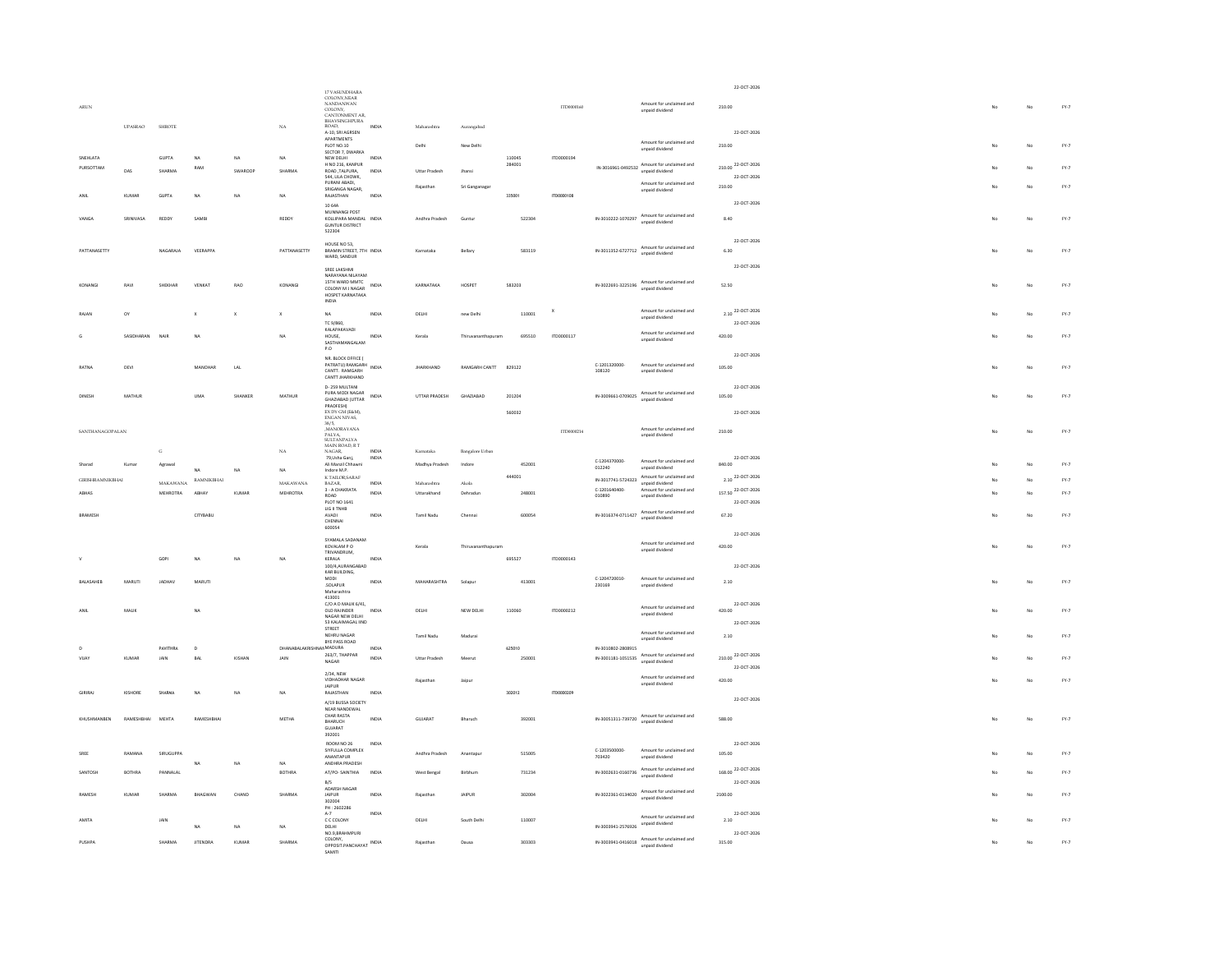|                         |                |                   |                     |              |                | 17 VASUNDHARA                                                               |                |                  |                    |                  |              |                                     |                                                                                                                      |         | 22-OCT-2026                                  |             |    |                                 |
|-------------------------|----------------|-------------------|---------------------|--------------|----------------|-----------------------------------------------------------------------------|----------------|------------------|--------------------|------------------|--------------|-------------------------------------|----------------------------------------------------------------------------------------------------------------------|---------|----------------------------------------------|-------------|----|---------------------------------|
| $\Lambda\text{RUN}$     |                |                   |                     |              |                | LI VASONDINAN<br>COLONY, NANDANWAN<br>COLONY, CANTONMENT AR,                |                |                  |                    |                  | ITD0000160   |                                     | Amount for unclaimed and<br>unpaid dividend                                                                          | 210.00  |                                              |             | No | $FY-7$                          |
|                         | <b>UPASRAO</b> | <b>SHROTE</b>     |                     |              | $_{\rm NA}$    | BHAVSINGHPURA<br>ROAD.                                                      | INDIA          | Maharashtra      | Aurangabad         |                  |              |                                     |                                                                                                                      |         |                                              |             |    |                                 |
|                         |                |                   |                     |              |                | A-10, SRI AGRSEN<br>APARTMENTS<br>PLOT NO.10                                |                | Delhi            | New Delhi          |                  |              |                                     | Amount for unclaimed and                                                                                             | 210.00  | 22-OCT-2026                                  |             | No | $FY-7$                          |
| SNEHLATA                |                | <b>GUPTA</b>      | <b>NA</b>           | NA           | NA             | SECTOR 7, DWARKA<br>NEW DELHI                                               | INDIA          |                  |                    | 110045           | ITD0000194   |                                     | unpaid dividend                                                                                                      |         |                                              |             |    |                                 |
| PURSOTTAM               | DAS            | SHARMA            | RAM                 | SWAROOP      | SHARMA         | H NO 216, KANPUR<br>ROAD, TALPURA,<br>544, LILA CHOWK,                      | INDIA          | Uttar Pradesh    | thans              | 284001           |              |                                     | IN-3016961-0492532 Amount for unclaimed and<br>$unpaid dividend$                                                     |         | 210.00 <sup>22-OCT-2026</sup><br>22-OCT-2026 |             | No | $FY-7$                          |
|                         |                |                   |                     |              |                | PURANI ABADI.<br>SRIGANGA NAGAR,                                            |                | Rajasthar        | Sri Ganganaga      |                  |              |                                     | Amount for unclaimed and<br>unpaid dividend                                                                          | 210.00  |                                              |             | No | $FY-7$                          |
| ANIL                    | <b>KUMAR</b>   | GUPTA             | NA                  | NA           | NA             | RAJASTHAN<br>10 64A                                                         | INDIA          |                  |                    | 335001           | ITD0000108   |                                     |                                                                                                                      |         | 22-OCT-2026                                  |             |    |                                 |
| VANGA                   | SRINIVASA      | REDDY             | SAMBI               |              | REDDY          | MUNNANGI POST<br>KOLLIPARA MANDAL INDIA<br><b>GUNTUR DISTRICT</b><br>522304 |                | Andhra Pradesh   | Guntur             | 522304           |              | IN-3010222-1070297                  | Amount for unclaimed and<br>unpaid dividend                                                                          | 8.40    |                                              | No          | No | $FY-7$                          |
| PATTANASFTTY            |                | NAGARAIA          | VEERAPPA            |              | PATTANASETTY   | HOUSE NO 53,<br>RRAMIN STREET 7TH INDIA                                     |                | Karnataka        | Rellary            | 583119           |              |                                     | $IN-3011352-6727712 \quad \begin{array}{c} \text{Amount for uncalaimed and} \\ \text{unpald dividedend} \end{array}$ | 6.30    | 22-OCT-2026                                  | $M_{\odot}$ | No | $FV-7$                          |
|                         |                |                   |                     |              |                | WARD, SANDUR                                                                |                |                  |                    |                  |              |                                     |                                                                                                                      |         | 22-OCT-2026                                  |             |    |                                 |
| KONANG                  | RAVI           | SHEKHAR           | VENKAT              | RAO          | KONANGI        | SREE LAKSHMI<br>NARAYANA NILAYAM<br>15TH WARD MMTC                          | INDIA          | KARNATAKA        | HOSPET             | 583203           |              | IN-3022691-3225196                  | Amount for unclaimed and                                                                                             | 52.50   |                                              | No          | No | FY.7                            |
|                         |                |                   |                     |              |                | COLONY M J NAGAR<br>HOSPET KARNATAKA<br>INDIA                               |                |                  |                    |                  |              |                                     | unpaid dividend                                                                                                      |         |                                              |             |    |                                 |
| RAJAN                   | ov             |                   | x                   |              | $\mathsf x$    | $_{\sf NA}$<br>TC 9/860,                                                    | INDIA          | DELHI            | new Delhi          | 110001           | $\mathbf{x}$ |                                     | Amount for unclaimed and<br>unpaid dividend                                                                          |         | 2.10 22-OCT-2026<br>22-OCT-2026              |             | No | FY.7                            |
|                         | SASIDHARAN     | NAIR              | <b>NA</b>           |              | NA             | KALAPAKAVADI<br>HOUSE,<br>SASTHAMANGALAM<br>P.O                             | INDM           | Kerala           |                    | 695510           | ITD0000117   |                                     | Amount for unclaimed and<br>unpaid dividend                                                                          | 420.00  |                                              |             | No | $FY-7$                          |
|                         |                |                   |                     |              |                | NR. BLOCK OFFICE (<br>PATRATU) RAMGARH                                      |                |                  |                    |                  |              | C-1201320000-                       |                                                                                                                      |         | 22-OCT-2026                                  |             |    |                                 |
| RATNA                   | DEVI           |                   | MANOHAR             | LAL          |                | CANTT, RAMGARH<br>CANTT JHARKHAND                                           | INDIA          | <b>JHARKHAND</b> | RAMGARH CANTT      | 829122           |              | 108120                              | Amount for unclaimed and<br>unpaid dividend                                                                          | 105.00  |                                              | No          | No | $FY-7$                          |
| DINESH                  | MATHUR         |                   | UMA                 | SHANKER      | MATHUR         | D-259 MULTANI<br>PURA MODI NAGAR                                            | INDIA          | UTTAR PRADESH    | GHAZIABAD          | 201204           |              | IN-3009661-0709025                  | Amount for unclaimed and                                                                                             | 105.00  | 22-OCT-2026                                  |             | No | $FY-7$                          |
|                         |                |                   |                     |              |                | GHAZIABAD (UTTAR<br>PRADFESH)<br>EX DY GM (E&M)                             |                |                  |                    | 560032           |              |                                     | unpaid dividend                                                                                                      |         | 22-OCT-2026                                  |             |    |                                 |
|                         |                |                   |                     |              |                | ENGAN NIVAS,<br>38/5,<br>,MANORAYANA                                        |                |                  |                    |                  |              |                                     |                                                                                                                      |         |                                              |             |    |                                 |
| SANTHANAGOPALAN         |                |                   |                     |              |                | PALYA,<br>SULTANPALYA                                                       |                |                  |                    |                  | ITD0000214   |                                     | Amount for unclaimed and<br>unpaid dividend                                                                          | 210.00  |                                              |             | No | FY.7                            |
|                         |                | $\mathbf G$       |                     |              | NA             | MAIN ROAD, RT<br>NAGAR,<br>79, Usha Ganj,                                   | INDIA<br>INDIA | Kamataka         | Bangalore Urbar    |                  |              |                                     |                                                                                                                      |         | 22-OCT-2026                                  |             |    |                                 |
|                         | Kumar          | Agrawa            | NA                  | NA           | NA             | Ali Manzil Chha<br>Indore M.P.                                              |                | Madhya Pradesh   | Indore             | 452001<br>444001 |              | C-1204370000-<br>012240             | Amount for unclaimed and<br>unpaid dividend<br>Amount for unclaimed and                                              | 840.00  |                                              |             | No | $FY-7$                          |
| <b>GIRISHRAMNIKBHAI</b> |                | $\text{MAXAWANA}$ | $\text{RAMNIKBHAI}$ |              | MAKAWANA       | K TAILOR, SARAF<br>BAZAR,<br>3 - A CHAKRATA                                 | INDM           | Maharashtra      | Akola              |                  |              | IN-3017741-5724323<br>C-1201640400- | unpaid dividend<br>Amount for unclaimed and                                                                          |         | 2.10 22-OCT-2026<br>157.50 22-OCT-2026       |             | No | $FY-7$                          |
| ABHAS                   |                | MEHROTRA          | <b>ARHAY</b>        | KUMAF        | MEHROTRA       | $_{\text{ROAD}}$<br>PLOT NO 1641                                            | INDIA          | Uttarakhand      | Dehradu            | 248001           |              | 010890                              | unpaid dividend                                                                                                      |         | 22-OCT-2026                                  |             | No | $\mathsf{FY}\text{-}\mathsf{7}$ |
| <b>BRAMESH</b>          |                |                   | CITYBABU            |              |                | LIG II TNHB<br>AVADI<br>CHENNAI<br>600054                                   | <b>INDIA</b>   | Tamil Nadu       | Chennai            | 600054           |              | IN-3016374-0711427                  | Amount for unclaimed and<br>unnaid dividend                                                                          | 67.20   |                                              |             | No | $FY-7$                          |
|                         |                |                   |                     |              |                | SYAMALA SADANAM<br>KOVALAM P O                                              |                | Kerala           | Thiruvananthapuram |                  |              |                                     | Amount for unclaimed and                                                                                             | 420.00  | 22-OCT-2026                                  | No          | No | $FY-7$                          |
|                         |                | GOPL              | NA                  | NA           | NA             | TRIVANDRUM,<br>KERALA                                                       | INDIA          |                  |                    | 695527           | ITD0000143   |                                     | unpaid dividend                                                                                                      |         |                                              |             |    |                                 |
|                         |                |                   |                     |              |                | 100/4,AURANGABAD<br>KAR BUILDING,<br>MODI                                   |                |                  |                    |                  |              | C-1204720010-                       | Amount for unclaimed and                                                                                             |         | 22-OCT-2026                                  |             |    |                                 |
| BALASAHEB               | MARUTI         | JADHAV            | MARUTI              |              |                | SOLAPUR<br>Maharashtra<br>413001                                            | INDIA          | MAHARASHTRA      | Solapur            | 413001           |              | 230169                              | unpaid dividend                                                                                                      | 2.10    |                                              |             | No | FY.7                            |
|                         | MALIK          |                   | <b>NA</b>           |              |                | $C/O$ A D MALIK $6/41$ ,<br>OLD RAJINDER                                    | INDIA          | DELHI            | NEW DELHI          | 110060           | ITD0000212   |                                     | Amount for unclaimed and<br>unpaid dividend                                                                          | 420.00  | 22-OCT-2026                                  |             | No | $FY-7$                          |
|                         |                |                   |                     |              |                | NAGAR NEW DELHI<br>53 KALAIMAGAL IIND<br>STREET                             |                |                  |                    |                  |              |                                     | Amount for unclaimed and                                                                                             |         | 22-OCT-2026                                  |             |    |                                 |
|                         |                | PAVITHRA          | $\overline{D}$      |              | DHANABALAKRISI | NEHRU NAGAR<br>BYE PASS ROAD<br><b>IANMADURA</b>                            | INDIA          | Tamil Nadu       | Madurai            | 625010           |              | IN-3010802-2808915                  | unpaid dividend                                                                                                      | 2.10    |                                              |             | No | $FY-7$                          |
|                         | KUMAR          | JAIN              | BAI                 | KISHAN       | JAIN           | 263/7, ТНАРРАВ<br>NAGAR                                                     | INDIA          | Uttar Pradesh    | Meeru              | 250001           |              |                                     | IN-3001181-1051535 Amount for unclaimed and<br>unpaid dividend                                                       |         | 210.00 <sup>22-OCT-2026</sup>                |             | No | FY.7                            |
|                         |                |                   |                     |              |                | 2/34, NEW<br><b>VIDHADHAR NAGAR</b>                                         |                | Rajasthan        | Jaipur             |                  |              |                                     | Amount for unclaimed and                                                                                             | 420.00  | 22-OCT-2026                                  |             | No | $FY-7$                          |
| GIRIRAJ                 | KISHORE        | SHARMA            | NA                  | NA           | NA             | JAIPUR<br>RAJASTHAN                                                         | <b>INDIA</b>   |                  |                    | 302012           | ITD0000209   |                                     | unpaid dividend                                                                                                      |         |                                              |             |    |                                 |
|                         |                |                   |                     |              |                | A/19 BUSSA SOCIETY<br>NEAR NANDEWAL<br>CHAR RASTA                           |                |                  |                    |                  |              |                                     |                                                                                                                      |         | 22-OCT-2026                                  |             |    |                                 |
| KHUSHMANBEN             | RAMESHBHAI     | MEHTA             | RAMESHBHAI          |              | METHA          | BHARUCH<br>GUJARAT<br>392001                                                | INDIA          | GUJARAT          | Bharuch            | 392001           |              |                                     | IN-30051311-739720 Amount for unclaimed and                                                                          | 588.00  |                                              | No          | No | $FY-7$                          |
| SREE                    | RAMANA         | SIRUGUPPA         |                     |              |                | ROOM NO 26<br>SIYFULLA COMPLEX                                              | INDIA          | Andhra Pradesh   |                    | 515005           |              | C-1203500000                        | Amount for unclaimed and                                                                                             | 105.00  | 22-OCT-2026                                  |             | No | $FY-7$                          |
|                         |                |                   | <b>NA</b>           | NA           | <b>NA</b>      | ANANTAPUR<br>ANDHRA PRADESH                                                 |                |                  | Anantapur          |                  |              | 703420                              | unpaid dividend<br>Amount for unclaimed and                                                                          |         |                                              |             |    |                                 |
| SANTOSH                 | <b>BOTHRA</b>  | PANNALAL          |                     |              | BOTHRA         | AT/PO- SAINTHIA<br>B/S                                                      | <b>INDIA</b>   | West Bengal      | Birbhum            | 731234           |              | IN-3002631-0160736                  | unpaid dividend                                                                                                      |         | 168.00 <sup>22-OCT-2026</sup><br>22-OCT-2026 |             | No | $FY-7$                          |
| RAMESH                  | KUMAR          | SHARMA            | <b>BHAGWAM</b>      | CHAND        | <b>SHARMA</b>  | <b>ADARSH NAGAR</b><br>JAIPUR<br>302004                                     | INDM           | Rajasthar        | JAIPUR             | 302004           |              |                                     | IN-3022361-0134020 Amount for unclaimed and<br>unpaid dividend                                                       | 2100.00 |                                              |             | No | FY.7                            |
|                         |                |                   |                     |              |                | PH: 2602286<br>$A-7$                                                        | INDIA          |                  |                    |                  |              |                                     | Amount for unclaimed and                                                                                             |         | 22-OCT-2026                                  |             |    |                                 |
| MITA                    |                | JAIN              | <b>NA</b>           | NA           | NA             | C C COLONY<br>DELHI<br>NO.9, BRAHMPURI                                      |                | DELHI            | South Delh         | 110007           |              | IN-3003941-2576926                  | unpaid dividend                                                                                                      | 2.10    | 22-OCT-2026                                  |             | No | FY.7                            |
| PUSHPA                  |                | SHARMA            | <b>JITENDRA</b>     | <b>KUMAR</b> | SHARMA         | COLONY.<br>OPPOSIT.PANCHAYAT INDIA                                          |                | Rajasthan        | Dausa              | 303303           |              |                                     | $IN-3003941-0416018 \quad \begin{array}{l} \text{Amount for uncalained and} \\ \text{unpald divided} \end{array}$    | 315.00  |                                              |             | No | $FY-7$                          |
|                         |                |                   |                     |              |                | SAMITI                                                                      |                |                  |                    |                  |              |                                     |                                                                                                                      |         |                                              |             |    |                                 |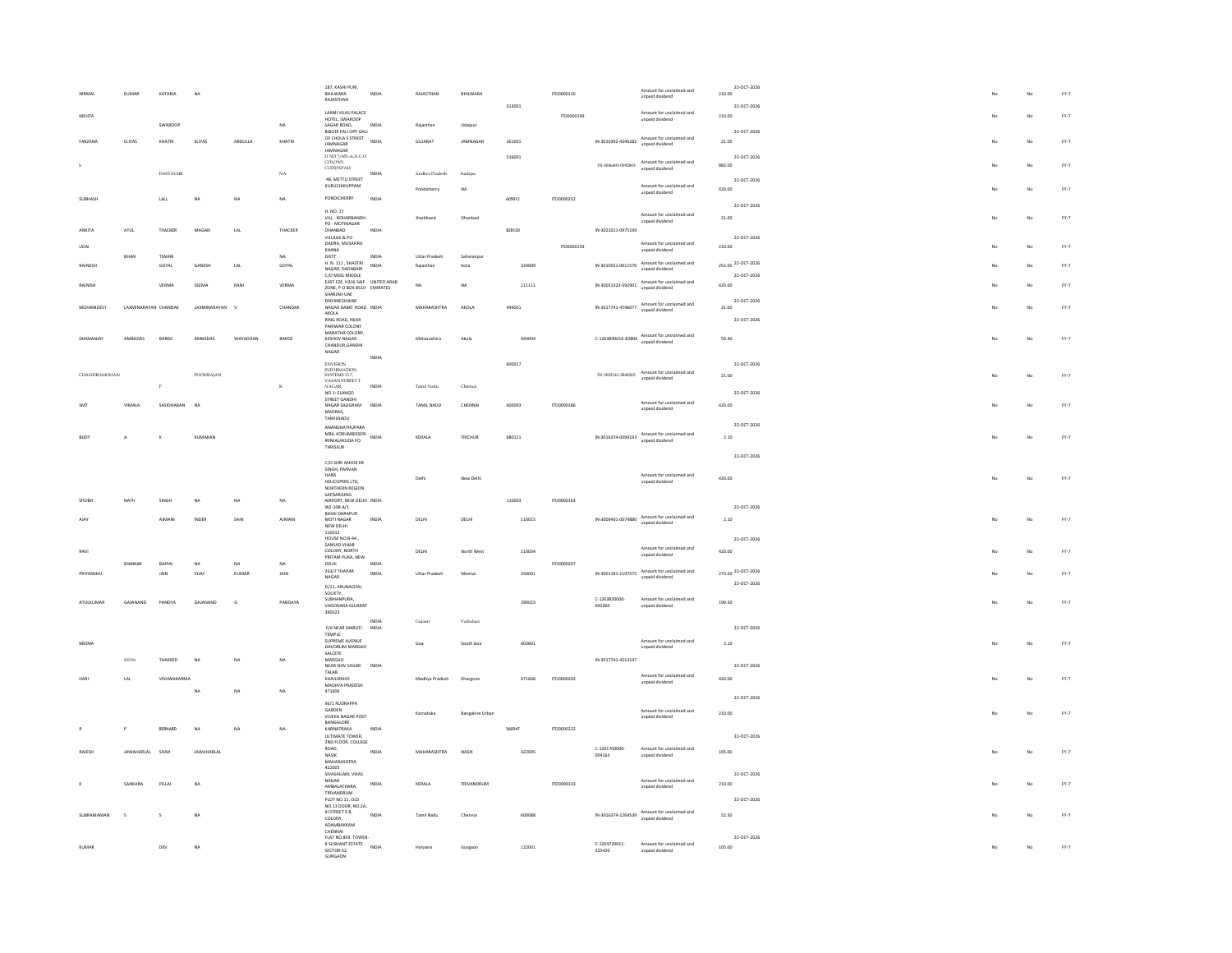|               |                      |                  | <b>NA</b>      |              |             | 187, KASHI PURI,                                               |                       |                            |                        |        |            |                         | Amount for unclaimed and                                                                                                     | 22-OCT-2026           |    |                |               |
|---------------|----------------------|------------------|----------------|--------------|-------------|----------------------------------------------------------------|-----------------------|----------------------------|------------------------|--------|------------|-------------------------|------------------------------------------------------------------------------------------------------------------------------|-----------------------|----|----------------|---------------|
|               | KUMAR                | KATARIA          |                |              |             | <b>BHILWARA</b><br>RAJASTHAN                                   | INDIA                 | RAJASTHAN                  | BHILWARA               |        | ITD0000116 |                         | unpaid dividend                                                                                                              | 210.00                |    |                | FY.7          |
| <b>MEHTA</b>  |                      |                  |                |              |             | LAXMI VILAS PALACE                                             |                       |                            |                        | 313001 | 170000199  |                         | Amount for unclaimed and                                                                                                     | 22-OCT-2026<br>210.00 |    | $\overline{M}$ | $FY-7$        |
|               |                      | SWARDOP          |                |              | NA          | HOTEL, SWAROOP<br>SAGAR ROAD,                                  | INDIA                 | Rajasthan                  | Udaipur                |        |            |                         | unpaid dividend                                                                                                              |                       |    |                |               |
| FARZANA       | ELIYAS               | KHATRI           | ELIYAS         | ABDULLA      | KHATRI      | <b>BIBODI FALI OPP GALI</b><br>OF CHOLA S STREET               | INDIA                 | GUJARAT                    | JAMNAGAR               | 361001 |            |                         | IN-3010392-4346282 Amount for unclaimed and                                                                                  | 22-OCT-2026<br>21.00  |    | No             | $FY-7$        |
|               |                      |                  |                |              |             | -<br>JAMNAGAR<br>JAMNAGAR<br>D NO 7/451-A,N G O                |                       |                            |                        |        |            |                         | unpaid dividend                                                                                                              |                       |    |                |               |
|               |                      |                  |                |              |             | COLONY.                                                        |                       |                            |                        | 516001 |            | TN-3006691-0092803      | Amount for unclaimed and                                                                                                     | 22-OCT-2026<br>882.00 |    | N <sub>0</sub> | $FY-7$        |
|               |                      | <b>DASTAGIRI</b> |                |              | $_{\rm NA}$ | $\texttt{CUDDAPAH}$                                            | INDIA                 | Andhra Pradesh             | Kadapa                 |        |            |                         | unpaid dividend                                                                                                              |                       |    |                |               |
|               |                      |                  |                |              |             | 48, METTU STREET<br>KURUCHIKUPPAM                              |                       | Pondicherry                | NA                     |        |            |                         | Amount for unclaimed and                                                                                                     | 22-OCT-2026<br>420.00 |    | No             | $FY-7$        |
| SURHASH       |                      | LALL             | <b>NA</b>      | NA.          | NA          | PONDICHERRY                                                    | INDIA                 |                            |                        | 605012 | 1TD0000252 |                         | unpaid dividend                                                                                                              |                       |    |                |               |
|               |                      |                  |                |              |             | H. NO. 17                                                      |                       |                            |                        |        |            |                         | Amount for unclaimed and                                                                                                     | 22-OCT-2026           |    |                |               |
|               |                      |                  |                |              |             | VILL - ROHARBANDH<br>PO - MOTINAGAR                            |                       | Jharkhand                  | Dhanbad                |        |            |                         | unpaid dividend                                                                                                              | 21.00                 |    | No             | $FY-7$        |
| <b>ANKITA</b> | ATUL                 | THACKER          | MAGAN          | LAL          | THACKER     | DHANBAD<br>VILLAGE & PO                                        | INDIA                 |                            |                        | 828120 |            | IN-3022011-0975199      |                                                                                                                              | 22-OCT-2026           |    |                |               |
| UDA           |                      |                  |                |              |             | DADRA, MUSAFIRA<br>KHANA                                       |                       |                            |                        |        | ITD0000159 |                         | Amount for unclaimed and<br>unpaid dividend                                                                                  | 210.00                |    | No             | $FY-7$        |
| RAINESH       | BHAN                 | TIWAR<br>GOYAL   | GANESH         | LAL          | NA<br>GOYAL | DISTT<br>H. N. 111, SHASTRI                                    | INDIA<br><b>INDIA</b> | Uttar Pradesh<br>Rajasthan | Saharanpur<br>Kota     | 324009 |            | IN-3010551-0011570      | Amount for unclaimed and                                                                                                     | 252.00 22-OCT-2026    |    | No             | $FY-7$        |
|               |                      |                  |                |              |             | NAGAR, DADABARI<br>C/O MSSL MIDDLE                             |                       |                            |                        |        |            |                         | unpaid dividend                                                                                                              | 22-OCT-2026           |    |                |               |
| RAJNISH       |                      | VERMA            | SEEMA          | RANI         | VERMA       | EAST FZE, H316 SAIF UNITED ARAB<br>ZONE, P O BOX 8510 EMIRATES |                       | NA                         | NA                     | 111111 |            | IN-30051323-592901      | Amount for unclaimed and<br>unpaid dividend                                                                                  | 420.00                |    | No             | FY.7          |
|               |                      |                  |                |              |             | SHARIAH I JAF<br>DNYANESHWAR                                   |                       |                            |                        |        |            |                         |                                                                                                                              | 22-OCT-2026           |    |                |               |
| MOHANIDEVI    | LAXMINARAYAN CHANDAK |                  | LAXMINARAYAN   | $\mathbf{v}$ | CHANDAK     | NAGAR DABKI ROAD INDIA<br>AKOLA<br>RING ROAD, NEAR             |                       | MAHARASHTRA                | AKOLA                  | 444001 |            |                         | IN-3017741-4746077 Amount for unclaimed and<br>unpaid dividend                                                               | 21.00                 |    | No             | $FY-7$        |
|               |                      |                  |                |              |             | PARIWAR COLONY                                                 |                       |                            |                        |        |            |                         |                                                                                                                              | 22-OCT-2026           |    |                |               |
| DHANANIAY     | <b>AMRADAS</b>       | <b>BARDE</b>     | AMRADAS        | WAYADHAN     | BARDE       | MARATHA COLONY,<br>KESHOV NAGAR                                |                       | Maharashtra                | Akola                  | 444004 |            |                         | $\textbf{C-1203840016-83804} \begin{array}{l} \textbf{Amount for uncalained and} \\ \textbf{unpaid divided end} \end{array}$ | 50.40                 | No | No             | $FY-7$        |
|               |                      |                  |                |              |             | CHANDUR, GANDHI<br>NAGAR                                       |                       |                            |                        |        |            |                         |                                                                                                                              |                       |    |                |               |
|               |                      |                  |                |              |             | <b>ENVISION</b>                                                | INDIA                 |                            |                        | 600017 |            |                         |                                                                                                                              | 22-OCT-2026           |    |                |               |
| CHANDRAMOHAN  |                      |                  | POONRAJAN      |              |             | <b>INFORMATION</b><br>SYSTEMS 137,<br>VASAN STREET T<br>NAGAR, |                       |                            |                        |        |            | IN-3002141-2848265      | Amount for unclaimed and<br>unpaid dividend                                                                                  | 21.00                 |    | No             | $FY-7$        |
|               |                      |                  |                |              | $_{\rm K}$  | NO 1: ELANGO                                                   | INDIA                 | Tamil Nadu                 | Chennai                |        |            |                         |                                                                                                                              | 22-OCT-2026           |    |                |               |
|               | VIMALA               | SASIDHARAN       | N <sub>A</sub> |              |             | STREET GANDHI<br>NAGAR SALIGRAM                                | INDIA                 | TAMIL NADU                 | CHENNAL                | 600093 | ITD0000186 |                         | Amount for unclaimed and                                                                                                     | 420.00                |    | No             | FY.7          |
|               |                      |                  |                |              |             | MADRAS,<br>TAMILNADU                                           |                       |                            |                        |        |            |                         | unpaid dividend                                                                                                              |                       |    |                |               |
|               |                      |                  |                |              |             | ANANDHATHUPARA                                                 |                       |                            |                        |        |            |                         |                                                                                                                              | 22-OCT-2026           |    |                |               |
| <b>BILOV</b>  | $\mathbf{A}$         |                  | KUMARAN        |              |             | MBIL KORUMBISSERI<br>IRINJALAKUDA PO                           | INDIA                 | KERALA                     | TRICHUR                | 680121 |            | IN-3016374-0094193      | Amount for unclaimed and<br>unpaid dividend                                                                                  | 2.10                  |    | No             | FY.7          |
|               |                      |                  |                |              |             | THRISSUR                                                       |                       |                            |                        |        |            |                         |                                                                                                                              | 22-OCT-2026           |    |                |               |
|               |                      |                  |                |              |             | C/O SHRI ASHOK KR<br>SINGH, PANVAN                             |                       |                            |                        |        |            |                         |                                                                                                                              |                       |    |                |               |
|               |                      |                  |                |              |             | HANS<br>HELICOPERS LTD,                                        |                       | Delhi                      | New Delhi              |        |            |                         | Amount for unclaimed and<br>unpaid dividend                                                                                  | 420.00                |    | No             | $FY-7$        |
|               |                      |                  |                |              |             | NORTHERN REGION<br>SAFDARJUNG                                  |                       |                            |                        |        |            |                         |                                                                                                                              |                       |    |                |               |
|               | NATH                 | SINGH            | NA             | NA.          | NA          | AIRPORT, NEW DELHI INDIA<br>WZ-108-A/1                         |                       |                            |                        | 110003 | ITD0000163 |                         |                                                                                                                              | 22-OCT-2026           |    |                |               |
|               |                      | AJMANI           | INDER          | SAIN         | AIMANI      | <b>BASAI DARAPUR</b><br>MOTI NAGAR                             | INDIA                 | DELHI                      | DELHI                  | 110015 |            |                         | IN-3009401-0074880 Amount for unclaimed and                                                                                  | 2.10                  |    | No             | $FY-7$        |
|               |                      |                  |                |              |             | NEW DELHI<br>110015                                            |                       |                            |                        |        |            |                         | unpaid dividend                                                                                                              |                       |    |                |               |
|               |                      |                  |                |              |             | HOUSE NO.B-44<br>SANSAD VIHAR                                  |                       |                            |                        |        |            |                         |                                                                                                                              | 22-OCT-2026           |    |                |               |
| RAVI          |                      |                  |                |              |             | COLONY NORTH<br>PRITAM PURA, NEW                               |                       | DELHI                      | North West             | 110034 |            |                         | Amount for unclaimed and<br>unpaid dividend                                                                                  | 420.00                |    | No             | $FY-7$        |
|               | SHANKAR              | BAJPAI           | NA             | NA           | <b>NA</b>   | DELHI<br>263/7 THAPAR                                          | <b>INDIA</b>          |                            |                        |        | ITD0000207 |                         | Amount for unclaimed and                                                                                                     | 273.00 22-OCT-2026    |    |                |               |
| PRIYANSHU     |                      | JAIN             | VIJAY          | KUMAR        | JAIN        | NAGAR                                                          | INDIA                 | <b>Uttar Pradesh</b>       | Meerut                 | 250001 |            | IN-3001181-1197575      | unpaid dividend                                                                                                              | 22-OCT-2026           |    | No             | $FY-7$        |
|               |                      |                  |                |              |             | D/11, ARUNACHAL<br>SOCIETY,<br>SUBHANPURA,                     |                       |                            |                        |        |            |                         |                                                                                                                              |                       |    |                |               |
| ATULKUMAR     | GAJANAND             | PANDYA           | GAJANAND       | G            | PANDAYA     | VADODARA GUJARAT                                               |                       |                            |                        | 390023 |            | C-1203820000-<br>092360 | Amount for unclaimed and<br>unpaid dividend                                                                                  | 199.50                |    | No             | $FY-7$        |
|               |                      |                  |                |              |             | 390023                                                         | INDIA                 | Guiarat                    | Vadodara               |        |            |                         |                                                                                                                              |                       |    |                |               |
|               |                      |                  |                |              |             | F/6 NEAR MARUTI<br><b>TEMPLE</b>                               | INDIA                 |                            |                        |        |            |                         |                                                                                                                              | 22-OCT-2026           |    |                |               |
| MEENA         |                      |                  |                |              |             | SUPREME AVENUE<br>DAVORLIM MARGAO                              |                       | Goa                        | South Goa              | 403601 |            |                         | Amount for unclaimed and<br>unpaid dividend                                                                                  | 2.10                  |    | No             | $FY-7$        |
|               | <b>BIPIN</b>         | THAKKER          | NA             | NA           | NA          | SALCETE<br>MARGAO                                              |                       |                            |                        |        |            | IN-3017741-4213147      |                                                                                                                              |                       |    |                |               |
|               |                      |                  |                |              |             | NEAR SHIV SAGAR<br>TALAB                                       | INDV                  |                            |                        |        |            |                         | Amount for unclaimed and                                                                                                     | 22-OCT-2026           |    |                |               |
| <b>MAD</b>    | LAL                  | VISHWAKARMA      |                |              |             | KHAJURAHO<br>MADHYA PRADESH                                    |                       | Madhya Pradesh             | Khargone               | 471606 | ITD0000202 |                         | unpaid dividend                                                                                                              | 420.00                |    | No             | FY.7          |
|               |                      |                  | NA             | NA           | NA          | 471606                                                         |                       |                            |                        |        |            |                         |                                                                                                                              | 22-OCT-2026           |    |                |               |
|               |                      |                  |                |              |             | 96/1 RUDRAPPA<br>GARDEN                                        |                       | Karnataka                  | <b>Bangalore Urban</b> |        |            |                         | Amount for unclaimed and                                                                                                     | 210.00                |    | No             | FY.7          |
|               |                      |                  |                |              |             | <b>VIVEKA NAGAR POST</b><br>BANGALORE                          |                       |                            |                        |        |            |                         | unpaid dividend                                                                                                              |                       |    |                |               |
|               | P                    | BERNARD          | NA             | NA           | NA          | KARNATRAKA<br>ULTIMATE TOWER,                                  | INDIA                 |                            |                        | 560047 | ITD0000222 |                         |                                                                                                                              | 22-OCT-2026           |    |                |               |
| RAJESH        | <b>JAWAHARLAL</b>    | SHAH             | JAWAHARLAL     |              |             | 2ND FLOOR, COLLEGE<br>ROAD,<br>NASIK                           | INDIA                 | MAHARASHTRA                | NASI                   | 422005 |            | C-1201700000            | Amount for unclaimed and                                                                                                     | 105.00                |    | No             | $\text{FY-}7$ |
|               |                      |                  |                |              |             | <b>MAHARASHTRA</b>                                             |                       |                            |                        |        |            | 004163                  | unpaid dividend                                                                                                              |                       |    |                |               |
|               |                      |                  |                |              |             | 422005<br>SIVASAILAM, VIKAS                                    |                       |                            |                        |        |            |                         |                                                                                                                              | 22-007-2026           |    |                |               |
|               | SANKARA              | PILLAI           | <b>NA</b>      |              |             | $NAGAR$<br>AMBALATHARA.                                        | INDIA                 | KERALA                     | TRIVANDRUM             |        | ITD0000133 |                         | Amount for unclaimed and<br>unpaid dividend                                                                                  | 210.00                |    | No             | FY.7          |
|               |                      |                  |                |              |             | TRIVANDRUM<br>PLOT NO.11, OLD                                  |                       |                            |                        |        |            |                         |                                                                                                                              | 22-OCT-2026           |    |                |               |
| SUBRAMANIAN   | s                    | $\mathsf{s}$     | NA             |              |             | NO.13 DOOR, NO.2A,<br>III STREET E B,                          | INDIA                 | <b>Tamil Nadu</b>          | Chennai                | 600088 |            | IN-3016374-1264539      | Amount for unclaimed and                                                                                                     | 52.50                 |    | No             | $FY-7$        |
|               |                      |                  |                |              |             | COLONY.<br>ADAMBAKKAM<br>CHENNAL                               |                       |                            |                        |        |            |                         | unpaid dividend                                                                                                              |                       |    |                |               |
|               |                      |                  |                |              |             | FLAT NO.803 TOWER-                                             |                       |                            |                        |        |            |                         |                                                                                                                              | 22-OCT-2026           |    |                |               |
| KUMAR         |                      | DEV              | $_{\sf NA}$    |              |             | 8 SUSHANT ESTATE INDIA<br>SECTOR-52<br>GURGAON                 |                       | Haryana                    | Gurgaon                | 122001 |            | C-1204720011-<br>225420 | Amount for unclaimed and<br>unpaid dividend                                                                                  | 105.00                |    | No             | $FY-7$        |
|               |                      |                  |                |              |             |                                                                |                       |                            |                        |        |            |                         |                                                                                                                              |                       |    |                |               |